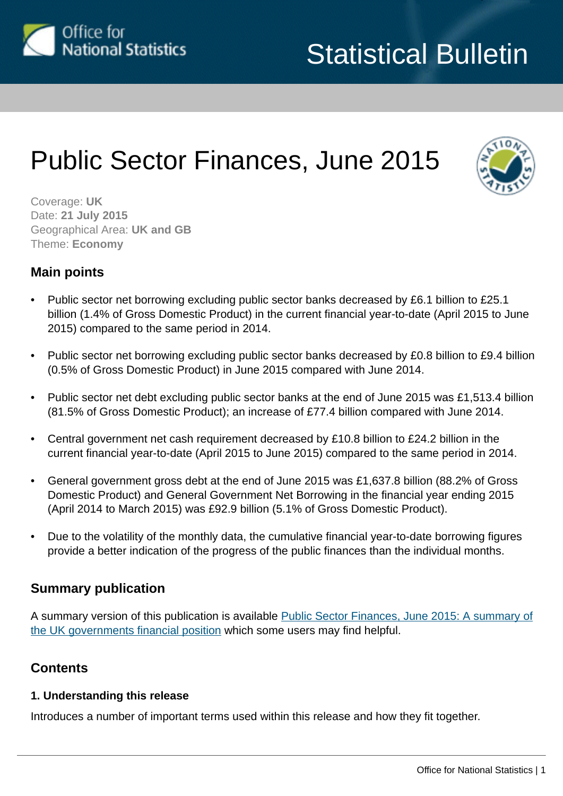<span id="page-0-0"></span>

# Public Sector Finances, June 2015



Coverage: **UK** Date: **21 July 2015** Geographical Area: **UK and GB** Theme: **Economy**

#### **Main points**

- Public sector net borrowing excluding public sector banks decreased by £6.1 billion to £25.1 billion (1.4% of Gross Domestic Product) in the current financial year-to-date (April 2015 to June 2015) compared to the same period in 2014.
- Public sector net borrowing excluding public sector banks decreased by £0.8 billion to £9.4 billion (0.5% of Gross Domestic Product) in June 2015 compared with June 2014.
- Public sector net debt excluding public sector banks at the end of June 2015 was £1,513.4 billion (81.5% of Gross Domestic Product); an increase of £77.4 billion compared with June 2014.
- Central government net cash requirement decreased by £10.8 billion to £24.2 billion in the current financial year-to-date (April 2015 to June 2015) compared to the same period in 2014.
- General government gross debt at the end of June 2015 was £1,637.8 billion (88.2% of Gross Domestic Product) and General Government Net Borrowing in the financial year ending 2015 (April 2014 to March 2015) was £92.9 billion (5.1% of Gross Domestic Product).
- Due to the volatility of the monthly data, the cumulative financial year-to-date borrowing figures provide a better indication of the progress of the public finances than the individual months.

#### **Summary publication**

A summary version of this publication is available [Public Sector Finances, June 2015: A summary of](http://www.ons.gov.uk:80/ons/rel/psa/public-sector-finances/june-2015/sum-public-sector-finances--june-2015.html) [the UK governments financial position](http://www.ons.gov.uk:80/ons/rel/psa/public-sector-finances/june-2015/sum-public-sector-finances--june-2015.html) which some users may find helpful.

#### **Contents**

#### **1. Understanding this release**

Introduces a number of important terms used within this release and how they fit together.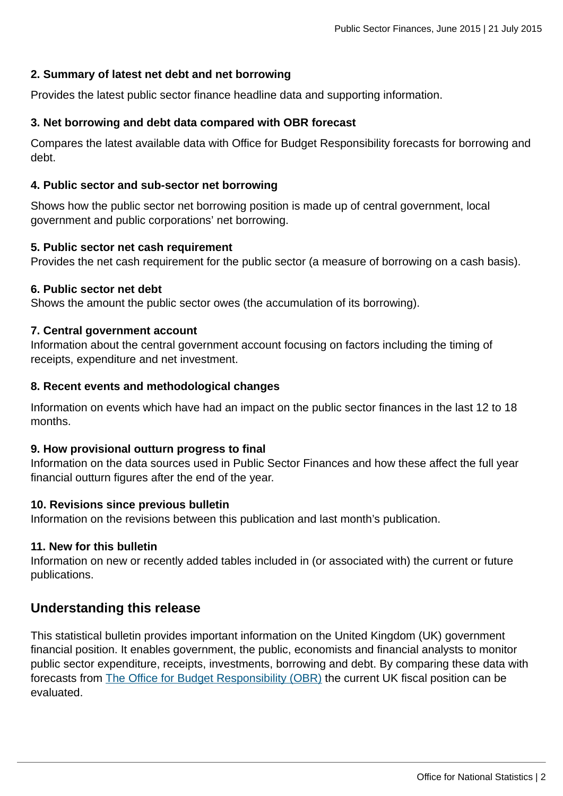#### **2. Summary of latest net debt and net borrowing**

Provides the latest public sector finance headline data and supporting information.

#### **3. Net borrowing and debt data compared with OBR forecast**

Compares the latest available data with Office for Budget Responsibility forecasts for borrowing and debt.

#### **4. Public sector and sub-sector net borrowing**

Shows how the public sector net borrowing position is made up of central government, local government and public corporations' net borrowing.

#### **5. Public sector net cash requirement**

Provides the net cash requirement for the public sector (a measure of borrowing on a cash basis).

#### **6. Public sector net debt**

Shows the amount the public sector owes (the accumulation of its borrowing).

#### **7. Central government account**

Information about the central government account focusing on factors including the timing of receipts, expenditure and net investment.

#### **8. Recent events and methodological changes**

Information on events which have had an impact on the public sector finances in the last 12 to 18 months.

#### **9. How provisional outturn progress to final**

Information on the data sources used in Public Sector Finances and how these affect the full year financial outturn figures after the end of the year.

#### **10. Revisions since previous bulletin**

Information on the revisions between this publication and last month's publication.

#### **11. New for this bulletin**

Information on new or recently added tables included in (or associated with) the current or future publications.

#### **Understanding this release**

This statistical bulletin provides important information on the United Kingdom (UK) government financial position. It enables government, the public, economists and financial analysts to monitor public sector expenditure, receipts, investments, borrowing and debt. By comparing these data with forecasts from [The Office for Budget Responsibility \(OBR\)](http://budgetresponsibility.independent.gov.uk/) the current UK fiscal position can be evaluated.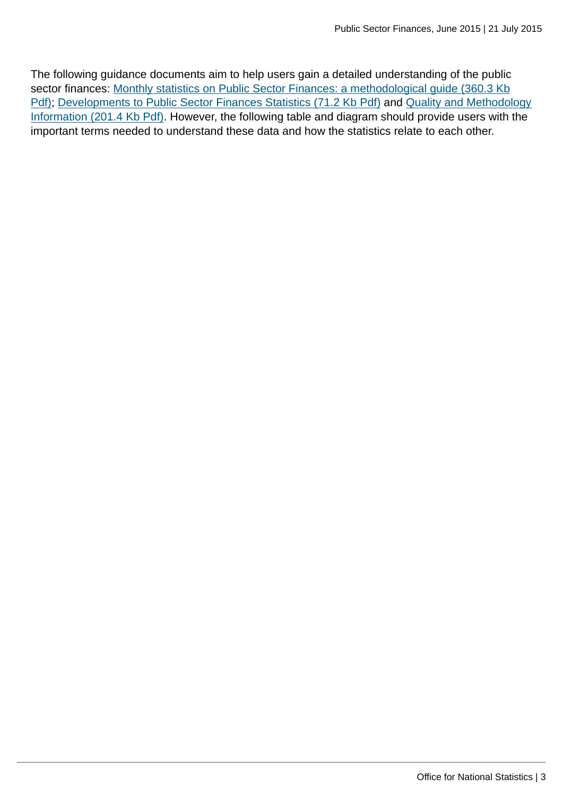The following guidance documents aim to help users gain a detailed understanding of the public sector finances: [Monthly statistics on Public Sector Finances: a methodological guide \(360.3 Kb](http://www.ons.gov.uk:80/ons/guide-method/method-quality/specific/economy/public-sector-finances/monthly-statistics-on-public-sector-finances--a-methodological-guide.pdf)) [Pdf\)](http://www.ons.gov.uk:80/ons/guide-method/method-quality/specific/economy/public-sector-finances/monthly-statistics-on-public-sector-finances--a-methodological-guide.pdf); [Developments to Public Sector Finances Statistics \(71.2 Kb Pdf\)](http://www.ons.gov.uk:80/ons/guide-method/method-quality/specific/economy/public-sector-finances/developments-to-public-sector-finances-statistics.pdf) and [Quality and Methodology](http://www.ons.gov.uk:80/ons/guide-method/method-quality/quality/quality-information/economy/summary-quality-report-for-public-sector-finances.pdf) [Information \(201.4 Kb Pdf\)](http://www.ons.gov.uk:80/ons/guide-method/method-quality/quality/quality-information/economy/summary-quality-report-for-public-sector-finances.pdf). However, the following table and diagram should provide users with the important terms needed to understand these data and how the statistics relate to each other.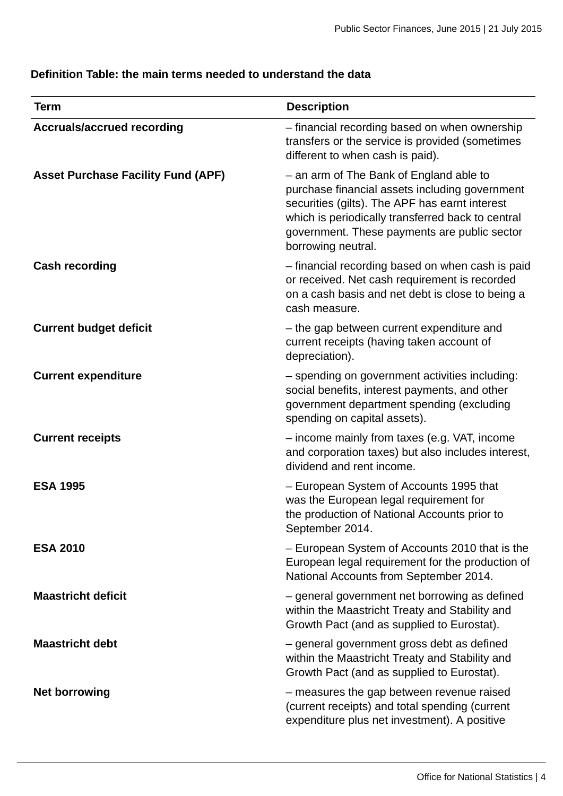### **Definition Table: the main terms needed to understand the data**

| <b>Term</b>                               | <b>Description</b>                                                                                                                                                                                                                                                     |
|-------------------------------------------|------------------------------------------------------------------------------------------------------------------------------------------------------------------------------------------------------------------------------------------------------------------------|
| <b>Accruals/accrued recording</b>         | - financial recording based on when ownership<br>transfers or the service is provided (sometimes<br>different to when cash is paid).                                                                                                                                   |
| <b>Asset Purchase Facility Fund (APF)</b> | - an arm of The Bank of England able to<br>purchase financial assets including government<br>securities (gilts). The APF has earnt interest<br>which is periodically transferred back to central<br>government. These payments are public sector<br>borrowing neutral. |
| <b>Cash recording</b>                     | - financial recording based on when cash is paid<br>or received. Net cash requirement is recorded<br>on a cash basis and net debt is close to being a<br>cash measure.                                                                                                 |
| <b>Current budget deficit</b>             | - the gap between current expenditure and<br>current receipts (having taken account of<br>depreciation).                                                                                                                                                               |
| <b>Current expenditure</b>                | - spending on government activities including:<br>social benefits, interest payments, and other<br>government department spending (excluding<br>spending on capital assets).                                                                                           |
| <b>Current receipts</b>                   | - income mainly from taxes (e.g. VAT, income<br>and corporation taxes) but also includes interest,<br>dividend and rent income.                                                                                                                                        |
| <b>ESA 1995</b>                           | - European System of Accounts 1995 that<br>was the European legal requirement for<br>the production of National Accounts prior to<br>September 2014.                                                                                                                   |
| <b>ESA 2010</b>                           | - European System of Accounts 2010 that is the<br>European legal requirement for the production of<br>National Accounts from September 2014.                                                                                                                           |
| <b>Maastricht deficit</b>                 | - general government net borrowing as defined<br>within the Maastricht Treaty and Stability and<br>Growth Pact (and as supplied to Eurostat).                                                                                                                          |
| <b>Maastricht debt</b>                    | - general government gross debt as defined<br>within the Maastricht Treaty and Stability and<br>Growth Pact (and as supplied to Eurostat).                                                                                                                             |
| <b>Net borrowing</b>                      | - measures the gap between revenue raised<br>(current receipts) and total spending (current<br>expenditure plus net investment). A positive                                                                                                                            |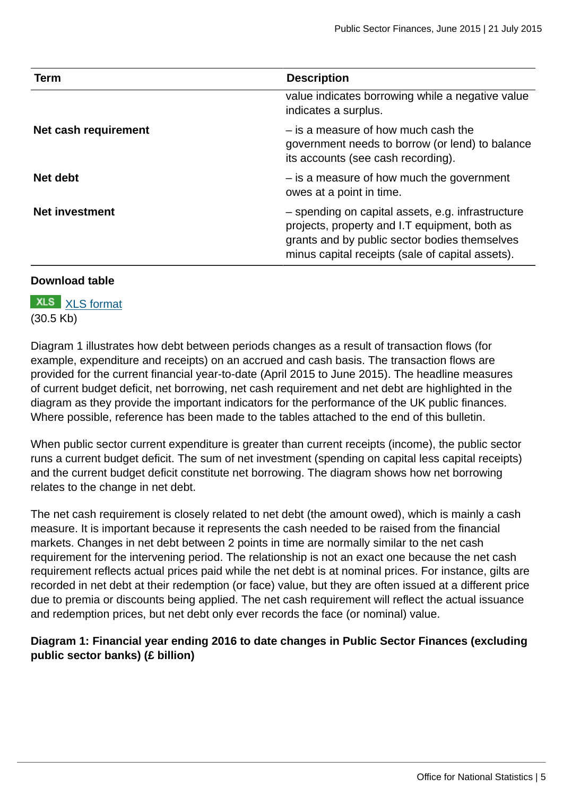| <b>Term</b>           | <b>Description</b>                                                                                                                                                                                      |
|-----------------------|---------------------------------------------------------------------------------------------------------------------------------------------------------------------------------------------------------|
|                       | value indicates borrowing while a negative value<br>indicates a surplus.                                                                                                                                |
| Net cash requirement  | - is a measure of how much cash the<br>government needs to borrow (or lend) to balance<br>its accounts (see cash recording).                                                                            |
| Net debt              | - is a measure of how much the government<br>owes at a point in time.                                                                                                                                   |
| <b>Net investment</b> | - spending on capital assets, e.g. infrastructure<br>projects, property and I.T equipment, both as<br>grants and by public sector bodies themselves<br>minus capital receipts (sale of capital assets). |

#### **Download table**

**XLS** [XLS format](http://www.ons.gov.uk:80/ons/rel/psa/public-sector-finances/june-2015/prt-glossary.xls) (30.5 Kb)

Diagram 1 illustrates how debt between periods changes as a result of transaction flows (for example, expenditure and receipts) on an accrued and cash basis. The transaction flows are provided for the current financial year-to-date (April 2015 to June 2015). The headline measures of current budget deficit, net borrowing, net cash requirement and net debt are highlighted in the diagram as they provide the important indicators for the performance of the UK public finances. Where possible, reference has been made to the tables attached to the end of this bulletin.

When public sector current expenditure is greater than current receipts (income), the public sector runs a current budget deficit. The sum of net investment (spending on capital less capital receipts) and the current budget deficit constitute net borrowing. The diagram shows how net borrowing relates to the change in net debt.

The net cash requirement is closely related to net debt (the amount owed), which is mainly a cash measure. It is important because it represents the cash needed to be raised from the financial markets. Changes in net debt between 2 points in time are normally similar to the net cash requirement for the intervening period. The relationship is not an exact one because the net cash requirement reflects actual prices paid while the net debt is at nominal prices. For instance, gilts are recorded in net debt at their redemption (or face) value, but they are often issued at a different price due to premia or discounts being applied. The net cash requirement will reflect the actual issuance and redemption prices, but net debt only ever records the face (or nominal) value.

#### **Diagram 1: Financial year ending 2016 to date changes in Public Sector Finances (excluding public sector banks) (£ billion)**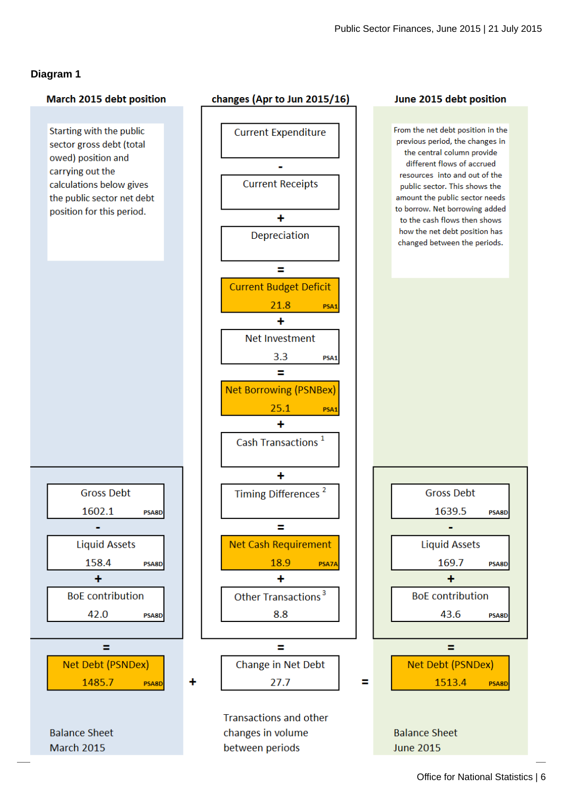#### **Diagram 1**

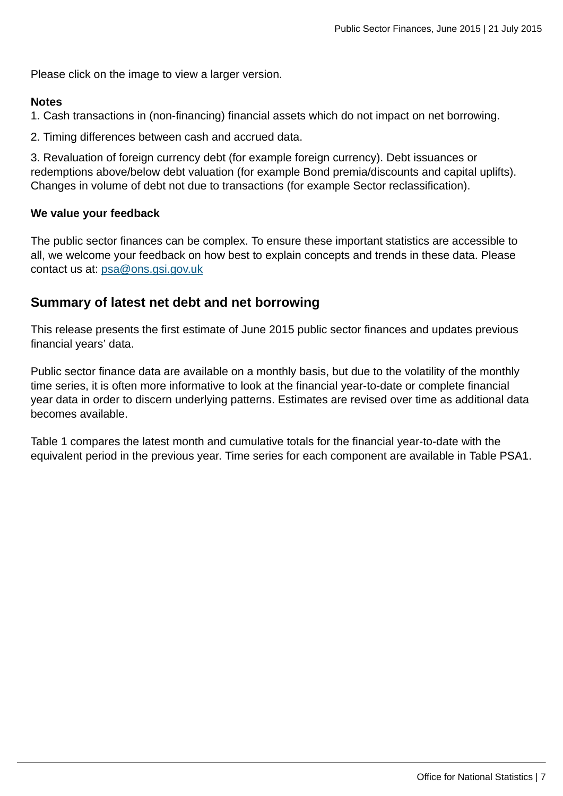Please click on the image to view a larger version.

#### **Notes**

1. Cash transactions in (non-financing) financial assets which do not impact on net borrowing.

2. Timing differences between cash and accrued data.

3. Revaluation of foreign currency debt (for example foreign currency). Debt issuances or redemptions above/below debt valuation (for example Bond premia/discounts and capital uplifts). Changes in volume of debt not due to transactions (for example Sector reclassification).

#### **We value your feedback**

The public sector finances can be complex. To ensure these important statistics are accessible to all, we welcome your feedback on how best to explain concepts and trends in these data. Please contact us at: [psa@ons.gsi.gov.uk](mailto:psa@ons.gsi.gov.uk)

### **Summary of latest net debt and net borrowing**

This release presents the first estimate of June 2015 public sector finances and updates previous financial years' data.

Public sector finance data are available on a monthly basis, but due to the volatility of the monthly time series, it is often more informative to look at the financial year-to-date or complete financial year data in order to discern underlying patterns. Estimates are revised over time as additional data becomes available.

Table 1 compares the latest month and cumulative totals for the financial year-to-date with the equivalent period in the previous year. Time series for each component are available in Table PSA1.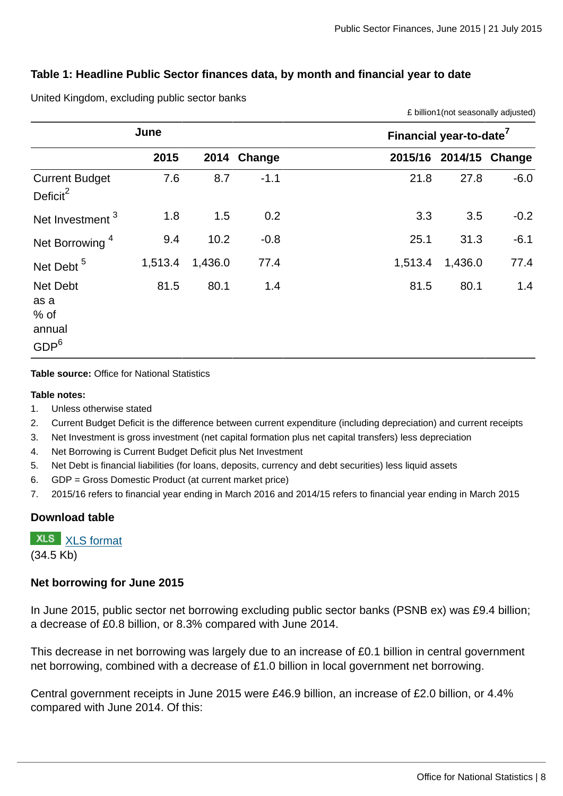£ billion1(not seasonally adjusted)

#### **Table 1: Headline Public Sector finances data, by month and financial year to date**

|                                                        | June    |         |             | Financial year-to-date <sup>7</sup> |  |  |  |  |
|--------------------------------------------------------|---------|---------|-------------|-------------------------------------|--|--|--|--|
|                                                        | 2015    |         | 2014 Change | 2015/16 2014/15<br>Change           |  |  |  |  |
| <b>Current Budget</b><br>Deficit $^2$                  | 7.6     | 8.7     | $-1.1$      | $-6.0$<br>27.8<br>21.8              |  |  |  |  |
| Net Investment <sup>3</sup>                            | 1.8     | 1.5     | 0.2         | 3.3<br>3.5<br>$-0.2$                |  |  |  |  |
| Net Borrowing <sup>4</sup>                             | 9.4     | 10.2    | $-0.8$      | $-6.1$<br>31.3<br>25.1              |  |  |  |  |
| Net Debt <sup>5</sup>                                  | 1,513.4 | 1,436.0 | 77.4        | 77.4<br>1,513.4<br>1,436.0          |  |  |  |  |
| Net Debt<br>as a<br>% of<br>annual<br>GDP <sup>6</sup> | 81.5    | 80.1    | 1.4         | 80.1<br>1.4<br>81.5                 |  |  |  |  |

United Kingdom, excluding public sector banks

**Table source:** Office for National Statistics

#### **Table notes:**

- 1. Unless otherwise stated
- 2. Current Budget Deficit is the difference between current expenditure (including depreciation) and current receipts
- 3. Net Investment is gross investment (net capital formation plus net capital transfers) less depreciation
- 4. Net Borrowing is Current Budget Deficit plus Net Investment
- 5. Net Debt is financial liabilities (for loans, deposits, currency and debt securities) less liquid assets
- 6. GDP = Gross Domestic Product (at current market price)
- 7. 2015/16 refers to financial year ending in March 2016 and 2014/15 refers to financial year ending in March 2015

#### **Download table**

**XLS** [XLS format](http://www.ons.gov.uk:80/ons/rel/psa/public-sector-finances/june-2015/prt-table-1.xls) (34.5 Kb)

#### **Net borrowing for June 2015**

In June 2015, public sector net borrowing excluding public sector banks (PSNB ex) was £9.4 billion; a decrease of £0.8 billion, or 8.3% compared with June 2014.

This decrease in net borrowing was largely due to an increase of £0.1 billion in central government net borrowing, combined with a decrease of £1.0 billion in local government net borrowing.

Central government receipts in June 2015 were £46.9 billion, an increase of £2.0 billion, or 4.4% compared with June 2014. Of this: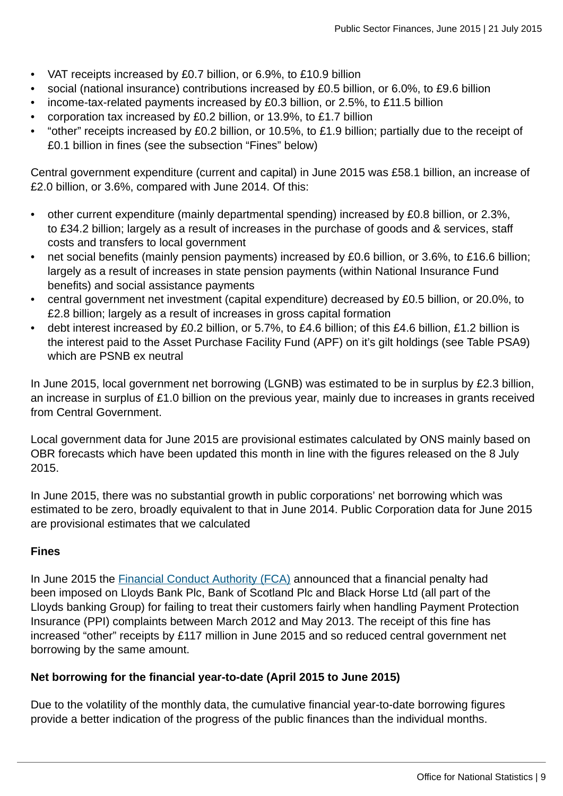- VAT receipts increased by £0.7 billion, or 6.9%, to £10.9 billion
- social (national insurance) contributions increased by £0.5 billion, or 6.0%, to £9.6 billion
- income-tax-related payments increased by £0.3 billion, or 2.5%, to £11.5 billion
- corporation tax increased by £0.2 billion, or 13.9%, to £1.7 billion
- "other" receipts increased by £0.2 billion, or 10.5%, to £1.9 billion; partially due to the receipt of £0.1 billion in fines (see the subsection "Fines" below)

Central government expenditure (current and capital) in June 2015 was £58.1 billion, an increase of £2.0 billion, or 3.6%, compared with June 2014. Of this:

- other current expenditure (mainly departmental spending) increased by £0.8 billion, or 2.3%, to £34.2 billion; largely as a result of increases in the purchase of goods and & services, staff costs and transfers to local government
- net social benefits (mainly pension payments) increased by £0.6 billion, or 3.6%, to £16.6 billion; largely as a result of increases in state pension payments (within National Insurance Fund benefits) and social assistance payments
- central government net investment (capital expenditure) decreased by £0.5 billion, or 20.0%, to £2.8 billion; largely as a result of increases in gross capital formation
- debt interest increased by £0.2 billion, or 5.7%, to £4.6 billion; of this £4.6 billion, £1.2 billion is the interest paid to the Asset Purchase Facility Fund (APF) on it's gilt holdings (see Table PSA9) which are PSNB ex neutral

In June 2015, local government net borrowing (LGNB) was estimated to be in surplus by £2.3 billion, an increase in surplus of £1.0 billion on the previous year, mainly due to increases in grants received from Central Government.

Local government data for June 2015 are provisional estimates calculated by ONS mainly based on OBR forecasts which have been updated this month in line with the figures released on the 8 July 2015.

In June 2015, there was no substantial growth in public corporations' net borrowing which was estimated to be zero, broadly equivalent to that in June 2014. Public Corporation data for June 2015 are provisional estimates that we calculated

#### **Fines**

In June 2015 the [Financial Conduct Authority \(FCA\)](http://www.fca.org.uk/firms/being-regulated/enforcement/fines) announced that a financial penalty had been imposed on Lloyds Bank Plc, Bank of Scotland Plc and Black Horse Ltd (all part of the Lloyds banking Group) for failing to treat their customers fairly when handling Payment Protection Insurance (PPI) complaints between March 2012 and May 2013. The receipt of this fine has increased "other" receipts by £117 million in June 2015 and so reduced central government net borrowing by the same amount.

#### **Net borrowing for the financial year-to-date (April 2015 to June 2015)**

Due to the volatility of the monthly data, the cumulative financial year-to-date borrowing figures provide a better indication of the progress of the public finances than the individual months.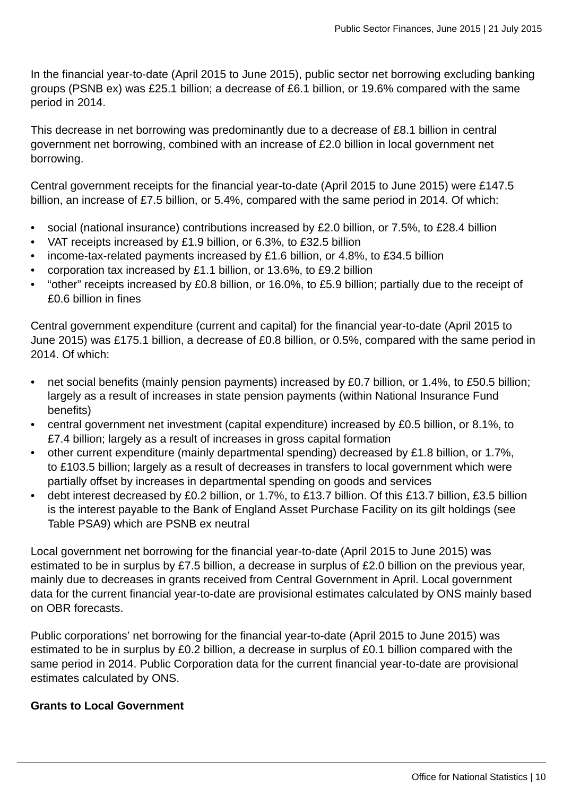In the financial year-to-date (April 2015 to June 2015), public sector net borrowing excluding banking groups (PSNB ex) was £25.1 billion; a decrease of £6.1 billion, or 19.6% compared with the same period in 2014.

This decrease in net borrowing was predominantly due to a decrease of £8.1 billion in central government net borrowing, combined with an increase of £2.0 billion in local government net borrowing.

Central government receipts for the financial year-to-date (April 2015 to June 2015) were £147.5 billion, an increase of £7.5 billion, or 5.4%, compared with the same period in 2014. Of which:

- social (national insurance) contributions increased by £2.0 billion, or 7.5%, to £28.4 billion
- VAT receipts increased by £1.9 billion, or 6.3%, to £32.5 billion
- income-tax-related payments increased by £1.6 billion, or 4.8%, to £34.5 billion
- corporation tax increased by £1.1 billion, or 13.6%, to £9.2 billion
- "other" receipts increased by £0.8 billion, or 16.0%, to £5.9 billion; partially due to the receipt of £0.6 billion in fines

Central government expenditure (current and capital) for the financial year-to-date (April 2015 to June 2015) was £175.1 billion, a decrease of £0.8 billion, or 0.5%, compared with the same period in 2014. Of which:

- net social benefits (mainly pension payments) increased by £0.7 billion, or 1.4%, to £50.5 billion; largely as a result of increases in state pension payments (within National Insurance Fund benefits)
- central government net investment (capital expenditure) increased by £0.5 billion, or 8.1%, to £7.4 billion; largely as a result of increases in gross capital formation
- other current expenditure (mainly departmental spending) decreased by £1.8 billion, or 1.7%, to £103.5 billion; largely as a result of decreases in transfers to local government which were partially offset by increases in departmental spending on goods and services
- debt interest decreased by £0.2 billion, or 1.7%, to £13.7 billion. Of this £13.7 billion, £3.5 billion is the interest payable to the Bank of England Asset Purchase Facility on its gilt holdings (see Table PSA9) which are PSNB ex neutral

Local government net borrowing for the financial year-to-date (April 2015 to June 2015) was estimated to be in surplus by £7.5 billion, a decrease in surplus of £2.0 billion on the previous year, mainly due to decreases in grants received from Central Government in April. Local government data for the current financial year-to-date are provisional estimates calculated by ONS mainly based on OBR forecasts.

Public corporations' net borrowing for the financial year-to-date (April 2015 to June 2015) was estimated to be in surplus by £0.2 billion, a decrease in surplus of £0.1 billion compared with the same period in 2014. Public Corporation data for the current financial year-to-date are provisional estimates calculated by ONS.

#### **Grants to Local Government**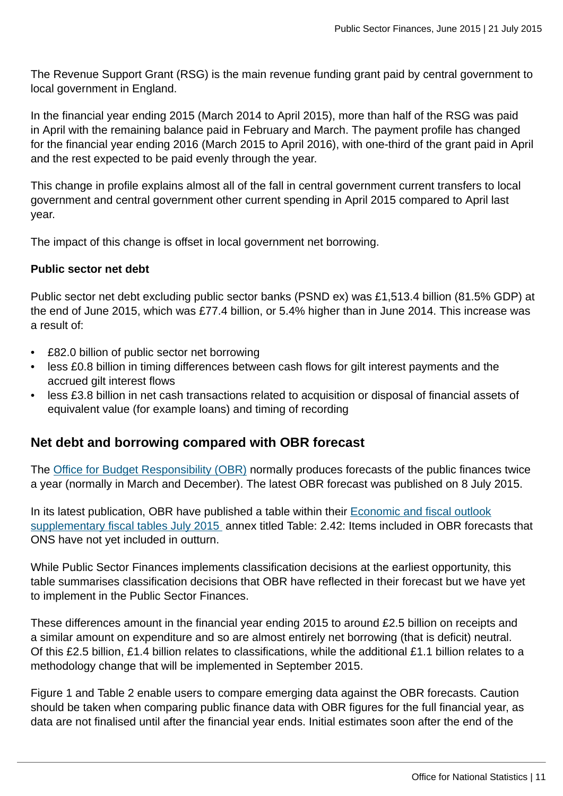The Revenue Support Grant (RSG) is the main revenue funding grant paid by central government to local government in England.

In the financial year ending 2015 (March 2014 to April 2015), more than half of the RSG was paid in April with the remaining balance paid in February and March. The payment profile has changed for the financial year ending 2016 (March 2015 to April 2016), with one-third of the grant paid in April and the rest expected to be paid evenly through the year.

This change in profile explains almost all of the fall in central government current transfers to local government and central government other current spending in April 2015 compared to April last year.

The impact of this change is offset in local government net borrowing.

#### **Public sector net debt**

Public sector net debt excluding public sector banks (PSND ex) was £1,513.4 billion (81.5% GDP) at the end of June 2015, which was £77.4 billion, or 5.4% higher than in June 2014. This increase was a result of:

- £82.0 billion of public sector net borrowing
- less £0.8 billion in timing differences between cash flows for gilt interest payments and the accrued gilt interest flows
- less £3.8 billion in net cash transactions related to acquisition or disposal of financial assets of equivalent value (for example loans) and timing of recording

#### **Net debt and borrowing compared with OBR forecast**

The [Office for Budget Responsibility \(OBR\)](http://budgetresponsibility.independent.gov.uk/) normally produces forecasts of the public finances twice a year (normally in March and December). The latest OBR forecast was published on 8 July 2015.

In its latest publication, OBR have published a table within their **Economic and fiscal outlook** [supplementary fiscal tables July 2015](link:%20http://budgetresponsibility.org.uk/economic-fiscal-outlook-july-2015/) annex titled Table: 2.42: Items included in OBR forecasts that ONS have not yet included in outturn.

While Public Sector Finances implements classification decisions at the earliest opportunity, this table summarises classification decisions that OBR have reflected in their forecast but we have yet to implement in the Public Sector Finances.

These differences amount in the financial year ending 2015 to around £2.5 billion on receipts and a similar amount on expenditure and so are almost entirely net borrowing (that is deficit) neutral. Of this £2.5 billion, £1.4 billion relates to classifications, while the additional £1.1 billion relates to a methodology change that will be implemented in September 2015.

Figure 1 and Table 2 enable users to compare emerging data against the OBR forecasts. Caution should be taken when comparing public finance data with OBR figures for the full financial year, as data are not finalised until after the financial year ends. Initial estimates soon after the end of the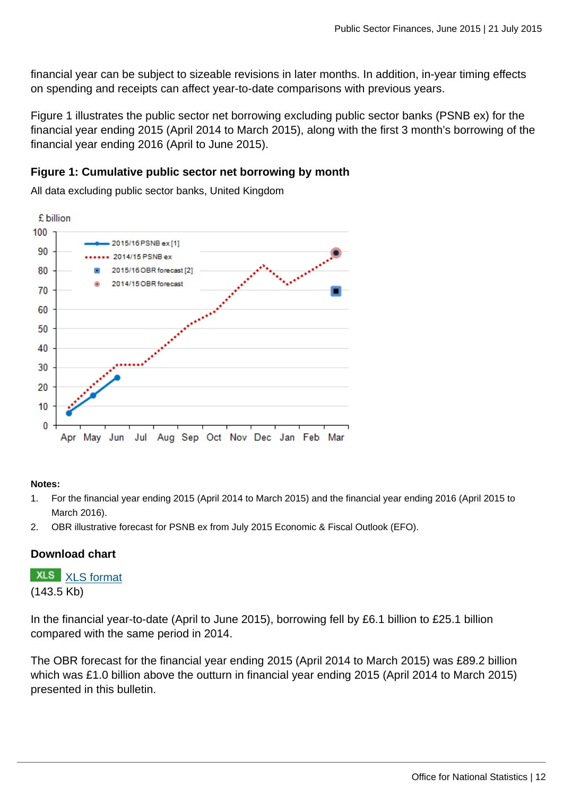financial year can be subject to sizeable revisions in later months. In addition, in-year timing effects on spending and receipts can affect year-to-date comparisons with previous years.

Figure 1 illustrates the public sector net borrowing excluding public sector banks (PSNB ex) for the financial year ending 2015 (April 2014 to March 2015), along with the first 3 month's borrowing of the financial year ending 2016 (April to June 2015).

#### **Figure 1: Cumulative public sector net borrowing by month**

All data excluding public sector banks, United Kingdom



#### **Notes:**

- 1. For the financial year ending 2015 (April 2014 to March 2015) and the financial year ending 2016 (April 2015 to March 2016).
- 2. OBR illustrative forecast for PSNB ex from July 2015 Economic & Fiscal Outlook (EFO).

#### **Download chart**

**XLS** [XLS format](http://www.ons.gov.uk:80/ons/rel/psa/public-sector-finances/june-2015/chd-1.xls) (143.5 Kb)

In the financial year-to-date (April to June 2015), borrowing fell by £6.1 billion to £25.1 billion compared with the same period in 2014.

The OBR forecast for the financial year ending 2015 (April 2014 to March 2015) was £89.2 billion which was £1.0 billion above the outturn in financial year ending 2015 (April 2014 to March 2015) presented in this bulletin.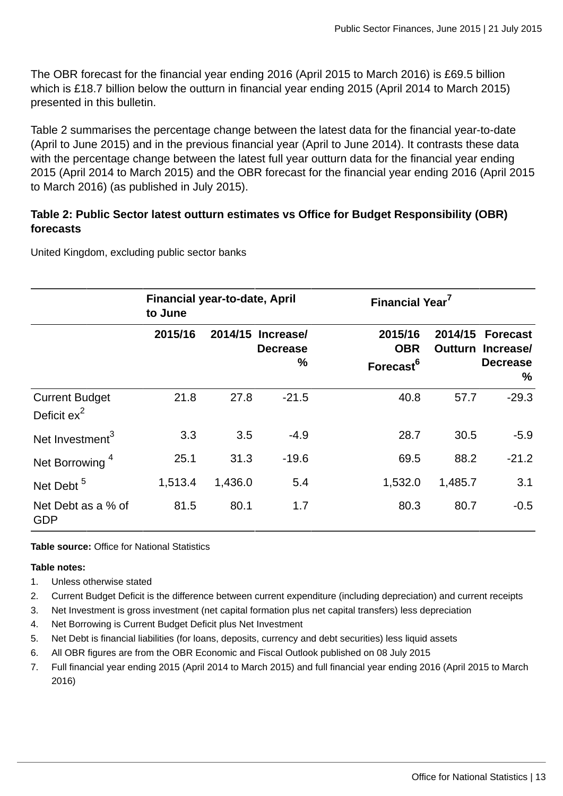The OBR forecast for the financial year ending 2016 (April 2015 to March 2016) is £69.5 billion which is £18.7 billion below the outturn in financial year ending 2015 (April 2014 to March 2015) presented in this bulletin.

Table 2 summarises the percentage change between the latest data for the financial year-to-date (April to June 2015) and in the previous financial year (April to June 2014). It contrasts these data with the percentage change between the latest full year outturn data for the financial year ending 2015 (April 2014 to March 2015) and the OBR forecast for the financial year ending 2016 (April 2015 to March 2016) (as published in July 2015).

#### **Table 2: Public Sector latest outturn estimates vs Office for Budget Responsibility (OBR) forecasts**

United Kingdom, excluding public sector banks

|                                                  | <b>Financial year-to-date, April</b><br>to June |         |                                          |                                                | Financial Year <sup>7</sup> |                                                                     |  |  |
|--------------------------------------------------|-------------------------------------------------|---------|------------------------------------------|------------------------------------------------|-----------------------------|---------------------------------------------------------------------|--|--|
|                                                  | 2015/16                                         | 2014/15 | <b>Increasel</b><br><b>Decrease</b><br>% | 2015/16<br><b>OBR</b><br>Forecast <sup>6</sup> | 2014/15                     | <b>Forecast</b><br><b>Outturn Increasel</b><br><b>Decrease</b><br>% |  |  |
| <b>Current Budget</b><br>Deficit ex <sup>2</sup> | 21.8                                            | 27.8    | $-21.5$                                  | 40.8                                           | 57.7                        | $-29.3$                                                             |  |  |
| Net Investment <sup>3</sup>                      | 3.3                                             | 3.5     | $-4.9$                                   | 28.7                                           | 30.5                        | $-5.9$                                                              |  |  |
| Net Borrowing <sup>4</sup>                       | 25.1                                            | 31.3    | $-19.6$                                  | 69.5                                           | 88.2                        | $-21.2$                                                             |  |  |
| Net Debt <sup>5</sup>                            | 1,513.4                                         | 1,436.0 | 5.4                                      | 1,532.0                                        | 1,485.7                     | 3.1                                                                 |  |  |
| Net Debt as a % of<br><b>GDP</b>                 | 81.5                                            | 80.1    | 1.7                                      | 80.3                                           | 80.7                        | $-0.5$                                                              |  |  |

**Table source:** Office for National Statistics

#### **Table notes:**

- 1. Unless otherwise stated
- 2. Current Budget Deficit is the difference between current expenditure (including depreciation) and current receipts
- 3. Net Investment is gross investment (net capital formation plus net capital transfers) less depreciation
- 4. Net Borrowing is Current Budget Deficit plus Net Investment
- 5. Net Debt is financial liabilities (for loans, deposits, currency and debt securities) less liquid assets
- 6. All OBR figures are from the OBR Economic and Fiscal Outlook published on 08 July 2015
- 7. Full financial year ending 2015 (April 2014 to March 2015) and full financial year ending 2016 (April 2015 to March 2016)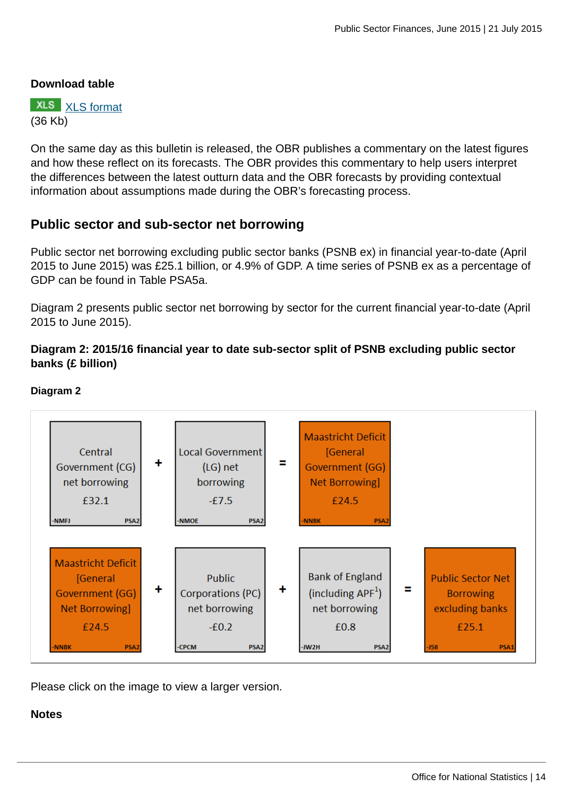#### **Download table**



On the same day as this bulletin is released, the OBR publishes a commentary on the latest figures and how these reflect on its forecasts. The OBR provides this commentary to help users interpret the differences between the latest outturn data and the OBR forecasts by providing contextual information about assumptions made during the OBR's forecasting process.

#### **Public sector and sub-sector net borrowing**

Public sector net borrowing excluding public sector banks (PSNB ex) in financial year-to-date (April 2015 to June 2015) was £25.1 billion, or 4.9% of GDP. A time series of PSNB ex as a percentage of GDP can be found in Table PSA5a.

Diagram 2 presents public sector net borrowing by sector for the current financial year-to-date (April 2015 to June 2015).

#### **Diagram 2: 2015/16 financial year to date sub-sector split of PSNB excluding public sector banks (£ billion)**



#### **Diagram 2**

Please click on the image to view a larger version.

#### **Notes**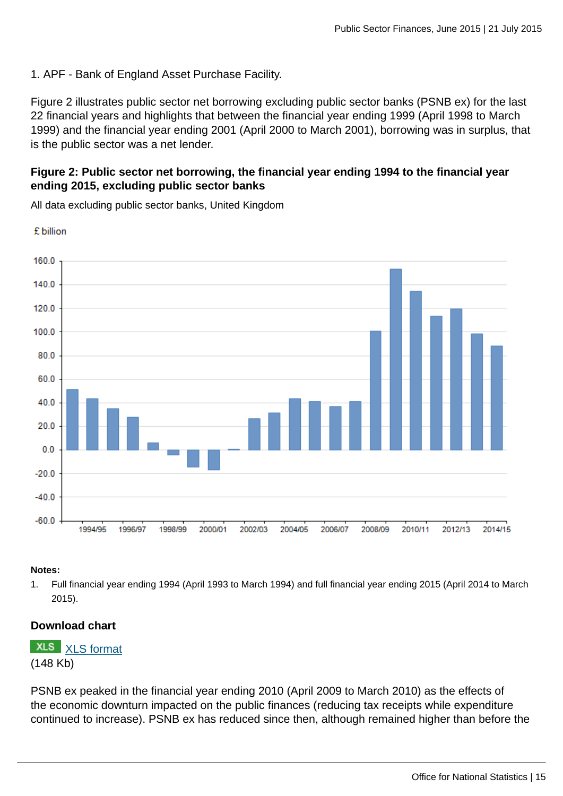1. APF - Bank of England Asset Purchase Facility.

Figure 2 illustrates public sector net borrowing excluding public sector banks (PSNB ex) for the last 22 financial years and highlights that between the financial year ending 1999 (April 1998 to March 1999) and the financial year ending 2001 (April 2000 to March 2001), borrowing was in surplus, that is the public sector was a net lender.

#### **Figure 2: Public sector net borrowing, the financial year ending 1994 to the financial year ending 2015, excluding public sector banks**

160.0 140.0 120.0 100.0 80.0 60.0 40.0 20.0  $0<sub>0</sub>$  $-20.0$  $-40.0$  $-60.0$ 1994/95 1996/97 1998/99 2000/01 2002/03 2004/05 2006/07 2008/09 2010/11 2012/13 2014/15

All data excluding public sector banks, United Kingdom

#### **Notes:**

£ billion

1. Full financial year ending 1994 (April 1993 to March 1994) and full financial year ending 2015 (April 2014 to March 2015).

#### **Download chart**

**XLS** [XLS format](http://www.ons.gov.uk:80/ons/rel/psa/public-sector-finances/june-2015/chd-2.xls) (148 Kb)

PSNB ex peaked in the financial year ending 2010 (April 2009 to March 2010) as the effects of the economic downturn impacted on the public finances (reducing tax receipts while expenditure continued to increase). PSNB ex has reduced since then, although remained higher than before the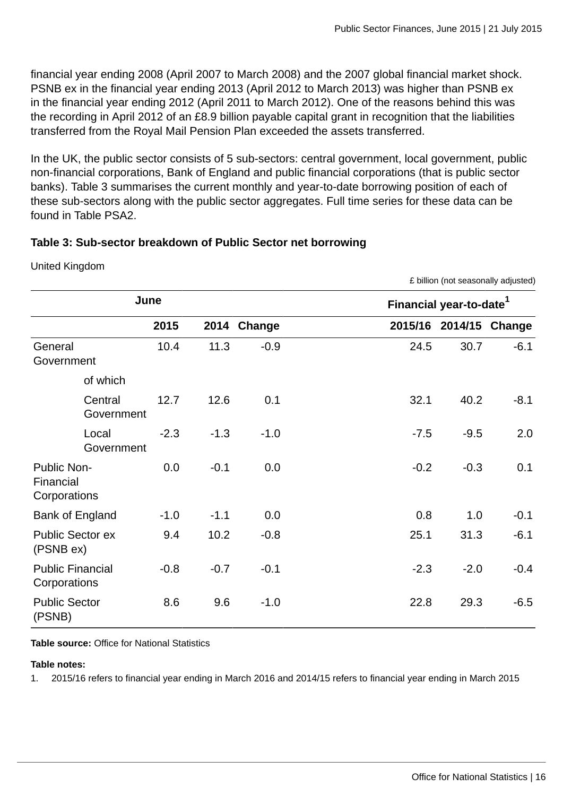£ billion (not seasonally adjusted)

financial year ending 2008 (April 2007 to March 2008) and the 2007 global financial market shock. PSNB ex in the financial year ending 2013 (April 2012 to March 2013) was higher than PSNB ex in the financial year ending 2012 (April 2011 to March 2012). One of the reasons behind this was the recording in April 2012 of an £8.9 billion payable capital grant in recognition that the liabilities transferred from the Royal Mail Pension Plan exceeded the assets transferred.

In the UK, the public sector consists of 5 sub-sectors: central government, local government, public non-financial corporations, Bank of England and public financial corporations (that is public sector banks). Table 3 summarises the current monthly and year-to-date borrowing position of each of these sub-sectors along with the public sector aggregates. Full time series for these data can be found in Table PSA2.

#### **Table 3: Sub-sector breakdown of Public Sector net borrowing**

|                                                 | June                 |        |        | Financial year-to-date <sup>1</sup> |        |                        |
|-------------------------------------------------|----------------------|--------|--------|-------------------------------------|--------|------------------------|
|                                                 | 2015                 | 2014   | Change |                                     |        | 2015/16 2014/15 Change |
| General<br>Government                           | 10.4                 | 11.3   | $-0.9$ | 24.5                                | 30.7   | $-6.1$                 |
| of which                                        |                      |        |        |                                     |        |                        |
| Central                                         | 12.7<br>Government   | 12.6   | 0.1    | 32.1                                | 40.2   | $-8.1$                 |
| Local                                           | $-2.3$<br>Government | $-1.3$ | $-1.0$ | $-7.5$                              | $-9.5$ | 2.0                    |
| <b>Public Non-</b><br>Financial<br>Corporations | 0.0                  | $-0.1$ | 0.0    | $-0.2$                              | $-0.3$ | 0.1                    |
| Bank of England                                 | $-1.0$               | $-1.1$ | 0.0    | 0.8                                 | 1.0    | $-0.1$                 |
| <b>Public Sector ex</b><br>(PSNB ex)            | 9.4                  | 10.2   | $-0.8$ | 25.1                                | 31.3   | $-6.1$                 |
| <b>Public Financial</b><br>Corporations         | $-0.8$               | $-0.7$ | $-0.1$ | $-2.3$                              | $-2.0$ | $-0.4$                 |
| <b>Public Sector</b><br>(PSNB)                  | 8.6                  | 9.6    | $-1.0$ | 22.8                                | 29.3   | $-6.5$                 |

United Kingdom

**Table source:** Office for National Statistics

#### **Table notes:**

1. 2015/16 refers to financial year ending in March 2016 and 2014/15 refers to financial year ending in March 2015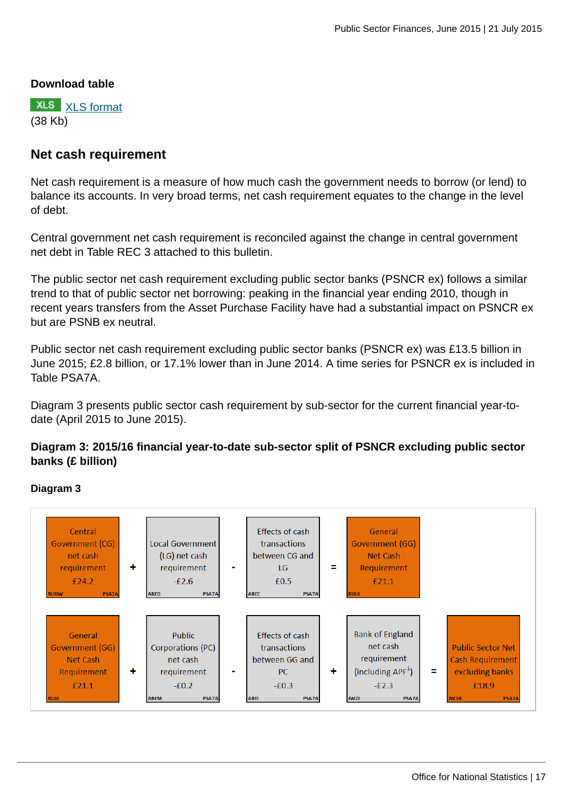#### **Download table**

**XLS** [XLS format](http://www.ons.gov.uk:80/ons/rel/psa/public-sector-finances/june-2015/prt-table-3.xls) (38 Kb)

#### **Net cash requirement**

Net cash requirement is a measure of how much cash the government needs to borrow (or lend) to balance its accounts. In very broad terms, net cash requirement equates to the change in the level of debt.

Central government net cash requirement is reconciled against the change in central government net debt in Table REC 3 attached to this bulletin.

The public sector net cash requirement excluding public sector banks (PSNCR ex) follows a similar trend to that of public sector net borrowing: peaking in the financial year ending 2010, though in recent years transfers from the Asset Purchase Facility have had a substantial impact on PSNCR ex but are PSNB ex neutral.

Public sector net cash requirement excluding public sector banks (PSNCR ex) was £13.5 billion in June 2015; £2.8 billion, or 17.1% lower than in June 2014. A time series for PSNCR ex is included in Table PSA7A.

Diagram 3 presents public sector cash requirement by sub-sector for the current financial year-todate (April 2015 to June 2015).

#### **Diagram 3: 2015/16 financial year-to-date sub-sector split of PSNCR excluding public sector banks (£ billion)**

#### **Diagram 3**

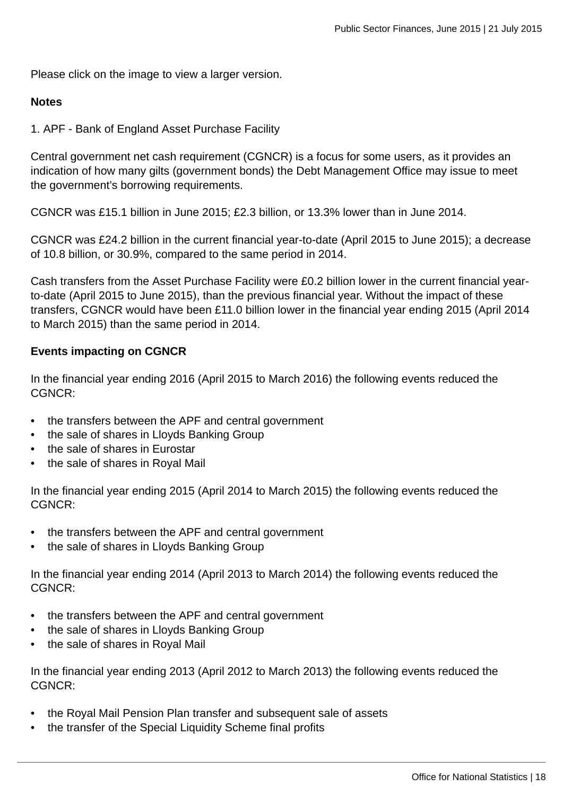Please click on the image to view a larger version.

#### **Notes**

1. APF - Bank of England Asset Purchase Facility

Central government net cash requirement (CGNCR) is a focus for some users, as it provides an indication of how many gilts (government bonds) the Debt Management Office may issue to meet the government's borrowing requirements.

CGNCR was £15.1 billion in June 2015; £2.3 billion, or 13.3% lower than in June 2014.

CGNCR was £24.2 billion in the current financial year-to-date (April 2015 to June 2015); a decrease of 10.8 billion, or 30.9%, compared to the same period in 2014.

Cash transfers from the Asset Purchase Facility were £0.2 billion lower in the current financial yearto-date (April 2015 to June 2015), than the previous financial year. Without the impact of these transfers, CGNCR would have been £11.0 billion lower in the financial year ending 2015 (April 2014 to March 2015) than the same period in 2014.

#### **Events impacting on CGNCR**

In the financial year ending 2016 (April 2015 to March 2016) the following events reduced the CGNCR:

- the transfers between the APF and central government
- the sale of shares in Lloyds Banking Group
- the sale of shares in Eurostar
- the sale of shares in Royal Mail

In the financial year ending 2015 (April 2014 to March 2015) the following events reduced the CGNCR:

- the transfers between the APF and central government
- the sale of shares in Lloyds Banking Group

In the financial year ending 2014 (April 2013 to March 2014) the following events reduced the CGNCR:

- the transfers between the APF and central government
- the sale of shares in Lloyds Banking Group
- the sale of shares in Royal Mail

In the financial year ending 2013 (April 2012 to March 2013) the following events reduced the CGNCR:

- the Royal Mail Pension Plan transfer and subsequent sale of assets
- the transfer of the Special Liquidity Scheme final profits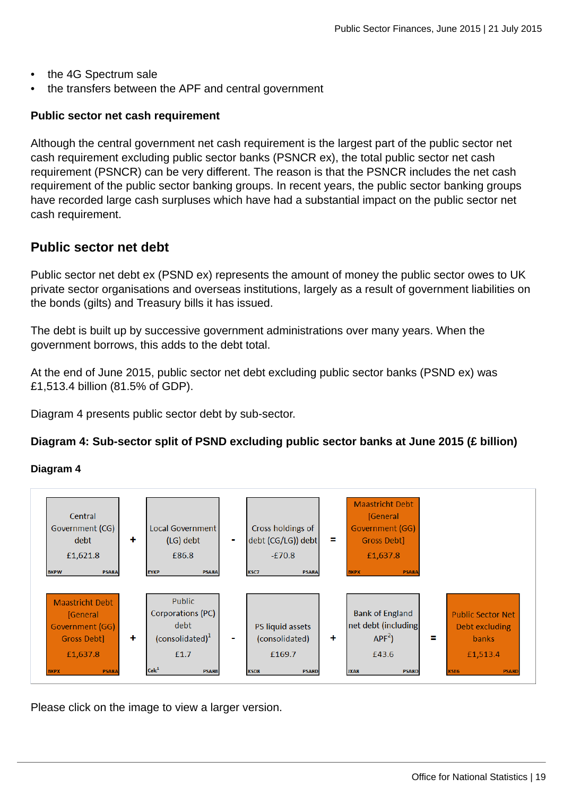- the 4G Spectrum sale
- the transfers between the APF and central government

#### **Public sector net cash requirement**

Although the central government net cash requirement is the largest part of the public sector net cash requirement excluding public sector banks (PSNCR ex), the total public sector net cash requirement (PSNCR) can be very different. The reason is that the PSNCR includes the net cash requirement of the public sector banking groups. In recent years, the public sector banking groups have recorded large cash surpluses which have had a substantial impact on the public sector net cash requirement.

### **Public sector net debt**

Public sector net debt ex (PSND ex) represents the amount of money the public sector owes to UK private sector organisations and overseas institutions, largely as a result of government liabilities on the bonds (gilts) and Treasury bills it has issued.

The debt is built up by successive government administrations over many years. When the government borrows, this adds to the debt total.

At the end of June 2015, public sector net debt excluding public sector banks (PSND ex) was £1,513.4 billion (81.5% of GDP).

Diagram 4 presents public sector debt by sub-sector.

#### **Diagram 4: Sub-sector split of PSND excluding public sector banks at June 2015 (£ billion)**

#### **Diagram 4**



Please click on the image to view a larger version.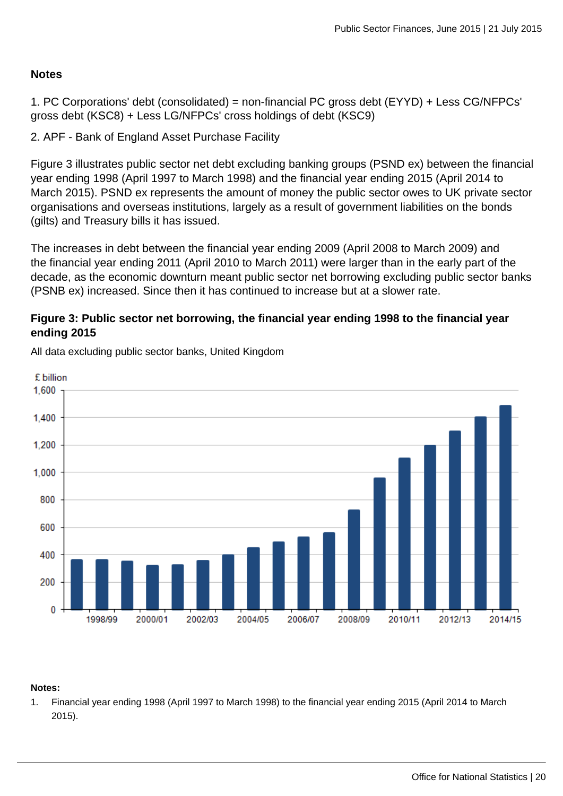#### **Notes**

1. PC Corporations' debt (consolidated) = non-financial PC gross debt (EYYD) + Less CG/NFPCs' gross debt (KSC8) + Less LG/NFPCs' cross holdings of debt (KSC9)

2. APF - Bank of England Asset Purchase Facility

Figure 3 illustrates public sector net debt excluding banking groups (PSND ex) between the financial year ending 1998 (April 1997 to March 1998) and the financial year ending 2015 (April 2014 to March 2015). PSND ex represents the amount of money the public sector owes to UK private sector organisations and overseas institutions, largely as a result of government liabilities on the bonds (gilts) and Treasury bills it has issued.

The increases in debt between the financial year ending 2009 (April 2008 to March 2009) and the financial year ending 2011 (April 2010 to March 2011) were larger than in the early part of the decade, as the economic downturn meant public sector net borrowing excluding public sector banks (PSNB ex) increased. Since then it has continued to increase but at a slower rate.

#### **Figure 3: Public sector net borrowing, the financial year ending 1998 to the financial year ending 2015**



All data excluding public sector banks, United Kingdom

#### **Notes:**

1. Financial year ending 1998 (April 1997 to March 1998) to the financial year ending 2015 (April 2014 to March 2015).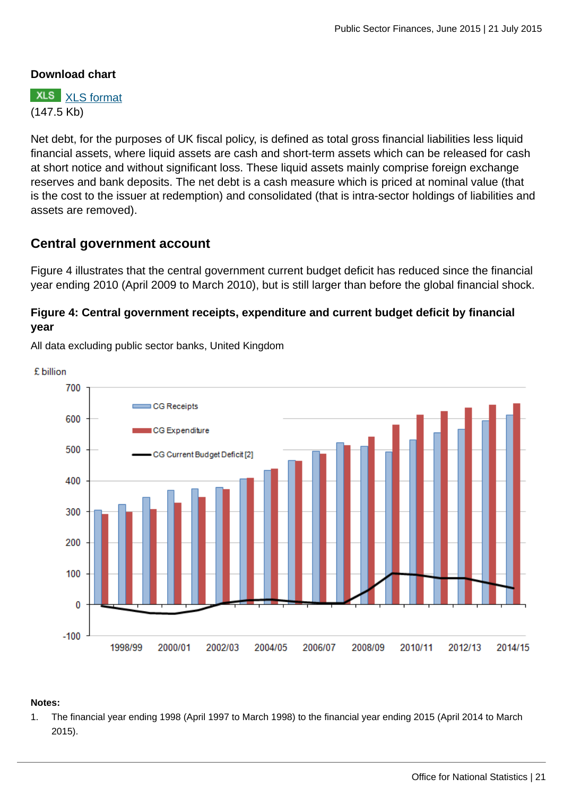#### **Download chart**

**XLS** [XLS format](http://www.ons.gov.uk:80/ons/rel/psa/public-sector-finances/june-2015/chd-3.xls) (147.5 Kb)

Net debt, for the purposes of UK fiscal policy, is defined as total gross financial liabilities less liquid financial assets, where liquid assets are cash and short-term assets which can be released for cash at short notice and without significant loss. These liquid assets mainly comprise foreign exchange reserves and bank deposits. The net debt is a cash measure which is priced at nominal value (that is the cost to the issuer at redemption) and consolidated (that is intra-sector holdings of liabilities and assets are removed).

### **Central government account**

Figure 4 illustrates that the central government current budget deficit has reduced since the financial year ending 2010 (April 2009 to March 2010), but is still larger than before the global financial shock.

#### **Figure 4: Central government receipts, expenditure and current budget deficit by financial year**

£ billion 700  $C$ G Receipts 600 CG Expenditure 500 CG Current Budget Deficit [2] 400 300 200 100  $\bf{0}$  $-100$ 1998/99 2000/01 2002/03 2004/05 2006/07 2008/09 2010/11 2012/13 2014/15

All data excluding public sector banks, United Kingdom

#### **Notes:**

1. The financial year ending 1998 (April 1997 to March 1998) to the financial year ending 2015 (April 2014 to March 2015).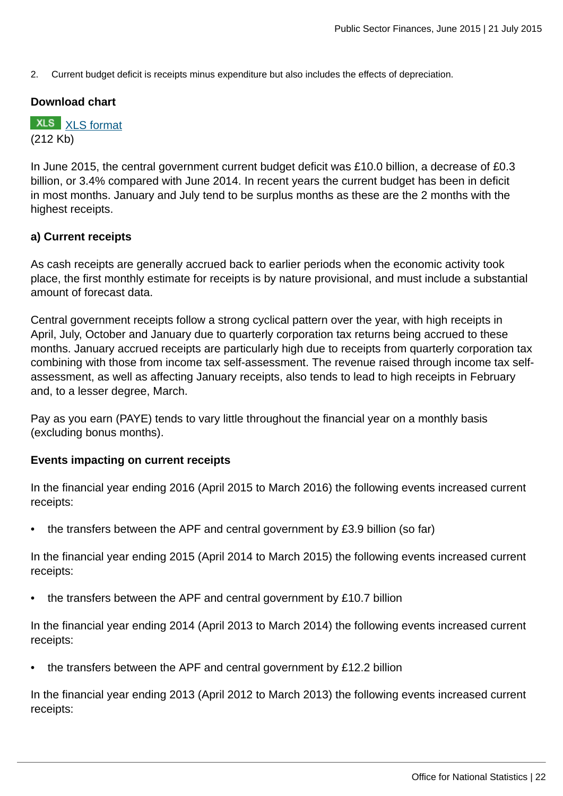2. Current budget deficit is receipts minus expenditure but also includes the effects of depreciation.

#### **Download chart**

**XLS** [XLS format](http://www.ons.gov.uk:80/ons/rel/psa/public-sector-finances/june-2015/chd-4.xls) (212 Kb)

In June 2015, the central government current budget deficit was £10.0 billion, a decrease of £0.3 billion, or 3.4% compared with June 2014. In recent years the current budget has been in deficit in most months. January and July tend to be surplus months as these are the 2 months with the highest receipts.

#### **a) Current receipts**

As cash receipts are generally accrued back to earlier periods when the economic activity took place, the first monthly estimate for receipts is by nature provisional, and must include a substantial amount of forecast data.

Central government receipts follow a strong cyclical pattern over the year, with high receipts in April, July, October and January due to quarterly corporation tax returns being accrued to these months. January accrued receipts are particularly high due to receipts from quarterly corporation tax combining with those from income tax self-assessment. The revenue raised through income tax selfassessment, as well as affecting January receipts, also tends to lead to high receipts in February and, to a lesser degree, March.

Pay as you earn (PAYE) tends to vary little throughout the financial year on a monthly basis (excluding bonus months).

#### **Events impacting on current receipts**

In the financial year ending 2016 (April 2015 to March 2016) the following events increased current receipts:

• the transfers between the APF and central government by £3.9 billion (so far)

In the financial year ending 2015 (April 2014 to March 2015) the following events increased current receipts:

• the transfers between the APF and central government by £10.7 billion

In the financial year ending 2014 (April 2013 to March 2014) the following events increased current receipts:

• the transfers between the APF and central government by £12.2 billion

In the financial year ending 2013 (April 2012 to March 2013) the following events increased current receipts: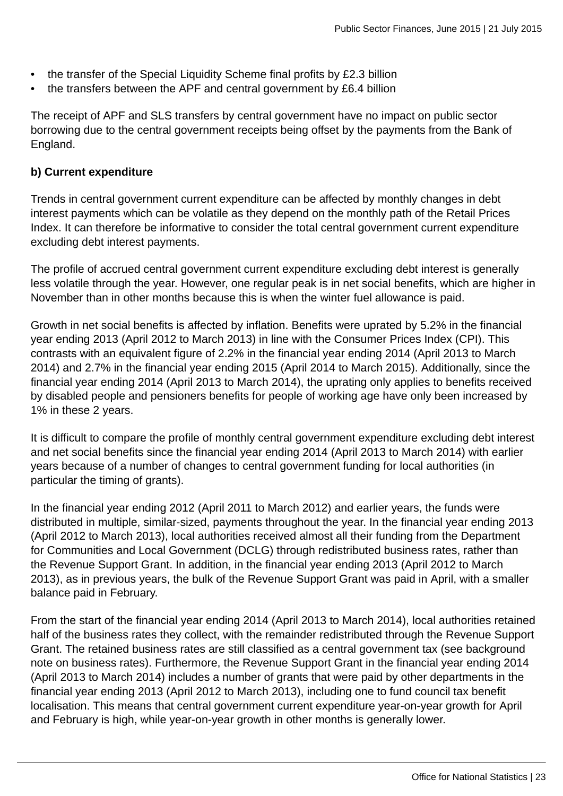- the transfer of the Special Liquidity Scheme final profits by £2.3 billion
- the transfers between the APF and central government by £6.4 billion

The receipt of APF and SLS transfers by central government have no impact on public sector borrowing due to the central government receipts being offset by the payments from the Bank of England.

#### **b) Current expenditure**

Trends in central government current expenditure can be affected by monthly changes in debt interest payments which can be volatile as they depend on the monthly path of the Retail Prices Index. It can therefore be informative to consider the total central government current expenditure excluding debt interest payments.

The profile of accrued central government current expenditure excluding debt interest is generally less volatile through the year. However, one regular peak is in net social benefits, which are higher in November than in other months because this is when the winter fuel allowance is paid.

Growth in net social benefits is affected by inflation. Benefits were uprated by 5.2% in the financial year ending 2013 (April 2012 to March 2013) in line with the Consumer Prices Index (CPI). This contrasts with an equivalent figure of 2.2% in the financial year ending 2014 (April 2013 to March 2014) and 2.7% in the financial year ending 2015 (April 2014 to March 2015). Additionally, since the financial year ending 2014 (April 2013 to March 2014), the uprating only applies to benefits received by disabled people and pensioners benefits for people of working age have only been increased by 1% in these 2 years.

It is difficult to compare the profile of monthly central government expenditure excluding debt interest and net social benefits since the financial year ending 2014 (April 2013 to March 2014) with earlier years because of a number of changes to central government funding for local authorities (in particular the timing of grants).

In the financial year ending 2012 (April 2011 to March 2012) and earlier years, the funds were distributed in multiple, similar-sized, payments throughout the year. In the financial year ending 2013 (April 2012 to March 2013), local authorities received almost all their funding from the Department for Communities and Local Government (DCLG) through redistributed business rates, rather than the Revenue Support Grant. In addition, in the financial year ending 2013 (April 2012 to March 2013), as in previous years, the bulk of the Revenue Support Grant was paid in April, with a smaller balance paid in February.

From the start of the financial year ending 2014 (April 2013 to March 2014), local authorities retained half of the business rates they collect, with the remainder redistributed through the Revenue Support Grant. The retained business rates are still classified as a central government tax (see background note on business rates). Furthermore, the Revenue Support Grant in the financial year ending 2014 (April 2013 to March 2014) includes a number of grants that were paid by other departments in the financial year ending 2013 (April 2012 to March 2013), including one to fund council tax benefit localisation. This means that central government current expenditure year-on-year growth for April and February is high, while year-on-year growth in other months is generally lower.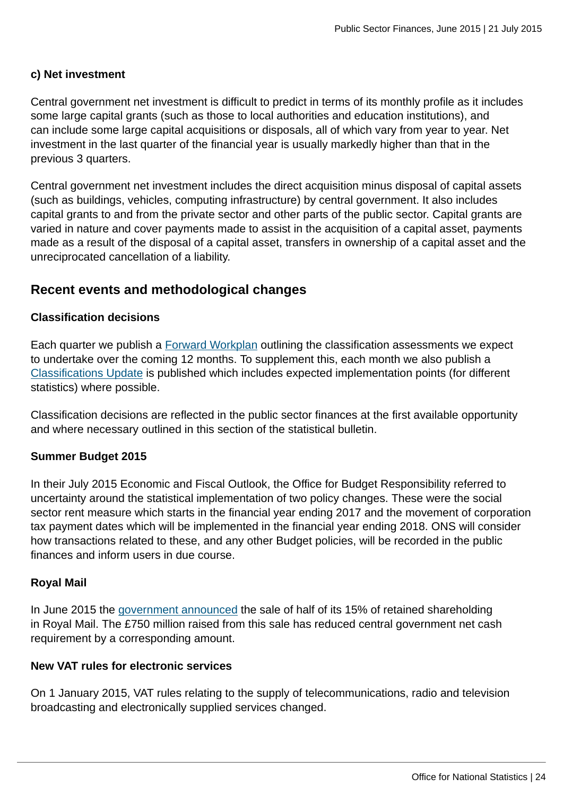#### **c) Net investment**

Central government net investment is difficult to predict in terms of its monthly profile as it includes some large capital grants (such as those to local authorities and education institutions), and can include some large capital acquisitions or disposals, all of which vary from year to year. Net investment in the last quarter of the financial year is usually markedly higher than that in the previous 3 quarters.

Central government net investment includes the direct acquisition minus disposal of capital assets (such as buildings, vehicles, computing infrastructure) by central government. It also includes capital grants to and from the private sector and other parts of the public sector. Capital grants are varied in nature and cover payments made to assist in the acquisition of a capital asset, payments made as a result of the disposal of a capital asset, transfers in ownership of a capital asset and the unreciprocated cancellation of a liability.

#### **Recent events and methodological changes**

#### **Classification decisions**

Each quarter we publish a [Forward Workplan](http://www.ons.gov.uk:80/ons/rel/na-classification/national-accounts-sector-classification/index.html) outlining the classification assessments we expect to undertake over the coming 12 months. To supplement this, each month we also publish a [Classifications Update](http://www.ons.gov.uk:80/ons/rel/na-classification/national-accounts-sector-classification/index.html) is published which includes expected implementation points (for different statistics) where possible.

Classification decisions are reflected in the public sector finances at the first available opportunity and where necessary outlined in this section of the statistical bulletin.

#### **Summer Budget 2015**

In their July 2015 Economic and Fiscal Outlook, the Office for Budget Responsibility referred to uncertainty around the statistical implementation of two policy changes. These were the social sector rent measure which starts in the financial year ending 2017 and the movement of corporation tax payment dates which will be implemented in the financial year ending 2018. ONS will consider how transactions related to these, and any other Budget policies, will be recorded in the public finances and inform users in due course.

#### **Royal Mail**

In June 2015 the [government announced](https://www.gov.uk/government/news/government-sells-15-of-shares-in-royal-mail-at-500p-per-share) the sale of half of its 15% of retained shareholding in Royal Mail. The £750 million raised from this sale has reduced central government net cash requirement by a corresponding amount.

#### **New VAT rules for electronic services**

On 1 January 2015, VAT rules relating to the supply of telecommunications, radio and television broadcasting and electronically supplied services changed.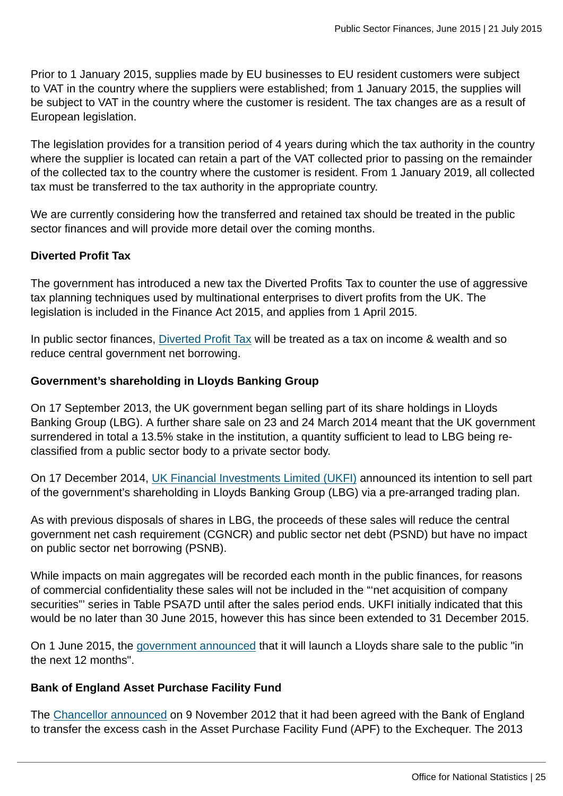Prior to 1 January 2015, supplies made by EU businesses to EU resident customers were subject to VAT in the country where the suppliers were established; from 1 January 2015, the supplies will be subject to VAT in the country where the customer is resident. The tax changes are as a result of European legislation.

The legislation provides for a transition period of 4 years during which the tax authority in the country where the supplier is located can retain a part of the VAT collected prior to passing on the remainder of the collected tax to the country where the customer is resident. From 1 January 2019, all collected tax must be transferred to the tax authority in the appropriate country.

We are currently considering how the transferred and retained tax should be treated in the public sector finances and will provide more detail over the coming months.

#### **Diverted Profit Tax**

The government has introduced a new tax the Diverted Profits Tax to counter the use of aggressive tax planning techniques used by multinational enterprises to divert profits from the UK. The legislation is included in the Finance Act 2015, and applies from 1 April 2015.

In public sector finances, [Diverted Profit Tax](#page-0-0) will be treated as a tax on income & wealth and so reduce central government net borrowing.

#### **Government's shareholding in Lloyds Banking Group**

On 17 September 2013, the UK government began selling part of its share holdings in Lloyds Banking Group (LBG). A further share sale on 23 and 24 March 2014 meant that the UK government surrendered in total a 13.5% stake in the institution, a quantity sufficient to lead to LBG being reclassified from a public sector body to a private sector body.

On 17 December 2014, [UK Financial Investments Limited \(UKFI\)](http://www.ukfi.co.uk/index.php?URL_link=press-releases&Year=2014) announced its intention to sell part of the government's shareholding in Lloyds Banking Group (LBG) via a pre-arranged trading plan.

As with previous disposals of shares in LBG, the proceeds of these sales will reduce the central government net cash requirement (CGNCR) and public sector net debt (PSND) but have no impact on public sector net borrowing (PSNB).

While impacts on main aggregates will be recorded each month in the public finances, for reasons of commercial confidentiality these sales will not be included in the "'net acquisition of company securities"' series in Table PSA7D until after the sales period ends. UKFI initially indicated that this would be no later than 30 June 2015, however this has since been extended to 31 December 2015.

On 1 June 2015, the [government announced](https://www.gov.uk/government/news/chancellor-extends-successful-lloyds-trading-plan) that it will launch a Lloyds share sale to the public "in the next 12 months".

#### **Bank of England Asset Purchase Facility Fund**

The [Chancellor announced](https://www.gov.uk/government/news/changes-to-cash-management-operations) on 9 November 2012 that it had been agreed with the Bank of England to transfer the excess cash in the Asset Purchase Facility Fund (APF) to the Exchequer. The 2013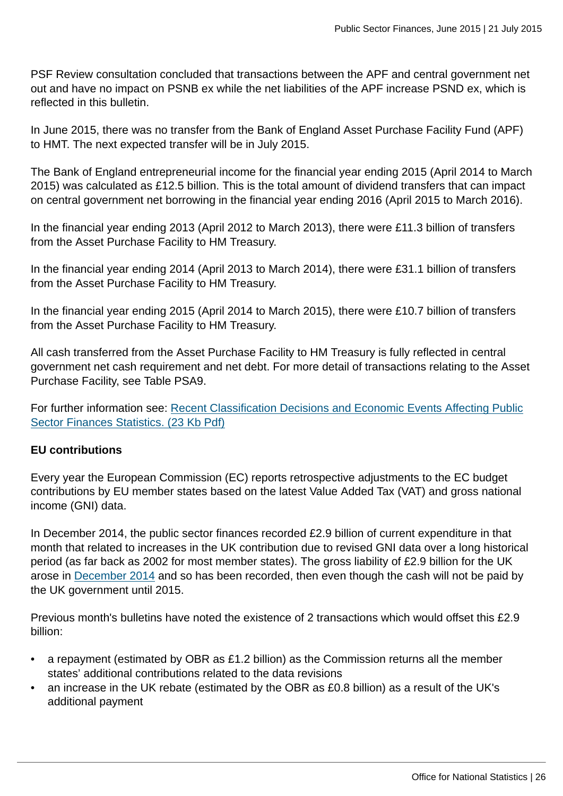PSF Review consultation concluded that transactions between the APF and central government net out and have no impact on PSNB ex while the net liabilities of the APF increase PSND ex, which is reflected in this bulletin.

In June 2015, there was no transfer from the Bank of England Asset Purchase Facility Fund (APF) to HMT. The next expected transfer will be in July 2015.

The Bank of England entrepreneurial income for the financial year ending 2015 (April 2014 to March 2015) was calculated as £12.5 billion. This is the total amount of dividend transfers that can impact on central government net borrowing in the financial year ending 2016 (April 2015 to March 2016).

In the financial year ending 2013 (April 2012 to March 2013), there were £11.3 billion of transfers from the Asset Purchase Facility to HM Treasury.

In the financial year ending 2014 (April 2013 to March 2014), there were £31.1 billion of transfers from the Asset Purchase Facility to HM Treasury.

In the financial year ending 2015 (April 2014 to March 2015), there were £10.7 billion of transfers from the Asset Purchase Facility to HM Treasury.

All cash transferred from the Asset Purchase Facility to HM Treasury is fully reflected in central government net cash requirement and net debt. For more detail of transactions relating to the Asset Purchase Facility, see Table PSA9.

For further information see: [Recent Classification Decisions and Economic Events Affecting Public](http://www.ons.gov.uk:80/ons/guide-method/method-quality/specific/economy/public-sector-finances/recent-classification-decisions-and-economic-events-affecting-public-sector-finances-statistics.pdf) [Sector Finances Statistics. \(23 Kb Pdf\)](http://www.ons.gov.uk:80/ons/guide-method/method-quality/specific/economy/public-sector-finances/recent-classification-decisions-and-economic-events-affecting-public-sector-finances-statistics.pdf)

#### **EU contributions**

Every year the European Commission (EC) reports retrospective adjustments to the EC budget contributions by EU member states based on the latest Value Added Tax (VAT) and gross national income (GNI) data.

In December 2014, the public sector finances recorded £2.9 billion of current expenditure in that month that related to increases in the UK contribution due to revised GNI data over a long historical period (as far back as 2002 for most member states). The gross liability of £2.9 billion for the UK arose in [December 2014](http://ec.europa.eu/budget/library/biblio/documents/2014/AL/COM_2014_730_en.pdf) and so has been recorded, then even though the cash will not be paid by the UK government until 2015.

Previous month's bulletins have noted the existence of 2 transactions which would offset this £2.9 billion:

- a repayment (estimated by OBR as £1.2 billion) as the Commission returns all the member states' additional contributions related to the data revisions
- an increase in the UK rebate (estimated by the OBR as £0.8 billion) as a result of the UK's additional payment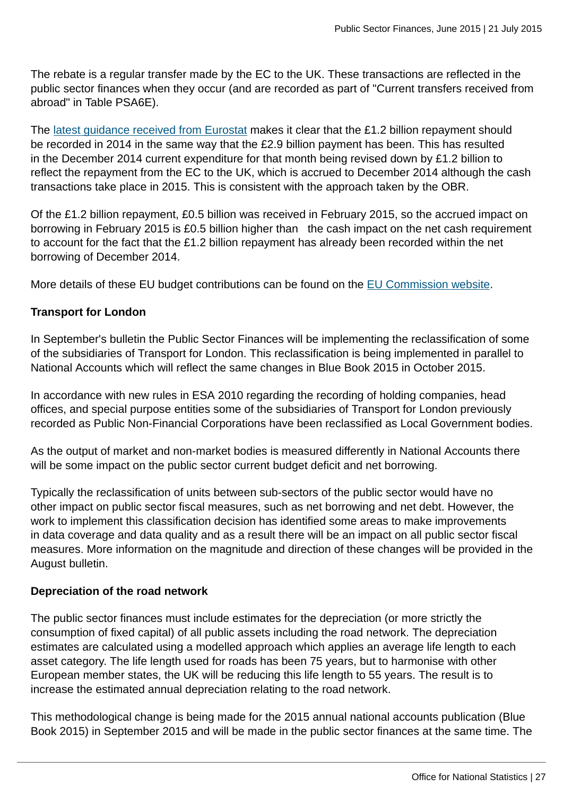The rebate is a regular transfer made by the EC to the UK. These transactions are reflected in the public sector finances when they occur (and are recorded as part of "Current transfers received from abroad" in Table PSA6E).

The [latest guidance received from Eurostat](http://ec.europa.eu/eurostat/documents/1015035/2041357/Statistical-recording-EU-budgetary-contributions.pdf/a948e3e7-36bb-4ef8-bc56-dbf6763f78a4) makes it clear that the £1.2 billion repayment should be recorded in 2014 in the same way that the £2.9 billion payment has been. This has resulted in the December 2014 current expenditure for that month being revised down by £1.2 billion to reflect the repayment from the EC to the UK, which is accrued to December 2014 although the cash transactions take place in 2015. This is consistent with the approach taken by the OBR.

Of the £1.2 billion repayment, £0.5 billion was received in February 2015, so the accrued impact on borrowing in February 2015 is £0.5 billion higher than the cash impact on the net cash requirement to account for the fact that the £1.2 billion repayment has already been recorded within the net borrowing of December 2014.

More details of these EU budget contributions can be found on the [EU Commission website.](http://ec.europa.eu/budget/news/article_en.cfm?id=201412041616)

#### **Transport for London**

In September's bulletin the Public Sector Finances will be implementing the reclassification of some of the subsidiaries of Transport for London. This reclassification is being implemented in parallel to National Accounts which will reflect the same changes in Blue Book 2015 in October 2015.

In accordance with new rules in ESA 2010 regarding the recording of holding companies, head offices, and special purpose entities some of the subsidiaries of Transport for London previously recorded as Public Non-Financial Corporations have been reclassified as Local Government bodies.

As the output of market and non-market bodies is measured differently in National Accounts there will be some impact on the public sector current budget deficit and net borrowing.

Typically the reclassification of units between sub-sectors of the public sector would have no other impact on public sector fiscal measures, such as net borrowing and net debt. However, the work to implement this classification decision has identified some areas to make improvements in data coverage and data quality and as a result there will be an impact on all public sector fiscal measures. More information on the magnitude and direction of these changes will be provided in the August bulletin.

#### **Depreciation of the road network**

The public sector finances must include estimates for the depreciation (or more strictly the consumption of fixed capital) of all public assets including the road network. The depreciation estimates are calculated using a modelled approach which applies an average life length to each asset category. The life length used for roads has been 75 years, but to harmonise with other European member states, the UK will be reducing this life length to 55 years. The result is to increase the estimated annual depreciation relating to the road network.

This methodological change is being made for the 2015 annual national accounts publication (Blue Book 2015) in September 2015 and will be made in the public sector finances at the same time. The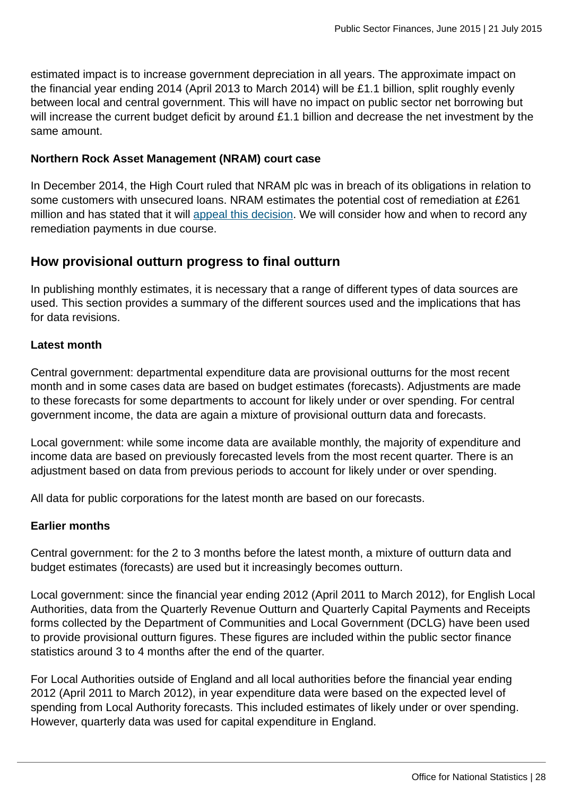estimated impact is to increase government depreciation in all years. The approximate impact on the financial year ending 2014 (April 2013 to March 2014) will be £1.1 billion, split roughly evenly between local and central government. This will have no impact on public sector net borrowing but will increase the current budget deficit by around £1.1 billion and decrease the net investment by the same amount.

#### **Northern Rock Asset Management (NRAM) court case**

In December 2014, the High Court ruled that NRAM plc was in breach of its obligations in relation to some customers with unsecured loans. NRAM estimates the potential cost of remediation at £261 million and has stated that it will [appeal this decision.](http://www.n-ram.co.uk/loans/loans-over-25000) We will consider how and when to record any remediation payments in due course.

#### **How provisional outturn progress to final outturn**

In publishing monthly estimates, it is necessary that a range of different types of data sources are used. This section provides a summary of the different sources used and the implications that has for data revisions.

#### **Latest month**

Central government: departmental expenditure data are provisional outturns for the most recent month and in some cases data are based on budget estimates (forecasts). Adjustments are made to these forecasts for some departments to account for likely under or over spending. For central government income, the data are again a mixture of provisional outturn data and forecasts.

Local government: while some income data are available monthly, the majority of expenditure and income data are based on previously forecasted levels from the most recent quarter. There is an adjustment based on data from previous periods to account for likely under or over spending.

All data for public corporations for the latest month are based on our forecasts.

#### **Earlier months**

Central government: for the 2 to 3 months before the latest month, a mixture of outturn data and budget estimates (forecasts) are used but it increasingly becomes outturn.

Local government: since the financial year ending 2012 (April 2011 to March 2012), for English Local Authorities, data from the Quarterly Revenue Outturn and Quarterly Capital Payments and Receipts forms collected by the Department of Communities and Local Government (DCLG) have been used to provide provisional outturn figures. These figures are included within the public sector finance statistics around 3 to 4 months after the end of the quarter.

For Local Authorities outside of England and all local authorities before the financial year ending 2012 (April 2011 to March 2012), in year expenditure data were based on the expected level of spending from Local Authority forecasts. This included estimates of likely under or over spending. However, quarterly data was used for capital expenditure in England.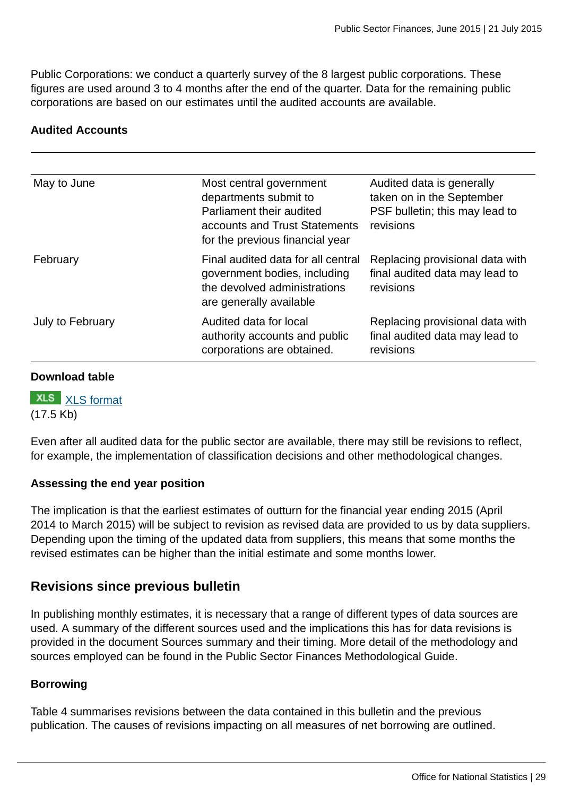Public Corporations: we conduct a quarterly survey of the 8 largest public corporations. These figures are used around 3 to 4 months after the end of the quarter. Data for the remaining public corporations are based on our estimates until the audited accounts are available.

#### **Audited Accounts**

| May to June      | Most central government<br>departments submit to<br>Parliament their audited<br>accounts and Trust Statements<br>for the previous financial year | Audited data is generally<br>taken on in the September<br>PSF bulletin; this may lead to<br>revisions |
|------------------|--------------------------------------------------------------------------------------------------------------------------------------------------|-------------------------------------------------------------------------------------------------------|
| February         | Final audited data for all central<br>government bodies, including<br>the devolved administrations<br>are generally available                    | Replacing provisional data with<br>final audited data may lead to<br>revisions                        |
| July to February | Audited data for local<br>authority accounts and public<br>corporations are obtained.                                                            | Replacing provisional data with<br>final audited data may lead to<br>revisions                        |

#### **Download table**

# **XLS** [XLS format](http://www.ons.gov.uk:80/ons/rel/psa/public-sector-finances/june-2015/prt-table-6.xls)

(17.5 Kb)

Even after all audited data for the public sector are available, there may still be revisions to reflect, for example, the implementation of classification decisions and other methodological changes.

#### **Assessing the end year position**

The implication is that the earliest estimates of outturn for the financial year ending 2015 (April 2014 to March 2015) will be subject to revision as revised data are provided to us by data suppliers. Depending upon the timing of the updated data from suppliers, this means that some months the revised estimates can be higher than the initial estimate and some months lower.

#### **Revisions since previous bulletin**

In publishing monthly estimates, it is necessary that a range of different types of data sources are used. A summary of the different sources used and the implications this has for data revisions is provided in the document Sources summary and their timing. More detail of the methodology and sources employed can be found in the Public Sector Finances Methodological Guide.

#### **Borrowing**

Table 4 summarises revisions between the data contained in this bulletin and the previous publication. The causes of revisions impacting on all measures of net borrowing are outlined.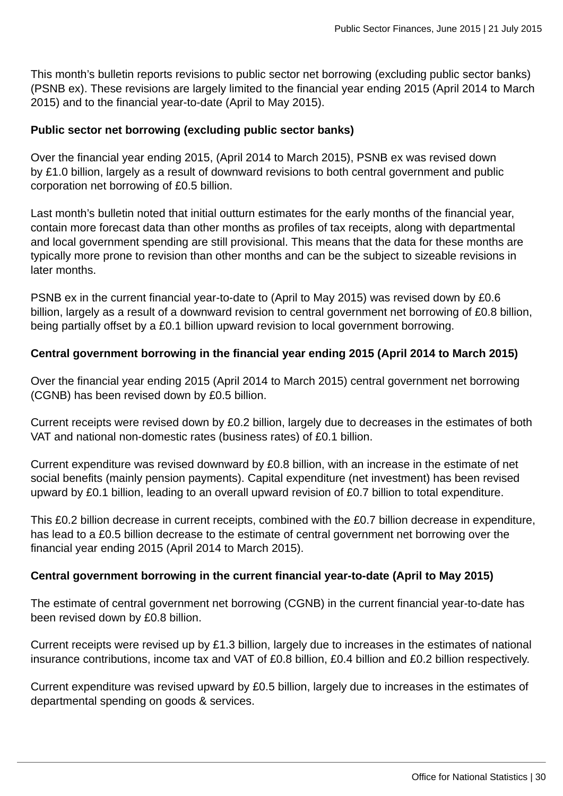This month's bulletin reports revisions to public sector net borrowing (excluding public sector banks) (PSNB ex). These revisions are largely limited to the financial year ending 2015 (April 2014 to March 2015) and to the financial year-to-date (April to May 2015).

#### **Public sector net borrowing (excluding public sector banks)**

Over the financial year ending 2015, (April 2014 to March 2015), PSNB ex was revised down by £1.0 billion, largely as a result of downward revisions to both central government and public corporation net borrowing of £0.5 billion.

Last month's bulletin noted that initial outturn estimates for the early months of the financial year, contain more forecast data than other months as profiles of tax receipts, along with departmental and local government spending are still provisional. This means that the data for these months are typically more prone to revision than other months and can be the subject to sizeable revisions in later months.

PSNB ex in the current financial year-to-date to (April to May 2015) was revised down by £0.6 billion, largely as a result of a downward revision to central government net borrowing of £0.8 billion, being partially offset by a £0.1 billion upward revision to local government borrowing.

#### **Central government borrowing in the financial year ending 2015 (April 2014 to March 2015)**

Over the financial year ending 2015 (April 2014 to March 2015) central government net borrowing (CGNB) has been revised down by £0.5 billion.

Current receipts were revised down by £0.2 billion, largely due to decreases in the estimates of both VAT and national non-domestic rates (business rates) of £0.1 billion.

Current expenditure was revised downward by £0.8 billion, with an increase in the estimate of net social benefits (mainly pension payments). Capital expenditure (net investment) has been revised upward by £0.1 billion, leading to an overall upward revision of £0.7 billion to total expenditure.

This £0.2 billion decrease in current receipts, combined with the £0.7 billion decrease in expenditure, has lead to a £0.5 billion decrease to the estimate of central government net borrowing over the financial year ending 2015 (April 2014 to March 2015).

#### **Central government borrowing in the current financial year-to-date (April to May 2015)**

The estimate of central government net borrowing (CGNB) in the current financial year-to-date has been revised down by £0.8 billion.

Current receipts were revised up by £1.3 billion, largely due to increases in the estimates of national insurance contributions, income tax and VAT of £0.8 billion, £0.4 billion and £0.2 billion respectively.

Current expenditure was revised upward by £0.5 billion, largely due to increases in the estimates of departmental spending on goods & services.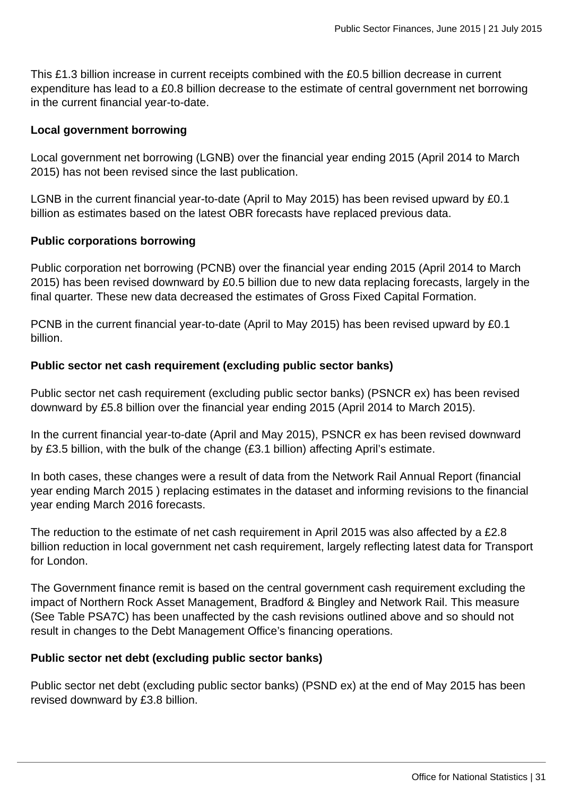This £1.3 billion increase in current receipts combined with the £0.5 billion decrease in current expenditure has lead to a £0.8 billion decrease to the estimate of central government net borrowing in the current financial year-to-date.

#### **Local government borrowing**

Local government net borrowing (LGNB) over the financial year ending 2015 (April 2014 to March 2015) has not been revised since the last publication.

LGNB in the current financial year-to-date (April to May 2015) has been revised upward by £0.1 billion as estimates based on the latest OBR forecasts have replaced previous data.

#### **Public corporations borrowing**

Public corporation net borrowing (PCNB) over the financial year ending 2015 (April 2014 to March 2015) has been revised downward by £0.5 billion due to new data replacing forecasts, largely in the final quarter. These new data decreased the estimates of Gross Fixed Capital Formation.

PCNB in the current financial year-to-date (April to May 2015) has been revised upward by £0.1 billion.

#### **Public sector net cash requirement (excluding public sector banks)**

Public sector net cash requirement (excluding public sector banks) (PSNCR ex) has been revised downward by £5.8 billion over the financial year ending 2015 (April 2014 to March 2015).

In the current financial year-to-date (April and May 2015), PSNCR ex has been revised downward by £3.5 billion, with the bulk of the change (£3.1 billion) affecting April's estimate.

In both cases, these changes were a result of data from the Network Rail Annual Report (financial year ending March 2015 ) replacing estimates in the dataset and informing revisions to the financial year ending March 2016 forecasts.

The reduction to the estimate of net cash requirement in April 2015 was also affected by a £2.8 billion reduction in local government net cash requirement, largely reflecting latest data for Transport for London.

The Government finance remit is based on the central government cash requirement excluding the impact of Northern Rock Asset Management, Bradford & Bingley and Network Rail. This measure (See Table PSA7C) has been unaffected by the cash revisions outlined above and so should not result in changes to the Debt Management Office's financing operations.

#### **Public sector net debt (excluding public sector banks)**

Public sector net debt (excluding public sector banks) (PSND ex) at the end of May 2015 has been revised downward by £3.8 billion.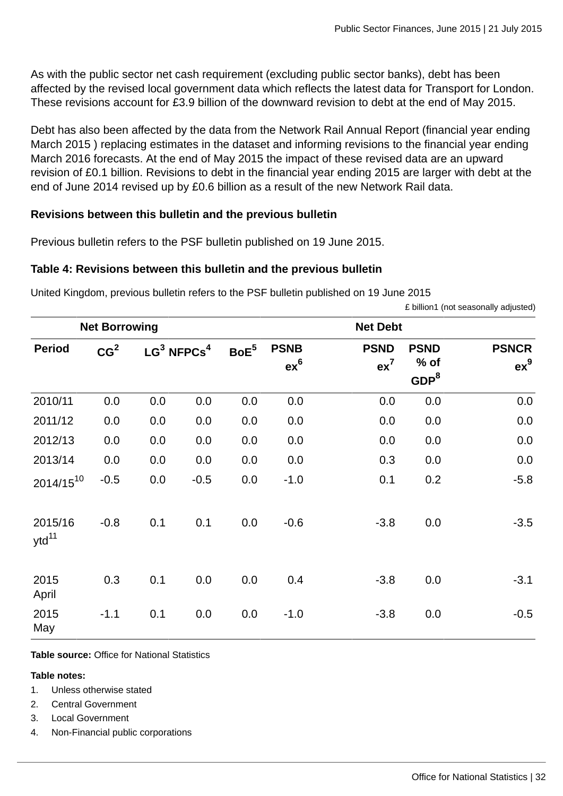As with the public sector net cash requirement (excluding public sector banks), debt has been affected by the revised local government data which reflects the latest data for Transport for London. These revisions account for £3.9 billion of the downward revision to debt at the end of May 2015.

Debt has also been affected by the data from the Network Rail Annual Report (financial year ending March 2015 ) replacing estimates in the dataset and informing revisions to the financial year ending March 2016 forecasts. At the end of May 2015 the impact of these revised data are an upward revision of £0.1 billion. Revisions to debt in the financial year ending 2015 are larger with debt at the end of June 2014 revised up by £0.6 billion as a result of the new Network Rail data.

#### **Revisions between this bulletin and the previous bulletin**

Previous bulletin refers to the PSF bulletin published on 19 June 2015.

#### **Table 4: Revisions between this bulletin and the previous bulletin**

United Kingdom, previous bulletin refers to the PSF bulletin published on 19 June 2015

£ billion1 (not seasonally adjusted)

|                       | <b>Net Borrowing</b> |     |                           |                  |                       | <b>Net Debt</b>                |                                         |                                 |
|-----------------------|----------------------|-----|---------------------------|------------------|-----------------------|--------------------------------|-----------------------------------------|---------------------------------|
| <b>Period</b>         | CG <sup>2</sup>      |     | $LG^3$ NFPCs <sup>4</sup> | BoE <sup>5</sup> | <b>PSNB</b><br>$ex^6$ | <b>PSND</b><br>ex <sup>7</sup> | <b>PSND</b><br>% of<br>GDP <sup>8</sup> | <b>PSNCR</b><br>ex <sup>9</sup> |
| 2010/11               | 0.0                  | 0.0 | 0.0                       | 0.0              | 0.0                   | 0.0                            | 0.0                                     | 0.0                             |
| 2011/12               | 0.0                  | 0.0 | 0.0                       | 0.0              | 0.0                   | 0.0                            | 0.0                                     | 0.0                             |
| 2012/13               | 0.0                  | 0.0 | 0.0                       | 0.0              | 0.0                   | 0.0                            | 0.0                                     | 0.0                             |
| 2013/14               | 0.0                  | 0.0 | 0.0                       | 0.0              | 0.0                   | 0.3                            | 0.0                                     | 0.0                             |
| $2014/15^{10}$        | $-0.5$               | 0.0 | $-0.5$                    | 0.0              | $-1.0$                | 0.1                            | 0.2                                     | $-5.8$                          |
| 2015/16<br>$ytd^{11}$ | $-0.8$               | 0.1 | 0.1                       | 0.0              | $-0.6$                | $-3.8$                         | 0.0                                     | $-3.5$                          |
| 2015<br>April         | 0.3                  | 0.1 | 0.0                       | 0.0              | 0.4                   | $-3.8$                         | 0.0                                     | $-3.1$                          |
| 2015<br>May           | $-1.1$               | 0.1 | 0.0                       | 0.0              | $-1.0$                | $-3.8$                         | 0.0                                     | $-0.5$                          |

**Table source:** Office for National Statistics

#### **Table notes:**

- 1. Unless otherwise stated
- 2. Central Government
- 3. Local Government
- 4. Non-Financial public corporations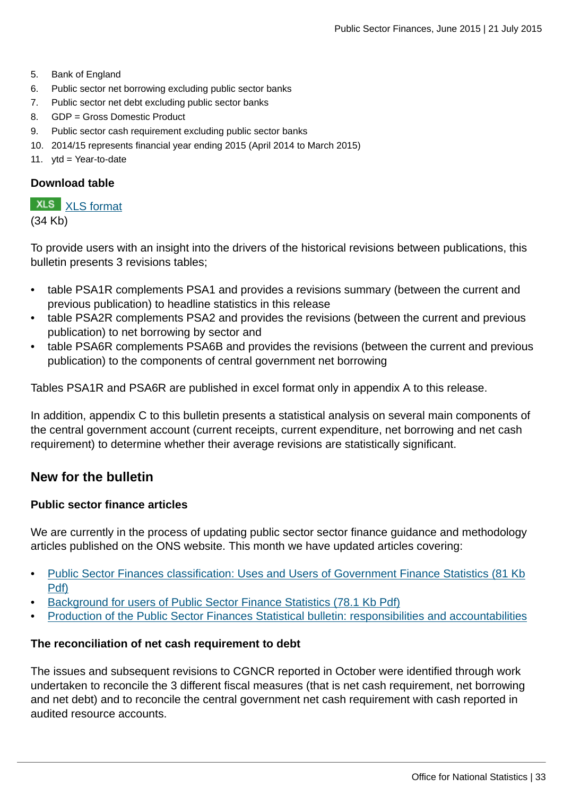- 5. Bank of England
- 6. Public sector net borrowing excluding public sector banks
- 7. Public sector net debt excluding public sector banks
- 8. GDP = Gross Domestic Product
- 9. Public sector cash requirement excluding public sector banks
- 10. 2014/15 represents financial year ending 2015 (April 2014 to March 2015)
- 11. ytd = Year-to-date

#### **Download table**

**XLS** [XLS format](http://www.ons.gov.uk:80/ons/rel/psa/public-sector-finances/june-2015/prt-table-4.xls)

(34 Kb)

To provide users with an insight into the drivers of the historical revisions between publications, this bulletin presents 3 revisions tables;

- table PSA1R complements PSA1 and provides a revisions summary (between the current and previous publication) to headline statistics in this release
- table PSA2R complements PSA2 and provides the revisions (between the current and previous publication) to net borrowing by sector and
- table PSA6R complements PSA6B and provides the revisions (between the current and previous publication) to the components of central government net borrowing

Tables PSA1R and PSA6R are published in excel format only in appendix A to this release.

In addition, appendix C to this bulletin presents a statistical analysis on several main components of the central government account (current receipts, current expenditure, net borrowing and net cash requirement) to determine whether their average revisions are statistically significant.

#### **New for the bulletin**

#### **Public sector finance articles**

We are currently in the process of updating public sector sector finance guidance and methodology articles published on the ONS website. This month we have updated articles covering:

- [Public Sector Finances classification: Uses and Users of Government Finance Statistics \(81 Kb](http://www.ons.gov.uk:80/ons/guide-method/method-quality/specific/economy/public-sector-finances/users-of-government-finance-statistics.pdf) [Pdf\)](http://www.ons.gov.uk:80/ons/guide-method/method-quality/specific/economy/public-sector-finances/users-of-government-finance-statistics.pdf)
- [Background for users of Public Sector Finance Statistics \(78.1 Kb Pdf\)](http://www.ons.gov.uk:80/ons/guide-method/method-quality/specific/economy/public-sector-finances/background-for-users-of-public-sector-finance-statistics.pdf)
- [Production of the Public Sector Finances Statistical bulletin: responsibilities and accountabilities](http://www.ons.gov.uk:80/ons)

#### **The reconciliation of net cash requirement to debt**

The issues and subsequent revisions to CGNCR reported in October were identified through work undertaken to reconcile the 3 different fiscal measures (that is net cash requirement, net borrowing and net debt) and to reconcile the central government net cash requirement with cash reported in audited resource accounts.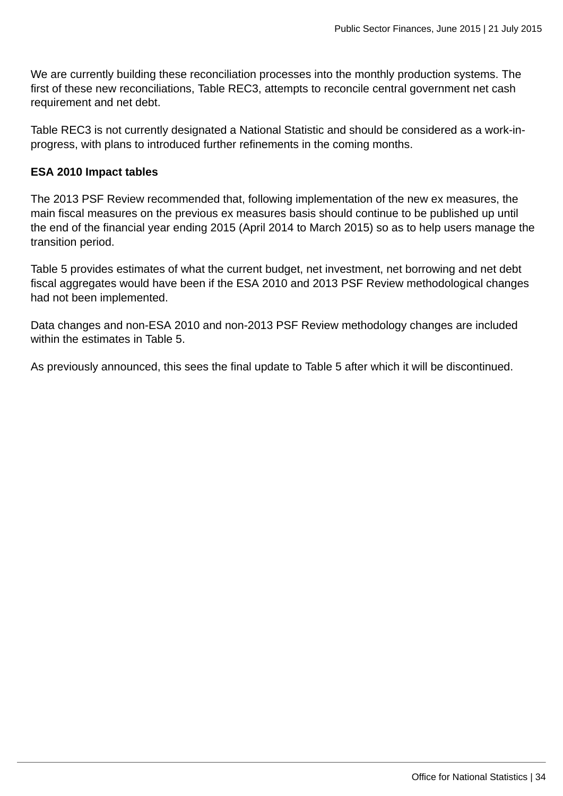We are currently building these reconciliation processes into the monthly production systems. The first of these new reconciliations, Table REC3, attempts to reconcile central government net cash requirement and net debt.

Table REC3 is not currently designated a National Statistic and should be considered as a work-inprogress, with plans to introduced further refinements in the coming months.

#### **ESA 2010 Impact tables**

The 2013 PSF Review recommended that, following implementation of the new ex measures, the main fiscal measures on the previous ex measures basis should continue to be published up until the end of the financial year ending 2015 (April 2014 to March 2015) so as to help users manage the transition period.

Table 5 provides estimates of what the current budget, net investment, net borrowing and net debt fiscal aggregates would have been if the ESA 2010 and 2013 PSF Review methodological changes had not been implemented.

Data changes and non-ESA 2010 and non-2013 PSF Review methodology changes are included within the estimates in Table 5.

As previously announced, this sees the final update to Table 5 after which it will be discontinued.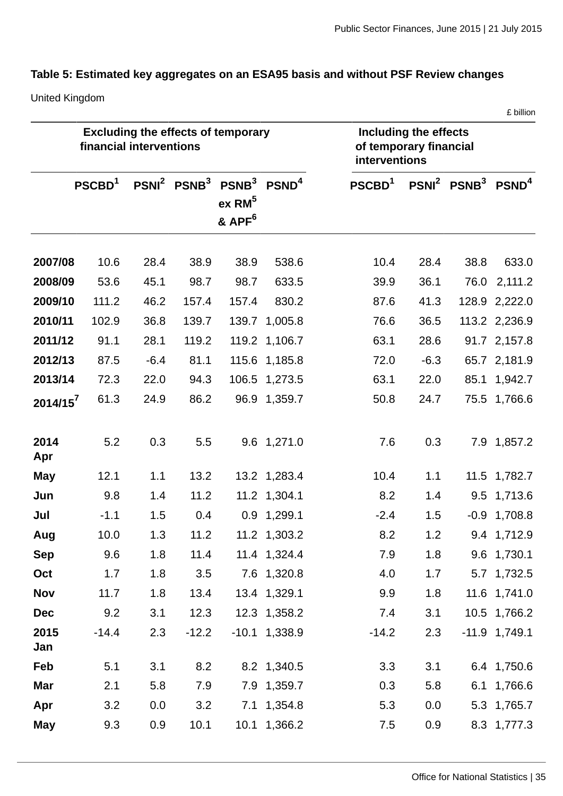# **Table 5: Estimated key aggregates on an ESA95 basis and without PSF Review changes**

United Kingdom

|             |                         |        |                                           |                                                                                                              |                 |                                                                  |        |                     | £ billion       |
|-------------|-------------------------|--------|-------------------------------------------|--------------------------------------------------------------------------------------------------------------|-----------------|------------------------------------------------------------------|--------|---------------------|-----------------|
|             | financial interventions |        | <b>Excluding the effects of temporary</b> |                                                                                                              |                 | Including the effects<br>of temporary financial<br>interventions |        |                     |                 |
|             | PSCBD <sup>1</sup>      |        |                                           | PSNI <sup>2</sup> PSNB <sup>3</sup> PSNB <sup>3</sup> PSND <sup>4</sup><br>$ex$ RM $5$<br>& APF <sup>6</sup> |                 | PSCBD <sup>1</sup>                                               |        | $PSNI2 PSNB3 PSND4$ |                 |
| 2007/08     | 10.6                    | 28.4   | 38.9                                      | 38.9                                                                                                         | 538.6           | 10.4                                                             | 28.4   | 38.8                | 633.0           |
| 2008/09     | 53.6                    | 45.1   | 98.7                                      | 98.7                                                                                                         | 633.5           | 39.9                                                             | 36.1   | 76.0                | 2,111.2         |
| 2009/10     | 111.2                   | 46.2   | 157.4                                     | 157.4                                                                                                        | 830.2           | 87.6                                                             | 41.3   |                     | 128.9 2,222.0   |
| 2010/11     | 102.9                   | 36.8   | 139.7                                     | 139.7                                                                                                        | 1,005.8         | 76.6                                                             | 36.5   |                     | 113.2 2,236.9   |
| 2011/12     | 91.1                    | 28.1   | 119.2                                     |                                                                                                              | 119.2 1,106.7   | 63.1                                                             | 28.6   |                     | 91.7 2,157.8    |
| 2012/13     | 87.5                    | $-6.4$ | 81.1                                      | 115.6                                                                                                        | 1,185.8         | 72.0                                                             | $-6.3$ |                     | 65.7 2,181.9    |
| 2013/14     | 72.3                    | 22.0   | 94.3                                      |                                                                                                              | 106.5 1,273.5   | 63.1                                                             | 22.0   |                     | 85.1 1,942.7    |
| $2014/15^7$ | 61.3                    | 24.9   | 86.2                                      |                                                                                                              | 96.9 1,359.7    | 50.8                                                             | 24.7   |                     | 75.5 1,766.6    |
| 2014<br>Apr | 5.2                     | 0.3    | 5.5                                       |                                                                                                              | 9.6 1,271.0     | 7.6                                                              | 0.3    |                     | 7.9 1,857.2     |
| <b>May</b>  | 12.1                    | 1.1    | 13.2                                      |                                                                                                              | 13.2 1,283.4    | 10.4                                                             | 1.1    |                     | 11.5 1,782.7    |
| Jun         | 9.8                     | 1.4    | 11.2                                      |                                                                                                              | 11.2 1,304.1    | 8.2                                                              | 1.4    | 9.5                 | 1,713.6         |
| Jul         | $-1.1$                  | 1.5    | 0.4                                       |                                                                                                              | 0.9 1,299.1     | $-2.4$                                                           | 1.5    |                     | $-0.9$ 1,708.8  |
| Aug         | 10.0                    | 1.3    | 11.2                                      |                                                                                                              | 11.2 1,303.2    | 8.2                                                              | 1.2    |                     | 9.4 1,712.9     |
| <b>Sep</b>  | 9.6                     | 1.8    | 11.4                                      |                                                                                                              | 11.4 1,324.4    | 7.9                                                              | 1.8    |                     | 9.6 1,730.1     |
| Oct         | 1.7                     | 1.8    | 3.5                                       |                                                                                                              | 7.6 1,320.8     | 4.0                                                              | 1.7    |                     | 5.7 1,732.5     |
| <b>Nov</b>  | 11.7                    | 1.8    | 13.4                                      |                                                                                                              | 13.4 1,329.1    | 9.9                                                              | 1.8    |                     | 11.6 1,741.0    |
| <b>Dec</b>  | 9.2                     | 3.1    | 12.3                                      |                                                                                                              | 12.3 1,358.2    | 7.4                                                              | 3.1    |                     | 10.5 1,766.2    |
| 2015<br>Jan | $-14.4$                 | 2.3    | $-12.2$                                   |                                                                                                              | $-10.1$ 1,338.9 | $-14.2$                                                          | 2.3    |                     | $-11.9$ 1,749.1 |
| Feb         | 5.1                     | 3.1    | 8.2                                       |                                                                                                              | 8.2 1,340.5     | 3.3                                                              | 3.1    |                     | 6.4 1,750.6     |
| Mar         | 2.1                     | 5.8    | 7.9                                       |                                                                                                              | 7.9 1,359.7     | 0.3                                                              | 5.8    |                     | 6.1 1,766.6     |
| Apr         | 3.2                     | 0.0    | 3.2                                       |                                                                                                              | 7.1 1,354.8     | 5.3                                                              | 0.0    |                     | 5.3 1,765.7     |
| May         | 9.3                     | 0.9    | 10.1                                      |                                                                                                              | 10.1 1,366.2    | 7.5                                                              | 0.9    |                     | 8.3 1,777.3     |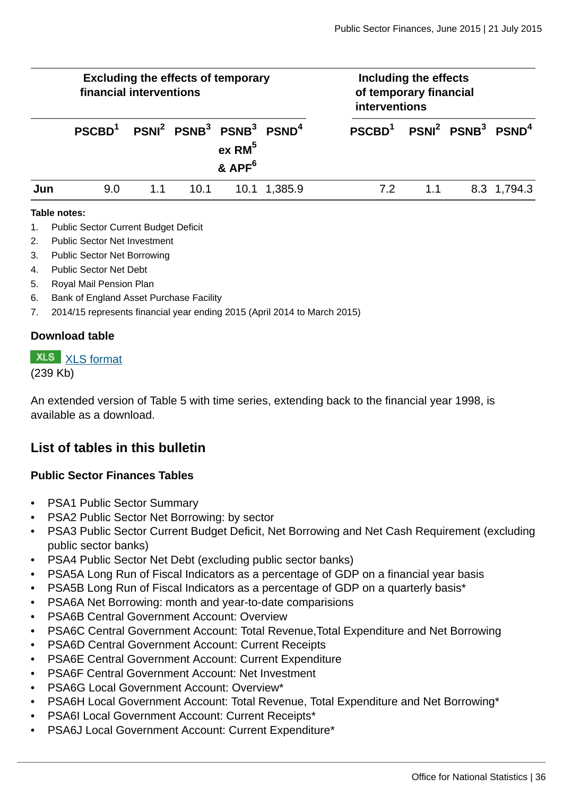| <b>Excluding the effects of temporary</b><br>financial interventions |                                                                                  |     |      |                          |              | Including the effects<br>of temporary financial<br>interventions |             |
|----------------------------------------------------------------------|----------------------------------------------------------------------------------|-----|------|--------------------------|--------------|------------------------------------------------------------------|-------------|
|                                                                      | $PSCBD1$ PSNI <sup>2</sup> PSNB <sup>3</sup> PSNB <sup>3</sup> PSND <sup>4</sup> |     |      | $ex$ RM $5$<br>& $APF^6$ |              | $PSCBD1$ PSNI <sup>2</sup> PSNB <sup>3</sup> PSND <sup>4</sup>   |             |
| Jun                                                                  | 9.0                                                                              | 1.1 | 10.1 |                          | 10.1 1,385.9 | 7.2<br>11                                                        | 8.3 1,794.3 |

#### **Table notes:**

- 1. Public Sector Current Budget Deficit
- 2. Public Sector Net Investment
- 3. Public Sector Net Borrowing
- 4. Public Sector Net Debt
- 5. Royal Mail Pension Plan
- 6. Bank of England Asset Purchase Facility
- 7. 2014/15 represents financial year ending 2015 (April 2014 to March 2015)

#### **Download table**

# **XLS** [XLS format](http://www.ons.gov.uk:80/ons/rel/psa/public-sector-finances/june-2015/prt-table-5.xls)

#### (239 Kb)

An extended version of Table 5 with time series, extending back to the financial year 1998, is available as a download.

#### **List of tables in this bulletin**

#### **Public Sector Finances Tables**

- PSA1 Public Sector Summary
- PSA2 Public Sector Net Borrowing: by sector
- PSA3 Public Sector Current Budget Deficit, Net Borrowing and Net Cash Requirement (excluding public sector banks)
- PSA4 Public Sector Net Debt (excluding public sector banks)
- PSA5A Long Run of Fiscal Indicators as a percentage of GDP on a financial year basis
- PSA5B Long Run of Fiscal Indicators as a percentage of GDP on a quarterly basis\*
- PSA6A Net Borrowing: month and year-to-date comparisions
- PSA6B Central Government Account: Overview
- PSA6C Central Government Account: Total Revenue,Total Expenditure and Net Borrowing
- PSA6D Central Government Account: Current Receipts
- PSA6E Central Government Account: Current Expenditure
- PSA6F Central Government Account: Net Investment
- PSA6G Local Government Account: Overview\*
- PSA6H Local Government Account: Total Revenue, Total Expenditure and Net Borrowing\*
- PSA6I Local Government Account: Current Receipts\*
- PSA6J Local Government Account: Current Expenditure\*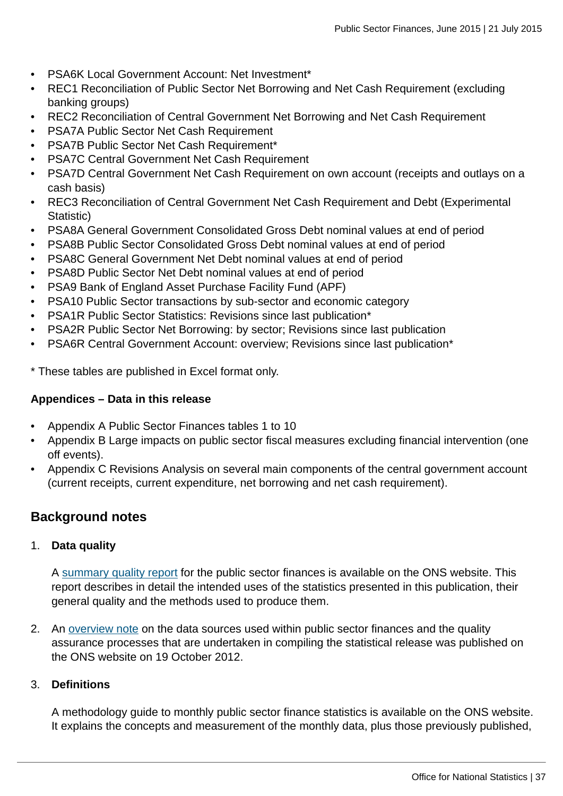- PSA6K Local Government Account: Net Investment\*
- REC1 Reconciliation of Public Sector Net Borrowing and Net Cash Requirement (excluding banking groups)
- REC2 Reconciliation of Central Government Net Borrowing and Net Cash Requirement
- PSA7A Public Sector Net Cash Requirement
- PSA7B Public Sector Net Cash Requirement\*
- PSA7C Central Government Net Cash Requirement
- PSA7D Central Government Net Cash Requirement on own account (receipts and outlays on a cash basis)
- REC3 Reconciliation of Central Government Net Cash Requirement and Debt (Experimental Statistic)
- PSA8A General Government Consolidated Gross Debt nominal values at end of period
- PSA8B Public Sector Consolidated Gross Debt nominal values at end of period
- PSA8C General Government Net Debt nominal values at end of period
- PSA8D Public Sector Net Debt nominal values at end of period
- PSA9 Bank of England Asset Purchase Facility Fund (APF)
- PSA10 Public Sector transactions by sub-sector and economic category
- PSA1R Public Sector Statistics: Revisions since last publication\*
- PSA2R Public Sector Net Borrowing: by sector; Revisions since last publication
- PSA6R Central Government Account: overview; Revisions since last publication\*

\* These tables are published in Excel format only.

#### **Appendices – Data in this release**

- Appendix A Public Sector Finances tables 1 to 10
- Appendix B Large impacts on public sector fiscal measures excluding financial intervention (one off events).
- Appendix C Revisions Analysis on several main components of the central government account (current receipts, current expenditure, net borrowing and net cash requirement).

### **Background notes**

#### 1. **Data quality**

A [summary quality report](http://www.ons.gov.uk:80/ons/guide-method/method-quality/specific/economy/public-sector-statistics/index.html) for the public sector finances is available on the ONS website. This report describes in detail the intended uses of the statistics presented in this publication, their general quality and the methods used to produce them.

2. An [overview note](http://www.ons.gov.uk:80/ons/guide-method/method-quality/specific/economy/public-sector-statistics/index.html) on the data sources used within public sector finances and the quality assurance processes that are undertaken in compiling the statistical release was published on the ONS website on 19 October 2012.

#### 3. **Definitions**

A methodology guide to monthly public sector finance statistics is available on the ONS website. It explains the concepts and measurement of the monthly data, plus those previously published,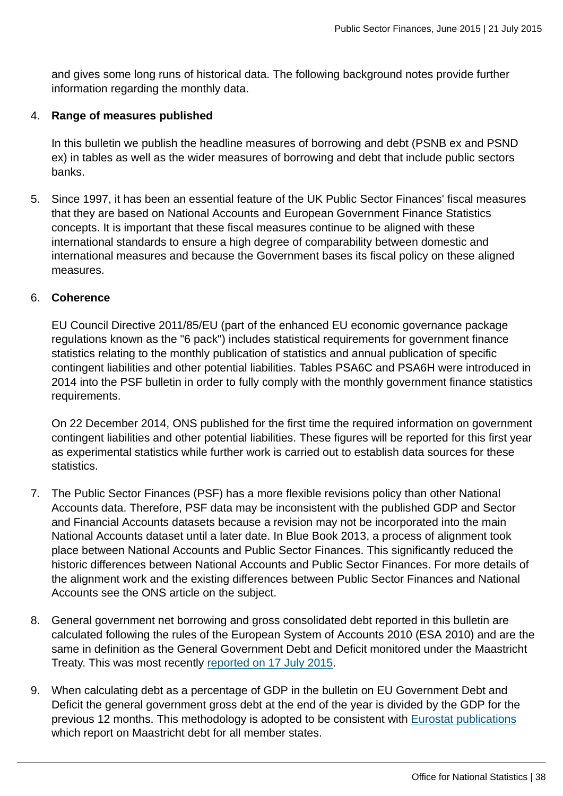and gives some long runs of historical data. The following background notes provide further information regarding the monthly data.

#### 4. **Range of measures published**

In this bulletin we publish the headline measures of borrowing and debt (PSNB ex and PSND ex) in tables as well as the wider measures of borrowing and debt that include public sectors banks.

5. Since 1997, it has been an essential feature of the UK Public Sector Finances' fiscal measures that they are based on National Accounts and European Government Finance Statistics concepts. It is important that these fiscal measures continue to be aligned with these international standards to ensure a high degree of comparability between domestic and international measures and because the Government bases its fiscal policy on these aligned measures.

#### 6. **Coherence**

EU Council Directive 2011/85/EU (part of the enhanced EU economic governance package regulations known as the "6 pack") includes statistical requirements for government finance statistics relating to the monthly publication of statistics and annual publication of specific contingent liabilities and other potential liabilities. Tables PSA6C and PSA6H were introduced in 2014 into the PSF bulletin in order to fully comply with the monthly government finance statistics requirements.

On 22 December 2014, ONS published for the first time the required information on government contingent liabilities and other potential liabilities. These figures will be reported for this first year as experimental statistics while further work is carried out to establish data sources for these statistics.

- 7. The Public Sector Finances (PSF) has a more flexible revisions policy than other National Accounts data. Therefore, PSF data may be inconsistent with the published GDP and Sector and Financial Accounts datasets because a revision may not be incorporated into the main National Accounts dataset until a later date. In Blue Book 2013, a process of alignment took place between National Accounts and Public Sector Finances. This significantly reduced the historic differences between National Accounts and Public Sector Finances. For more details of the alignment work and the existing differences between Public Sector Finances and National Accounts see the ONS article on the subject.
- 8. General government net borrowing and gross consolidated debt reported in this bulletin are calculated following the rules of the European System of Accounts 2010 (ESA 2010) and are the same in definition as the General Government Debt and Deficit monitored under the Maastricht Treaty. This was most recently [reported on 17 July 2015.](http://www.ons.gov.uk:80/ons/rel/psa/maast-supplementary-data-tables/q4-2014/stb---march-2014.html)
- 9. When calculating debt as a percentage of GDP in the bulletin on EU Government Debt and Deficit the general government gross debt at the end of the year is divided by the GDP for the previous 12 months. This methodology is adopted to be consistent with [Eurostat publications](http://ec.europa.eu/eurostat/web/government-finance-statistics/publications/press-releases) which report on Maastricht debt for all member states.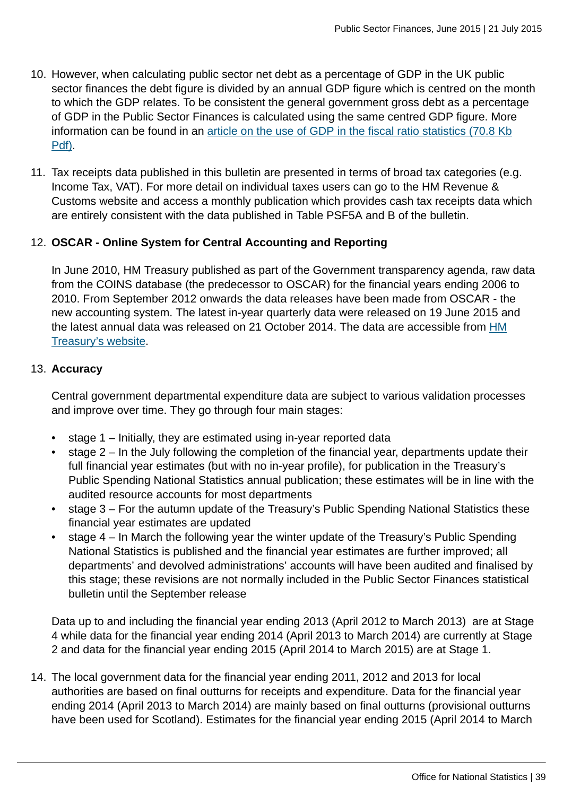- 10. However, when calculating public sector net debt as a percentage of GDP in the UK public sector finances the debt figure is divided by an annual GDP figure which is centred on the month to which the GDP relates. To be consistent the general government gross debt as a percentage of GDP in the Public Sector Finances is calculated using the same centred GDP figure. More information can be found in an [article on the use of GDP in the fiscal ratio statistics \(70.8 Kb](http://www.ons.gov.uk:80/ons/guide-method/method-quality/specific/economy/public-sector-statistics/the-use-of-gross-domestic-product--gdp--in-fiscal-ratio-statistics.pdf) [Pdf\)](http://www.ons.gov.uk:80/ons/guide-method/method-quality/specific/economy/public-sector-statistics/the-use-of-gross-domestic-product--gdp--in-fiscal-ratio-statistics.pdf).
- 11. Tax receipts data published in this bulletin are presented in terms of broad tax categories (e.g. Income Tax, VAT). For more detail on individual taxes users can go to the HM Revenue & Customs website and access a monthly publication which provides cash tax receipts data which are entirely consistent with the data published in Table PSF5A and B of the bulletin.

#### 12. **OSCAR - Online System for Central Accounting and Reporting**

In June 2010, HM Treasury published as part of the Government transparency agenda, raw data from the COINS database (the predecessor to OSCAR) for the financial years ending 2006 to 2010. From September 2012 onwards the data releases have been made from OSCAR - the new accounting system. The latest in-year quarterly data were released on 19 June 2015 and the latest annual data was released on 21 October 2014. The data are accessible from [HM](https://www.gov.uk/government/collections/hmt-oscar-publishing-from-the-database) [Treasury's website.](https://www.gov.uk/government/collections/hmt-oscar-publishing-from-the-database)

#### 13. **Accuracy**

Central government departmental expenditure data are subject to various validation processes and improve over time. They go through four main stages:

- stage 1 Initially, they are estimated using in-year reported data
- stage 2 In the July following the completion of the financial year, departments update their full financial year estimates (but with no in-year profile), for publication in the Treasury's Public Spending National Statistics annual publication; these estimates will be in line with the audited resource accounts for most departments
- stage 3 For the autumn update of the Treasury's Public Spending National Statistics these financial year estimates are updated
- stage 4 In March the following year the winter update of the Treasury's Public Spending National Statistics is published and the financial year estimates are further improved; all departments' and devolved administrations' accounts will have been audited and finalised by this stage; these revisions are not normally included in the Public Sector Finances statistical bulletin until the September release

Data up to and including the financial year ending 2013 (April 2012 to March 2013) are at Stage 4 while data for the financial year ending 2014 (April 2013 to March 2014) are currently at Stage 2 and data for the financial year ending 2015 (April 2014 to March 2015) are at Stage 1.

14. The local government data for the financial year ending 2011, 2012 and 2013 for local authorities are based on final outturns for receipts and expenditure. Data for the financial year ending 2014 (April 2013 to March 2014) are mainly based on final outturns (provisional outturns have been used for Scotland). Estimates for the financial year ending 2015 (April 2014 to March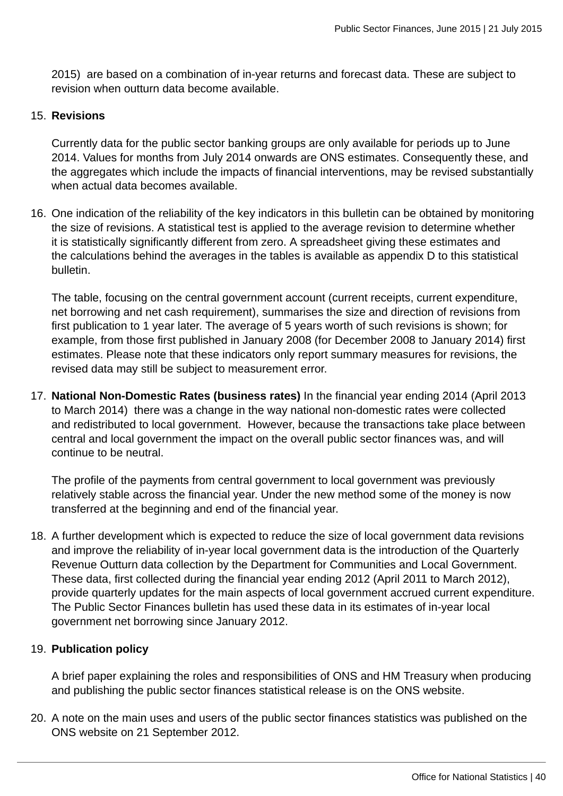2015) are based on a combination of in-year returns and forecast data. These are subject to revision when outturn data become available.

#### 15. **Revisions**

Currently data for the public sector banking groups are only available for periods up to June 2014. Values for months from July 2014 onwards are ONS estimates. Consequently these, and the aggregates which include the impacts of financial interventions, may be revised substantially when actual data becomes available.

16. One indication of the reliability of the key indicators in this bulletin can be obtained by monitoring the size of revisions. A statistical test is applied to the average revision to determine whether it is statistically significantly different from zero. A spreadsheet giving these estimates and the calculations behind the averages in the tables is available as appendix D to this statistical bulletin.

The table, focusing on the central government account (current receipts, current expenditure, net borrowing and net cash requirement), summarises the size and direction of revisions from first publication to 1 year later. The average of 5 years worth of such revisions is shown; for example, from those first published in January 2008 (for December 2008 to January 2014) first estimates. Please note that these indicators only report summary measures for revisions, the revised data may still be subject to measurement error.

17. **National Non-Domestic Rates (business rates)** In the financial year ending 2014 (April 2013 to March 2014) there was a change in the way national non-domestic rates were collected and redistributed to local government. However, because the transactions take place between central and local government the impact on the overall public sector finances was, and will continue to be neutral.

The profile of the payments from central government to local government was previously relatively stable across the financial year. Under the new method some of the money is now transferred at the beginning and end of the financial year.

18. A further development which is expected to reduce the size of local government data revisions and improve the reliability of in-year local government data is the introduction of the Quarterly Revenue Outturn data collection by the Department for Communities and Local Government. These data, first collected during the financial year ending 2012 (April 2011 to March 2012), provide quarterly updates for the main aspects of local government accrued current expenditure. The Public Sector Finances bulletin has used these data in its estimates of in-year local government net borrowing since January 2012.

#### 19. **Publication policy**

A brief paper explaining the roles and responsibilities of ONS and HM Treasury when producing and publishing the public sector finances statistical release is on the ONS website.

20. A note on the main uses and users of the public sector finances statistics was published on the ONS website on 21 September 2012.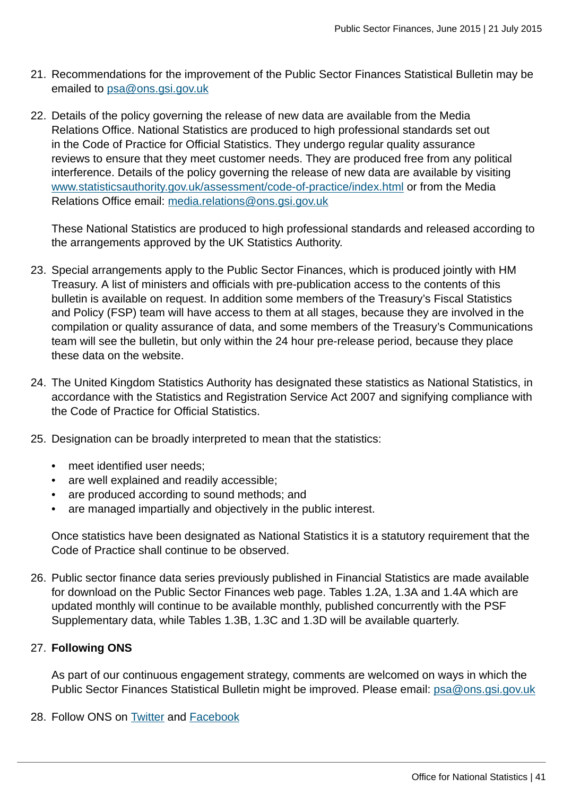- 21. Recommendations for the improvement of the Public Sector Finances Statistical Bulletin may be emailed to [psa@ons.gsi.gov.uk](mailto:psa@ons.gsi.gov.uk)
- 22. Details of the policy governing the release of new data are available from the Media Relations Office. National Statistics are produced to high professional standards set out in the Code of Practice for Official Statistics. They undergo regular quality assurance reviews to ensure that they meet customer needs. They are produced free from any political interference. Details of the policy governing the release of new data are available by visiting [www.statisticsauthority.gov.uk/assessment/code-of-practice/index.html](http://www.statisticsauthority.gov.uk/assessment/code-of-practice/index.html) or from the Media Relations Office email: [media.relations@ons.gsi.gov.uk](mailto:media.relations@ons.gsi.gov.uk)

These National Statistics are produced to high professional standards and released according to the arrangements approved by the UK Statistics Authority.

- 23. Special arrangements apply to the Public Sector Finances, which is produced jointly with HM Treasury. A list of ministers and officials with pre-publication access to the contents of this bulletin is available on request. In addition some members of the Treasury's Fiscal Statistics and Policy (FSP) team will have access to them at all stages, because they are involved in the compilation or quality assurance of data, and some members of the Treasury's Communications team will see the bulletin, but only within the 24 hour pre-release period, because they place these data on the website.
- 24. The United Kingdom Statistics Authority has designated these statistics as National Statistics, in accordance with the Statistics and Registration Service Act 2007 and signifying compliance with the Code of Practice for Official Statistics.
- 25. Designation can be broadly interpreted to mean that the statistics:
	- meet identified user needs:
	- are well explained and readily accessible;
	- are produced according to sound methods; and
	- are managed impartially and objectively in the public interest.

Once statistics have been designated as National Statistics it is a statutory requirement that the Code of Practice shall continue to be observed.

26. Public sector finance data series previously published in Financial Statistics are made available for download on the Public Sector Finances web page. Tables 1.2A, 1.3A and 1.4A which are updated monthly will continue to be available monthly, published concurrently with the PSF Supplementary data, while Tables 1.3B, 1.3C and 1.3D will be available quarterly.

#### 27. **Following ONS**

As part of our continuous engagement strategy, comments are welcomed on ways in which the Public Sector Finances Statistical Bulletin might be improved. Please email: [psa@ons.gsi.gov.uk](mailto:psa@ons.gsi.gov.uk)

28. Follow ONS on **Twitter** and **Facebook**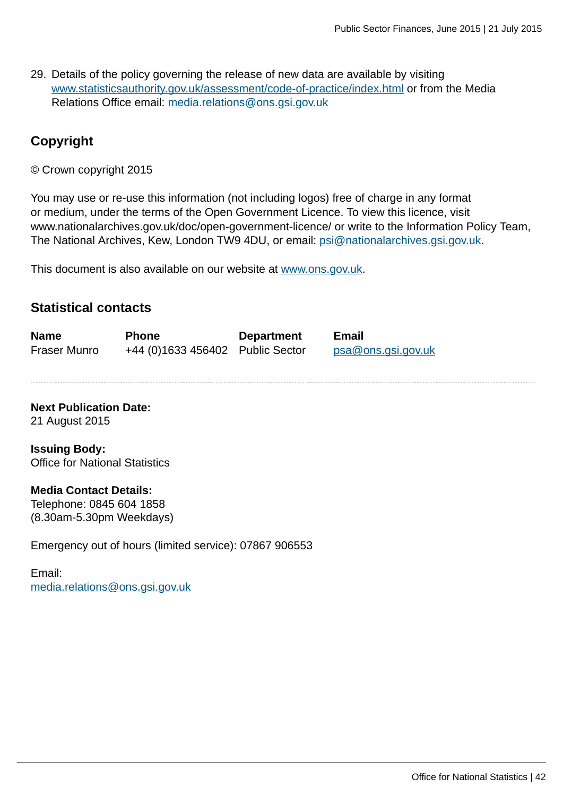29. Details of the policy governing the release of new data are available by visiting [www.statisticsauthority.gov.uk/assessment/code-of-practice/index.html](http://www.statisticsauthority.gov.uk/assessment/code-of-practice/index.html) or from the Media Relations Office email: [media.relations@ons.gsi.gov.uk](mailto:media.relations@ons.gsi.gov.uk)

### **Copyright**

© Crown copyright 2015

You may use or re-use this information (not including logos) free of charge in any format or medium, under the terms of the Open Government Licence. To view this licence, visit www.nationalarchives.gov.uk/doc/open-government-licence/ or write to the Information Policy Team, The National Archives, Kew, London TW9 4DU, or email: [psi@nationalarchives.gsi.gov.uk](mailto:psi@nationalarchives.gsi.gov.uk).

This document is also available on our website at [www.ons.gov.uk.](http://www.ons.gov.uk/)

#### **Statistical contacts**

| <b>Name</b>  | <b>Phone</b>                     | <b>Department</b> | <b>Email</b>       |
|--------------|----------------------------------|-------------------|--------------------|
| Fraser Munro | +44 (0)1633 456402 Public Sector |                   | psa@ons.gsi.gov.uk |

**Next Publication Date:** 21 August 2015

**Issuing Body:** Office for National Statistics

#### **Media Contact Details:**

Telephone: 0845 604 1858 (8.30am-5.30pm Weekdays)

Emergency out of hours (limited service): 07867 906553

Email: [media.relations@ons.gsi.gov.uk](mailto:media.relations@ons.gsi.gov.uk)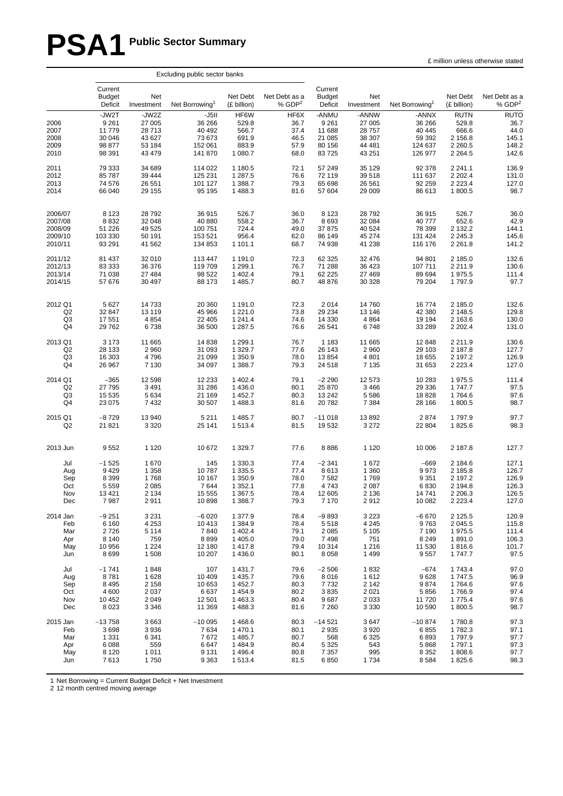# **PSA1 Public Sector Summary**

|                                      | Excluding public sector banks                           |                                                        |                                                             |                                                     |                                              |                                                         |                                                         |                                                           |                                                                     |                                                        |
|--------------------------------------|---------------------------------------------------------|--------------------------------------------------------|-------------------------------------------------------------|-----------------------------------------------------|----------------------------------------------|---------------------------------------------------------|---------------------------------------------------------|-----------------------------------------------------------|---------------------------------------------------------------------|--------------------------------------------------------|
|                                      | Current<br><b>Budget</b><br>Deficit                     | Net<br>Investment                                      | Net Borrowing <sup>1</sup>                                  | Net Debt<br>(£ billion)                             | Net Debt as a<br>% GDP <sup>2</sup>          | Current<br><b>Budget</b><br>Deficit                     | Net<br>Investment                                       | Net Borrowing <sup>1</sup>                                | Net Debt<br>(£ billion)                                             | Net Debt as a<br>% GDP <sup>2</sup>                    |
| 2006<br>2007<br>2008<br>2009<br>2010 | -JW2T<br>9 2 6 1<br>11779<br>30 046<br>98 877<br>98 391 | -JW2Z<br>27 005<br>28713<br>43 627<br>53 184<br>43 479 | $-J5II$<br>36 266<br>40 492<br>73 673<br>152 061<br>141 870 | HF6W<br>529.8<br>566.7<br>691.9<br>883.9<br>1 080.7 | HF6X<br>36.7<br>37.4<br>46.5<br>57.9<br>68.0 | -ANMU<br>9 2 6 1<br>11 688<br>21 085<br>80 156<br>83725 | -ANNW<br>27 005<br>28 757<br>38 307<br>44 481<br>43 251 | -ANNX<br>36 266<br>40 445<br>59 392<br>124 637<br>126 977 | <b>RUTN</b><br>529.8<br>666.6<br>2 156.8<br>2 2 6 0.5<br>2 2 6 4 .5 | <b>RUTO</b><br>36.7<br>44.0<br>145.1<br>148.2<br>142.6 |
| 2011                                 | 79 333                                                  | 34 689                                                 | 114 022                                                     | 1 180.5                                             | 72.1                                         | 57 249                                                  | 35 129                                                  | 92 378                                                    | 2 2 4 1 . 1                                                         | 136.9                                                  |
| 2012                                 | 85 787                                                  | 39 4 44                                                | 125 231                                                     | 1 287.5                                             | 76.6                                         | 72 119                                                  | 39 518                                                  | 111 637                                                   | 2 2 0 2.4                                                           | 131.0                                                  |
| 2013                                 | 74 576                                                  | 26 551                                                 | 101 127                                                     | 1 388.7                                             | 79.3                                         | 65 698                                                  | 26 561                                                  | 92 259                                                    | 2 2 2 3 . 4                                                         | 127.0                                                  |
| 2014                                 | 66 040                                                  | 29 155                                                 | 95 195                                                      | 1488.3                                              | 81.6                                         | 57 604                                                  | 29 009                                                  | 86 613                                                    | 1800.5                                                              | 98.7                                                   |
| 2006/07                              | 8 1 2 3                                                 | 28792                                                  | 36 915                                                      | 526.7                                               | 36.0                                         | 8 1 2 3                                                 | 28792                                                   | 36 915                                                    | 526.7                                                               | 36.0                                                   |
| 2007/08                              | 8832                                                    | 32 048                                                 | 40 880                                                      | 558.2                                               | 36.7                                         | 8693                                                    | 32 084                                                  | 40 777                                                    | 652.6                                                               | 42.9                                                   |
| 2008/09                              | 51 226                                                  | 49 525                                                 | 100 751                                                     | 724.4                                               | 49.0                                         | 37 875                                                  | 40 524                                                  | 78 399                                                    | 2 132.2                                                             | 144.1                                                  |
| 2009/10                              | 103 330                                                 | 50 191                                                 | 153 521                                                     | 956.4                                               | 62.0                                         | 86 149                                                  | 45 274                                                  | 131 424                                                   | 2 2 4 5 . 3                                                         | 145.6                                                  |
| 2010/11                              | 93 291                                                  | 41 562                                                 | 134 853                                                     | 1 101.1                                             | 68.7                                         | 74 938                                                  | 41 238                                                  | 116 176                                                   | 2 2 6 1 . 8                                                         | 141.2                                                  |
| 2011/12                              | 81 437                                                  | 32 010                                                 | 113 447                                                     | 1 191.0                                             | 72.3                                         | 62 325                                                  | 32 476                                                  | 94 801                                                    | 2 185.0                                                             | 132.6                                                  |
| 2012/13                              | 83 333                                                  | 36 376                                                 | 119 709                                                     | 1 299.1                                             | 76.7                                         | 71 288                                                  | 36 423                                                  | 107 711                                                   | 2 2 1 1.9                                                           | 130.6                                                  |
| 2013/14                              | 71 038                                                  | 27 4 8 4                                               | 98 522                                                      | 1 402.4                                             | 79.1                                         | 62 2 2 5                                                | 27 469                                                  | 89 694                                                    | 1975.5                                                              | 111.4                                                  |
| 2014/15                              | 57 676                                                  | 30 497                                                 | 88 173                                                      | 1485.7                                              | 80.7                                         | 48 876                                                  | 30 328                                                  | 79 204                                                    | 1797.9                                                              | 97.7                                                   |
| 2012 Q1                              | 5 6 27                                                  | 14733                                                  | 20 360                                                      | 1 191.0                                             | 72.3                                         | 2014                                                    | 14 760                                                  | 16774                                                     | 2 185.0                                                             | 132.6                                                  |
| Q2                                   | 32 847                                                  | 13 1 19                                                | 45 966                                                      | 1 2 2 1 .0                                          | 73.8                                         | 29 234                                                  | 13 146                                                  | 42 380                                                    | 2 148.5                                                             | 129.8                                                  |
| Q3                                   | 17 551                                                  | 4854                                                   | 22 4 05                                                     | 1 241.4                                             | 74.6                                         | 14 330                                                  | 4 8 6 4                                                 | 19 194                                                    | 2 163.6                                                             | 130.0                                                  |
| Q4                                   | 29 7 62                                                 | 6738                                                   | 36 500                                                      | 1 287.5                                             | 76.6                                         | 26 541                                                  | 6748                                                    | 33 289                                                    | 2 2 0 2.4                                                           | 131.0                                                  |
| 2013 Q1                              | 3 1 7 3                                                 | 11 665                                                 | 14 8 38                                                     | 1 299.1                                             | 76.7                                         | 1 1 8 3                                                 | 11 665                                                  | 12 848                                                    | 2 2 1 1.9                                                           | 130.6                                                  |
| Q2                                   | 28 133                                                  | 2960                                                   | 31 093                                                      | 1 3 2 9.7                                           | 77.6                                         | 26 143                                                  | 2 9 6 0                                                 | 29 103                                                    | 2 187.8                                                             | 127.7                                                  |
| Q3                                   | 16 303                                                  | 4796                                                   | 21 099                                                      | 1 350.9                                             | 78.0                                         | 13854                                                   | 4 8 0 1                                                 | 18 655                                                    | 2 197.2                                                             | 126.9                                                  |
| Q4                                   | 26 967                                                  | 7 1 3 0                                                | 34 097                                                      | 1 388.7                                             | 79.3                                         | 24 5 18                                                 | 7 1 3 5                                                 | 31 653                                                    | 2 2 2 3 . 4                                                         | 127.0                                                  |
| 2014 Q1                              | $-365$                                                  | 12 5 9 8                                               | 12 2 3 3                                                    | 1 402.4                                             | 79.1                                         | $-2290$                                                 | 12 573                                                  | 10 283                                                    | 1975.5                                                              | 111.4                                                  |
| Q2                                   | 27 795                                                  | 3 4 9 1                                                | 31 286                                                      | 1 4 3 6.0                                           | 80.1                                         | 25 870                                                  | 3 4 6 6                                                 | 29 336                                                    | 1747.7                                                              | 97.5                                                   |
| Q3                                   | 15 5 35                                                 | 5634                                                   | 21 169                                                      | 1452.7                                              | 80.3                                         | 13 24 2                                                 | 5 5 8 6                                                 | 18828                                                     | 1764.6                                                              | 97.6                                                   |
| Q4                                   | 23 075                                                  | 7432                                                   | 30 507                                                      | 1488.3                                              | 81.6                                         | 20782                                                   | 7 3 8 4                                                 | 28 166                                                    | 1800.5                                                              | 98.7                                                   |
| 2015 Q1                              | $-8729$                                                 | 13 940                                                 | 5 2 1 1                                                     | 1485.7                                              | 80.7                                         | $-11018$                                                | 13892                                                   | 2874                                                      | 1797.9                                                              | 97.7                                                   |
| Q2                                   | 21 821                                                  | 3 3 2 0                                                | 25 141                                                      | 1513.4                                              | 81.5                                         | 19 532                                                  | 3 2 7 2                                                 | 22 804                                                    | 1825.6                                                              | 98.3                                                   |
| 2013 Jun                             | 9552                                                    | 1 1 2 0                                                | 10 672                                                      | 1 3 2 9.7                                           | 77.6                                         | 8886                                                    | 1 1 2 0                                                 | 10 006                                                    | 2 187.8                                                             | 127.7                                                  |
| Jul                                  | $-1525$                                                 | 1670                                                   | 145                                                         | 1 3 3 0 . 3                                         | 77.4                                         | $-2341$                                                 | 1672                                                    | $-669$                                                    | 2 184.6                                                             | 127.1                                                  |
| Aug                                  | 9429                                                    | 1 3 5 8                                                | 10787                                                       | 1 3 3 5.5                                           | 77.4                                         | 8613                                                    | 1 3 6 0                                                 | 9973                                                      | 2 185.8                                                             | 126.7                                                  |
| Sep                                  | 8 3 9 9                                                 | 1768                                                   | 10 167                                                      | 1 350.9                                             | 78.0                                         | 7582                                                    | 1769                                                    | 9 3 5 1                                                   | 2 197.2                                                             | 126.9                                                  |
| Oct                                  | 5 5 5 9                                                 | 2085                                                   | 7644                                                        | 1 3 5 2 . 1                                         | 77.8                                         | 4743                                                    | 2 0 8 7                                                 | 6830                                                      | 2 194.8                                                             | 126.3                                                  |
| Nov                                  | 13421                                                   | 2 134                                                  | 15 555                                                      | 136/5                                               | 78.4                                         | 12 605                                                  | 2 136                                                   | 14 741                                                    | 2 206.3                                                             | 126.5                                                  |
| Dec                                  | 7987                                                    | 2911                                                   | 10898                                                       | 1 388.7                                             | 79.3                                         | 7 1 7 0                                                 | 2912                                                    | 10 082                                                    | 2 2 2 3 . 4                                                         | 127.0                                                  |
| 2014 Jan                             | $-9251$                                                 | 3 2 3 1                                                | $-6020$                                                     | 1 377.9                                             | 78.4                                         | $-9893$                                                 | 3 2 2 3                                                 | $-6670$                                                   | 2 1 2 5 .5                                                          | 120.9                                                  |
| Feb                                  | 6 1 6 0                                                 | 4 2 5 3                                                | 10 413                                                      | 1 3 8 4 .9                                          | 78.4                                         | 5518                                                    | 4 2 4 5                                                 | 9763                                                      | 2 0 4 5 .5                                                          | 115.8                                                  |
| Mar                                  | 2726                                                    | 5 1 1 4                                                | 7840                                                        | 1 402.4                                             | 79.1                                         | 2 0 8 5                                                 | 5 1 0 5                                                 | 7 1 9 0                                                   | 1975.5                                                              | 111.4                                                  |
| Apr                                  | 8 1 4 0                                                 | 759                                                    | 8899                                                        | 1 405.0                                             | 79.0                                         | 7498                                                    | 751                                                     | 8 2 4 9                                                   | 1891.0                                                              | 106.3                                                  |
| May                                  | 10 956                                                  | 1 2 2 4                                                | 12 180                                                      | 1417.8                                              | 79.4                                         | 10 314                                                  | 1 2 1 6                                                 | 11 530                                                    | 1816.6                                                              | 101.7                                                  |
| Jun                                  | 8699                                                    | 1508                                                   | 10 207                                                      | 1 4 3 6.0                                           | 80.1                                         | 8 0 5 8                                                 | 1 4 9 9                                                 | 9557                                                      | 1747.7                                                              | 97.5                                                   |
| Jul                                  | $-1741$                                                 | 1848                                                   | 107                                                         | 1 431.7                                             | 79.6                                         | $-2506$                                                 | 1832                                                    | $-674$                                                    | 1743.4                                                              | 97.0                                                   |
| Aug                                  | 8781                                                    | 1628                                                   | 10 409                                                      | 1 4 3 5.7                                           | 79.6                                         | 8016                                                    | 1612                                                    | 9628                                                      | 1747.5                                                              | 96.9                                                   |
| Sep                                  | 8 4 9 5                                                 | 2 1 5 8                                                | 10 653                                                      | 1452.7                                              | 80.3                                         | 7732                                                    | 2 1 4 2                                                 | 9874                                                      | 1764.6                                                              | 97.6                                                   |
| Oct                                  | 4 600                                                   | 2037                                                   | 6637                                                        | 1454.9                                              | 80.2                                         | 3835                                                    | 2 0 2 1                                                 | 5856                                                      | 1766.9                                                              | 97.4                                                   |
| Nov                                  | 10 452                                                  | 2049                                                   | 12 501                                                      | 1463.3                                              | 80.4                                         | 9687                                                    | 2 0 3 3                                                 | 11720                                                     | 1775.4                                                              | 97.6                                                   |
| Dec                                  | 8 0 23                                                  | 3 3 4 6                                                | 11 369                                                      | 1488.3                                              | 81.6                                         | 7 2 6 0                                                 | 3 3 3 0                                                 | 10 590                                                    | 1800.5                                                              | 98.7                                                   |
| 2015 Jan                             | $-13758$                                                | 3663                                                   | $-10005$                                                    | 1468.6                                              | 80.3                                         | $-14521$                                                | 3647                                                    | $-10.874$                                                 | 1780.8                                                              | 97.3                                                   |
| Feb                                  | 3698                                                    | 3936                                                   | 7634                                                        | 1470.1                                              | 80.1                                         | 2935                                                    | 3 9 2 0                                                 | 6855                                                      | 1782.3                                                              | 97.1                                                   |
| Mar                                  | 1 3 3 1                                                 | 6 3 4 1                                                | 7672                                                        | 1485.7                                              | 80.7                                         | 568                                                     | 6 3 2 5                                                 | 6893                                                      | 1797.9                                                              | 97.7                                                   |
| Apr                                  | 6 0 8 8                                                 | 559                                                    | 6647                                                        | 1484.9                                              | 80.4                                         | 5 3 2 5                                                 | 543                                                     | 5868                                                      | 1797.1                                                              | 97.3                                                   |
| May                                  | 8 1 2 0                                                 | 1011                                                   | 9 1 3 1                                                     | 1496.4                                              | 80.8                                         | 7 3 5 7                                                 | 995                                                     | 8 3 5 2                                                   | 1808.6                                                              | 97.7                                                   |
| Jun                                  | 7613                                                    | 1750                                                   | 9 3 6 3                                                     | 1513.4                                              | 81.5                                         | 6850                                                    | 1 7 3 4                                                 | 8 5 8 4                                                   | 1825.6                                                              | 98.3                                                   |

1 Net Borrowing = Current Budget Deficit + Net Investment

2 12 month centred moving average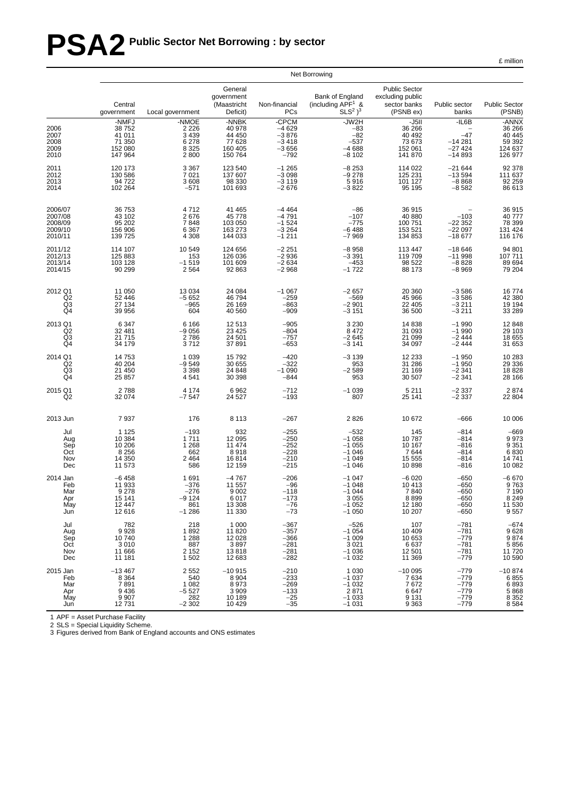# **PSA2 Public Sector Net Borrowing : by sector**

£ million

|                                                     |                                                          |                                                             |                                                             |                                                             | Net Borrowing                                                   |                                                                       |                                                          |                                                            |
|-----------------------------------------------------|----------------------------------------------------------|-------------------------------------------------------------|-------------------------------------------------------------|-------------------------------------------------------------|-----------------------------------------------------------------|-----------------------------------------------------------------------|----------------------------------------------------------|------------------------------------------------------------|
|                                                     | Central<br>government                                    | Local government                                            | General<br>government<br>(Maastricht<br>Deficit)            | Non-financial<br>PCs                                        | Bank of England<br>(including $APF1$ &<br>$SLS2$ ) <sup>3</sup> | <b>Public Sector</b><br>excluding public<br>sector banks<br>(PSNB ex) | Public sector<br>banks                                   | <b>Public Sector</b><br>(PSNB)                             |
| 2006<br>2007<br>2008<br>2009<br>2010                | -NMFJ<br>38752<br>41 011<br>71 350<br>152 080<br>147 964 | -NMOE<br>2 2 2 6<br>3 4 3 9<br>6 2 7 8<br>$8\,325$<br>2 800 | -NNBK<br>40 978<br>44 450<br>77 628<br>160 405<br>150 764   | -CPCM<br>$-4629$<br>$-3876$<br>$-3418$<br>$-3656$<br>$-792$ | -JW2H<br>$-83$<br>$-82$<br>$-537$<br>$-4688$<br>$-8102$         | $-J5II$<br>36 266<br>40 492<br>73 673<br>152 061<br>141 870           | $-IL6B$<br>$-47$<br>$-14281$<br>$-27424$<br>$-14893$     | -ANNX<br>36 26 6<br>40 445<br>59 392<br>124 637<br>126 977 |
| 2011                                                | 120 173                                                  | 3 3 6 7                                                     | 123 540                                                     | $-1265$                                                     | $-8253$                                                         | 114 022                                                               | $-21644$                                                 | 92 378                                                     |
| 2012                                                | 130 586                                                  | 7 0 21                                                      | 137 607                                                     | $-3098$                                                     | $-9278$                                                         | 125 231                                                               | $-13594$                                                 | 111 637                                                    |
| 2013                                                | 94 722                                                   | 3 608                                                       | 98 330                                                      | $-3119$                                                     | 5916                                                            | 101 127                                                               | $-8868$                                                  | 92 259                                                     |
| 2014                                                | 102 264                                                  | $-571$                                                      | 101 693                                                     | $-2676$                                                     | $-3822$                                                         | 95 195                                                                | $-8582$                                                  | 86 613                                                     |
| 2006/07<br>2007/08<br>2008/09<br>2009/10<br>2010/11 | 36 753<br>43 102<br>95 202<br>156 906<br>139 725         | 4712<br>2676<br>7848<br>6 3 6 7<br>4 3 0 8                  | 41 465<br>45 778<br>103 050<br>163 273<br>144 033           | $-4464$<br>$-4791$<br>$-1524$<br>$-3264$<br>$-1211$         | $-86$<br>$-107$<br>$-775$<br>$-6488$<br>$-7969$                 | 36 915<br>40 880<br>100 751<br>153 521<br>134 853                     | $-103$<br>$-22352$<br>$-22097$<br>$-18677$               | 36 915<br>40 777<br>78 399<br>131 424<br>116 176           |
| 2011/12                                             | 114 107                                                  | 10 549                                                      | 124 656                                                     | $-2251$                                                     | $-8958$                                                         | 113 447                                                               | $-18646$                                                 | 94 801                                                     |
| 2012/13                                             | 125 883                                                  | 153                                                         | 126 036                                                     | $-2936$                                                     | $-3391$                                                         | 119 709                                                               | $-11998$                                                 | 107 711                                                    |
| 2013/14                                             | 103 128                                                  | $-1519$                                                     | 101 609                                                     | $-2634$                                                     | $-453$                                                          | 98 522                                                                | $-8828$                                                  | 89 694                                                     |
| 2014/15                                             | 90 299                                                   | 2 5 6 4                                                     | 92 863                                                      | $-2968$                                                     | $-1722$                                                         | 88 173                                                                | $-8969$                                                  | 79 204                                                     |
| 2012 Q1                                             | 11 050                                                   | 13 0 34                                                     | 24 084                                                      | $-1067$                                                     | $-2657$                                                         | 20 360                                                                | $-3586$                                                  | 16774                                                      |
| Q <sub>2</sub>                                      | 52 446                                                   | $-5652$                                                     | 46 794                                                      | $-259$                                                      | $-569$                                                          | 45 966                                                                | $-3586$                                                  | 42 380                                                     |
| $\overline{Q3}$                                     | 27 134                                                   | $-965$                                                      | 26 169                                                      | $-863$                                                      | $-2901$                                                         | 22 405                                                                | $-3211$                                                  | 19 194                                                     |
| Q4                                                  | 39 956                                                   | 604                                                         | 40 560                                                      | $-909$                                                      | $-3151$                                                         | 36 500                                                                | $-3211$                                                  | 33 289                                                     |
| 2013 Q1                                             | 6 3 4 7                                                  | 6 1 6 6                                                     | 12 513                                                      | $-905$                                                      | 3 2 3 0                                                         | 14 838                                                                | $-1990$                                                  | 12848                                                      |
| Q <sub>2</sub>                                      | 32 481                                                   | $-9056$                                                     | 23 4 25                                                     | $-804$                                                      | 8472                                                            | 31 093                                                                | $-1990$                                                  | 29 103                                                     |
| Q3                                                  | 21715                                                    | 2786                                                        | 24 501                                                      | $-757$                                                      | $-2645$                                                         | 21 099                                                                | $-2444$                                                  | 18 655                                                     |
| Q4                                                  | 34 179                                                   | 3712                                                        | 37 891                                                      | $-653$                                                      | $-3141$                                                         | 34 097                                                                | $-2444$                                                  | 31 653                                                     |
| 2014 Q1<br>Q <sub>2</sub><br>Q <sub>3</sub><br>Q4   | 14753<br>40 204<br>21 450<br>25 857                      | 1 0 3 9<br>$-9549$<br>3 3 9 8<br>4541                       | 15792<br>30 655<br>24 848<br>30 398                         | $-420$<br>$-322$<br>$-1090$<br>$-844$                       | $-3139$<br>953<br>$-2589$<br>953                                | 12 2 3 3<br>31 286<br>21 169<br>30 507                                | $-1950$<br>$-1950$<br>$-2341$<br>$-2341$                 | 10 283<br>29 336<br>18828<br>28 166                        |
| 2015 Q1                                             | 2788                                                     | 4 1 7 4                                                     | 6962                                                        | $-712$                                                      | $-1039$                                                         | 5 2 1 1                                                               | $-2337$                                                  | 2874                                                       |
| Q <sub>2</sub>                                      | 32 074                                                   | $-7547$                                                     | 24 5 27                                                     | $-193$                                                      | 807                                                             | 25 141                                                                | $-2337$                                                  | 22 804                                                     |
| 2013 Jun                                            | 7937                                                     | 176                                                         | 8 1 1 3                                                     | $-267$                                                      | 2826                                                            | 10 672                                                                | $-666$                                                   | 10 006                                                     |
| Jul                                                 | 1 1 2 5                                                  | $-193$                                                      | 932                                                         | $-255$                                                      | $-532$                                                          | 145                                                                   | $-814$                                                   | $-669$                                                     |
| Aug                                                 | 10 384                                                   | 1711                                                        | 12 095                                                      | $-250$                                                      | $-1058$                                                         | 10787                                                                 | $-814$                                                   | 9973                                                       |
| Sep                                                 | 10 20 6                                                  | 1 2 6 8                                                     | 11 474                                                      | $-252$                                                      | $-1055$                                                         | 10 167                                                                | $-816$                                                   | 9 3 5 1                                                    |
| Oct                                                 | 8 2 5 6                                                  | 662                                                         | 8918                                                        | $-228$                                                      | $-1046$                                                         | 7644                                                                  | $-814$                                                   | 6830                                                       |
| Nov                                                 | 14 350                                                   | 2 4 6 4                                                     | 16814                                                       | $-210$                                                      | $-1049$                                                         | 15 555                                                                | $-814$                                                   | 14741                                                      |
| Dec                                                 | 11 573                                                   | 586                                                         | 12 159                                                      | $-215$                                                      | $-1046$                                                         | 10898                                                                 | $-816$                                                   | 10 082                                                     |
| 2014 Jan                                            | $-6458$                                                  | 1691                                                        | $-4767$                                                     | $-206$                                                      | $-1047$                                                         | -6 020                                                                | $-650$                                                   | $-6670$                                                    |
| Feb                                                 | 11 933                                                   | $-376$                                                      | 11 557                                                      | $-96$                                                       | $-1048$                                                         | 10 413                                                                | $-650$                                                   | 9763                                                       |
| Mar                                                 | 9 2 7 8                                                  | $-276$                                                      | 9 0 0 2                                                     | $-118$                                                      | $-1044$                                                         | 7840                                                                  | $-650$                                                   | 7 1 9 0                                                    |
| Apr                                                 | 15 141                                                   | -9 124                                                      | 6017                                                        | $-173$                                                      | 3055                                                            | 8899                                                                  | -650                                                     | 8 2 4 9                                                    |
| May                                                 | 12 447                                                   | 861                                                         | 13 308                                                      | $-76$                                                       | $-1052$                                                         | 12 180                                                                | $-650$                                                   | 11 530                                                     |
| Jun                                                 | 12 616                                                   | $-1286$                                                     | 11 330                                                      | $-73$                                                       | $-1050$                                                         | 10 207                                                                | $-650$                                                   | 9557                                                       |
| Jul                                                 | 782                                                      | 218                                                         | 1 0 0 0                                                     | $-367$                                                      | $-526$                                                          | 107                                                                   | $-781$                                                   | $-674$                                                     |
| Aug                                                 | 9928                                                     | 1892                                                        | 11 820                                                      | $-357$                                                      | $-1054$                                                         | 10 409                                                                | $-781$                                                   | 9628                                                       |
| Sep                                                 | 10740                                                    | 1 2 8 8                                                     | 12 0 28                                                     | $-366$                                                      | $-1009$                                                         | 10 653                                                                | $-779$                                                   | 9874                                                       |
| Oct                                                 | 3 0 1 0                                                  | 887                                                         | 3897                                                        | $-281$                                                      | 3 0 21                                                          | 6637                                                                  | $-781$                                                   | 5856                                                       |
| Nov                                                 | 11 666                                                   | 2 1 5 2                                                     | 13818                                                       | $-281$                                                      | $-1036$                                                         | 12 501                                                                | $-781$                                                   | 11720                                                      |
| Dec                                                 | 11 181                                                   | 1 502                                                       | 12 683                                                      | $-282$                                                      | $-1032$                                                         | 11 369                                                                | $-779$                                                   | 10 590                                                     |
| 2015 Jan<br>Feb<br>Mar<br>Apr<br>May<br>Jun         | $-13467$<br>8 3 6 4<br>7891<br>9436<br>9 9 0 7<br>12731  | 2 5 5 2<br>540<br>1 0 8 2<br>$-5527$<br>282<br>$-2302$      | $-10915$<br>8 9 0 4<br>8973<br>3 9 0 9<br>10 189<br>10 4 29 | $-210$<br>$-233$<br>$-269$<br>$-133$<br>$-25$<br>$-35$      | 1 0 3 0<br>$-1037$<br>$-1032$<br>2871<br>$-1033$<br>$-1031$     | $-10005$<br>7634<br>7672<br>6647<br>9 1 3 1<br>9 3 6 3                | $-779$<br>$-779$<br>$-779$<br>$-779$<br>$-779$<br>$-779$ | $-10874$<br>$6855$<br>$6893$<br>5868<br>8352<br>8584       |

1 APF = Asset Purchase Facility

2 SLS = Special Liquidity Scheme. 3 Figures derived from Bank of England accounts and ONS estimates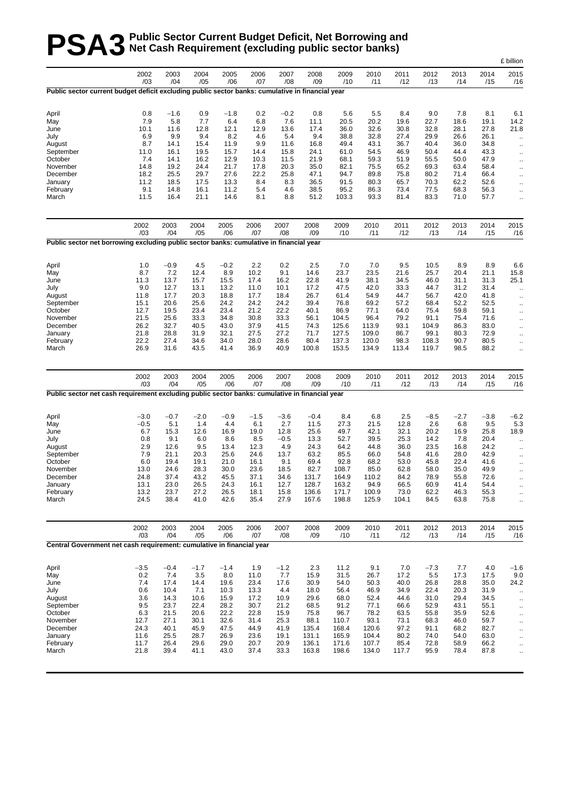# **PSA3** Public Sector Current Budget Deficit, Net Borrowing and<br> **PSA3** Net Cash Requirement (excluding public sector banks) **Net Cash Requirement (excluding public sector banks)**

|                                                                                                  |              |              |              |              |              |              |                |                |                |              |              |              |              | £ billion                                    |
|--------------------------------------------------------------------------------------------------|--------------|--------------|--------------|--------------|--------------|--------------|----------------|----------------|----------------|--------------|--------------|--------------|--------------|----------------------------------------------|
|                                                                                                  | 2002<br>/03  | 2003<br>/04  | 2004<br>/05  | 2005<br>/06  | 2006<br>/07  | 2007<br>/08  | 2008<br>/09    | 2009<br>/10    | 2010<br>/11    | 2011<br>/12  | 2012<br>/13  | 2013<br>/14  | 2014<br>/15  | 2015<br>/16                                  |
| Public sector current budget deficit excluding public sector banks: cumulative in financial year |              |              |              |              |              |              |                |                |                |              |              |              |              |                                              |
| April                                                                                            | 0.8          | $-1.6$       | 0.9          | $-1.8$       | 0.2          | $-0.2$       | 0.8            | 5.6            | 5.5            | 8.4          | 9.0          | 7.8          | 8.1          | 6.1                                          |
| May                                                                                              | 7.9          | 5.8          | 7.7          | 6.4          | 6.8          | 7.6          | 11.1           | 20.5           | 20.2           | 19.6         | 22.7         | 18.6         | 19.1         | 14.2                                         |
| June                                                                                             | 10.1         | 11.6         | 12.8         | 12.1         | 12.9         | 13.6         | 17.4           | 36.0           | 32.6           | 30.8         | 32.8         | 28.1         | 27.8         | 21.8                                         |
| July                                                                                             | 6.9          | 9.9          | 9.4          | 8.2          | 4.6          | 5.4          | 9.4            | 38.8           | 32.8           | 27.4         | 29.9         | 26.6         | 26.1         | $\cdot$ .                                    |
| August                                                                                           | 8.7<br>11.0  | 14.1<br>16.1 | 15.4         | 11.9<br>15.7 | 9.9<br>14.4  | 11.6<br>15.8 | 16.8           | 49.4<br>61.0   | 43.1<br>54.5   | 36.7<br>46.9 | 40.4<br>50.4 | 36.0<br>44.4 | 34.8<br>43.3 | $\ddotsc$                                    |
| September<br>October                                                                             | 7.4          | 14.1         | 19.5<br>16.2 | 12.9         | 10.3         | 11.5         | 24.1<br>21.9   | 68.1           | 59.3           | 51.9         | 55.5         | 50.0         | 47.9         | $\ddotsc$                                    |
| November                                                                                         | 14.8         | 19.2         | 24.4         | 21.7         | 17.8         | 20.3         | 35.0           | 82.1           | 75.5           | 65.2         | 69.3         | 63.4         | 58.4         | $\ddot{\phantom{0}}$<br>$\ddot{\phantom{0}}$ |
| December                                                                                         | 18.2         | 25.5         | 29.7         | 27.6         | 22.2         | 25.8         | 47.1           | 94.7           | 89.8           | 75.8         | 80.2         | 71.4         | 66.4         | $\ddotsc$                                    |
| January                                                                                          | 11.2         | 18.5         | 17.5         | 13.3         | 8.4          | 8.3          | 36.5           | 91.5           | 80.3           | 65.7         | 70.3         | 62.2         | 52.6         | $\ddot{\phantom{0}}$                         |
| February                                                                                         | 9.1          | 14.8         | 16.1         | 11.2         | 5.4          | 4.6          | 38.5           | 95.2           | 86.3           | 73.4         | 77.5         | 68.3         | 56.3         | $\ddot{\phantom{0}}$                         |
| March                                                                                            | 11.5         | 16.4         | 21.1         | 14.6         | 8.1          | 8.8          | 51.2           | 103.3          | 93.3           | 81.4         | 83.3         | 71.0         | 57.7         | $\ddotsc$                                    |
|                                                                                                  | 2002<br>/03  | 2003<br>/04  | 2004<br>/05  | 2005<br>/06  | 2006<br>/07  | 2007<br>/08  | 2008<br>/09    | 2009<br>/10    | 2010<br>/11    | 2011<br>/12  | 2012<br>/13  | 2013<br>/14  | 2014<br>/15  | 2015<br>/16                                  |
| Public sector net borrowing excluding public sector banks: cumulative in financial year          |              |              |              |              |              |              |                |                |                |              |              |              |              |                                              |
| April                                                                                            | 1.0          | $-0.9$       | 4.5          | $-0.2$       | 2.2          | 0.2          | 2.5            | 7.0            | 7.0            | 9.5          | 10.5         | 8.9          | 8.9          | 6.6                                          |
| May                                                                                              | 8.7          | 7.2          | 12.4         | 8.9          | 10.2         | 9.1          | 14.6           | 23.7           | 23.5           | 21.6         | 25.7         | 20.4         | 21.1         | 15.8                                         |
| June                                                                                             | 11.3         | 13.7         | 15.7         | 15.5         | 17.4         | 16.2         | 22.8           | 41.9           | 38.1           | 34.5         | 46.0         | 31.1         | 31.3         | 25.1                                         |
| July                                                                                             | 9.0          | 12.7         | 13.1         | 13.2         | 11.0         | 10.1         | 17.2           | 47.5           | 42.0           | 33.3         | 44.7         | 31.2         | 31.4         | $\ddotsc$                                    |
| August                                                                                           | 11.8         | 17.7         | 20.3         | 18.8         | 17.7         | 18.4         | 26.7           | 61.4           | 54.9           | 44.7         | 56.7         | 42.0         | 41.8         | $\ddot{\phantom{0}}$                         |
| September                                                                                        | 15.1         | 20.6         | 25.6         | 24.2         | 24.2         | 24.2         | 39.4           | 76.8           | 69.2           | 57.2         | 68.4         | 52.2         | 52.5         | $\ddot{\phantom{0}}$                         |
| October<br>November                                                                              | 12.7<br>21.5 | 19.5<br>25.6 | 23.4<br>33.3 | 23.4         | 21.2         | 22.2         | 40.1<br>56.1   | 86.9           | 77.1<br>96.4   | 64.0<br>79.2 | 75.4<br>91.1 | 59.8<br>75.4 | 59.1         | $\ddotsc$                                    |
| December                                                                                         | 26.2         | 32.7         | 40.5         | 34.8<br>43.0 | 30.8<br>37.9 | 33.3<br>41.5 | 74.3           | 104.5<br>125.6 | 113.9          | 93.1         | 104.9        | 86.3         | 71.6<br>83.0 | $\cdot$ .                                    |
| January                                                                                          | 21.8         | 28.8         | 31.9         | 32.1         | 27.5         | 27.2         | 71.7           | 127.5          | 109.0          | 86.7         | 99.1         | 80.3         | 72.9         | $\ddotsc$<br>$\ddotsc$                       |
| February                                                                                         | 22.2         | 27.4         | 34.6         | 34.0         | 28.0         | 28.6         | 80.4           | 137.3          | 120.0          | 98.3         | 108.3        | 90.7         | 80.5         | $\ddotsc$                                    |
| March                                                                                            | 26.9         | 31.6         | 43.5         | 41.4         | 36.9         | 40.9         | 100.8          | 153.5          | 134.9          | 113.4        | 119.7        | 98.5         | 88.2         | $\ddotsc$                                    |
| Public sector net cash requirement excluding public sector banks: cumulative in financial year   | 2002<br>/03  | 2003<br>/04  | 2004<br>/05  | 2005<br>/06  | 2006<br>/07  | 2007<br>/08  | 2008<br>/09    | 2009<br>/10    | 2010<br>/11    | 2011<br>/12  | 2012<br>/13  | 2013<br>/14  | 2014<br>/15  | 2015<br>/16                                  |
|                                                                                                  |              |              |              |              |              |              |                |                |                |              |              |              |              |                                              |
| April                                                                                            | $-3.0$       | $-0.7$       | $-2.0$       | $-0.9$       | $-1.5$       | $-3.6$       | $-0.4$         | 8.4            | 6.8            | 2.5          | $-8.5$       | $-2.7$       | $-3.8$       | $-6.2$                                       |
| May                                                                                              | $-0.5$       | 5.1          | 1.4          | 4.4          | 6.1          | 2.7          | 11.5           | 27.3           | 21.5           | 12.8         | 2.6          | 6.8          | 9.5          | 5.3                                          |
| June                                                                                             | 6.7          | 15.3         | 12.6         | 16.9         | 19.0         | 12.8         | 25.6           | 49.7           | 42.1           | 32.1         | 20.2         | 16.9         | 25.8         | 18.9                                         |
| July                                                                                             | 0.8<br>2.9   | 9.1<br>12.6  | 6.0          | 8.6          | 8.5          | $-0.5$       | 13.3           | 52.7           | 39.5           | 25.3         | 14.2         | 7.8          | 20.4         | $\ddotsc$                                    |
| August<br>September                                                                              | 7.9          | 21.1         | 9.5<br>20.3  | 13.4<br>25.6 | 12.3<br>24.6 | 4.9<br>13.7  | 24.3<br>63.2   | 64.2<br>85.5   | 44.8<br>66.0   | 36.0<br>54.8 | 23.5<br>41.6 | 16.8<br>28.0 | 24.2<br>42.9 | $\ddotsc$                                    |
| October                                                                                          | 6.0          | 19.4         | 19.1         | 21.0         | 16.1         | 9.1          | 69.4           | 92.8           | 68.2           | 53.0         | 45.8         | 22.4         | 41.6         | $\ddotsc$<br>$\cdot$ .                       |
| November                                                                                         | 13.0         | 24.6         | 28.3         | 30.0         | 23.6         | 18.5         | 82.7           | 108.7          | 85.0           | 62.8         | 58.0         | 35.0         | 49.9         | $\ddotsc$                                    |
| December                                                                                         | 24.8         | 37.4         | 43.2         | 45.5         | 37.1         | 34.6         | 131.7          | 164.9          | 110.2          | 84.2         | 78.9         | 55.8         | 72.6         |                                              |
| January                                                                                          | 13.1         | 23.0         | 26.5         | 24.3         | 16.1         | 12.7         | 128.7          | 163.2          | 94.9           | 66.5         | 60.9         | 41.4         | 54.4         | .,                                           |
| February                                                                                         | 13.2         | 23.7         | 27.2         | 26.5         | 18.1         | 15.8         | 136.6          | 171.7          | 100.9          | 73.0         | 62.2         | 46.3         | 55.3         | $\ddot{\phantom{0}}$                         |
| March                                                                                            | 24.5         | 38.4         | 41.0         | 42.6         | 35.4         | 27.9         | 167.6          | 198.8          | 125.9          | 104.1        | 84.5         | 63.8         | 75.8         | $\ddotsc$                                    |
|                                                                                                  | 2002<br>/03  | 2003<br>/04  | 2004         | 2005<br>/06  | 2006         | 2007         | 2008           | 2009           | 2010           | 2011         | 2012         | 2013         | 2014<br>/15  | 2015                                         |
| Central Government net cash requirement: cumulative in financial year                            |              |              | /05          |              | /07          | /08          | /09            | /10            | /11            | /12          | /13          | /14          |              | /16                                          |
| April                                                                                            | $-3.5$       | $-0.4$       | $-1.7$       | $-1.4$       | 1.9          | $-1.2$       | 2.3            | 11.2           | 9.1            | 7.0          | $-7.3$       | 7.7          | 4.0          | $-1.6$                                       |
| May                                                                                              | 0.2          | 7.4          | 3.5          | 8.0          | 11.0         | 7.7          | 15.9           | 31.5           | 26.7           | 17.2         | 5.5          | 17.3         | 17.5         | 9.0                                          |
| June                                                                                             | 7.4          | 17.4         | 14.4         | 19.6         | 23.4         | 17.6         | 30.9           | 54.0           | 50.3           | 40.0         | 26.8         | 28.8         | 35.0         | 24.2                                         |
| July                                                                                             | 0.6          | 10.4         | 7.1          | 10.3         | 13.3         | 4.4          | 18.0           | 56.4           | 46.9           | 34.9         | 22.4         | 20.3         | 31.9         | .,                                           |
| August                                                                                           | 3.6          | 14.3         | 10.6         | 15.9         | 17.2         | 10.9         | 29.6           | 68.0           | 52.4           | 44.6         | 31.0         | 29.4         | 34.5         | $\ddotsc$                                    |
| September                                                                                        | 9.5          | 23.7         | 22.4         | 28.2         | 30.7         | 21.2         | 68.5           | 91.2           | 77.1           | 66.6         | 52.9         | 43.1         | 55.1         | $\ddot{\phantom{0}}$                         |
| October                                                                                          | 6.3          | 21.5         | 20.6         | 22.2         | 22.8         | 15.9         | 75.8           | 96.7           | 78.2           | 63.5         | 55.8         | 35.9         | 52.6         | .,                                           |
| November                                                                                         | 12.7         | 27.1         | 30.1         | 32.6         | 31.4         | 25.3         | 88.1           | 110.7          | 93.1           | 73.1         | 68.3         | 46.0         | 59.7         | $\ddot{\phantom{0}}$                         |
| December                                                                                         | 24.3         | 40.1         | 45.9         | 47.5         | 44.9         | 41.9         | 135.4          | 168.4          | 120.6          | 97.2         | 91.1         | 68.2         | 82.7         | $\cdot$ .                                    |
| January<br>February                                                                              | 11.6<br>11.7 | 25.5<br>26.4 | 28.7<br>29.6 | 26.9<br>29.0 | 23.6<br>20.7 | 19.1<br>20.9 | 131.1<br>136.1 | 165.9<br>171.6 | 104.4<br>107.7 | 80.2<br>85.4 | 74.0<br>72.8 | 54.0<br>58.9 | 63.0<br>66.2 | ò,                                           |
| March                                                                                            | 21.8         | 39.4         | 41.1         | 43.0         | 37.4         | 33.3         | 163.8          | 198.6          | 134.0          | 117.7        | 95.9         | 78.4         | 87.8         | .,<br>ä.                                     |
|                                                                                                  |              |              |              |              |              |              |                |                |                |              |              |              |              |                                              |
|                                                                                                  |              |              |              |              |              |              |                |                |                |              |              |              |              |                                              |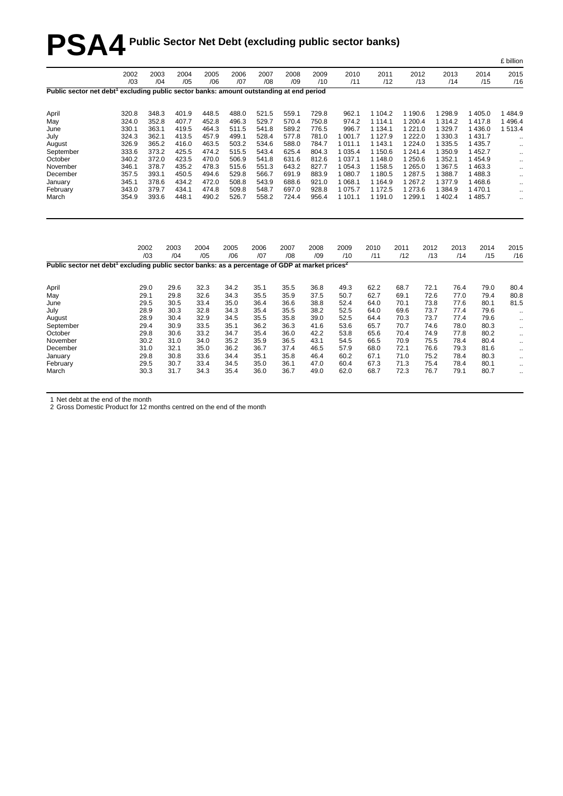# **PSA4 Public Sector Net Debt (excluding public sector banks)**

|                                                                                                                         |             |             |             |             |             |             |             |             |             |             |             |             |             |             | - ~ …                 |
|-------------------------------------------------------------------------------------------------------------------------|-------------|-------------|-------------|-------------|-------------|-------------|-------------|-------------|-------------|-------------|-------------|-------------|-------------|-------------|-----------------------|
|                                                                                                                         | 2002<br>/03 | 2003<br>/04 | 2004<br>/05 | 2005<br>/06 | 2006<br>/07 | 2007<br>/08 | 2008<br>/09 | 2009<br>/10 | 2010<br>/11 | 2011<br>/12 |             | 2012<br>/13 | 2013<br>/14 | 2014<br>/15 | 2015<br>/16           |
| Public sector net debt <sup>1</sup> excluding public sector banks: amount outstanding at end period                     |             |             |             |             |             |             |             |             |             |             |             |             |             |             |                       |
| April                                                                                                                   | 320.8       | 348.3       | 401.9       | 448.5       | 488.0       | 521.5       | 559.1       | 729.8       | 962.1       | 1 104.2     | 1 190.6     |             | 1 2 9 8 . 9 | 1 4 0 5.0   | 1484.9                |
| May                                                                                                                     | 324.0       | 352.8       | 407.7       | 452.8       | 496.3       | 529.7       | 570.4       | 750.8       | 974.2       | 1 1 1 4 . 1 | 1 200.4     |             | 1 3 1 4 . 2 | 1417.8      | 1496.4                |
| June                                                                                                                    | 330.1       | 363.1       | 419.5       | 464.3       | 511.5       | 541.8       | 589.2       | 776.5       | 996.7       | 1 1 3 4 . 1 | 1 2 2 1 .0  |             | 1 3 2 9.7   | 1 4 3 6.0   | 1513.4                |
| July                                                                                                                    | 324.3       | 362.1       | 413.5       | 457.9       | 499.1       | 528.4       | 577.8       | 781.0       | 1 001.7     | 1 1 2 7 . 9 | 1 2 2 2 .0  |             | 1 3 3 0 . 3 | 1 4 3 1 . 7 | $\ddotsc$             |
| August                                                                                                                  | 326.9       | 365.2       | 416.0       | 463.5       | 503.2       | 534.6       | 588.0       | 784.7       | 1 0 1 1 .1  | 1 143.1     | 1 2 2 4 .0  |             | 1 3 3 5.5   | 1 4 3 5.7   | $\ldots$              |
| September                                                                                                               | 333.6       | 373.2       | 425.5       | 474.2       | 515.5       | 543.4       | 625.4       | 804.3       | 1 0 3 5.4   | 1 150.6     | 1 241.4     |             | 1 350.9     | 1 4 5 2.7   |                       |
| October                                                                                                                 | 340.2       | 372.0       | 423.5       | 470.0       | 506.9       | 541.8       | 631.6       | 812.6       | 1 0 3 7 . 1 | 1 148.0     | 1 250.6     |             | 1 3 5 2 . 1 | 1454.9      | $\ldots$<br>$\ddotsc$ |
| November                                                                                                                | 346.1       | 378.7       | 435.2       | 478.3       | 515.6       | 551.3       | 643.2       | 827.7       | 1 0 5 4 . 3 | 1 1 5 8.5   | 1 265.0     |             | 1 3 6 7 .5  | 1463.3      | $\ldots$              |
| December                                                                                                                | 357.5       | 393.1       | 450.5       | 494.6       | 529.8       | 566.7       | 691.9       | 883.9       | 1 080.7     | 1 180.5     | 1 287.5     |             | 1 3 8 8.7   | 1488.3      |                       |
| January                                                                                                                 | 345.1       | 378.6       | 434.2       | 472.0       | 508.8       | 543.9       | 688.6       | 921.0       | 1 0 68.1    | 1 1 64.9    | 1 267.2     |             | 1 377.9     | 1468.6      | $\cdot$ .             |
| February                                                                                                                | 343.0       | 379.7       | 434.1       | 474.8       | 509.8       | 548.7       | 697.0       | 928.8       | 1 0 7 5 . 7 | 1 172.5     | 1 273.6     |             | 1 3 8 4 .9  | 1470.1      | $\ldots$<br>$\ddotsc$ |
| March                                                                                                                   | 354.9       | 393.6       | 448.1       | 490.2       | 526.7       | 558.2       | 724.4       | 956.4       | 1 101.1     | 1 191.0     | 1 299.1     |             | 1 402.4     | 1 4 8 5.7   | $\ddotsc$             |
|                                                                                                                         |             |             |             |             |             |             |             |             |             |             |             |             |             |             |                       |
|                                                                                                                         |             |             |             |             |             |             |             |             |             |             |             |             |             |             |                       |
|                                                                                                                         |             | 2002<br>/03 | 2003<br>/04 | 2004<br>/05 | 2005<br>/06 | 2006<br>/07 | 2007<br>/08 | 2008<br>/09 | 2009<br>/10 | 2010<br>/11 | 2011<br>/12 | 2012<br>/13 | 2013<br>/14 | 2014<br>/15 | 2015<br>/16           |
| Public sector net debt <sup>1</sup> excluding public sector banks: as a percentage of GDP at market prices <sup>2</sup> |             |             |             |             |             |             |             |             |             |             |             |             |             |             |                       |
| April                                                                                                                   |             | 29.0        | 29.6        | 32.3        | 34.2        | 35.1        | 35.5        | 36.8        | 49.3        | 62.2        | 68.7        | 72.1        | 76.4        | 79.0        | 80.4                  |
| May                                                                                                                     |             | 29.1        | 29.8        | 32.6        | 34.3        | 35.5        | 35.9        | 37.5        | 50.7        | 62.7        | 69.1        | 72.6        | 77.0        | 79.4        | 80.8                  |
| June                                                                                                                    |             | 29.5        | 30.5        | 33.4        | 35.0        | 36.4        | 36.6        | 38.8        | 52.4        | 64.0        | 70.1        | 73.8        | 77.6        | 80.1        | 81.5                  |
| July                                                                                                                    |             | 28.9        | 30.3        | 32.8        | 34.3        | 35.4        | 35.5        | 38.2        | 52.5        | 64.0        | 69.6        | 73.7        | 77.4        | 79.6        | $\ddotsc$             |
| August                                                                                                                  |             | 28.9        | 30.4        | 32.9        | 34.5        | 35.5        | 35.8        | 39.0        | 52.5        | 64.4        | 70.3        | 73.7        | 77.4        | 79.6        | $\ddotsc$             |
| September                                                                                                               |             | 29.4        | 30.9        | 33.5        | 35.1        | 36.2        | 36.3        | 41.6        | 53.6        | 65.7        | 70.7        | 74.6        | 78.0        | 80.3        | $\ldots$              |
| October                                                                                                                 |             | 29.8        | 30.6        | 33.2        | 34.7        | 35.4        | 36.0        | 42.2        | 53.8        | 65.6        | 70.4        | 74.9        | 77.8        | 80.2        | $\ddotsc$             |
| November                                                                                                                |             | 30.2        | 31.0        | 34.0        | 35.2        | 35.9        | 36.5        | 43.1        | 54.5        | 66.5        | 70.9        | 75.5        | 78.4        | 80.4        | $\cdot$ .             |
| December                                                                                                                |             | 31.0        | 32.1        | 35.0        | 36.2        | 36.7        | 37.4        | 46.5        | 57.9        | 68.0        | 72.1        | 76.6        | 79.3        | 81.6        | $\ldots$              |
| January                                                                                                                 |             | 29.8        | 30.8        | 33.6        | 34.4        | 35.1        | 35.8        | 46.4        | 60.2        | 67.1        | 71.0        | 75.2        | 78.4        | 80.3        | $\cdot$ .             |
| February                                                                                                                |             | 29.5        | 30.7        | 33.4        | 34.5        | 35.0        | 36.1        | 47.0        | 60.4        | 67.3        | 71.3        | 75.4        | 78.4        | 80.1        | $\cdot$ .             |
| March                                                                                                                   |             | 30.3        | 31.7        | 34.3        | 35.4        | 36.0        | 36.7        | 49.0        | 62.0        | 68.7        | 72.3        | 76.7        | 79.1        | 80.7        | $\cdot$ .             |
|                                                                                                                         |             |             |             |             |             |             |             |             |             |             |             |             |             |             |                       |

£ billion

1 Net debt at the end of the month

2 Gross Domestic Product for 12 months centred on the end of the month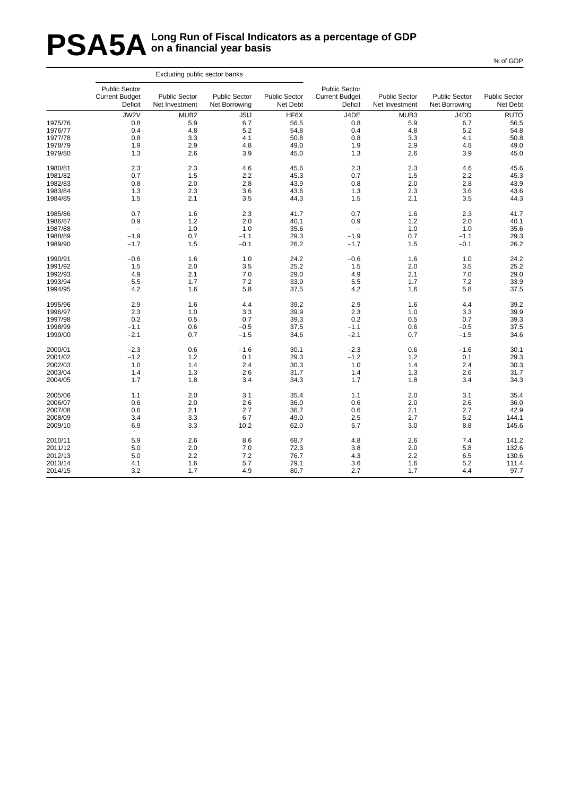### **PSA5A** Long Run of Fiscal Indicators as a percentage of GDP<br> **PSA5A** on a financial year basis **on a financial year basis**

|         |                                                   | Excluding public sector banks          |                                       |                                  |                                                          |                                        |                                       |                                  |
|---------|---------------------------------------------------|----------------------------------------|---------------------------------------|----------------------------------|----------------------------------------------------------|----------------------------------------|---------------------------------------|----------------------------------|
|         | Public Sector<br><b>Current Budget</b><br>Deficit | <b>Public Sector</b><br>Net Investment | <b>Public Sector</b><br>Net Borrowing | <b>Public Sector</b><br>Net Debt | <b>Public Sector</b><br><b>Current Budget</b><br>Deficit | <b>Public Sector</b><br>Net Investment | <b>Public Sector</b><br>Net Borrowing | <b>Public Sector</b><br>Net Debt |
|         | JW2V                                              | MUB <sub>2</sub>                       | J5IJ                                  | HF6X                             | J4DE                                                     | MUB3                                   | J4DD                                  | <b>RUTO</b>                      |
| 1975/76 | 0.8                                               | 5.9                                    | 6.7                                   | 56.5                             | 0.8                                                      | 5.9                                    | 6.7                                   | 56.5                             |
| 1976/77 | 0.4                                               | 4.8                                    | 5.2                                   | 54.8                             | 0.4                                                      | 4.8                                    | 5.2                                   | 54.8                             |
| 1977/78 | 0.8                                               | 3.3                                    | 4.1                                   | 50.8                             | 0.8                                                      | 3.3                                    | 4.1                                   | 50.8                             |
| 1978/79 | 1.9                                               | 2.9                                    | 4.8                                   | 49.0                             | 1.9                                                      | 2.9                                    | 4.8                                   | 49.0                             |
| 1979/80 | 1.3                                               | 2.6                                    | 3.9                                   | 45.0                             | 1.3                                                      | 2.6                                    | 3.9                                   | 45.0                             |
| 1980/81 | 2.3                                               | 2.3                                    | 4.6                                   | 45.6                             | 2.3                                                      | 2.3                                    | 4.6                                   | 45.6                             |
| 1981/82 | 0.7                                               | 1.5                                    | 2.2                                   | 45.3                             | 0.7                                                      | 1.5                                    | 2.2                                   | 45.3                             |
| 1982/83 | 0.8                                               | 2.0                                    | 2.8                                   | 43.9                             | 0.8                                                      | 2.0                                    | 2.8                                   | 43.9                             |
| 1983/84 | 1.3                                               | 2.3                                    | 3.6                                   | 43.6                             | 1.3                                                      | 2.3                                    | 3.6                                   | 43.6                             |
| 1984/85 | 1.5                                               | 2.1                                    | 3.5                                   | 44.3                             | 1.5                                                      | 2.1                                    | 3.5                                   | 44.3                             |
| 1985/86 | 0.7                                               | 1.6                                    | 2.3                                   | 41.7                             | 0.7                                                      | 1.6                                    | 2.3                                   | 41.7                             |
| 1986/87 | 0.9                                               | 1.2                                    | 2.0                                   | 40.1                             | 0.9                                                      | 1.2                                    | 2.0                                   | 40.1                             |
| 1987/88 | $\qquad \qquad -$                                 | 1.0                                    | 1.0                                   | 35.6                             | $\overline{\phantom{0}}$                                 | 1.0                                    | 1.0                                   | 35.6                             |
| 1988/89 | $-1.9$                                            | 0.7                                    | $-1.1$                                | 29.3                             | $-1.9$                                                   | 0.7                                    | $-1.1$                                | 29.3                             |
| 1989/90 | $-1.7$                                            | 1.5                                    | $-0.1$                                | 26.2                             | $-1.7$                                                   | 1.5                                    | $-0.1$                                | 26.2                             |
| 1990/91 | $-0.6$                                            | 1.6                                    | 1.0                                   | 24.2                             | $-0.6$                                                   | 1.6                                    | 1.0                                   | 24.2                             |
| 1991/92 | 1.5                                               | 2.0                                    | 3.5                                   | 25.2                             | 1.5                                                      | 2.0                                    | 3.5                                   | 25.2                             |
| 1992/93 | 4.9                                               | 2.1                                    | 7.0                                   | 29.0                             | 4.9                                                      | 2.1                                    | 7.0                                   | 29.0                             |
| 1993/94 | 5.5                                               | 1.7                                    | 7.2                                   | 33.9                             | 5.5                                                      | 1.7                                    | 7.2                                   | 33.9                             |
| 1994/95 | 4.2                                               | 1.6                                    | 5.8                                   | 37.5                             | 4.2                                                      | 1.6                                    | 5.8                                   | 37.5                             |
|         |                                                   |                                        |                                       |                                  |                                                          |                                        |                                       |                                  |
| 1995/96 | 2.9                                               | 1.6                                    | 4.4                                   | 39.2                             | 2.9                                                      | 1.6                                    | 4.4                                   | 39.2                             |
| 1996/97 | 2.3                                               | 1.0                                    | 3.3                                   | 39.9                             | 2.3                                                      | 1.0                                    | 3.3                                   | 39.9                             |
| 1997/98 | 0.2                                               | 0.5                                    | 0.7                                   | 39.3                             | 0.2                                                      | 0.5                                    | 0.7                                   | 39.3                             |
| 1998/99 | $-1.1$                                            | 0.6                                    | $-0.5$                                | 37.5                             | $-1.1$                                                   | 0.6                                    | $-0.5$                                | 37.5                             |
| 1999/00 | $-2.1$                                            | 0.7                                    | $-1.5$                                | 34.6                             | $-2.1$                                                   | 0.7                                    | $-1.5$                                | 34.6                             |
| 2000/01 | $-2.3$                                            | 0.6                                    | $-1.6$                                | 30.1                             | $-2.3$                                                   | 0.6                                    | $-1.6$                                | 30.1                             |
| 2001/02 | $-1.2$                                            | 1.2                                    | 0.1                                   | 29.3                             | $-1.2$                                                   | 1.2                                    | 0.1                                   | 29.3                             |
| 2002/03 | 1.0                                               | 1.4                                    | 2.4                                   | 30.3                             | 1.0                                                      | 1.4                                    | 2.4                                   | 30.3                             |
| 2003/04 | 1.4                                               | 1.3                                    | 2.6                                   | 31.7                             | 1.4                                                      | 1.3                                    | 2.6                                   | 31.7                             |
| 2004/05 | 1.7                                               | 1.8                                    | 3.4                                   | 34.3                             | 1.7                                                      | 1.8                                    | 3.4                                   | 34.3                             |
| 2005/06 | 1.1                                               | 2.0                                    | 3.1                                   | 35.4                             | 1.1                                                      | 2.0                                    | 3.1                                   | 35.4                             |
| 2006/07 | 0.6                                               | 2.0                                    | 2.6                                   | 36.0                             | 0.6                                                      | 2.0                                    | 2.6                                   | 36.0                             |
| 2007/08 | 0.6                                               | 2.1                                    | 2.7                                   | 36.7                             | 0.6                                                      | 2.1                                    | 2.7                                   | 42.9                             |
| 2008/09 | 3.4                                               | 3.3                                    | 6.7                                   | 49.0                             | 2.5                                                      | 2.7                                    | 5.2                                   | 144.1                            |
| 2009/10 | 6.9                                               | 3.3                                    | 10.2                                  | 62.0                             | 5.7                                                      | 3.0                                    | 8.8                                   | 145.6                            |
| 2010/11 | 5.9                                               | 2.6                                    | 8.6                                   | 68.7                             | 4.8                                                      | 2.6                                    | 7.4                                   | 141.2                            |
| 2011/12 | 5.0                                               | 2.0                                    | 7.0                                   | 72.3                             | 3.8                                                      | 2.0                                    | 5.8                                   | 132.6                            |
| 2012/13 | 5.0                                               | 2.2                                    | 7.2                                   | 76.7                             | 4.3                                                      | 2.2                                    | 6.5                                   | 130.6                            |
| 2013/14 | 4.1                                               | 1.6                                    | 5.7                                   | 79.1                             | 3.6                                                      | 1.6                                    | 5.2                                   | 111.4                            |
| 2014/15 | 3.2                                               | 1.7                                    | 4.9                                   | 80.7                             | 2.7                                                      | 1.7                                    | 4.4                                   | 97.7                             |
|         |                                                   |                                        |                                       |                                  |                                                          |                                        |                                       |                                  |

% of GDP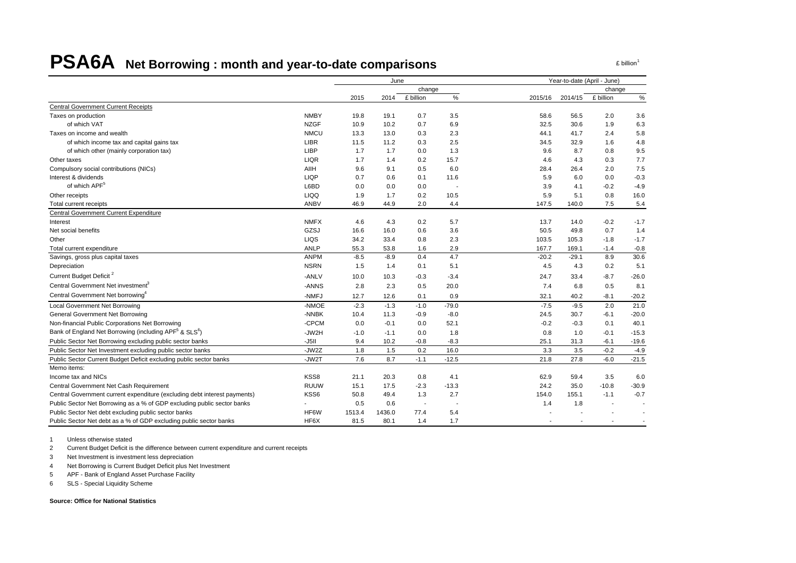# **PSA6A Net Borrowing : month and year-to-date comparisons**

2015 2014 £ billion % 2015/16 2014/15 £ billion %Central Government Current Receipts Taxes on production NMBY 19.8 19.1 0.7 3.5 58.6 56.5 2.0 3.6 of which VAT NZGF 10.9 10.2 0.7 6.9 32.5 30.6 1.9 6.3 Taxes on income and wealth **NMCU** 13.3 13.0 0.3 2.3 44.1 41.7 2.4 5.8 of which income tax and capital gains tax **ACC 11.5 11.5** 11.5 11.5 11.2 0.3 2.5 34.5 32.9 1.6 4.8 of which other (mainly corporation tax) LIBP 1.7 1.7 0.0 1.3 9.6 8.7 0.8 9.5 Other taxes LIQR 1.7 1.4 0.2 15.7 4.6 4.3 0.3 7.7Compulsory social contributions (NICs) AIIH 9.6 9.1 0.5 6.0 28.4 26.4 2.0 7.5 Interest & dividends LIQP 0.7 0.6 0.1 11.6 5.9 6.0 0.0 -0.3of which APF<sup>5</sup> L6BD 0.0 0.0 0.0 - 3.9 4.1 -0.2 -4.9Other receipts LIQQ 1.9 1.7 0.2 10.5 5.9 5.1 0.8 16.0 Total current receipts ANBV 46.9 44.9 2.0 4.4 147.5 140.0 7.5 5.4 Central Government Current Expenditure Interest NMFX 4.6 4.3 0.2 5.7 13.7 14.0 -0.2 -1.7Net social benefits GZSJ 16.6 16.0 0.6 3.6 50.5 49.8 0.7 1.4Other LIQS 34.2 33.4 0.8 2.3 103.5 105.3 -1.8 -1.7 $-1.7$ Total current expenditure 1.4 1.4 -0.8 1.6 1.6 1.6 1.6 2.9 167.7 169.1 -1.4 -0.8 Savings, gross plus capital taxes and the set of the set of the ANPM -8.5 -8.9 0.4 4.7 -20.2 -29.1 8.9 30.6 Depreciation NSRN 1.5 1.4 0.1 5.1 4.5 4.3 0.2 5.1 Current Budget Deficit<sup>2</sup> 26.0 - 26.0 - 26.0 - 26.0 - 26.0 - 20.0 - 20.0 - 20.0 - 20.0 - 23.4 24.7 33.4 - 8.7 - 26.0 Central Government Net investment<sup>3</sup> 6.8 - ANNS 2.8 2.3 0.5 20.0 7.4 6.8 0.5 8.1 Central Government Net borrowing<sup>4</sup> 40.2 -8.1 -20.2 Local Government Net Borrowing **COVERT 100 COVERT 100 FOR 100 COVERT 100 FOR 100 COVERT 100 -75 -9.5** 2.0 2.1.0 -7.5 -9.5 2.0 2.1.0 General Government Net Borrowing Covernment Net Borrowing Covernment Net Borrowing Covernment Net Borrowing Covernment Net Borrowing Covernment Net Borrowing Covernment Net Borrowing Covernment Net Borrowing Covernment Net Non-financial Public Corporations Net Borrowing COM -CPCM 0.0 -0.1 0.0 52.1 -0.2 -0.3 0.1 40.1 Bank of England Net Borrowing (including APF<sup>5</sup> & SLS<sup>6</sup>) ) -JW2H -1.0 -1.1 0.0 1.8 0.8 1.0 -0.1 -15.3 Public Sector Net Borrowing excluding public sector banks -J5II 9.4 10.2 -0.8 -8.3 25.1 31.3 -6.1 -19.6 Public Sector Net Investment excluding public sector banks -JW2Z 1.8 1.5 0.2 16.0 3.3 3.5 -0.2 -4.9 Public Sector Current Budget Deficit excluding public sector banks -JW2T 7.6 8.7 -1.1 -12.5 21.8 27.8 -6.0 -21.5 Memo items: Income tax and NICs KSS8 21.1 20.3 0.8 4.1 62.9 59.4 3.5 6.0Central Government Net Cash Requirement RUUW 15.1 17.5 -2.3 -13.3 24.2 35.0 -10.8 -30.9 Central Government current expenditure (excluding debt interest payments) MSS6 50.8 49.4 1.3 2.7 154.0 155.1 -1.1 -0.7 Public Sector Net Borrowing as a % of GDP excluding public sector banks  $1.8$  and  $1.8$  and  $1.8$  and  $1.8$  and  $1.8$  and  $1.8$  and  $1.8$  and  $1.8$  and  $1.8$  and  $1.8$  and  $1.8$  and  $1.8$  and  $1.8$  and  $1.8$  and  $1.8$  and Public Sector Net debt excluding public sector banks HF6W 1513.4 1436.0 77.4 5.4 ---- Public Sector Net debt as a % of GDP excluding public sector banks HF6X 81.5 80.1 1.4 1.7 ---- June Year-to-date (April - June) change change

1 Unless otherwise stated

2 Current Budget Deficit is the difference between current expenditure and current receipts

3 Net Investment is investment less depreciation

4 Net Borrowing is Current Budget Deficit plus Net Investment

5 APF - Bank of England Asset Purchase Facility

6 SLS - Special Liquidity Scheme

**Source: Office for National Statistics**

 $f$  billion<sup>1</sup>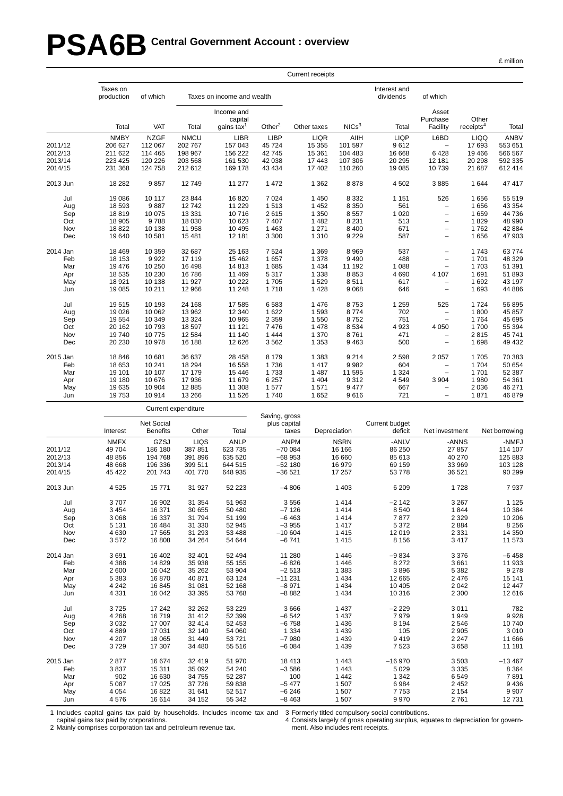# PSA6B Central Government Account : overview

|  | ` million |
|--|-----------|
|  |           |

|          |                        |             |                     |                                        |               | <b>Current receipts</b> |                   |                           |                                   |                                |             |
|----------|------------------------|-------------|---------------------|----------------------------------------|---------------|-------------------------|-------------------|---------------------------|-----------------------------------|--------------------------------|-------------|
|          | Taxes on<br>production | of which    |                     | Taxes on income and wealth             |               |                         |                   | Interest and<br>dividends | of which                          |                                |             |
|          | Total                  | <b>VAT</b>  | Total               | Income and<br>capital<br>gains tax $1$ | Other $2$     | Other taxes             | NICs <sup>3</sup> | Total                     | Asset<br>Purchase<br>Facility     | Other<br>receipts <sup>4</sup> | Total       |
|          | <b>NMBY</b>            | <b>NZGF</b> | <b>NMCU</b>         | <b>LIBR</b>                            | <b>LIBP</b>   | <b>LIQR</b>             | AIIH              | <b>LIQP</b>               | L6BD                              | <b>LIQQ</b>                    | <b>ANBV</b> |
| 2011/12  | 206 627                | 112 067     | 202 767             | 157 043                                | 45 724        | 15 355                  | 101 597           | 9612                      | $\qquad \qquad -$                 | 17693                          | 553 651     |
| 2012/13  | 211 622                | 114 465     | 198 967             | 156 222                                | 42745         | 15 361                  | 104 483           | 16 668                    | 6428                              | 19 4 66                        | 566 567     |
| 2013/14  | 223 425                | 120 226     | 203 568             | 161 530                                | 42 038        | 17 443                  | 107 306           | 20 29 5                   | 12 181                            | 20 298                         | 592 335     |
| 2014/15  | 231 368                | 124 758     | 212 612             | 169 178                                | 43 4 34       | 17 402                  | 110 260           | 19 085                    | 10739                             | 21 687                         | 612 414     |
| 2013 Jun | 18 28 2                | 9857        | 12749               | 11 277                                 | 1 472         | 1 3 6 2                 | 8878              | 4 5 0 2                   | 3885                              | 1644                           | 47 417      |
| Jul      | 19 086                 | 10 117      | 23 844              | 16820                                  | 7 0 24        | 1 4 5 0                 | 8 3 3 2           | 1 1 5 1                   | 526                               | 1656                           | 55 519      |
| Aug      | 18 593                 | 9887        | 12742               | 11 2 2 9                               | 1513          | 1 4 5 2                 | 8 3 5 0           | 561                       | $\qquad \qquad -$                 | 1656                           | 43 354      |
| Sep      | 18819                  | 10 075      | 13 3 3 1            | 10716                                  | 2615          | 1 3 5 0                 | 8 5 5 7           | 1 0 2 0                   | $\overline{\phantom{0}}$          | 1659                           | 44 736      |
| Oct      | 18 905                 | 9788        | 18 030              | 10 623                                 | 7 407         | 1 4 8 2                 | 8 2 3 1           | 513                       | $\qquad \qquad -$                 | 1829                           | 48 990      |
| Nov      | 18822                  | 10 138      | 11 958              | 10 4 95                                | 1 4 6 3       | 1 2 7 1                 | 8 4 0 0           | 671                       | $\overline{\phantom{0}}$          | 1762                           | 42 884      |
| Dec      | 19 640                 | 10 581      | 15 4 81             | 12 181                                 | 3 3 0 0       | 1 3 1 0                 | 9 2 2 9           | 587                       | $\overline{\phantom{0}}$          | 1656                           | 47 903      |
| 2014 Jan | 18 4 69                | 10 359      | 32 687              | 25 163                                 | 7 5 24        | 1 3 6 9                 | 8 9 6 9           | 537                       | $\overline{a}$                    | 1743                           | 63774       |
| Feb      | 18 153                 | 9922        | 17 119              | 15 4 62                                | 1657          | 1 3 7 8                 | 9 4 9 0           | 488                       | $\overline{\phantom{0}}$          | 1701                           | 48 329      |
| Mar      | 19 476                 | 10 250      | 16 4 98             | 14813                                  | 1685          | 1 4 3 4                 | 11 192            | 1 0 8 8                   | $\overline{a}$                    | 1703                           | 51 391      |
| Apr      | 18 535                 | 10 230      | 16 786              | 11 4 69                                | 5 3 1 7       | 1 3 3 8                 | 8853              | 4 6 9 0                   | 4 107                             | 1691                           | 51 893      |
| May      | 18 9 21                | 10 138      | 11 927              | 10 222                                 | 1705          | 1529                    | 8511              | 617                       | $\overline{\phantom{0}}$          | 1692                           | 43 197      |
| Jun      | 19 085                 | 10 211      | 12 966              | 11 248                                 | 1718          | 1 4 2 8                 | 9 0 68            | 646                       | $\overline{\phantom{0}}$          | 1693                           | 44 886      |
| Jul      | 19515                  | 10 193      | 24 168              | 17585                                  | 6583          | 1476                    | 8753              | 1 2 5 9                   | 525                               | 1724                           | 56 895      |
| Aug      | 19 0 26                | 10 062      | 13 962              | 12 340                                 | 1 6 2 2       | 1 5 9 3                 | 8774              | 702                       | $\overline{\phantom{0}}$          | 1800                           | 45 857      |
| Sep      | 19 554                 | 10 349      | 13 3 24             | 10 965                                 | 2 3 5 9       | 1 5 5 0                 | 8752              | 751                       | $\overline{\phantom{a}}$          | 1764                           | 45 695      |
| Oct      | 20 162                 | 10793       | 18 597              | 11 121                                 | 7476          | 1 4 7 8                 | 8 5 3 4           | 4923                      | 4 0 5 0                           | 1700                           | 55 394      |
| Nov      | 19740                  | 10775       | 12 5 84             | 11 140                                 | 1 4 4 4       | 1 370                   | 8761              | 471                       | $\overline{\phantom{0}}$          | 2815                           | 45 741      |
| Dec      | 20 230                 | 10 978      | 16 188              | 12 6 26                                | 3562          | 1 3 5 3                 | 9463              | 500                       | $\overline{\phantom{0}}$          | 1698                           | 49 432      |
| 2015 Jan | 18 846                 | 10 681      | 36 637              | 28 4 58                                | 8 1 7 9       | 1 3 8 3                 | 9 2 1 4           | 2 5 9 8                   | 2 0 5 7                           | 1705                           | 70 383      |
| Feb      | 18 653                 | 10 241      | 18 294              | 16 558                                 | 1736          | 1 4 1 7                 | 9982              | 604                       | $\overline{\phantom{0}}$          | 1704                           | 50 654      |
| Mar      | 19 101                 | 10 107      | 17 179              | 15 4 46                                | 1733          | 1 4 8 7                 | 11 595            | 1 3 2 4                   | $\hspace{1.0cm} - \hspace{1.0cm}$ | 1701                           | 52 387      |
| Apr      | 19 180                 | 10 676      | 17936               | 11 679                                 | 6 2 5 7       | 1 4 0 4                 | 9312              | 4549                      | 3 9 0 4                           | 1980                           | 54 361      |
| May      | 19 635                 | 10 904      | 12 8 85             | 11 308                                 | 1577          | 1571                    | 9477              | 667                       | $\overline{\phantom{0}}$          | 2036                           | 46 271      |
| Jun      | 19753                  | 10 914      | 13 26 6             | 11 526                                 | 1740          | 1 6 5 2                 | 9616              | 721                       | $\overline{\phantom{0}}$          | 1871                           | 46 879      |
|          |                        |             | Current expenditure |                                        |               |                         |                   |                           |                                   |                                |             |
|          |                        |             |                     |                                        | Saving, gross |                         |                   |                           |                                   |                                |             |

|          |             | <b>Net Social</b> |         |             | plus capital |              | Current budget |                |               |
|----------|-------------|-------------------|---------|-------------|--------------|--------------|----------------|----------------|---------------|
|          | Interest    | <b>Benefits</b>   | Other   | Total       | taxes        | Depreciation | deficit        | Net investment | Net borrowing |
|          | <b>NMFX</b> | GZSJ              | LIQS    | <b>ANLP</b> | <b>ANPM</b>  | <b>NSRN</b>  | -ANLV          | -ANNS          | -NMFJ         |
| 2011/12  | 49 704      | 186 180           | 387 851 | 623 735     | $-700084$    | 16 16 6      | 86 250         | 27 857         | 114 107       |
| 2012/13  | 48 856      | 194 768           | 391 896 | 635 520     | $-68953$     | 16 660       | 85 613         | 40 270         | 125 883       |
| 2013/14  | 48 668      | 196 336           | 399 511 | 644 515     | $-52180$     | 16 979       | 69 159         | 33 969         | 103 128       |
| 2014/15  | 45 422      | 201 743           | 401 770 | 648 935     | $-36521$     | 17 257       | 53 778         | 36 521         | 90 299        |
| 2013 Jun | 4525        | 15771             | 31 927  | 52 223      | $-4806$      | 1 4 0 3      | 6 209          | 1728           | 7937          |
| Jul      | 3707        | 16 902            | 31 354  | 51 963      | 3556         | 1414         | $-2142$        | 3 2 6 7        | 1 1 2 5       |
| Aug      | 3 4 5 4     | 16 371            | 30 655  | 50 480      | $-7126$      | 1414         | 8 5 4 0        | 1844           | 10 384        |
| Sep      | 3 0 6 8     | 16 337            | 31 794  | 51 199      | $-6463$      | 1414         | 7877           | 2 3 2 9        | 10 206        |
| Oct      | 5 1 3 1     | 16 4 84           | 31 330  | 52 945      | $-3955$      | 1417         | 5 3 7 2        | 2884           | 8 2 5 6       |
| Nov      | 4 6 3 0     | 17 565            | 31 293  | 53 488      | $-10604$     | 1415         | 12 019         | 2 3 3 1        | 14 350        |
| Dec      | 3572        | 16 808            | 34 264  | 54 644      | $-6741$      | 1415         | 8 1 5 6        | 3 4 1 7        | 11 573        |
| 2014 Jan | 3691        | 16 402            | 32 401  | 52 494      | 11 280       | 1 4 4 6      | $-9834$        | 3 3 7 6        | $-6458$       |
| Feb      | 4 3 8 8     | 14 8 29           | 35 938  | 55 155      | $-6826$      | 1 4 4 6      | 8 2 7 2        | 3661           | 11 933        |
| Mar      | 2 600       | 16 042            | 35 262  | 53 904      | $-2513$      | 1 3 8 3      | 3896           | 5 3 8 2        | 9 2 7 8       |
| Apr      | 5 3 8 3     | 16870             | 40 871  | 63 124      | $-11231$     | 1 4 3 4      | 12 665         | 2476           | 15 141        |
| May      | 4 2 4 2     | 16 845            | 31 081  | 52 168      | $-8971$      | 1 4 3 4      | 10 405         | 2 0 4 2        | 12 447        |
| Jun      | 4 3 3 1     | 16 042            | 33 395  | 53 768      | $-8882$      | 1 4 3 4      | 10 316         | 2 3 0 0        | 12 616        |
| Jul      | 3725        | 17 242            | 32 262  | 53 229      | 3 6 6 6      | 1 4 3 7      | $-2229$        | 3 0 1 1        | 782           |
| Aug      | 4 2 6 8     | 16719             | 31 412  | 52 399      | $-6542$      | 1 4 3 7      | 7979           | 1949           | 9928          |
| Sep      | 3 0 3 2     | 17 007            | 32 414  | 52 453      | $-6758$      | 1 4 3 6      | 8 1 9 4        | 2546           | 10740         |
| Oct      | 4889        | 17 031            | 32 140  | 54 060      | 1 3 3 4      | 1 4 3 9      | 105            | 2 9 0 5        | 3 0 1 0       |
| Nov      | 4 2 0 7     | 18 0 65           | 31 449  | 53 721      | $-7980$      | 1 4 3 9      | 9419           | 2 2 4 7        | 11 666        |
| Dec      | 3729        | 17 307            | 34 480  | 55 516      | $-6084$      | 1 4 3 9      | 7523           | 3658           | 11 181        |
| 2015 Jan | 2877        | 16 674            | 32 419  | 51 970      | 18 4 13      | 1 4 4 3      | $-16970$       | 3503           | $-13467$      |
| Feb      | 3837        | 15 311            | 35 092  | 54 240      | $-3586$      | 1 4 4 3      | 5 0 2 9        | 3 3 3 5        | 8 3 6 4       |
| Mar      | 902         | 16 630            | 34 755  | 52 287      | 100          | 1 4 4 2      | 1 3 4 2        | 6549           | 7891          |
| Apr      | 5 0 8 7     | 17 0 25           | 37 726  | 59 838      | $-5477$      | 1 507        | 6984           | 2 4 5 2        | 9436          |
| May      | 4 0 5 4     | 16822             | 31 641  | 52 517      | $-6246$      | 1 507        | 7753           | 2 1 5 4        | 9 9 0 7       |
| Jun      | 4576        | 16 614            | 34 152  | 55 342      | $-8463$      | 1507         | 9970           | 2761           | 12731         |

1 Includes capital gains tax paid by households. Includes income tax and

capital gains tax paid by corporations.

2 Mainly comprises corporation tax and petroleum revenue tax.

3 Formerly titled compulsory social contributions.

4 Consists largely of gross operating surplus, equates to depreciation for government. Also includes rent receipts.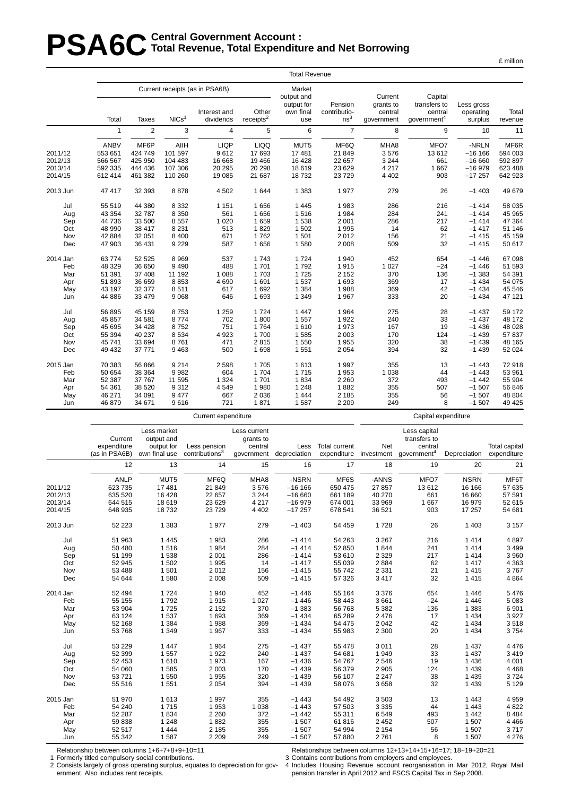# **PSA6C** Total Revenue, Total Expenditure **Total Revenue , Total Expenditure and Net Borrowing**

|          |              |                |                   |                                                |                       | <b>Total Revenue</b>                            |                         |                                 |                                    |                         |         |
|----------|--------------|----------------|-------------------|------------------------------------------------|-----------------------|-------------------------------------------------|-------------------------|---------------------------------|------------------------------------|-------------------------|---------|
|          |              |                |                   | Current receipts (as in PSA6B)<br>Interest and | Other                 | Market<br>output and<br>output for<br>own final | Pension<br>contributio- | Current<br>grants to<br>central | Capital<br>transfers to<br>central | Less gross<br>operating | Total   |
|          | Total        | Taxes          | NICs <sup>1</sup> | dividends                                      | receipts <sup>2</sup> | use                                             | ns <sup>3</sup>         | government                      | government <sup>4</sup>            | surplus                 | revenue |
|          | $\mathbf{1}$ | $\overline{2}$ | 3                 | 4                                              | 5                     | 6                                               | $\overline{7}$          | 8                               | 9                                  | 10                      | 11      |
|          | ANBV         | MF6P           | AIIH              | <b>LIQP</b>                                    | <b>LIQQ</b>           | MUT5                                            | MF6Q                    | MHA8                            | MFO7                               | -NRLN                   | MF6R    |
| 2011/12  | 553 651      | 424 749        | 101 597           | 9612                                           | 17693                 | 17 481                                          | 21 849                  | 3576                            | 13 612                             | $-16166$                | 594 003 |
| 2012/13  | 566 567      | 425 950        | 104 483           | 16 668                                         | 19 4 66               | 16 4 28                                         | 22 657                  | 3 2 4 4                         | 661                                | $-16660$                | 592 897 |
| 2013/14  | 592 335      | 444 436        | 107 306           | 20 29 5                                        | 20 298                | 18 619                                          | 23 6 29                 | 4 2 1 7                         | 1 667                              | $-16979$                | 623 488 |
| 2014/15  | 612 414      | 461 382        | 110 260           | 19 085                                         | 21 687                | 18732                                           | 23729                   | 4 4 0 2                         | 903                                | $-17257$                | 642 923 |
| 2013 Jun | 47 417       | 32 393         | 8878              | 4 5 0 2                                        | 1644                  | 1 3 8 3                                         | 1977                    | 279                             | 26                                 | $-1403$                 | 49 679  |
| Jul      | 55 519       | 44 380         | 8 3 3 2           | 1 1 5 1                                        | 1656                  | 1 4 4 5                                         | 1983                    | 286                             | 216                                | $-1414$                 | 58 035  |
| Aug      | 43 354       | 32 787         | 8 3 5 0           | 561                                            | 1656                  | 1516                                            | 1 9 8 4                 | 284                             | 241                                | $-1414$                 | 45 965  |
| Sep      | 44 736       | 33 500         | 8557              | 1 0 2 0                                        | 1659                  | 1 5 3 8                                         | 2 0 0 1                 | 286                             | 217                                | $-1414$                 | 47 364  |
| Oct      | 48 990       | 38 417         | 8 2 3 1           | 513                                            | 1829                  | 1 502                                           | 1995                    | 14                              | 62                                 | $-1417$                 | 51 146  |
| Nov      | 42 8 84      | 32 051         | 8 4 0 0           | 671                                            | 1762                  | 1 501                                           | 2012                    | 156                             | 21                                 | $-1415$                 | 45 159  |
| Dec      | 47 903       | 36 431         | 9 2 2 9           | 587                                            | 1656                  | 1 580                                           | 2 0 0 8                 | 509                             | 32                                 | $-1415$                 | 50 617  |
| 2014 Jan | 63 774       | 52 525         | 8969              | 537                                            | 1743                  | 1 7 2 4                                         | 1 940                   | 452                             | 654                                | $-1446$                 | 67 098  |
| Feb      | 48 329       | 36 650         | 9490              | 488                                            | 1701                  | 1792                                            | 1915                    | 1 0 2 7                         | $-24$                              | $-1446$                 | 51 593  |
| Mar      | 51 391       | 37 408         | 11 192            | 1 0 8 8                                        | 1703                  | 1725                                            | 2 1 5 2                 | 370                             | 136                                | $-1383$                 | 54 391  |
| Apr      | 51 893       | 36 659         | 8853              | 4 6 9 0                                        | 1691                  | 1 5 3 7                                         | 1 6 9 3                 | 369                             | 17                                 | $-1434$                 | 54 075  |
| May      | 43 197       | 32 377         | 8511              | 617                                            | 1692                  | 1 3 8 4                                         | 1988                    | 369                             | 42                                 | $-1434$                 | 45 546  |
| Jun      | 44 886       | 33 479         | 9068              | 646                                            | 1 6 9 3               | 1 3 4 9                                         | 1967                    | 333                             | 20                                 | $-1434$                 | 47 121  |
| Jul      | 56 895       | 45 159         | 8753              | 1 2 5 9                                        | 1724                  | 1 4 4 7                                         | 1 9 6 4                 | 275                             | 28                                 | $-1437$                 | 59 172  |
| Aug      | 45 857       | 34 581         | 8774              | 702                                            | 1800                  | 1 557                                           | 1922                    | 240                             | 33                                 | $-1437$                 | 48 172  |
| Sep      | 45 695       | 34 4 28        | 8752              | 751                                            | 1764                  | 1610                                            | 1973                    | 167                             | 19                                 | $-1436$                 | 48 0 28 |
| Oct      | 55 394       | 40 237         | 8534              | 4923                                           | 1700                  | 1 5 8 5                                         | 2 0 0 3                 | 170                             | 124                                | $-1439$                 | 57837   |
| Nov      | 45 741       | 33 694         | 8761              | 471                                            | 2815                  | 1 550                                           | 1955                    | 320                             | 38                                 | $-1439$                 | 48 165  |
| Dec      | 49 432       | 37 771         | 9463              | 500                                            | 1698                  | 1 551                                           | 2 0 5 4                 | 394                             | 32                                 | $-1439$                 | 52 024  |
| 2015 Jan | 70 383       | 56 866         | 9 2 1 4           | 2 5 9 8                                        | 1705                  | 1 6 1 3                                         | 1 9 9 7                 | 355                             | 13                                 | $-1443$                 | 72918   |
| Feb      | 50 654       | 38 364         | 9982              | 604                                            | 1704                  | 1715                                            | 1953                    | 1 0 38                          | 44                                 | $-1443$                 | 53 961  |
| Mar      | 52 387       | 37 767         | 11 595            | 1 3 2 4                                        | 1701                  | 1834                                            | 2 2 6 0                 | 372                             | 493                                | $-1442$                 | 55 904  |
| Apr      | 54 361       | 38 520         | 9312              | 4549                                           | 1980                  | 1 2 4 8                                         | 1882                    | 355                             | 507                                | $-1507$                 | 56 846  |
| May      | 46 271       | 34 091         | 9477              | 667                                            | 2036                  | 1 4 4 4                                         | 2 1 8 5                 | 355                             | 56                                 | $-1507$                 | 48 804  |
| Jun      | 46 879       | 34 671         | 9616              | 721                                            | 1871                  | 1587                                            | 2 2 0 9                 | 249                             | 8                                  | $-1507$                 | 49 4 25 |
|          |              |                |                   | Current expenditure                            |                       |                                                 |                         |                                 | Capital expenditure                |                         |         |

Less market Less current Less capital Current output and grants to transfers to expenditure output for Less pension central Less Total current Net central Total capital (as in PSA6B) own final use contributions<sup>3</sup> government depreciation expenditure investment government<sup>4</sup> Depreciation expenditure 12 13 14 15 16 17 18 19 20 21 ANLP MUT5 MF6Q MHA8 -NSRN MF6S -ANNS MFO7 NSRN MF6T 2011/12 623 735 17 481 21 849 3 576 −16 166 650 475 27 857 13 612 16 166 57 635 2012/13 635 520 16 428 22 657 3 244 −16 660 661 189 40 270 661 16 660 57 591 2013/14 644 515 18 619 23 629 4 217 −16 979 674 001 33 969 1 667 16 979 52 615 2014/15 648 935 18 732 23 729 4 402 −17 257 678 541 36 521 903 17 257 54 681 2013 Jun 52 223 1 383 1 977 279 −1 403 54 459 1 728 26 1 403 3 157 Jul 51 963 1 445 1 983 286 −1 414 54 263 3 267 216 1 414 4 897 Aug 50 480 1 516 1 984 284 −1 414 52 850 1 844 241 1 414 3 499 Sep 51 199 1 538 2 001 286 −1 414 53 610 2 329 217 1 414 3 960 Oct 52 945 1 502 1 995 14 −1 417 55 039 2 884 62 1 417 4 363 Nov 53 488 1 501 2 012 156 −1 415 55 742 2 331 21 1 415 3 767 Dec 54 644 1 580 2 008 509 −1 415 57 326 3 417 32 1 415 4 864 2014 Jan 52 494 1 724 1 940 452 −1 446 55 164 3 376 654 1 446 5 476 Feb 55 155 1 792 1 915 1 027 −1 446 58 443 3 661 −24 1 446 5 083 Mar 53 904 1 725 2 152 370 −1 383 56 768 5 382 136 1 383 6 901 Apr 63 124 1 537 1 693 369 −1 434 65 289 2 476 17 1 434 3 927 May 52 168 1 384 1 988 369 −1 434 54 475 2 042 42 1 434 3 518 Jun 53 768 1 349 1 967 333 −1 434 55 983 2 300 20 1 434 3 754 Jul 53 229 1 447 1 964 275 −1 437 55 478 3 011 28 1 437 4 476 Aug 52 399 1 557 1 922 240 −1 437 54 681 1 949 33 1 437 3 419 Sep 52 453 1 610 1 973 167 −1 436 54 767 2 546 19 1 436 4 001 Oct 54 060 1 585 2 003 170 −1 439 56 379 2 905 124 1 439 4 468 Nov 53 721 1 550 1 955 320 −1 439 56 107 2 247 38 1 439 3 724 Dec 55 516 1 551 2 054 394 −1 439 58 076 3 658 32 1 439 5 129 2015 Jan 51 970 1 613 1 997 355 −1 443 54 492 3 503 13 1 443 4 959 Feb 54 240 1 715 1 953 1 038 −1 443 57 503 3 335 44 1 443 4 822 Mar 52 287 1 834 2 260 372 −1 442 55 311 6 549 493 1 442 8 484 Apr 59 838 1 248 1 882 355 −1 507 61 816 2 452 507 1 507 4 466 May 52 517 1 444 2 185 355 −1 507 54 994 2 154 56 1 507 3 717 Jun 55 342 1 587 2 209 249 −1 507 57 880 2 761 8 1 507 4 276

Relationship between columns 1+6+7+8+9+10=11

Formerly titled compulsory social contributions.

2 Consists largely of gross operating surplus, equates to depreciation for government. Also includes rent receipts.

Relationships between columns 12+13+14+15+16=17; 18+19+20=21

3 Contains contributions from employers and employees. 4 Includes Housing Revenue account reorganisation in Mar 2012, Royal Mail pension transfer in April 2012 and FSCS Capital Tax in Sep 2008.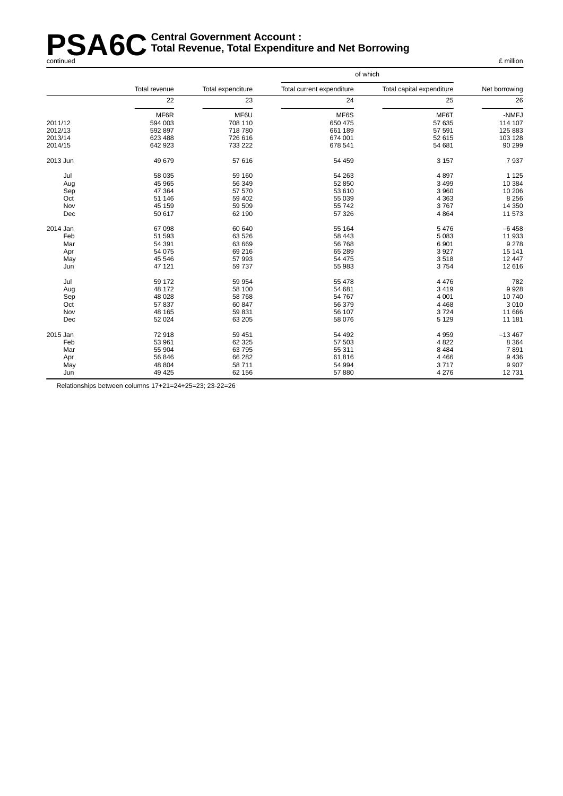#### **PSA6C** Central Government Account :<br> **PSA6C** Total Revenue, Total Expenditu **Total Revenue , Total Expenditure and Net Borrowing** continued £ million

|          |               |                   |                           | of which                  |               |
|----------|---------------|-------------------|---------------------------|---------------------------|---------------|
|          | Total revenue | Total expenditure | Total current expenditure | Total capital expenditure | Net borrowing |
|          | 22            | 23                | 24                        | 25                        | 26            |
|          | MF6R          | MF6U              | MF6S                      | MF6T                      | -NMFJ         |
| 2011/12  | 594 003       | 708 110           | 650 475                   | 57 635                    | 114 107       |
| 2012/13  | 592 897       | 718 780           | 661 189                   | 57 591                    | 125 883       |
| 2013/14  | 623 488       | 726 616           | 674 001                   | 52 615                    | 103 128       |
| 2014/15  | 642 923       | 733 222           | 678 541                   | 54 681                    | 90 299        |
| 2013 Jun | 49 679        | 57 616            | 54 459                    | 3 1 5 7                   | 7937          |
| Jul      | 58 035        | 59 160            | 54 263                    | 4897                      | 1 1 2 5       |
| Aug      | 45 965        | 56 349            | 52 850                    | 3 4 9 9                   | 10 384        |
| Sep      | 47 364        | 57 570            | 53 610                    | 3 9 6 0                   | 10 20 6       |
| Oct      | 51 146        | 59 402            | 55 039                    | 4 3 6 3                   | 8 2 5 6       |
| Nov      | 45 159        | 59 509            | 55 742                    | 3767                      | 14 350        |
| Dec      | 50 617        | 62 190            | 57 326                    | 4 8 6 4                   | 11 573        |
| 2014 Jan | 67 098        | 60 640            | 55 164                    | 5 4 7 6                   | $-6458$       |
| Feb      | 51 593        | 63 526            | 58 443                    | 5 0 8 3                   | 11 933        |
| Mar      | 54 391        | 63 669            | 56 768                    | 6 9 0 1                   | 9 2 7 8       |
| Apr      | 54 075        | 69 216            | 65 289                    | 3 9 2 7                   | 15 141        |
| May      | 45 546        | 57 993            | 54 475                    | 3518                      | 12 447        |
| Jun      | 47 121        | 59 737            | 55 983                    | 3754                      | 12 616        |
| Jul      | 59 172        | 59 954            | 55 478                    | 4 4 7 6                   | 782           |
| Aug      | 48 172        | 58 100            | 54 681                    | 3 4 1 9                   | 9928          |
| Sep      | 48 0 28       | 58 768            | 54 767                    | 4 0 0 1                   | 10740         |
| Oct      | 57 837        | 60 847            | 56 379                    | 4 4 6 8                   | 3 0 1 0       |
| Nov      | 48 165        | 59 831            | 56 107                    | 3724                      | 11 666        |
| Dec      | 52 0 24       | 63 205            | 58 076                    | 5 1 2 9                   | 11 181        |
| 2015 Jan | 72918         | 59 451            | 54 492                    | 4 9 5 9                   | $-13467$      |
| Feb      | 53 961        | 62 325            | 57 503                    | 4 8 2 2                   | 8 3 6 4       |
| Mar      | 55 904        | 63795             | 55 311                    | 8 4 8 4                   | 7891          |
| Apr      | 56 846        | 66 28 2           | 61816                     | 4 4 6 6                   | 9 4 3 6       |
| May      | 48 804        | 58 711            | 54 994                    | 3717                      | 9 9 0 7       |
| Jun      | 49 4 25       | 62 156            | 57 880                    | 4 2 7 6                   | 12731         |

Relationships between columns 17+21=24+25=23; 23-22=26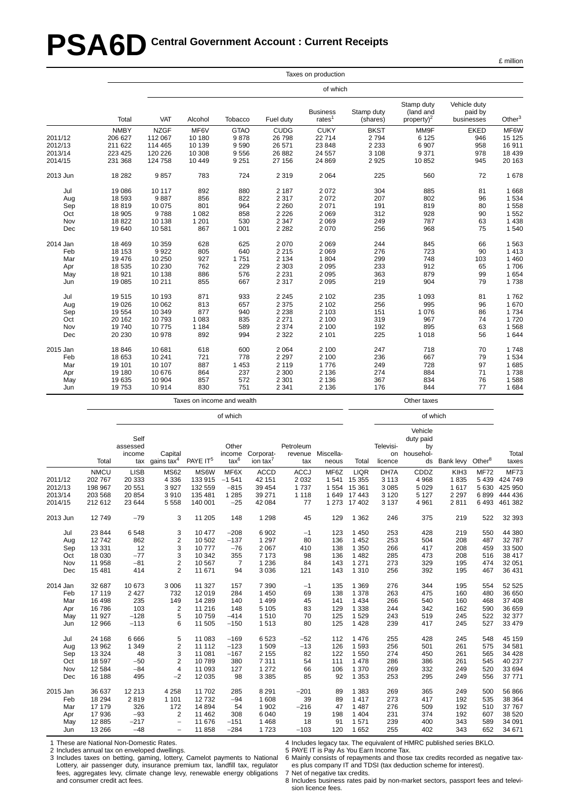# **PSA6D** Central Government Account : Current Receipts

|          |             |             |         |             |             | Taxes on production          |                        |                                             |                                       |           |
|----------|-------------|-------------|---------|-------------|-------------|------------------------------|------------------------|---------------------------------------------|---------------------------------------|-----------|
|          |             |             |         |             |             | of which                     |                        |                                             |                                       |           |
|          | Total       | VAT         | Alcohol | Tobacco     | Fuel duty   | <b>Business</b><br>rates $1$ | Stamp duty<br>(shares) | Stamp duty<br>(land and<br>property) $^{2}$ | Vehicle duty<br>paid by<br>businesses | Other $3$ |
|          | <b>NMBY</b> | <b>NZGF</b> | MF6V    | <b>GTAO</b> | <b>CUDG</b> | <b>CUKY</b>                  | <b>BKST</b>            | MM9F                                        | <b>EKED</b>                           | MF6W      |
| 2011/12  | 206 627     | 112 067     | 10 180  | 9878        | 26 798      | 22714                        | 2794                   | 6 1 2 5                                     | 946                                   | 15 125    |
| 2012/13  | 211 622     | 114 465     | 10 139  | 9590        | 26 571      | 23 848                       | 2 2 3 3                | 6907                                        | 958                                   | 16 911    |
| 2013/14  | 223 425     | 120 226     | 10 308  | 9556        | 26 882      | 24 5 57                      | 3 1 0 8                | 9371                                        | 978                                   | 18 4 39   |
| 2014/15  | 231 368     | 124 758     | 10 449  | 9 2 5 1     | 27 156      | 24 8 69                      | 2 9 2 5                | 10852                                       | 945                                   | 20 163    |
| 2013 Jun | 18 28 2     | 9857        | 783     | 724         | 2 3 1 9     | 2 0 6 4                      | 225                    | 560                                         | 72                                    | 1678      |
| Jul      | 19 086      | 10 117      | 892     | 880         | 2 1 8 7     | 2072                         | 304                    | 885                                         | 81                                    | 1 6 6 8   |
| Aug      | 18 593      | 9887        | 856     | 822         | 2 3 1 7     | 2072                         | 207                    | 802                                         | 96                                    | 1 5 3 4   |
| Sep      | 18819       | 10 075      | 801     | 964         | 2 2 6 0     | 2 0 7 1                      | 191                    | 819                                         | 80                                    | 1558      |
| Oct      | 18 905      | 9788        | 1 0 8 2 | 858         | 2 2 2 6     | 2069                         | 312                    | 928                                         | 90                                    | 1 5 5 2   |
| Nov      | 18822       | 10 138      | 1 2 0 1 | 530         | 2 3 4 7     | 2 0 6 9                      | 249                    | 787                                         | 63                                    | 1 4 3 8   |
| Dec      | 19 640      | 10 581      | 867     | 1 0 0 1     | 2 2 8 2     | 2070                         | 256                    | 968                                         | 75                                    | 1540      |
| 2014 Jan | 18 4 69     | 10 359      | 628     | 625         | 2 0 7 0     | 2 0 6 9                      | 244                    | 845                                         | 66                                    | 1 5 6 3   |
| Feb      | 18 153      | 9922        | 805     | 640         | 2 2 1 5     | 2069                         | 276                    | 723                                         | 90                                    | 1 4 1 3   |
| Mar      | 19 476      | 10 250      | 927     | 1751        | 2 1 3 4     | 1804                         | 299                    | 748                                         | 103                                   | 1 4 6 0   |
| Apr      | 18 535      | 10 230      | 762     | 229         | 2 3 0 3     | 2095                         | 233                    | 912                                         | 65                                    | 1706      |
| May      | 18 9 21     | 10 138      | 886     | 576         | 2 2 3 1     | 2095                         | 363                    | 879                                         | 99                                    | 1 654     |
| Jun      | 19 085      | 10 211      | 855     | 667         | 2 3 1 7     | 2095                         | 219                    | 904                                         | 79                                    | 1738      |
| Jul      | 19515       | 10 193      | 871     | 933         | 2 2 4 5     | 2 1 0 2                      | 235                    | 1 0 9 3                                     | 81                                    | 1762      |
| Aug      | 19 0 26     | 10 062      | 813     | 657         | 2 3 7 5     | 2 1 0 2                      | 256                    | 995                                         | 96                                    | 1 670     |
| Sep      | 19 554      | 10 349      | 877     | 940         | 2 2 3 8     | 2 1 0 3                      | 151                    | 1076                                        | 86                                    | 1734      |
| Oct      | 20 162      | 10793       | 1 0 8 3 | 835         | 2 2 7 1     | 2 100                        | 319                    | 967                                         | 74                                    | 1720      |
| Nov      | 19740       | 10775       | 1 1 8 4 | 589         | 2 3 7 4     | 2 100                        | 192                    | 895                                         | 63                                    | 1568      |
| Dec      | 20 230      | 10 978      | 892     | 994         | 2 3 2 2     | 2 1 0 1                      | 225                    | 1018                                        | 56                                    | 1 644     |
| 2015 Jan | 18 846      | 10 681      | 618     | 600         | 2 0 6 4     | 2 100                        | 247                    | 718                                         | 70                                    | 1748      |
| Feb      | 18 653      | 10 241      | 721     | 778         | 2 2 9 7     | 2 100                        | 236                    | 667                                         | 79                                    | 1 5 3 4   |
| Mar      | 19 101      | 10 107      | 887     | 1 4 5 3     | 2 1 1 9     | 1776                         | 249                    | 728                                         | 97                                    | 1685      |
| Apr      | 19 180      | 10 676      | 864     | 237         | 2 3 0 0     | 2 1 3 6                      | 274                    | 884                                         | 71                                    | 1738      |
| May      | 19 635      | 10 904      | 857     | 572         | 2 3 0 1     | 2 1 3 6                      | 367                    | 834                                         | 76                                    | 1588      |
| Jun      | 19753       | 10 914      | 830     | 751         | 2 3 4 1     | 2 1 3 6                      | 176                    | 844                                         | 77                                    | 1684      |

Taxes on income and wealth **Taxes** on income and wealth

of which of which

|          |             | Self<br>assessed                        |                          |                      | Other          |                      | Petroleum   |           |              | Televisi- | Vehicle<br>duty paid<br>by                                          |                                 |             |             |
|----------|-------------|-----------------------------------------|--------------------------|----------------------|----------------|----------------------|-------------|-----------|--------------|-----------|---------------------------------------------------------------------|---------------------------------|-------------|-------------|
|          |             | income                                  | Capital                  |                      | income         | Corporat-            | revenue     | Miscella- |              | on        | househol-                                                           |                                 |             | Total       |
|          | Total       |                                         | tax gains tax $4$        | PAYE IT <sup>5</sup> | $\text{tax}^6$ | ion tax <sup>'</sup> | tax         | neous     | Total        | licence   |                                                                     | ds Bank levy Other <sup>8</sup> |             | taxes       |
|          | <b>NMCU</b> | <b>LISB</b>                             | <b>MS62</b>              | MS6W                 | MF6X           | <b>ACCD</b>          | <b>ACCJ</b> | MF6Z      | <b>LIQR</b>  | DH7A      | CDDZ                                                                | KIH <sub>3</sub>                | <b>MF72</b> | <b>MF73</b> |
| 2011/12  | 202 767     | 20 333                                  | 4 3 3 6                  | 133 915              | $-1541$        | 42 151               | 2 0 3 2     | 1541      | 15 3 55      | 3 1 1 3   | 4 9 6 8                                                             | 1835                            | 5 4 3 9     | 424 749     |
| 2012/13  | 198 967     | 20 551                                  | 3927                     | 132 559              | $-815$         | 39 454               | 1737        |           | 1554 15361   | 3 0 8 5   | 5 0 2 9                                                             | 1617                            | 5 6 3 0     | 425 950     |
| 2013/14  | 203 568     | 20 854                                  | 3910                     | 135 481              | 1 2 8 5        | 39 271               | 1 1 1 8     |           | 1 649 17 443 | 3 1 2 0   | 5 1 2 7                                                             | 2 2 9 7                         | 6899        | 444 436     |
| 2014/15  | 212 612     | 23 644                                  | 5558                     | 140 001              | $-25$          | 42 084               | 77          |           | 1 273 17 402 | 3 1 3 7   | 4 9 6 1                                                             | 2811                            | 6493        | 461 382     |
| 2013 Jun | 12749       | $-79$                                   | 3                        | 11 205               | 148            | 1 2 9 8              | 45          | 129       | 1 3 6 2      | 246       | 375                                                                 | 219                             | 522         | 32 393      |
| Jul      | 23 844      | 6 5 4 8                                 | 3                        | 10 477               | $-208$         | 6 9 0 2              | $-1$        | 123       | 1450         | 253       | 428                                                                 | 219                             | 550         | 44 380      |
| Aug      | 12742       | 862                                     | 2                        | 10 502               | $-137$         | 1 2 9 7              | 80          | 136       | 1 4 5 2      | 253       | 504                                                                 | 208                             | 487         | 32 787      |
| Sep      | 13 3 3 1    | 12                                      | 3                        | 10777                | $-76$          | 2 0 6 7              | 410         | 138       | 1 3 5 0      | 266       | 417                                                                 | 208                             | 459         | 33 500      |
| Oct      | 18 0 30     | $-77$                                   | 3                        | 10 342               | 355            | 7 1 7 3              | 98          | 136       | 1482         | 285       | 473                                                                 | 208                             | 516         | 38 417      |
| Nov      | 11 958      | $-81$                                   | $\overline{2}$           | 10567                | $\overline{7}$ | 1 2 3 6              | 84          | 143       | 1 2 7 1      | 273       | 329                                                                 | 195                             | 474         | 32 051      |
| Dec      | 15 4 8 1    | 414                                     | $\overline{2}$           | 11 671               | 94             | 3 0 3 6              | 121         | 143       | 1 3 1 0      | 256       | 392                                                                 | 195                             | 467         | 36 431      |
| 2014 Jan | 32 687      | 10 673                                  | 3 0 0 6                  | 11 327               | 157            | 7 3 9 0              | $-1$        | 135       | 1 3 6 9      | 276       | 344                                                                 | 195                             | 554         | 52 525      |
| Feb      | 17 119      | 2 4 2 7                                 | 732                      | 12019                | 284            | 1 4 5 0              | 69          | 138       | 1 3 7 8      | 263       | 475                                                                 | 160                             | 480         | 36 650      |
| Mar      | 16 4 98     | 235                                     | 149                      | 14 289               | 140            | 1 4 9 9              | 45          | 141       | 1434         | 266       | 540                                                                 | 160                             | 468         | 37 408      |
| Apr      | 16786       | 103                                     | 2                        | 11 216               | 148            | 5 1 0 5              | 83          | 129       | 1 3 3 8      | 244       | 342                                                                 | 162                             | 590         | 36 659      |
| May      | 11 927      | $-128$                                  | 5                        | 10759                | $-414$         | 1510                 | 70          | 125       | 1529         | 243       | 519                                                                 | 245                             | 522         | 32 377      |
| Jun      | 12 966      | $-113$                                  | 6                        | 11 505               | $-150$         | 1513                 | 80          | 125       | 1428         | 239       | 417                                                                 | 245                             | 527         | 33 479      |
| Jul      | 24 168      | 6 6 6 6                                 | 5                        | 11 083               | $-169$         | 6523                 | $-52$       | 112       | 1476         | 255       | 428                                                                 | 245                             | 548         | 45 159      |
| Aug      | 13 962      | 1 3 4 9                                 | $\overline{2}$           | 11 112               | $-123$         | 1 509                | $-13$       | 126       | 1593         | 256       | 501                                                                 | 261                             | 575         | 34 581      |
| Sep      | 13 3 24     | 48                                      | 3                        | 11 081               | $-167$         | 2 1 5 5              | 82          | 122       | 1550         | 274       | 450                                                                 | 261                             | 565         | 34 4 28     |
| Oct      | 18597       | $-50$                                   | $\overline{2}$           | 10789                | 380            | 7311                 | 54          | 111       | 1478         | 286       | 386                                                                 | 261                             | 545         | 40 237      |
| Nov      | 12 5 8 4    | $-84$                                   | $\overline{4}$           | 11 093               | 127            | 1 2 7 2              | 66          | 106       | 1 370        | 269       | 332                                                                 | 249                             | 520         | 33 694      |
| Dec      | 16 188      | 495                                     | $-2$                     | 12 0 35              | 98             | 3 3 8 5              | 85          | 92        | 1 3 5 3      | 253       | 295                                                                 | 249                             | 556         | 37 771      |
| 2015 Jan | 36 637      | 12 213                                  | 4 2 5 8                  | 11702                | 285            | 8 2 9 1              | $-201$      | 89        | 1 3 8 3      | 269       | 365                                                                 | 249                             | 500         | 56 866      |
| Feb      | 18 294      | 2819                                    | 1 1 0 1                  | 12732                | $-94$          | 1 608                | 39          | 89        | 1417         | 273       | 417                                                                 | 192                             | 535         | 38 364      |
| Mar      | 17 179      | 326                                     | 172                      | 14 8 94              | 54             | 1 902                | $-216$      | 47        | 1487         | 276       | 509                                                                 | 192                             | 510         | 37 767      |
| Apr      | 17936       | $-93$                                   | 2                        | 11 4 6 2             | 308            | 6 0 4 0              | 19          | 198       | 1404         | 231       | 374                                                                 | 192                             | 607         | 38 520      |
| May      | 12885       | $-217$                                  | $\overline{\phantom{a}}$ | 11 676               | $-151$         | 1 4 6 8              | 18          | 91        | 1571         | 239       | 400                                                                 | 343                             | 589         | 34 091      |
| Jun      | 13 26 6     | $-48$                                   | $\overline{\phantom{m}}$ | 11858                | $-284$         | 1723                 | $-103$      | 120       | 1652         | 255       | 402                                                                 | 343                             | 652         | 34 671      |
|          |             | 1 Those are National Nep Demostic Pates |                          |                      |                |                      |             |           |              |           | A Includes legacy tax. The equivalent of HMPC published series RKLO |                                 |             |             |

These are National Non-Domest

2 Includes annual tax on enveloped dwellings.

3 Includes taxes on betting, gaming, lottery, Camelot payments to National Lottery, air passenger duty, insurance premium tax, landfill tax, regulator fees, aggregates levy, climate change levy, renewable energy obligations and consumer credit act fees.

4 Includes legacy tax. The equivalent of HMRC published series BKLO.

5 PAYE IT is Pay As You Earn Income Tax.

6 Mainly consists of repayments and those tax credits recorded as negative taxes plus company IT and TDSI (tax deduction scheme for interest).

7 Net of negative tax credits.

8 Includes business rates paid by non-market sectors, passport fees and television licence fees.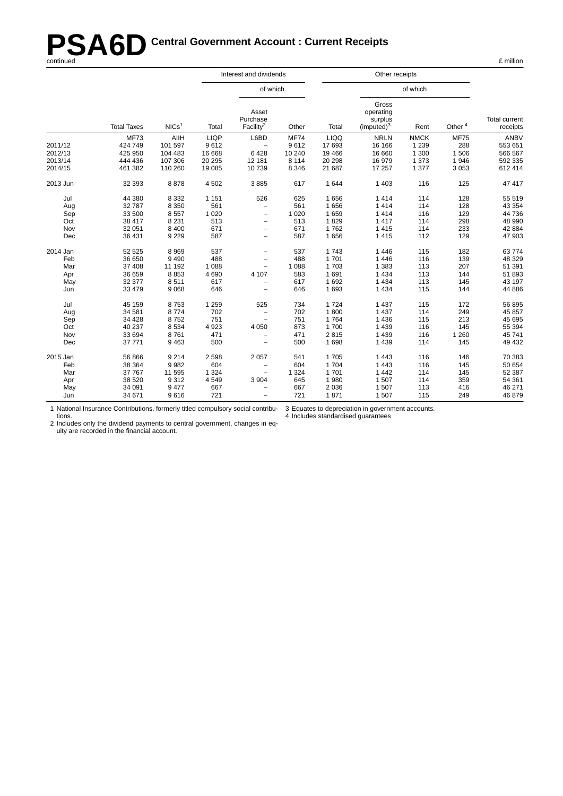# **PSA6D** Central Government Account : Current Receipts<br>
continued **A6D** Central Government Account : Current Receipts

|          |                    |                   |             | Interest and dividends                     |             |             |                                                         |             |                    |                                  |
|----------|--------------------|-------------------|-------------|--------------------------------------------|-------------|-------------|---------------------------------------------------------|-------------|--------------------|----------------------------------|
|          |                    |                   |             | of which                                   |             |             |                                                         | of which    |                    |                                  |
|          | <b>Total Taxes</b> | NICs <sup>1</sup> | Total       | Asset<br>Purchase<br>Facility <sup>2</sup> | Other       | Total       | Gross<br>operating<br>surplus<br>(imputed) <sup>3</sup> | Rent        | Other <sup>4</sup> | <b>Total current</b><br>receipts |
|          | <b>MF73</b>        | AIIH              | <b>LIQP</b> | L6BD                                       | <b>MF74</b> | <b>LIQQ</b> | <b>NRLN</b>                                             | <b>NMCK</b> | <b>MF75</b>        | <b>ANBV</b>                      |
| 2011/12  | 424 749            | 101 597           | 9612        |                                            | 9612        | 17 693      | 16 16 6                                                 | 1 2 3 9     | 288                | 553 651                          |
| 2012/13  | 425 950            | 104 483           | 16 668      | 6428                                       | 10 240      | 19 4 66     | 16 660                                                  | 1 300       | 1 506              | 566 567                          |
| 2013/14  | 444 436            | 107 306           | 20 29 5     | 12 181                                     | 8 1 1 4     | 20 29 8     | 16979                                                   | 1 3 7 3     | 1946               | 592 335                          |
| 2014/15  | 461 382            | 110 260           | 19 085      | 10739                                      | 8 3 4 6     | 21 687      | 17 257                                                  | 1 3 7 7     | 3 0 5 3            | 612 414                          |
| 2013 Jun | 32 393             | 8878              | 4502        | 3885                                       | 617         | 1 644       | 1 4 0 3                                                 | 116         | 125                | 47 417                           |
| Jul      | 44 380             | 8 3 3 2           | 1 1 5 1     | 526                                        | 625         | 1656        | 1414                                                    | 114         | 128                | 55 519                           |
| Aug      | 32 787             | 8 3 5 0           | 561         | $\overline{\phantom{0}}$                   | 561         | 1656        | 1414                                                    | 114         | 128                | 43 354                           |
| Sep      | 33 500             | 8557              | 1 0 2 0     | $\overline{\phantom{m}}$                   | 1 0 2 0     | 1659        | 1414                                                    | 116         | 129                | 44 736                           |
| Oct      | 38 417             | 8 2 3 1           | 513         | $\overline{\phantom{0}}$                   | 513         | 1829        | 1417                                                    | 114         | 298                | 48 990                           |
| Nov      | 32 051             | 8 4 0 0           | 671         |                                            | 671         | 1762        | 1415                                                    | 114         | 233                | 42 884                           |
| Dec      | 36 431             | 9 2 2 9           | 587         | $\overline{\phantom{0}}$                   | 587         | 1656        | 1415                                                    | 112         | 129                | 47 903                           |
| 2014 Jan | 52 525             | 8969              | 537         | $\overline{\phantom{a}}$                   | 537         | 1743        | 1446                                                    | 115         | 182                | 63774                            |
| Feb      | 36 650             | 9490              | 488         | $\overline{\phantom{0}}$                   | 488         | 1701        | 1 4 4 6                                                 | 116         | 139                | 48 329                           |
| Mar      | 37 408             | 11 192            | 1 0 8 8     | $\overline{\phantom{m}}$                   | 1 0 8 8     | 1703        | 1 3 8 3                                                 | 113         | 207                | 51 391                           |
| Apr      | 36 659             | 8853              | 4690        | 4 107                                      | 583         | 1691        | 1 4 3 4                                                 | 113         | 144                | 51 893                           |
| May      | 32 377             | 8511              | 617         | $\overline{\phantom{0}}$                   | 617         | 1692        | 1 4 3 4                                                 | 113         | 145                | 43 197                           |
| Jun      | 33 479             | 9068              | 646         | $\qquad \qquad -$                          | 646         | 1 6 9 3     | 1 4 3 4                                                 | 115         | 144                | 44 886                           |
| Jul      | 45 159             | 8753              | 1 2 5 9     | 525                                        | 734         | 1724        | 1 4 3 7                                                 | 115         | 172                | 56 895                           |
| Aug      | 34 581             | 8774              | 702         | $\overline{\phantom{0}}$                   | 702         | 1800        | 1 4 3 7                                                 | 114         | 249                | 45 857                           |
| Sep      | 34 4 28            | 8752              | 751         | $\overline{\phantom{m}}$                   | 751         | 1764        | 1 4 3 6                                                 | 115         | 213                | 45 695                           |
| Oct      | 40 237             | 8534              | 4 9 23      | 4 0 5 0                                    | 873         | 1700        | 1 4 3 9                                                 | 116         | 145                | 55 394                           |
| Nov      | 33 694             | 8761              | 471         | $\overline{\phantom{0}}$                   | 471         | 2815        | 1 4 3 9                                                 | 116         | 1 2 6 0            | 45 741                           |
| Dec      | 37 771             | 9463              | 500         | $\qquad \qquad -$                          | 500         | 1698        | 1 4 3 9                                                 | 114         | 145                | 49 432                           |
| 2015 Jan | 56 866             | 9 2 1 4           | 2 5 9 8     | 2 0 5 7                                    | 541         | 1705        | 1 4 4 3                                                 | 116         | 146                | 70 383                           |
| Feb      | 38 364             | 9982              | 604         |                                            | 604         | 1704        | 1 4 4 3                                                 | 116         | 145                | 50 654                           |
| Mar      | 37 767             | 11 595            | 1 3 2 4     |                                            | 1 3 2 4     | 1701        | 1 4 4 2                                                 | 114         | 145                | 52 387                           |
| Apr      | 38 520             | 9312              | 4549        | 3 9 0 4                                    | 645         | 1980        | 1 507                                                   | 114         | 359                | 54 361                           |
| May      | 34 091             | 9477              | 667         |                                            | 667         | 2036        | 1 507                                                   | 113         | 416                | 46 271                           |
| Jun      | 34 671             | 9616              | 721         |                                            | 721         | 1871        | 1 507                                                   | 115         | 249                | 46 879                           |

1 National Insurance Contributions, for merly titled compulsory social contributions. 3 Equates to depreciation in government accounts.

4 Includes standardised guarantees

2 Includes only the dividend payments to central government, changes in equity are recorded in the financial account.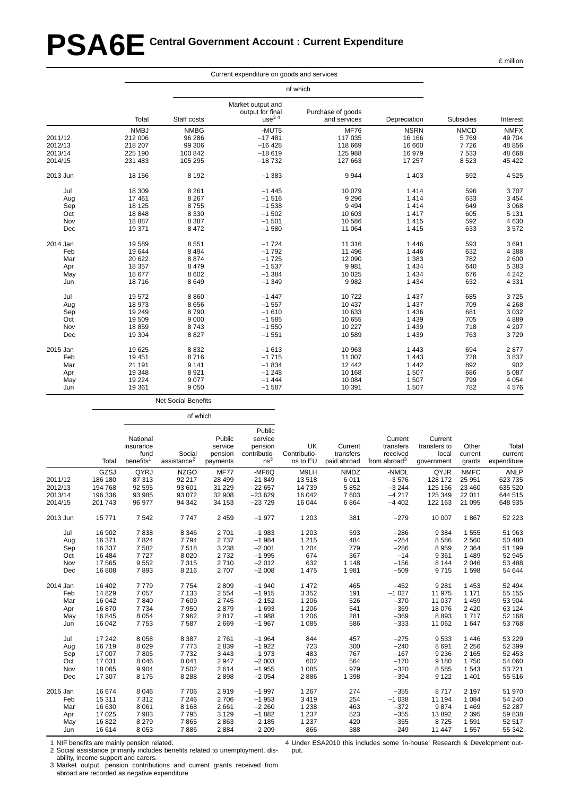# **PSA6E Central Government Account : Current Expenditure**

|          |             |             | Current expenditure on goods and services         |                                   |              |             |             |
|----------|-------------|-------------|---------------------------------------------------|-----------------------------------|--------------|-------------|-------------|
|          |             |             |                                                   | of which                          |              |             |             |
|          | Total       | Staff costs | Market output and<br>output for final<br>use $34$ | Purchase of goods<br>and services | Depreciation | Subsidies   | Interest    |
|          | <b>NMBJ</b> | <b>NMBG</b> | -MUT5                                             | <b>MF76</b>                       | <b>NSRN</b>  | <b>NMCD</b> | <b>NMFX</b> |
| 2011/12  | 212 006     | 96 286      | $-17481$                                          | 117 035                           | 16 16 6      | 5769        | 49 704      |
| 2012/13  | 218 207     | 99 306      | $-16428$                                          | 118 669                           | 16 660       | 7726        | 48 856      |
| 2013/14  | 225 190     | 100 842     | $-18619$                                          | 125 988                           | 16 979       | 7 5 3 3     | 48 668      |
| 2014/15  | 231 483     | 105 295     | $-18732$                                          | 127 663                           | 17 257       | 8523        | 45 422      |
| 2013 Jun | 18 15 6     | 8 1 9 2     | $-1383$                                           | 9944                              | 1 4 0 3      | 592         | 4525        |
| Jul      | 18 309      | 8 2 6 1     | $-1445$                                           | 10 079                            | 1414         | 596         | 3707        |
| Aug      | 17461       | 8 2 6 7     | $-1516$                                           | 9 2 9 6                           | 1414         | 633         | 3 4 5 4     |
| Sep      | 18 125      | 8755        | $-1538$                                           | 9 4 9 4                           | 1414         | 649         | 3 0 6 8     |
| Oct      | 18848       | 8 3 3 0     | $-1502$                                           | 10 603                            | 1 4 1 7      | 605         | 5 1 3 1     |
| Nov      | 18887       | 8 3 8 7     | $-1501$                                           | 10 586                            | 1415         | 592         | 4630        |
| Dec      | 19 371      | 8472        | $-1580$                                           | 11 064                            | 1 4 1 5      | 633         | 3572        |
| 2014 Jan | 19589       | 8551        | $-1724$                                           | 11 316                            | 1446         | 593         | 3691        |
| Feb      | 19644       | 8 4 9 4     | $-1792$                                           | 11 496                            | 1 4 4 6      | 632         | 4 3 8 8     |
| Mar      | 20 622      | 8874        | $-1725$                                           | 12 090                            | 1 3 8 3      | 782         | 2600        |
| Apr      | 18 357      | 8479        | $-1537$                                           | 9981                              | 1 4 3 4      | 640         | 5 3 8 3     |
| May      | 18 677      | 8602        | $-1.384$                                          | 10 0 25                           | 1 4 3 4      | 676         | 4 2 4 2     |
| Jun      | 18716       | 8649        | $-1.349$                                          | 9982                              | 1 4 3 4      | 632         | 4 3 3 1     |
| Jul      | 19572       | 8860        | $-1447$                                           | 10722                             | 1 4 3 7      | 685         | 3725        |
| Aug      | 18 973      | 8656        | $-1557$                                           | 10 437                            | 1 4 3 7      | 709         | 4 2 6 8     |
| Sep      | 19 249      | 8790        | $-1610$                                           | 10 633                            | 1 4 3 6      | 681         | 3 0 3 2     |
| Oct      | 19509       | 9 0 0 0     | $-1585$                                           | 10 655                            | 1 4 3 9      | 705         | 4889        |
| Nov      | 18859       | 8743        | $-1550$                                           | 10 227                            | 1 4 3 9      | 718         | 4 207       |
| Dec      | 19 304      | 8827        | $-1551$                                           | 10 589                            | 1 4 3 9      | 763         | 3729        |
| 2015 Jan | 19625       | 8832        | $-1613$                                           | 10 963                            | 1 4 4 3      | 694         | 2877        |
| Feb      | 19 4 51     | 8716        | $-1715$                                           | 11 007                            | 1 4 4 3      | 728         | 3837        |
| Mar      | 21 191      | 9 1 4 1     | $-1834$                                           | 12 442                            | 1 4 4 2      | 892         | 902         |
| Apr      | 19 348      | 8921        | $-1248$                                           | 10 168                            | 1 507        | 686         | 5 0 8 7     |
| May      | 19 2 24     | 9077        | $-1444$                                           | 10 084                            | 1 507        | 799         | 4 0 5 4     |
| Jun      | 19 3 61     | 9050        | $-1587$                                           | 10 391                            | 1 507        | 782         | 4576        |

Net Social Benefits

of which

|          |         | National<br>insurance<br>fund | Social                  | Public<br>service<br>pension | Public<br>service<br>pension<br>contributio- | UK<br>Contributio- | Current<br>transfers | Current<br>transfers<br>received | Current<br>transfers to<br>local | Other<br>current | Total<br>current |
|----------|---------|-------------------------------|-------------------------|------------------------------|----------------------------------------------|--------------------|----------------------|----------------------------------|----------------------------------|------------------|------------------|
|          | Total   | benefits <sup>1</sup>         | assistance <sup>2</sup> | payments                     | ns <sup>3</sup>                              | ns to EU           | paid abroad          | from abroad $3$                  | government                       | grants           | expenditure      |
|          | GZSJ    | QYRJ                          | <b>NZGO</b>             | <b>MF77</b>                  | -MF6Q                                        | M9LH               | <b>NMDZ</b>          | -NMDL                            | QYJR                             | <b>NMFC</b>      | <b>ANLP</b>      |
| 2011/12  | 186 180 | 87 313                        | 92 217                  | 28 4 9 9                     | $-21849$                                     | 13518              | 6011                 | $-3576$                          | 128 172                          | 25 951           | 623735           |
| 2012/13  | 194 768 | 92 595                        | 93 601                  | 31 229                       | $-22657$                                     | 14 739             | 5852                 | $-3244$                          | 125 156                          | 23 460           | 635 520          |
| 2013/14  | 196 336 | 93 985                        | 93 072                  | 32 908                       | $-23629$                                     | 16 042             | 7603                 | $-4217$                          | 125 349                          | 22 011           | 644 515          |
| 2014/15  | 201 743 | 96 977                        | 94 342                  | 34 153                       | $-23729$                                     | 16 044             | 6864                 | $-4402$                          | 122 163                          | 21 095           | 648 935          |
| 2013 Jun | 15 771  | 7542                          | 7747                    | 2 4 5 9                      | $-1977$                                      | 1 2 0 3            | 381                  | $-279$                           | 10 007                           | 1867             | 52 223           |
| Jul      | 16 902  | 7838                          | 8 3 4 6                 | 2701                         | $-1983$                                      | 1 2 0 3            | 593                  | $-286$                           | 9 3 8 4                          | 1 5 5 5          | 51 963           |
| Aug      | 16 371  | 7824                          | 7 7 9 4                 | 2737                         | $-1984$                                      | 1 2 1 5            | 484                  | $-284$                           | 8586                             | 2 5 6 0          | 50 480           |
| Sep      | 16 337  | 7582                          | 7518                    | 3 2 3 8                      | $-2001$                                      | 1 2 0 4            | 779                  | $-286$                           | 8959                             | 2 3 6 4          | 51 199           |
| Oct      | 16 4 84 | 7727                          | 8 0 2 0                 | 2732                         | $-1995$                                      | 674                | 367                  | $-14$                            | 9 3 6 1                          | 1 4 8 9          | 52 945           |
| Nov      | 17 565  | 9552                          | 7 3 1 5                 | 2710                         | $-2012$                                      | 632                | 1 1 4 8              | $-156$                           | 8 1 4 4                          | 2 0 4 6          | 53 488           |
| Dec      | 16 808  | 7893                          | 8 2 1 6                 | 2707                         | $-2008$                                      | 1 4 7 5            | 1981                 | $-509$                           | 9715                             | 1 5 9 8          | 54 644           |
| 2014 Jan | 16 402  | 7779                          | 7 7 5 4                 | 2809                         | $-1940$                                      | 1 4 7 2            | 465                  | $-452$                           | 9 2 8 1                          | 1453             | 52 494           |
| Feb      | 14 8 29 | 7 0 5 7                       | 7 1 3 3                 | 2 5 5 4                      | $-1915$                                      | 3 3 5 2            | 191                  | $-1027$                          | 11 975                           | 1 1 7 1          | 55 155           |
| Mar      | 16 042  | 7840                          | 7 609                   | 2745                         | $-2152$                                      | 1 2 0 6            | 526                  | $-370$                           | 11 0 37                          | 1 4 5 9          | 53 904           |
| Apr      | 16870   | 7 7 3 4                       | 7950                    | 2879                         | $-1693$                                      | 1 2 0 6            | 541                  | $-369$                           | 18 076                           | 2 4 2 0          | 63 124           |
| May      | 16 845  | 8 0 5 4                       | 7962                    | 2817                         | $-1988$                                      | 1 2 0 6            | 281                  | $-369$                           | 8893                             | 1 7 1 7          | 52 168           |
| Jun      | 16 042  | 7753                          | 7587                    | 2669                         | $-1967$                                      | 1 0 8 5            | 586                  | $-333$                           | 11 062                           | 1647             | 53768            |
| Jul      | 17 242  | 8 0 5 8                       | 8 3 8 7                 | 2761                         | $-1964$                                      | 844                | 457                  | $-275$                           | 9533                             | 1446             | 53 229           |
| Aug      | 16719   | 8 0 2 9                       | 7773                    | 2839                         | $-1922$                                      | 723                | 300                  | $-240$                           | 8691                             | 2 2 5 6          | 52 399           |
| Sep      | 17 007  | 7805                          | 7732                    | 3 4 4 3                      | $-1973$                                      | 483                | 767                  | $-167$                           | 9 2 3 6                          | 2 1 6 5          | 52 453           |
| Oct      | 17 031  | 8 0 4 6                       | 8 0 4 1                 | 2 9 4 7                      | $-2003$                                      | 602                | 564                  | $-170$                           | 9 1 8 0                          | 1750             | 54 060           |
| Nov      | 18 0 65 | 9 9 0 4                       | 7 5 0 2                 | 2614                         | $-1955$                                      | 1 0 8 5            | 979                  | $-320$                           | 8585                             | 1543             | 53721            |
| Dec      | 17 307  | 8 1 7 5                       | 8 2 8 8                 | 2898                         | $-2054$                                      | 2886               | 1 3 9 8              | $-394$                           | 9 1 2 2                          | 1 4 0 1          | 55 516           |
| 2015 Jan | 16 674  | 8 0 4 6                       | 7706                    | 2919                         | $-1997$                                      | 1 2 6 7            | 274                  | $-355$                           | 8717                             | 2 1 9 7          | 51 970           |
| Feb      | 15 311  | 7312                          | 7 2 4 6                 | 2706                         | $-1953$                                      | 3419               | 254                  | $-1038$                          | 11 194                           | 1 0 8 4          | 54 240           |
| Mar      | 16 630  | 8 0 61                        | 8 1 6 8                 | 2 6 6 1                      | $-2260$                                      | 1 2 3 8            | 463                  | $-372$                           | 9874                             | 1 4 6 9          | 52 287           |
| Apr      | 17 0 25 | 7983                          | 7795                    | 3 1 2 9                      | $-1882$                                      | 1 2 3 7            | 523                  | $-355$                           | 13892                            | 2 3 9 5          | 59838            |
| May      | 16822   | 8 2 7 9                       | 7865                    | 2863                         | $-2185$                                      | 1 2 3 7            | 420                  | $-355$                           | 8725                             | 1 5 9 1          | 52 517           |
| Jun      | 16 614  | 8 0 5 3                       | 7886                    | 2884                         | $-2209$                                      | 866                | 388                  | $-249$                           | 11 447                           | 1557             | 55 342           |

1 NIF benefits are mainly pension related.

2 Social assistance primarily includes benefits related to unemployment, disability, income support and carers.

3 Market output, pension contributions and current grants received from abroad are recorded as negative expenditure

4 Under ESA2010 this includes some 'in-house' Research & Development output.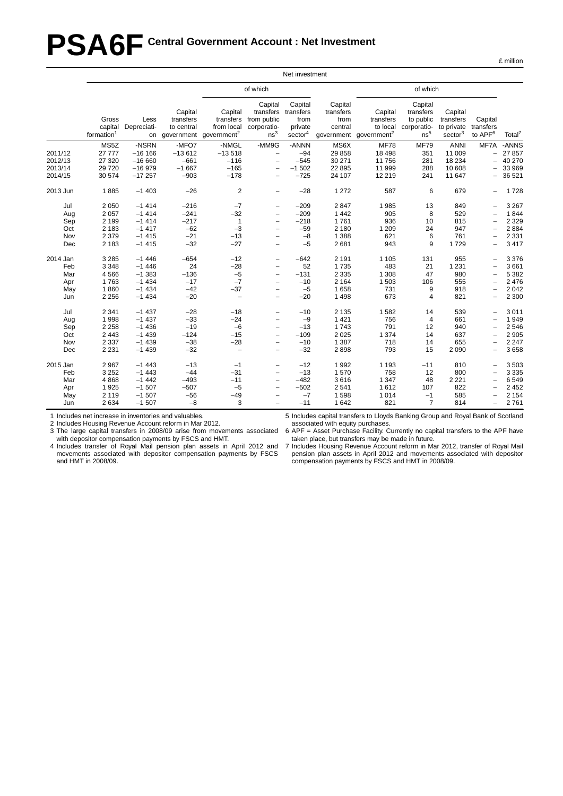# **PSA6F Central Government Account : Net Investment**

|                                             |                                                                |                                                                |                                                       |                                                                 |                                                                                                                                                                      | Net investment                                                 |                                                          |                                                             |                                                                     |                                                           |                                             |                                                             |
|---------------------------------------------|----------------------------------------------------------------|----------------------------------------------------------------|-------------------------------------------------------|-----------------------------------------------------------------|----------------------------------------------------------------------------------------------------------------------------------------------------------------------|----------------------------------------------------------------|----------------------------------------------------------|-------------------------------------------------------------|---------------------------------------------------------------------|-----------------------------------------------------------|---------------------------------------------|-------------------------------------------------------------|
|                                             |                                                                |                                                                |                                                       |                                                                 | of which                                                                                                                                                             |                                                                |                                                          |                                                             | of which                                                            |                                                           |                                             |                                                             |
|                                             | Gross<br>capital<br>formation <sup>1</sup>                     | Less<br>Depreciati-                                            | Capital<br>transfers<br>to central<br>on government   | Capital<br>transfers<br>from local<br>government <sup>2</sup>   | Capital<br>transfers<br>from public<br>corporatio-<br>ns <sup>3</sup>                                                                                                | Capital<br>transfers<br>from<br>private<br>sector <sup>4</sup> | Capital<br>transfers<br>from<br>central<br>government    | Capital<br>transfers<br>to local<br>government <sup>2</sup> | Capital<br>transfers<br>to public<br>corporatio-<br>ns <sup>5</sup> | Capital<br>transfers<br>to private<br>sector <sup>3</sup> | Capital<br>transfers<br>to APF <sup>6</sup> | Total <sup>7</sup>                                          |
| 2011/12<br>2012/13<br>2013/14<br>2014/15    | MS5Z<br>27 777<br>27 320<br>29 7 20<br>30 574                  | -NSRN<br>$-16$ 166<br>$-16660$<br>$-16979$<br>$-17257$         | -MFO7<br>$-13612$<br>$-661$<br>$-1667$<br>$-903$      | -NMGL<br>$-13518$<br>$-116$<br>$-165$<br>$-178$                 | -MM9G<br>$\overline{\phantom{a}}$<br>$\overline{\phantom{0}}$<br>$\overline{\phantom{0}}$<br>$\overline{\phantom{0}}$                                                | -ANNN<br>$-94$<br>$-545$<br>$-1502$<br>$-725$                  | MS6X<br>29858<br>30 271<br>22 8 95<br>24 107             | <b>MF78</b><br>18 4 98<br>11756<br>11 999<br>12 219         | <b>MF79</b><br>351<br>281<br>288<br>241                             | ANNI<br>11 009<br>18 234<br>10 608<br>11 647              | MF7A<br>$-$<br>$\overline{\phantom{0}}$     | -ANNS<br>27 857<br>40 270<br>33 969<br>36 521               |
| 2013 Jun                                    | 1885                                                           | $-1403$                                                        | $-26$                                                 | $\overline{2}$                                                  | $\overline{\phantom{0}}$                                                                                                                                             | $-28$                                                          | 1 2 7 2                                                  | 587                                                         | 6                                                                   | 679                                                       | $\qquad \qquad -$                           | 1728                                                        |
| Jul<br>Aug<br>Sep<br>Oct<br>Nov<br>Dec      | 2 0 5 0<br>2 0 5 7<br>2 1 9 9<br>2 1 8 3<br>2 3 7 9<br>2 1 8 3 | $-1414$<br>$-1414$<br>$-1414$<br>$-1417$<br>$-1415$<br>$-1415$ | $-216$<br>$-241$<br>$-217$<br>$-62$<br>$-21$<br>$-32$ | $-7$<br>$-32$<br>1<br>$-3$<br>$-13$<br>$-27$                    | $\overline{\phantom{0}}$<br>$\overline{\phantom{0}}$<br>$\overline{\phantom{0}}$<br>$\overline{\phantom{0}}$<br>$\overline{a}$<br>$\overline{\phantom{0}}$           | $-209$<br>$-209$<br>$-218$<br>$-59$<br>$-8$<br>$-5$            | 2847<br>1442<br>1761<br>2 1 8 0<br>1 3 8 8<br>2681       | 1985<br>905<br>936<br>1 2 0 9<br>621<br>943                 | 13<br>8<br>10<br>24<br>6<br>9                                       | 849<br>529<br>815<br>947<br>761<br>1729                   |                                             | 3 2 6 7<br>1844<br>2 3 2 9<br>2884<br>2 3 3 1<br>3 4 1 7    |
| 2014 Jan<br>Feb<br>Mar<br>Apr<br>May<br>Jun | 3 2 8 5<br>3 3 4 8<br>4 5 6 6<br>1763<br>1860<br>2 2 5 6       | $-1446$<br>$-1446$<br>$-1383$<br>$-1434$<br>$-1434$<br>$-1434$ | $-654$<br>24<br>$-136$<br>$-17$<br>$-42$<br>$-20$     | $-12$<br>$-28$<br>$-5$<br>$-7$<br>$-37$<br>$\bar{\phantom{a}}$  | $\overline{\phantom{0}}$<br>$\qquad \qquad -$<br>$\overline{\phantom{0}}$<br>$\qquad \qquad -$<br>$\overline{\phantom{0}}$<br>$\qquad \qquad -$                      | $-642$<br>52<br>$-131$<br>$-10$<br>$-5$<br>$-20$               | 2 1 9 1<br>1735<br>2 3 3 5<br>2 1 6 4<br>1658<br>1498    | 1 1 0 5<br>483<br>1 3 0 8<br>1 503<br>731<br>673            | 131<br>21<br>47<br>106<br>9<br>4                                    | 955<br>1 2 3 1<br>980<br>555<br>918<br>821                | $\qquad \qquad -$                           | 3 3 7 6<br>3661<br>5 3 8 2<br>2 4 7 6<br>2 0 4 2<br>2 3 0 0 |
| Jul<br>Aug<br>Sep<br>Oct<br>Nov<br>Dec      | 2 3 4 1<br>1998<br>2 2 5 8<br>2 4 4 3<br>2 3 3 7<br>2 2 3 1    | $-1437$<br>$-1437$<br>$-1436$<br>$-1439$<br>$-1439$<br>$-1439$ | $-28$<br>$-33$<br>$-19$<br>$-124$<br>$-38$<br>$-32$   | $-18$<br>$-24$<br>$-6$<br>$-15$<br>$-28$<br>$\bar{\phantom{a}}$ | $\overline{\phantom{0}}$<br>$\overline{\phantom{0}}$<br>$\overline{\phantom{0}}$<br>$\overline{\phantom{0}}$<br>$\overline{\phantom{0}}$<br>$\overline{\phantom{0}}$ | $-10$<br>$-9$<br>$-13$<br>$-109$<br>$-10$<br>$-32$             | 2 1 3 5<br>1 4 2 1<br>1743<br>2 0 2 5<br>1 3 8 7<br>2898 | 1582<br>756<br>791<br>1 3 7 4<br>718<br>793                 | 14<br>$\overline{4}$<br>12<br>14<br>14<br>15                        | 539<br>661<br>940<br>637<br>655<br>2 0 9 0                | $\overline{\phantom{0}}$                    | 3 0 1 1<br>1949<br>2 5 4 6<br>2 9 0 5<br>2 2 4 7<br>3658    |
| 2015 Jan<br>Feb<br>Mar<br>Apr<br>May<br>Jun | 2 9 6 7<br>3 2 5 2<br>4 8 6 8<br>1925<br>2 1 1 9<br>2 6 3 4    | $-1443$<br>$-1443$<br>$-1442$<br>$-1507$<br>$-1507$<br>$-1507$ | $-13$<br>$-44$<br>$-493$<br>$-507$<br>$-56$<br>$-8$   | $-1$<br>$-31$<br>$-11$<br>$-5$<br>$-49$<br>3                    | -<br>$\overline{\phantom{0}}$<br>$\overline{\phantom{0}}$<br>$\overline{\phantom{0}}$                                                                                | $-12$<br>$-13$<br>$-482$<br>$-502$<br>$-7$<br>$-11$            | 1992<br>1570<br>3616<br>2541<br>1598<br>1642             | 1 1 9 3<br>758<br>1 3 4 7<br>1612<br>1 0 1 4<br>821         | $-11$<br>12<br>48<br>107<br>$-1$<br>$\overline{7}$                  | 810<br>800<br>2 2 2 1<br>822<br>585<br>814                | $\equiv$<br>$\overline{\phantom{0}}$        | 3503<br>3 3 3 5<br>6549<br>2 4 5 2<br>2 1 5 4<br>2761       |

1 Includes net increase in inventories and valuables.

2 Includes Housing Revenue Account reform in Mar 2012.

3 The large capital transfers in 2008/09 arise from movements associated with depositor compensation payments by FSCS and HMT.

4 Includes transfer of Royal Mail pension plan assets in April 2012 and movements associated with depositor compensation payments by FSCS and HMT in 2008/09.

5 Includes capital transfers to Lloyds Banking Group and Royal Bank of Scotland associated with equity purchases.

6 APF = Asset Purchase Facility. Currently no capital transfers to the APF have taken place, but transfers may be made in future.

7 Includes Housing Revenue Account reform in Mar 2012, transfer of Royal Mail pension plan assets in April 2012 and movements associated with depositor compensation payments by FSCS and HMT in 2008/09.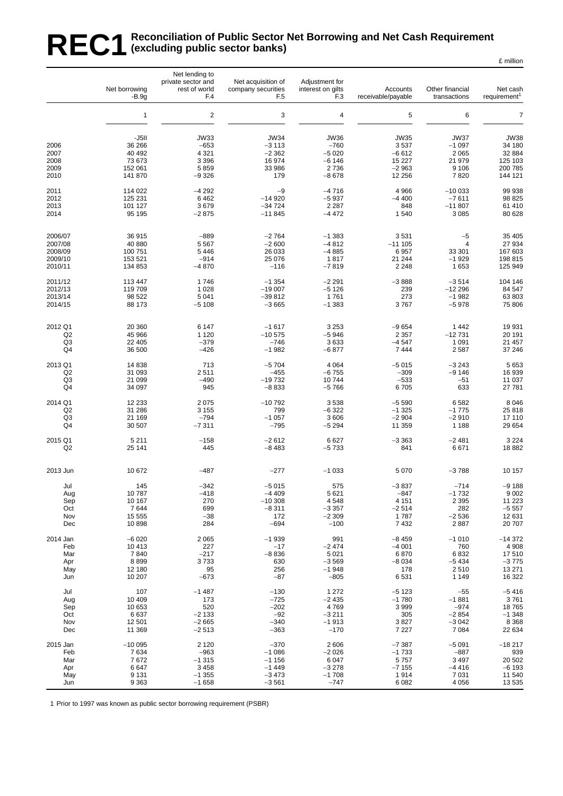#### REC1 Reconciliation of Public Sector Net Borrowing and Net Cash Requirement<br>REC1 (excluding public sector banks) **(excluding public sector banks)** £ million

|                                      | Net borrowing<br>$-B.9q$                                  | Net lending to<br>private sector and<br>rest of world<br>F.4   | Net acquisition of<br>company securities<br>F <sub>5</sub>   | Adjustment for<br>interest on gilts<br>F <sub>3</sub>          | Accounts<br>receivable/payable                                 | Other financial<br>transactions                                | Net cash<br>requirement <sup>1</sup>                             |
|--------------------------------------|-----------------------------------------------------------|----------------------------------------------------------------|--------------------------------------------------------------|----------------------------------------------------------------|----------------------------------------------------------------|----------------------------------------------------------------|------------------------------------------------------------------|
|                                      | 1                                                         | $\overline{\mathbf{c}}$                                        | 3                                                            | $\overline{\mathbf{4}}$                                        | 5                                                              | 6                                                              | $\overline{7}$                                                   |
| 2006<br>2007<br>2008<br>2009<br>2010 | -J5II<br>36 266<br>40 492<br>73 673<br>152 061<br>141 870 | <b>JW33</b><br>$-653$<br>4 3 2 1<br>3 3 9 6<br>5859<br>$-9326$ | <b>JW34</b><br>$-3113$<br>$-2362$<br>16 974<br>33 986<br>179 | <b>JW36</b><br>$-760$<br>$-5020$<br>$-6146$<br>2736<br>$-8678$ | <b>JW35</b><br>3537<br>$-6612$<br>15 2 27<br>$-2963$<br>12 256 | <b>JW37</b><br>$-1097$<br>2 0 6 5<br>21 979<br>9 1 0 6<br>7820 | <b>JW38</b><br>34 180<br>32 884<br>125 103<br>200 785<br>144 121 |
| 2011                                 | 114 022                                                   | $-4292$                                                        | $-9$                                                         | $-4716$                                                        | 4966                                                           | $-10033$                                                       | 99 938                                                           |
| 2012                                 | 125 231                                                   | 6462                                                           | $-14920$                                                     | $-5937$                                                        | $-4400$                                                        | $-7611$                                                        | 98 825                                                           |
| 2013                                 | 101 127                                                   | 3679                                                           | $-34724$                                                     | 2 2 8 7                                                        | 848                                                            | $-11807$                                                       | 61 410                                                           |
| 2014                                 | 95 195                                                    | $-2875$                                                        | $-11845$                                                     | $-4472$                                                        | 1540                                                           | 3 0 8 5                                                        | 80 628                                                           |
| 2006/07                              | 36 915                                                    | $-889$                                                         | $-2764$                                                      | $-1383$                                                        | 3531                                                           | $-5$                                                           | 35 405                                                           |
| 2007/08                              | 40 880                                                    | 5 5 6 7                                                        | $-2600$                                                      | $-4812$                                                        | $-111105$                                                      | $\overline{4}$                                                 | 27 934                                                           |
| 2008/09                              | 100 751                                                   | 5 4 4 6                                                        | 26 033                                                       | $-4885$                                                        | 6957                                                           | 33 301                                                         | 167 603                                                          |
| 2009/10                              | 153 521                                                   | $-914$                                                         | 25 076                                                       | 1817                                                           | 21 244                                                         | $-1929$                                                        | 198 815                                                          |
| 2010/11                              | 134 853                                                   | $-4870$                                                        | $-116$                                                       | $-7819$                                                        | 2 2 4 8                                                        | 1653                                                           | 125 949                                                          |
| 2011/12                              | 113 447                                                   | 1746                                                           | $-1354$                                                      | $-2291$                                                        | $-3888$                                                        | $-3514$                                                        | 104 146                                                          |
| 2012/13                              | 119 709                                                   | 1 0 28                                                         | $-19007$                                                     | $-5126$                                                        | 239                                                            | $-12296$                                                       | 84 547                                                           |
| 2013/14                              | 98 522                                                    | 5 0 4 1                                                        | $-39812$                                                     | 1761                                                           | 273                                                            | $-1982$                                                        | 63 803                                                           |
| 2014/15                              | 88 173                                                    | $-5108$                                                        | $-3665$                                                      | $-1383$                                                        | 3767                                                           | $-5978$                                                        | 75 806                                                           |
| 2012 Q1                              | 20 360                                                    | 6 1 4 7                                                        | $-1617$                                                      | 3 2 5 3                                                        | $-9654$                                                        | 1 4 4 2                                                        | 19 9 31                                                          |
| Q2                                   | 45 966                                                    | 1 1 2 0                                                        | $-10575$                                                     | $-5946$                                                        | 2 3 5 7                                                        | $-12731$                                                       | 20 191                                                           |
| Q <sub>3</sub>                       | 22 405                                                    | $-379$                                                         | $-746$                                                       | 3633                                                           | $-4547$                                                        | 1 0 9 1                                                        | 21 457                                                           |
| Q4                                   | 36 500                                                    | $-426$                                                         | $-1982$                                                      | $-6877$                                                        | 7444                                                           | 2587                                                           | 37 246                                                           |
| 2013 Q1                              | 14 838                                                    | 713                                                            | $-5704$                                                      | 4 0 64                                                         | $-5015$                                                        | $-3243$                                                        | 5 6 5 3                                                          |
| Q2                                   | 31 093                                                    | 2511                                                           | $-455$                                                       | $-6755$                                                        | $-309$                                                         | $-9146$                                                        | 16 939                                                           |
| Q3                                   | 21 099                                                    | $-490$                                                         | $-19732$                                                     | 10744                                                          | $-533$                                                         | -51                                                            | 11 037                                                           |
| Q4                                   | 34 097                                                    | 945                                                            | $-8833$                                                      | $-5766$                                                        | 6705                                                           | 633                                                            | 27 781                                                           |
| 2014 Q1                              | 12 2 3 3                                                  | 2075                                                           | $-10792$                                                     | 3538                                                           | $-5590$                                                        | 6582                                                           | 8 0 4 6                                                          |
| Q2                                   | 31 286                                                    | 3 1 5 5                                                        | 799                                                          | $-6322$                                                        | $-1325$                                                        | $-1775$                                                        | 25818                                                            |
| Q3                                   | 21 169                                                    | $-794$                                                         | $-1057$                                                      | 3606                                                           | $-2904$                                                        | $-2910$                                                        | 17 110                                                           |
| Q4                                   | 30 507                                                    | $-7311$                                                        | $-795$                                                       | $-5294$                                                        | 11 359                                                         | 1 1 8 8                                                        | 29 654                                                           |
| 2015 Q1                              | 5 2 1 1                                                   | $-158$                                                         | $-2612$                                                      | 6627                                                           | $-3363$                                                        | $-2481$                                                        | 3 2 2 4                                                          |
| Q <sub>2</sub>                       | 25 141                                                    | 445                                                            | $-8483$                                                      | $-5733$                                                        | 841                                                            | 6671                                                           | 18882                                                            |
| 2013 Jun                             | 10 672                                                    | $-487$                                                         | $-277$                                                       | $-1033$                                                        | 5 0 7 0                                                        | $-3788$                                                        | 10 157                                                           |
| Jul                                  | 145                                                       | $-342$                                                         | $-5015$                                                      | 575                                                            | $-3837$                                                        | $-714$                                                         | $-9188$                                                          |
| Aug                                  | 10787                                                     | -418                                                           | $-4409$                                                      | 5621                                                           | $-847$                                                         | $-1732$                                                        | 9 0 0 2                                                          |
| Sep                                  | 10 167                                                    | 270                                                            | $-10308$                                                     | 4548                                                           | 4 1 5 1                                                        | 2 3 9 5                                                        | 11 223                                                           |
| Oct                                  | 7644                                                      | 699                                                            | $-8311$                                                      | $-3357$                                                        | $-2514$                                                        | 282                                                            | $-5557$                                                          |
| Nov                                  | 15 555                                                    | $-38$                                                          | 172                                                          | $-2309$                                                        | 1787                                                           | $-2536$                                                        | 12 631                                                           |
| Dec                                  | 10898                                                     | 284                                                            | $-694$                                                       | $-100$                                                         | 7432                                                           | 2887                                                           | 20 707                                                           |
| 2014 Jan                             | $-6020$                                                   | 2065                                                           | $-1939$                                                      | 991                                                            | $-8459$                                                        | $-1010$                                                        | $-14372$                                                         |
| Feb                                  | 10 413                                                    | 227                                                            | $-17$                                                        | $-2474$                                                        | $-4001$                                                        | 760                                                            | 4 9 0 8                                                          |
| Mar                                  | 7840                                                      | $-217$                                                         | $-8836$                                                      | 5 0 21                                                         | 6870                                                           | 6832                                                           | 17510                                                            |
| Apr                                  | 8899                                                      | 3733                                                           | 630                                                          | $-3569$                                                        | $-8034$                                                        | $-5434$                                                        | $-3775$                                                          |
| May                                  | 12 180                                                    | 95                                                             | 256                                                          | $-1948$                                                        | 178                                                            | 2510                                                           | 13 271                                                           |
| Jun                                  | 10 207                                                    | $-673$                                                         | $-87$                                                        | $-805$                                                         | 6531                                                           | 1 1 4 9                                                        | 16 322                                                           |
| Jul                                  | 107                                                       | $-1487$                                                        | $-130$                                                       | 1 2 7 2                                                        | $-5123$                                                        | $-55$                                                          | $-5416$                                                          |
| Aug                                  | 10 409                                                    | 173                                                            | $-725$                                                       | $-2435$                                                        | $-1780$                                                        | $-1881$                                                        | 3761                                                             |
| Sep                                  | 10 653                                                    | 520                                                            | $-202$                                                       | 4769                                                           | 3999                                                           | $-974$                                                         | 18765                                                            |
| Oct                                  | 6637                                                      | $-2133$                                                        | $-92$                                                        | $-3211$                                                        | 305                                                            | $-2854$                                                        | $-1348$                                                          |
| Nov                                  | 12 501                                                    | $-2665$                                                        | $-340$                                                       | $-1913$                                                        | 3827                                                           | $-3042$                                                        | 8 3 6 8                                                          |
| Dec                                  | 11 369                                                    | $-2513$                                                        | $-363$                                                       | $-170$                                                         | 7 2 2 7                                                        | 7 0 8 4                                                        | 22 634                                                           |
| 2015 Jan                             | $-10005$                                                  | 2 1 2 0                                                        | $-370$                                                       | 2606                                                           | $-7387$                                                        | $-5091$                                                        | $-18217$                                                         |
| Feb                                  | 7634                                                      | $-963$                                                         | $-1086$                                                      | $-2026$                                                        | $-1733$                                                        | $-887$                                                         | 939                                                              |
| Mar                                  | 7672                                                      | $-1315$                                                        | $-1156$                                                      | 6 0 4 7                                                        | 5757                                                           | 3 4 9 7                                                        | 20 502                                                           |
| Apr                                  | 6647                                                      | 3 4 5 8                                                        | $-1449$                                                      | $-3278$                                                        | $-7155$                                                        | $-4416$                                                        | $-6193$                                                          |
| May                                  | 9 1 3 1                                                   | $-1355$                                                        | $-3473$                                                      | $-1708$                                                        | 1914                                                           | 7 0 31                                                         | 11 540                                                           |
| Jun                                  | 9 3 6 3                                                   | $-1658$                                                        | $-3561$                                                      | $-747$                                                         | 6082                                                           | 4 0 5 6                                                        | 13 535                                                           |

1 Prior to 1997 was known as public sector borrowing requirement (PSBR)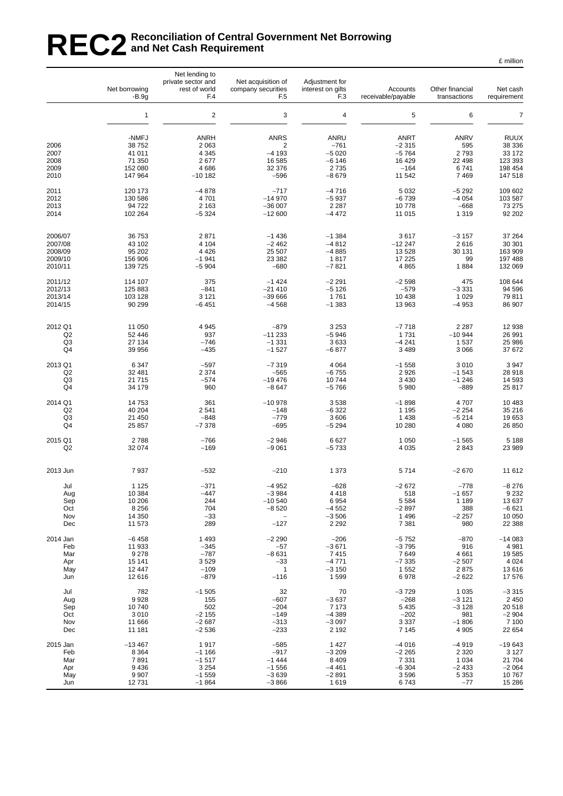### REC2<sup>Reconciliation of Central Government Net Borrowing<br>REC2 and Net Cash Requirement</sup> **and Net Cash Requirement**

|                      | Net borrowing<br>$-B.9g$  | Net lending to<br>private sector and<br>rest of world<br>F.4 | Net acquisition of<br>company securities<br>F <sub>5</sub> | Adjustment for<br>interest on gilts<br>F <sub>3</sub> | Accounts<br>receivable/payable    | Other financial<br>transactions | Net cash<br>requirement         |
|----------------------|---------------------------|--------------------------------------------------------------|------------------------------------------------------------|-------------------------------------------------------|-----------------------------------|---------------------------------|---------------------------------|
|                      | $\mathbf{1}$              | $\overline{2}$                                               | 3                                                          | $\overline{4}$                                        | 5                                 | 6                               | $\overline{7}$                  |
| 2006                 | -NMFJ<br>38 752<br>41 011 | <b>ANRH</b><br>2 0 6 3                                       | <b>ANRS</b><br>2<br>$-4193$                                | ANRU<br>$-761$                                        | <b>ANRT</b><br>$-2315$<br>$-5764$ | <b>ANRV</b><br>595              | <b>RUUX</b><br>38 336<br>33 172 |
| 2007<br>2008         | 71 350                    | 4 3 4 5<br>2677                                              | 16 585                                                     | $-5020$<br>$-6146$                                    | 16 4 29                           | 2793<br>22 4 98                 | 123 393                         |
| 2009                 | 152 080                   | 4686                                                         | 32 376                                                     | 2735                                                  | $-164$                            | 6741                            | 198 454                         |
| 2010                 | 147 964                   | $-10182$                                                     | $-596$                                                     | $-8679$                                               | 11 542                            | 7 4 6 9                         | 147 518                         |
| 2011<br>2012         | 120 173<br>130 586        | $-4878$<br>4701                                              | $-717$<br>$-14970$                                         | $-4716$<br>$-5937$                                    | 5 0 3 2<br>$-6739$                | $-5292$<br>$-4054$              | 109 602<br>103 587              |
| 2013                 | 94 722                    | 2 1 6 3                                                      | $-36007$                                                   | 2 2 8 7                                               | 10778                             | $-668$                          | 73 275                          |
| 2014                 | 102 264                   | $-5324$                                                      | $-12600$                                                   | $-4472$                                               | 11 015                            | 1 3 1 9                         | 92 202                          |
| 2006/07              | 36 753                    | 2871                                                         | $-1436$                                                    | $-1.384$                                              | 3617                              | $-3157$                         | 37 264                          |
| 2007/08              | 43 102                    | 4 1 0 4                                                      | $-2462$                                                    | $-4812$                                               | $-12247$                          | 2616                            | 30 301                          |
| 2008/09<br>2009/10   | 95 202<br>156 906         | 4 4 2 6<br>$-1941$                                           | 25 507<br>23 382                                           | $-4885$<br>1817                                       | 13 5 28<br>17 225                 | 30 131<br>99                    | 163 909<br>197 488              |
| 2010/11              | 139 725                   | $-5904$                                                      | $-680$                                                     | $-7821$                                               | 4 8 6 5                           | 1884                            | 132 069                         |
| 2011/12              | 114 107                   | 375                                                          | $-1424$                                                    | $-2291$                                               | $-2598$<br>$-579$                 | 475                             | 108 644                         |
| 2012/13<br>2013/14   | 125 883<br>103 128        | $-841$<br>3 1 2 1                                            | $-21410$<br>$-39666$                                       | $-5126$<br>1761                                       | 10 4 38                           | $-3331$<br>1 0 2 9              | 94 596<br>79811                 |
| 2014/15              | 90 299                    | $-6451$                                                      | $-4568$                                                    | $-1383$                                               | 13 963                            | $-4953$                         | 86 907                          |
| 2012 Q1              | 11 050                    | 4945                                                         | $-879$                                                     | 3 2 5 3                                               | $-7718$                           | 2 2 8 7                         | 12 938                          |
| Q <sub>2</sub>       | 52 446                    | 937                                                          | $-11233$                                                   | $-5946$                                               | 1731                              | $-10944$                        | 26 991                          |
| Q3<br>Q4             | 27 134<br>39 956          | $-746$<br>$-435$                                             | $-1331$<br>$-1527$                                         | 3633<br>$-6877$                                       | $-4241$<br>3 4 8 9                | 1 5 3 7<br>3 0 6 6              | 25 986<br>37 672                |
| 2013 Q1              | 6 3 4 7                   | $-597$                                                       | $-7319$                                                    | 4 0 64                                                | $-1558$                           | 3010                            | 3 9 4 7                         |
| Q2<br>Q <sub>3</sub> | 32 481<br>21 715          | 2 3 7 4<br>$-574$                                            | $-565$<br>$-19476$                                         | $-6755$<br>10744                                      | 2926<br>3 4 3 0                   | $-1543$<br>$-1246$              | 28 918<br>14 593                |
| Q4                   | 34 179                    | 960                                                          | $-8647$                                                    | $-5766$                                               | 5 980                             | $-889$                          | 25 817                          |
| 2014 Q1              | 14 753                    | 361<br>2541                                                  | $-10978$<br>$-148$                                         | 3538                                                  | $-1898$                           | 4707<br>$-2254$                 | 10 483<br>35 216                |
| Q <sub>2</sub><br>Q3 | 40 204<br>21 450          | $-848$                                                       | $-779$                                                     | $-6322$<br>3 606                                      | 1 1 9 5<br>1438                   | $-5214$                         | 19653                           |
| Q4                   | 25 857                    | $-7378$                                                      | $-695$                                                     | $-5294$                                               | 10 280                            | 4 0 8 0                         | 26 850                          |
| 2015 Q1<br>Q2        | 2788<br>32 074            | $-766$<br>$-169$                                             | $-2946$<br>$-9061$                                         | 6627<br>$-5733$                                       | 1 0 5 0<br>4 0 3 5                | $-1565$<br>2843                 | 5 1 8 8<br>23 989               |
|                      |                           |                                                              |                                                            |                                                       |                                   |                                 |                                 |
| 2013 Jun             | 7937                      | $-532$                                                       | $-210$                                                     | 1 3 7 3                                               | 5714                              | $-2670$                         | 11 612                          |
| Jul<br>Aug           | 1 1 2 5<br>10 384         | $-371$<br>-447                                               | $-4952$<br>$-3984$                                         | $-628$<br>4 4 1 8                                     | $-2672$<br>518                    | $-778$<br>$-1657$               | $-8276$<br>9 2 3 2              |
| Sep                  | 10 206                    | 244                                                          | $-10540$                                                   | 6954                                                  | 5 5 8 4                           | 1 1 8 9                         | 13 637                          |
| Oct                  | 8 2 5 6                   | 704                                                          | $-8520$                                                    | $-4552$                                               | $-2897$                           | 388                             | $-6621$                         |
| Nov<br>Dec           | 14 350<br>11 573          | $-33$<br>289                                                 | $-127$                                                     | $-3506$<br>2 2 9 2                                    | 1 4 9 6<br>7 3 8 1                | $-2257$<br>980                  | 10 050<br>22 388                |
| 2014 Jan             | $-6458$                   | 1493                                                         | $-2290$                                                    | $-206$                                                | $-5752$                           | $-870$                          | $-14083$                        |
| Feb<br>Mar           | 11 933<br>9 2 7 8         | $-345$<br>$-787$                                             | $-57$<br>$-8631$                                           | $-3671$<br>7415                                       | $-3795$<br>7649                   | 916<br>4 6 6 1                  | 4 9 8 1<br>19585                |
| Apr                  | 15 141                    | 3529                                                         | $-33$                                                      | $-4771$                                               | $-7335$                           | $-2507$                         | 4 0 24                          |
| May                  | 12 447                    | $-109$                                                       | $\mathbf{1}$                                               | $-3150$                                               | 1 5 5 2                           | 2875                            | 13616                           |
| Jun                  | 12 616                    | $-879$                                                       | $-116$                                                     | 1599                                                  | 6978                              | $-2622$                         | 17 576                          |
| Jul<br>Aug           | 782<br>9928               | $-1505$<br>155                                               | 32<br>$-607$                                               | 70<br>$-3637$                                         | $-3729$<br>$-268$                 | 1 0 3 5<br>$-3121$              | $-3315$<br>2 4 5 0              |
| Sep                  | 10740                     | 502                                                          | $-204$                                                     | 7 1 7 3                                               | 5 4 3 5                           | $-3128$                         | 20 518                          |
| Oct                  | 3 0 1 0                   | $-2155$                                                      | $-149$                                                     | $-4389$                                               | $-202$                            | 981                             | $-2904$                         |
| Nov<br>Dec           | 11 666<br>11 181          | $-2687$<br>$-2536$                                           | $-313$<br>$-233$                                           | $-3097$<br>2 1 9 2                                    | 3 3 3 7<br>7 1 4 5                | $-1806$<br>4 9 0 5              | 7 100<br>22 654                 |
| 2015 Jan             | $-13467$                  | 1917                                                         | $-585$                                                     | 1 4 2 7                                               | $-4016$                           | $-4919$                         | $-19643$                        |
| Feb<br>Mar           | 8 3 6 4<br>7891           | $-1166$<br>$-1517$                                           | $-917$<br>$-1444$                                          | $-3209$<br>8 4 0 9                                    | $-2265$<br>7 3 3 1                | 2 3 2 0<br>1 0 3 4              | 3 1 2 7<br>21 704               |
| Apr                  | 9 4 3 6                   | 3 2 5 4                                                      | $-1556$                                                    | $-4461$                                               | $-6304$                           | $-2433$                         | $-2064$                         |
| May                  | 9 9 0 7                   | $-1559$                                                      | $-3639$                                                    | $-2891$                                               | 3596                              | 5 3 5 3                         | 10767                           |
| Jun                  | 12731                     | $-1864$                                                      | $-3866$                                                    | 1619                                                  | 6743                              | $-77$                           | 15 28 6                         |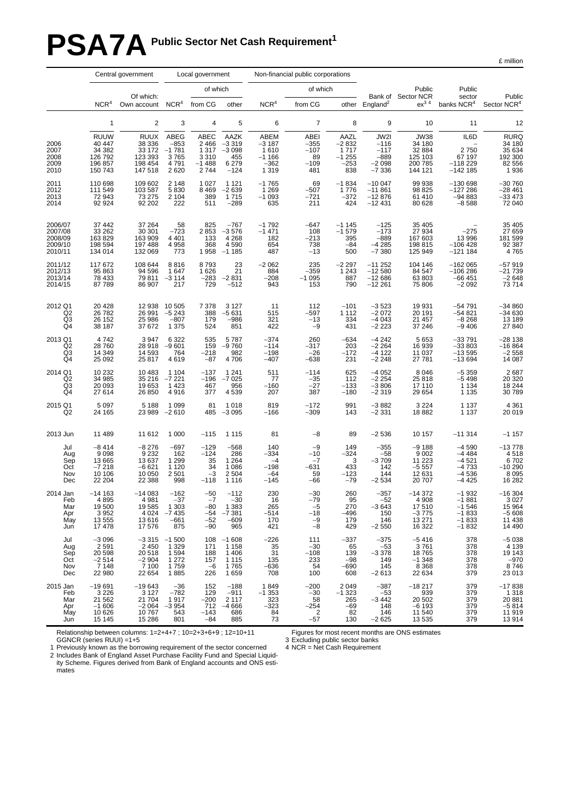# **PSA7A** Public Sector Net Cash Requirement<sup>1</sup>

£ million

|                                                     | Central government<br>Local government                           |                                                                       |                                                        | Non-financial public corporations                        |                                                           |                                                         |                                                            |                                                     |                                                          |                                                                  |                                                                |                                                               |
|-----------------------------------------------------|------------------------------------------------------------------|-----------------------------------------------------------------------|--------------------------------------------------------|----------------------------------------------------------|-----------------------------------------------------------|---------------------------------------------------------|------------------------------------------------------------|-----------------------------------------------------|----------------------------------------------------------|------------------------------------------------------------------|----------------------------------------------------------------|---------------------------------------------------------------|
|                                                     |                                                                  | Of which:                                                             |                                                        | of which                                                 |                                                           |                                                         | of which                                                   |                                                     |                                                          | Public<br>Bank of Sector NCR                                     | Public<br>sector                                               | Public                                                        |
|                                                     | NCR <sup>4</sup>                                                 | Own account                                                           | NCR <sup>4</sup>                                       | from CG                                                  | other                                                     | NCR <sup>4</sup>                                        | from CG                                                    | other                                               | England <sup>2</sup>                                     | $ex3$ <sup>4</sup>                                               | banks $NCR4$                                                   | Sector NCR <sup>4</sup>                                       |
|                                                     | $\mathbf{1}$                                                     | $\overline{2}$                                                        | 3                                                      | 4                                                        | 5                                                         | 6                                                       | $\overline{7}$                                             | 8                                                   | 9                                                        | 10                                                               | 11                                                             | 12                                                            |
| 2006<br>2007<br>2008<br>2009<br>2010                | <b>RUUW</b><br>40 447<br>34 382<br>126 792<br>196 857<br>150 743 | <b>RUUX</b><br>38 336<br>33 172<br>123 393<br>198 454<br>147 518      | ABEG<br>$-853$<br>$-1781$<br>3765<br>4791<br>2620      | ABEC<br>2 4 6 6<br>1 3 1 7<br>3 3 1 0<br>$-1488$<br>2744 | AAZK<br>$-3319$<br>$-3098$<br>455<br>6 2 7 9<br>$-124$    | ABEM<br>$-3187$<br>1610<br>$-1166$<br>$-362$<br>1 3 1 9 | <b>ABEI</b><br>$-355$<br>$-107$<br>89<br>$-109$<br>481     | AAZL<br>$-2832$<br>1717<br>$-1255$<br>$-253$<br>838 | JW2I<br>$-116$<br>$-117$<br>$-889$<br>$-2098$<br>$-7336$ | <b>JW38</b><br>34 180<br>32 884<br>125 103<br>200 785<br>144 121 | IL6D<br>2750<br>67 197<br>$-118229$<br>$-142$ 185              | <b>RURQ</b><br>34 180<br>35 634<br>192 300<br>82 556<br>1936  |
| 2011<br>2012<br>2013<br>2014                        | 110 698<br>111 549<br>72 943<br>92 924                           | 109 602<br>103 587<br>73 275<br>92 202                                | 2 1 4 8<br>5830<br>2 1 0 4<br>222                      | 1 0 2 7<br>8 4 6 9<br>389<br>511                         | 1 1 2 1<br>$-2639$<br>1715<br>$-289$                      | $-1765$<br>1 2 6 9<br>$-1093$<br>635                    | 69<br>$-507$<br>$-721$<br>211                              | $-1834$<br>1776<br>$-372$<br>424                    | $-10047$<br>$-11861$<br>$-12876$<br>$-12431$             | 99 938<br>98 825<br>61 410<br>80 628                             | $-130698$<br>$-127286$<br>$-94883$<br>$-8588$                  | $-30760$<br>$-28461$<br>$-33473$<br>72 040                    |
| 2006/07<br>2007/08<br>2008/09<br>2009/10<br>2010/11 | 37 442<br>33 26 2<br>163 829<br>198 594<br>134 014               | 37 264<br>30 301<br>163 909<br>197 488<br>132 069                     | 58<br>$-723$<br>4 4 0 1<br>4958<br>773                 | 825<br>2853<br>133<br>368<br>1958                        | $-767$<br>$-3576$<br>4 2 6 8<br>4 5 9 0<br>$-1185$        | $-1792$<br>$-1471$<br>182<br>654<br>487                 | $-647$<br>108<br>$-213$<br>738<br>$-13$                    | $-1145$<br>$-1579$<br>395<br>$-84$<br>500           | $-125$<br>$-173$<br>$-889$<br>$-4285$<br>$-7380$         | 35 405<br>27 934<br>167 603<br>198 815<br>125 949                | $-275$<br>13 996<br>$-106428$<br>$-121184$                     | 35 405<br>27 659<br>181 599<br>92 387<br>4 765                |
| 2011/12<br>2012/13<br>2013/14<br>2014/15            | 117 672<br>95 863<br>78 433<br>87789                             | 108 644<br>94 596<br>79811<br>86 907                                  | 8816<br>1 647<br>$-3114$<br>217                        | 8793<br>1626<br>$-283$<br>729                            | 23<br>21<br>$-2831$<br>$-512$                             | $-2062$<br>884<br>$-208$<br>943                         | 235<br>$-359$<br>$-1095$<br>153                            | $-2297$<br>1 2 4 3<br>887<br>790                    | $-11252$<br>$-12580$<br>$-12686$<br>$-12261$             | 104 146<br>84 547<br>63 803<br>75 806                            | $-162065$<br>$-106286$<br>$-66451$<br>$-2092$                  | -57 919<br>-21 739<br>$-2648$<br>73714                        |
| 2012 Q1<br>$^{Q2}_{Q3}$<br>Q4                       | 20 4 28<br>26 782<br>26 152<br>38 187                            | 12 938<br>26 991<br>25 986<br>37 672                                  | 10 505<br>$-5243$<br>$-807$<br>1 3 7 5                 | 7 3 7 8<br>388<br>179<br>524                             | 3 1 2 7<br>$-5631$<br>$-986$<br>851                       | 11<br>515<br>321<br>422                                 | 112<br>$-597$<br>$-13$<br>$-9$                             | $-101$<br>1 1 1 2<br>334<br>431                     | $-3523$<br>$-2072$<br>$-4043$<br>$-2223$                 | 19 931<br>20 191<br>21 457<br>37 246                             | $-54791$<br>$-54821$<br>$-8268$<br>$-9406$                     | $-34860$<br>$-34630$<br>13 189<br>27 840                      |
| 2013 Q1<br>Q2<br>Q <sub>3</sub><br>$\overline{Q}4$  | 4742<br>28 760<br>14 349<br>25 092                               | 3 9 4 7<br>28 918<br>14 593<br>25 817                                 | 6 3 2 2<br>$-9601$<br>764<br>4619                      | 535<br>159<br>$-218$<br>$-87$                            | 5787<br>$-9760$<br>982<br>4706                            | $-374$<br>$-114$<br>$-198$<br>$-407$                    | 260<br>$-317$<br>$-26$<br>-638                             | $-634$<br>203<br>$-172$<br>231                      | $-4242$<br>$-2264$<br>$-4122$<br>$-2248$                 | 5 6 5 3<br>16 939<br>11 037<br>27 781                            | $-33791$<br>$-33803$<br>$-13595$<br>$-13694$                   | $-28138$<br>$-16864$<br>$-2558$<br>14 087                     |
| 2014 Q1<br>Q2<br>Q <sub>3</sub><br>Q4               | 10 232<br>34 985<br>20 093<br>27 614                             | 10 483<br>35 216<br>19 653<br>26 850                                  | 1 1 0 4<br>$-7221$<br>1 4 2 3<br>4916                  | $-137$<br>$-196$<br>467<br>377                           | 1 2 4 1<br>$-7025$<br>956<br>4539                         | 511<br>77<br>$-160$<br>207                              | $-114$<br>$-35$<br>$-27$<br>387                            | 625<br>112<br>$-133$<br>$-180$                      | $-4052$<br>$-2254$<br>$-3806$<br>$-2319$                 | 8 0 4 6<br>25 818<br>17 110<br>29 654                            | $-5359$<br>$-5498$<br>1 1 3 4<br>1 1 3 5                       | 2 687<br>20 320<br>18 244<br>30789                            |
| 2015 Q1<br>Q <sub>2</sub>                           | 5 0 9 7<br>24 165                                                | 5 1 8 8<br>23 989                                                     | 1 0 9 9<br>$-2610$                                     | 81<br>485                                                | 1 0 1 8<br>$-3095$                                        | 819<br>$-166$                                           | $-172$<br>$-309$                                           | 991<br>143                                          | $-3882$<br>$-2331$                                       | 3 2 2 4<br>18882                                                 | 1 1 3 7<br>1 1 3 7                                             | 4 3 6 1<br>20 019                                             |
| 2013 Jun                                            | 11 489                                                           | 11 612                                                                | 1 0 0 0                                                | $-115$                                                   | 1 1 1 5                                                   | 81                                                      | $-8$                                                       | 89                                                  | $-2536$                                                  | 10 157                                                           | $-11314$                                                       | $-1157$                                                       |
| Jul<br>Aug<br>Sep<br>Oct<br>Nov<br>Dec              | $-8414$<br>9 0 9 8<br>13 665<br>$-7218$<br>10 10 6<br>22 204     | $-8276$<br>$\frac{9}{232}$<br>13 637<br>$-6621$<br>10 050<br>22 388   | $-697$<br>162<br>1 2 9 9<br>1 1 2 0<br>2 5 0 1<br>998  | $-129$<br>$-124$<br>35<br>34<br>$-3$<br>$-118$           | $-568$<br>286<br>1 2 6 4<br>1 0 8 6<br>2 5 0 4<br>1 1 1 6 | 140<br>$-334$<br>$-4$<br>$-198$<br>$-64$<br>$-145$      | $-9$<br>$-10$<br>$-7$<br>$-631$<br>59<br>$-66$             | 149<br>$-324$<br>3<br>433<br>$-123$<br>$-79$        | $-355$<br>$-58$<br>$-3709$<br>142<br>144<br>$-2534$      | $-9188$<br>9002<br>11 223<br>$-5557$<br>12 631<br>20 707         | $-4590$<br>$-4484$<br>$-4521$<br>$-4733$<br>$-4536$<br>$-4425$ | $-13778$<br>4518<br>6702<br>-10290<br>8 0 9 5<br>16 28 2      |
| 2014 Jan<br>Feb<br>Mar<br>Apr<br>May<br>Jun         | $-14163$<br>4895<br>19 500<br>3 9 5 2<br>13 555<br>17478         | $-14083$<br>4 9 8 1<br>19585<br>4 0 2 4<br>13 616<br>17 576           | $-162$<br>$-37$<br>1 3 0 3<br>$-7435$<br>$-661$<br>875 | $-50$<br>$-7$<br>-80<br>-54<br>$-52$<br>$-90$            | $-112$<br>$-30$<br>1 3 8 3<br>$-7381$<br>$-609$<br>965    | 230<br>16<br>265<br>$-514$<br>170<br>421                | $-30$<br>-79<br>$-5$<br>$-18$<br>$-9$<br>$-8$              | 260<br>95<br>270<br>$-496$<br>179<br>429            | $-357$<br>-52<br>$-3643$<br>150<br>146<br>$-2550$        | $-14372$<br>4 908<br>17 510<br>$-3775$<br>13 271<br>16 322       | $-1932$<br>$-1881$<br>$-1546$<br>$-1833$<br>$-1833$<br>$-1832$ | $-16304$<br>3 0 2 7<br>15 964<br>$-5608$<br>11 4 38<br>14 490 |
| Jul<br>Aug<br>Sep<br>Oct<br>Nov<br>Dec              | $-3096$<br>2591<br>20 598<br>$-2514$<br>7 1 4 8<br>22 980        | $\substack{ -3.315\\ -2.450}$<br>20,518<br>$-2904$<br>7 100<br>22 654 | $-1500$<br>1 3 2 9<br>1 5 9 4<br>1 272<br>1759<br>1885 | 108<br>171<br>188<br>157<br>-6<br>226                    | $-1608$<br>1 1 5 8<br>1 4 0 6<br>1 1 1 5<br>1765<br>1659  | $-226$<br>35<br>31<br>135<br>-636<br>708                | 111<br>$-30$<br>$-108$<br>233<br>54<br>100                 | $-337$<br>65<br>139<br>$-98$<br>$-690$<br>608       | $-375$<br>$-53$<br>$-3378$<br>149<br>145<br>$-2613$      | $-5416$<br>3761<br>18765<br>$-1348$<br>8 3 6 8<br>22 634         | 378<br>378<br>378<br>378<br>378<br>379                         | $-5038$<br>4 139<br>19 143<br>$-970$<br>8746<br>23 013        |
| 2015 Jan<br>Feb<br>Mar<br>Apr<br>May<br>Jun         | $-19691$<br>3 2 2 6<br>21 5 6 2<br>$-1606$<br>10 626<br>15 145   | $-19643$<br>3 1 2 7<br>$21\,704$<br>-2 064<br>10 767<br>15 28 6       | $-36$<br>$-782$<br>1917<br>$-3954$<br>543<br>801       | 152<br>129<br>$-200$<br>712<br>$-143$<br>$-84$           | $-188$<br>$-911$<br>2 1 1 7<br>$-4666$<br>686<br>885      | 1849<br>$-1353$<br>323<br>$-323$<br>84<br>73            | $-200$<br>$-30$<br>58<br>$-254$<br>$\overline{2}$<br>$-57$ | 2 0 4 9<br>$-1323$<br>265<br>$-69$<br>82<br>130     | $-387$<br>$-53$<br>$-3442$<br>148<br>146<br>$-2625$      | $-18217$<br>939<br>20 502<br>$-6193$<br>11 540<br>13 535         | 379<br>379<br>379<br>379<br>379<br>379                         | $-17838$<br>1318<br>20 881<br>$-5814$<br>11919<br>13914       |

Relationship between columns: 1=2+4+7 ; 10=2+3+6+9 ; 12=10+11 GGNCR (series RUUI) =1+5

Figures for most recent months are ONS estimates

3 Excluding public sector banks 4 NCR = Net Cash Requirement

1 Previously known as the borrowing requirement of the sector concerned 2 Includes Bank of England Asset Purchase Facility Fund and Special Liquidity Scheme. Figures derived from Bank of England accounts and ONS estimates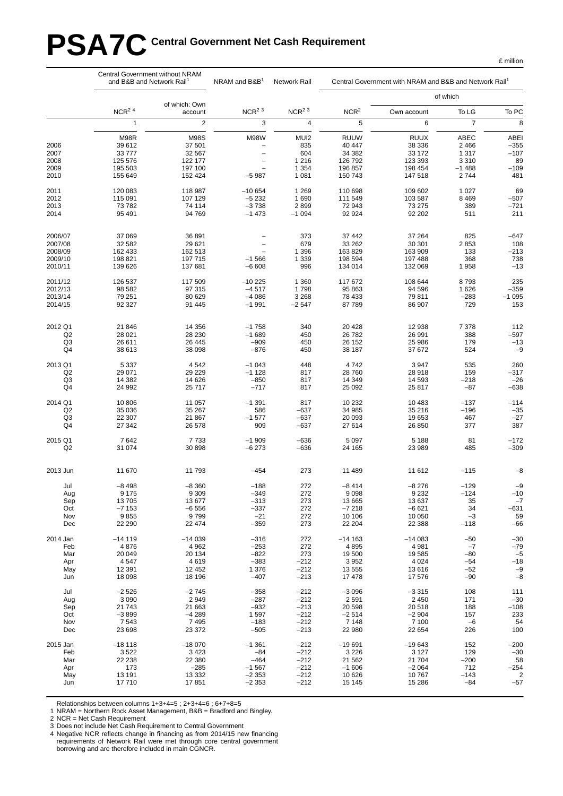# PSA7C Central Government Net Cash Requirement

|                      | Central Government without NRAM<br>and B&B and Network Rail <sup>1</sup> |                          | NRAM and $B&B1$<br>Network Rail     |                    | Central Government with NRAM and B&B and Network Rail <sup>1</sup> |                    |                 |                 |  |
|----------------------|--------------------------------------------------------------------------|--------------------------|-------------------------------------|--------------------|--------------------------------------------------------------------|--------------------|-----------------|-----------------|--|
|                      |                                                                          |                          |                                     |                    |                                                                    |                    | of which        |                 |  |
|                      | $NCR2$ <sup>4</sup>                                                      | of which: Own<br>account | $NCR2$ <sup>3</sup>                 | $NCR^2$ $^3$       | NCR <sup>2</sup>                                                   | Own account        | To LG           | To PC           |  |
|                      | $\mathbf{1}$                                                             | $\overline{c}$           | 3                                   | 4                  | 5                                                                  | 6                  | $\overline{7}$  | 8               |  |
|                      | M98R                                                                     | <b>M98S</b>              | <b>M98W</b>                         | MUI2               | <b>RUUW</b>                                                        | <b>RUUX</b>        | ABEC            | <b>ABEI</b>     |  |
| 2006                 | 39 612                                                                   | 37 501                   | $\overline{\phantom{0}}$            | 835                | 40 447                                                             | 38 336             | 2 4 6 6         | $-355$          |  |
| 2007                 | 33 777                                                                   | 32 567                   | $\overline{\phantom{0}}$            | 604                | 34 382                                                             | 33 172             | 1 3 1 7         | $-107$          |  |
| 2008                 | 125 576                                                                  | 122 177                  | $\overline{\phantom{0}}$            | 1 2 1 6            | 126 792                                                            | 123 393            | 3 3 1 0         | 89              |  |
| 2009<br>2010         | 195 503<br>155 649                                                       | 197 100<br>152 424       | $\overline{\phantom{0}}$<br>$-5987$ | 1 3 5 4<br>1 0 8 1 | 196 857<br>150 743                                                 | 198 454<br>147 518 | $-1488$<br>2744 | $-109$<br>481   |  |
| 2011                 | 120 083                                                                  | 118 987                  | $-10654$                            | 1 2 6 9            | 110 698                                                            | 109 602            | 1 0 2 7         | 69              |  |
| 2012                 | 115 091                                                                  | 107 129                  | $-5232$                             | 1690               | 111 549                                                            | 103 587            | 8 4 6 9         | $-507$          |  |
| 2013                 | 73 782                                                                   | 74 114                   | $-3738$                             | 2899               | 72 943                                                             | 73 275             | 389             | $-721$          |  |
| 2014                 | 95 491                                                                   | 94 769                   | $-1473$                             | $-1094$            | 92 924                                                             | 92 202             | 511             | 211             |  |
| 2006/07              | 37 069                                                                   | 36 891                   |                                     | 373                | 37 442                                                             | 37 264             | 825             | $-647$          |  |
| 2007/08              | 32 582                                                                   | 29 621                   |                                     | 679                | 33 26 2                                                            | 30 301             | 2853            | 108             |  |
| 2008/09              | 162 433<br>198 821                                                       | 162 513                  | $\overline{\phantom{0}}$            | 1 3 9 6            | 163829                                                             | 163 909<br>197 488 | 133<br>368      | $-213$          |  |
| 2009/10<br>2010/11   | 139 626                                                                  | 197 715<br>137 681       | $-1566$<br>$-6608$                  | 1 3 3 9<br>996     | 198 594<br>134 014                                                 | 132 069            | 1958            | 738<br>$-13$    |  |
| 2011/12              | 126 537                                                                  | 117 509                  | $-10225$                            | 1 3 6 0            | 117 672                                                            | 108 644            | 8793            | 235             |  |
| 2012/13<br>2013/14   | 98 582                                                                   | 97 315                   | $-4517$                             | 1798               | 95 863<br>78 433                                                   | 94 596<br>79 811   | 1626            | $-359$          |  |
| 2014/15              | 79 251<br>92 327                                                         | 80 629<br>91 445         | $-4086$<br>$-1991$                  | 3 2 6 8<br>$-2547$ | 87789                                                              | 86 907             | $-283$<br>729   | $-1095$<br>153  |  |
|                      |                                                                          |                          |                                     |                    |                                                                    |                    |                 |                 |  |
| 2012 Q1              | 21 846                                                                   | 14 3 5 6                 | $-1758$                             | 340                | 20 4 28                                                            | 12 938             | 7 3 7 8         | 112             |  |
| Q <sub>2</sub><br>Q3 | 28 0 21<br>26 611                                                        | 28 230<br>26 445         | $-1689$<br>$-909$                   | 450<br>450         | 26 782<br>26 152                                                   | 26 991<br>25 986   | 388<br>179      | $-597$<br>$-13$ |  |
| Q4                   | 38 613                                                                   | 38 098                   | $-876$                              | 450                | 38 187                                                             | 37 672             | 524             | $-9$            |  |
| 2013 Q1              | 5 3 3 7                                                                  | 4 5 4 2                  | $-1043$                             | 448                | 4742                                                               | 3 9 4 7            | 535             | 260             |  |
| Q <sub>2</sub>       | 29 071                                                                   | 29 229                   | $-1128$                             | 817                | 28 760                                                             | 28 918             | 159             | $-317$          |  |
| Q <sub>3</sub><br>Q4 | 14 3 8 2<br>24 992                                                       | 14 626<br>25 717         | $-850$<br>$-717$                    | 817<br>817         | 14 349<br>25 092                                                   | 14 5 9 3<br>25 817 | $-218$<br>$-87$ | $-26$<br>$-638$ |  |
| 2014 Q1              | 10 806                                                                   | 11 057                   | $-1391$                             | 817                | 10 232                                                             | 10 483             | $-137$          | $-114$          |  |
| Q <sub>2</sub>       | 35 036                                                                   | 35 267                   | 586                                 | $-637$             | 34 985                                                             | 35 216             | $-196$          | $-35$           |  |
| Q3<br>Q4             | 22 307<br>27 342                                                         | 21 867<br>26 578         | $-1577$<br>909                      | $-637$<br>$-637$   | 20 093<br>27 614                                                   | 19 653<br>26 850   | 467<br>377      | $-27$<br>387    |  |
| 2015 Q1              | 7642                                                                     | 7733                     | $-1909$                             | $-636$             | 5 0 9 7                                                            | 5 1 8 8            | 81              | $-172$          |  |
| Q <sub>2</sub>       | 31 074                                                                   | 30 898                   | $-6273$                             | $-636$             | 24 165                                                             | 23 989             | 485             | $-309$          |  |
| 2013 Jun             | 11 670                                                                   | 11 793                   | $-454$                              | 273                | 11 489                                                             | 11 612             | $-115$          | $-8$            |  |
| Jul                  | $-8498$                                                                  | $-8360$                  | $-188$                              | 272                | $-8414$                                                            | $-8276$            | $-129$          | $-9$            |  |
| Aug                  | 9 1 7 5                                                                  | 9 3 0 9                  | $-349$                              | 272                | 9098                                                               | 9 2 3 2            | $-124$          | $-10$           |  |
| Sep                  | 13705                                                                    | 13 677                   | $-313$                              | 273                | 13 665                                                             | 13 637             | 35              | $-7$            |  |
| Oct                  | $-7153$                                                                  | $-6556$                  | $-337$                              | 272                | $-7218$                                                            | $-6621$            | 34              | $-631$          |  |
| Nov                  | 9855                                                                     | 9799                     | $-21$                               | 272                | 10 10 6                                                            | 10 050             | $-3$            | 59              |  |
| Dec                  | 22 290                                                                   | 22 474                   | $-359$                              | 273                | 22 204                                                             | 22 388             | $-118$          | -66             |  |
| 2014 Jan             | $-14119$                                                                 | $-14039$                 | $-316$                              | 272                | $-14163$                                                           | $-14083$           | $-50$           | $-30$           |  |
| Feb<br>Mar           | 4876<br>20 049                                                           | 4 9 6 2<br>20 134        | $-253$<br>$-822$                    | 272<br>273         | 4895<br>19 500                                                     | 4 9 8 1<br>19585   | $-7$<br>$-80$   | $-79$<br>$-5$   |  |
| Apr                  | 4547                                                                     | 4619                     | $-383$                              | $-212$             | 3 9 5 2                                                            | 4 0 24             | $-54$           | $-18$           |  |
| May                  | 12 3 9 1                                                                 | 12 452                   | 1 376                               | $-212$             | 13 555                                                             | 13 616             | $-52$           | $-9$            |  |
| Jun                  | 18 098                                                                   | 18 196                   | $-407$                              | $-213$             | 17478                                                              | 17 576             | $-90$           | $-8$            |  |
| Jul                  | $-2526$                                                                  | $-2745$                  | $-358$                              | $-212$             | $-3096$                                                            | $-3315$            | 108             | 111             |  |
| Aug                  | 3 0 9 0                                                                  | 2949                     | $-287$                              | $-212$             | 2 5 9 1                                                            | 2 4 5 0            | 171             | $-30$           |  |
| Sep<br>Oct           | 21 743<br>$-3899$                                                        | 21 663<br>$-4289$        | $-932$<br>1597                      | $-213$<br>$-212$   | 20 598<br>$-2514$                                                  | 20 518<br>$-2904$  | 188<br>157      | $-108$<br>233   |  |
| Nov                  | 7 5 4 3                                                                  | 7495                     | $-183$                              | $-212$             | 7 1 4 8                                                            | 7 100              | $-6$            | 54              |  |
| Dec                  | 23 698                                                                   | 23 372                   | $-505$                              | $-213$             | 22 980                                                             | 22 654             | 226             | 100             |  |
| 2015 Jan             | $-18118$                                                                 | $-18070$                 | $-1361$                             | $-212$<br>$-212$   | $-19691$                                                           | $-19643$           | 152<br>129      | $-200$          |  |
| Feb<br>Mar           | 3522<br>22 238                                                           | 3423<br>22 380           | $-84$<br>$-464$                     | $-212$             | 3 2 2 6<br>21 5 6 2                                                | 3 1 2 7<br>21 704  | $-200$          | $-30$<br>58     |  |
| Apr                  | 173                                                                      | $-285$                   | $-1567$                             | $-212$             | $-1606$                                                            | $-2064$            | 712             | $-254$          |  |
| May                  | 13 191                                                                   | 13 3 3 2                 | $-2353$                             | $-212$             | 10 626                                                             | 10767              | $-143$          | $\overline{2}$  |  |
| Jun                  | 17710                                                                    | 17851                    | $-2353$                             | $-212$             | 15 145                                                             | 15 28 6            | $-84$           | $-57$           |  |

Relationships between columns 1+3+4=5 ; 2+3+4=6 ; 6+7+8=5

1 NRAM = Northern Rock Asset Management, B&B = Bradford and Bingley.

2 NCR = Net Cash Requirement

3 Does not include Net Cash Requirement to Central Government

4 Negative NCR reflects change in financing as from 2014/15 new financing requirements of Network Rail were met through core central government borrowing and are therefore included in main CGNCR.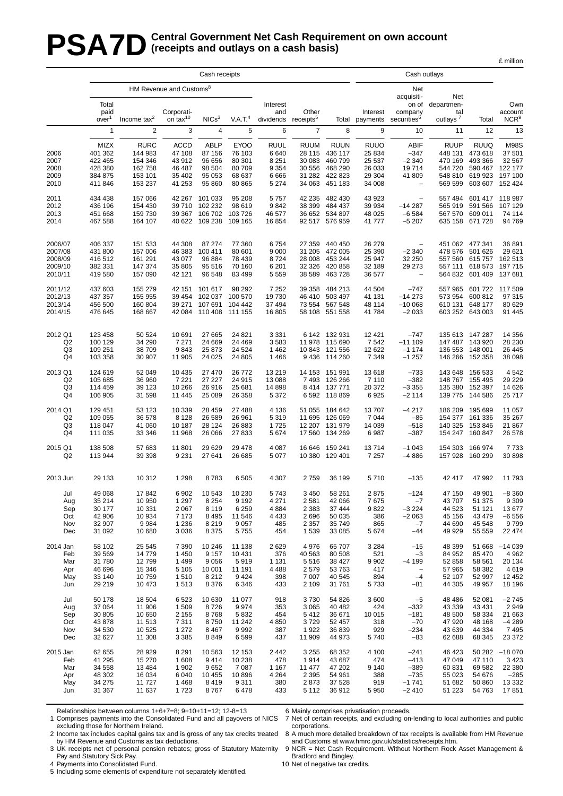### **PSA7D** Central Government Net Cash Requirement on own account (receipts and outlays on a cash basis) **(receipts and outlays on a cash basis)**

|                                                     | Cash receipts                                               |                                                                    |                                                               |                                                               |                                                               |                                                              |                                                          |                                                                           |                                                               | Cash outlays                                                                    |                                                                    |                                                                            |                                                                    |
|-----------------------------------------------------|-------------------------------------------------------------|--------------------------------------------------------------------|---------------------------------------------------------------|---------------------------------------------------------------|---------------------------------------------------------------|--------------------------------------------------------------|----------------------------------------------------------|---------------------------------------------------------------------------|---------------------------------------------------------------|---------------------------------------------------------------------------------|--------------------------------------------------------------------|----------------------------------------------------------------------------|--------------------------------------------------------------------|
|                                                     |                                                             |                                                                    | HM Revenue and Customs <sup>8</sup>                           |                                                               |                                                               |                                                              |                                                          |                                                                           | Net                                                           |                                                                                 |                                                                    |                                                                            |                                                                    |
|                                                     | Total<br>paid<br>over <sup>1</sup>                          | Income $tax^2$                                                     | Corporati-<br>on tax <sup>10</sup>                            | NICs <sup>3</sup>                                             | V A T <sup>4</sup>                                            | Interest<br>and<br>dividends                                 | Other<br>receipts <sup>5</sup>                           | Total                                                                     | Interest<br>payments                                          | acquisiti-<br>on of<br>company<br>securities <sup>6</sup>                       | Net<br>departmen-<br>tal<br>outlays <sup>7</sup>                   | Total                                                                      | Own<br>account<br>NCR <sup>9</sup>                                 |
|                                                     | 1                                                           | $\overline{2}$                                                     | 3                                                             | $\overline{4}$                                                | 5                                                             | 6                                                            | $\overline{7}$                                           | 8                                                                         | 9                                                             | 10                                                                              | 11                                                                 | 12                                                                         | 13                                                                 |
| 2006<br>2007<br>2008<br>2009<br>2010                | MIZX<br>401 362<br>422 465<br>428 380<br>384 875<br>411 846 | <b>RURC</b><br>144 983<br>154 346<br>162 758<br>153 101<br>153 237 | <b>ACCD</b><br>47 108<br>43 912<br>46 487<br>35 402<br>41 253 | <b>ABLP</b><br>87 156<br>96 656<br>98 504<br>95 053<br>95 860 | <b>EYOO</b><br>76 103<br>80 301<br>80 709<br>68 637<br>80 865 | <b>RUUL</b><br>6640<br>8 2 5 1<br>9 3 5 4<br>6666<br>5 2 7 4 | <b>RUUM</b><br>28 115<br>30 083<br>30 556<br>34 063      | <b>RUUN</b><br>436 117<br>460 799<br>468 290<br>31 282 422 823<br>451 183 | <b>RUUO</b><br>25 834<br>25 537<br>26 033<br>29 304<br>34 008 | <b>ABIF</b><br>$-347$<br>$-2340$<br>19714<br>41 809<br>$\overline{\phantom{a}}$ | <b>RUUP</b><br>448 131<br>470 169<br>544 720<br>548 810<br>569 599 | <b>RUUQ</b><br>473 618<br>493 366<br>590 467<br>619 923 197 100<br>603 607 | <b>M98S</b><br>37 501<br>32 567<br>122 177<br>152 424              |
| 2011<br>2012<br>2013<br>2014                        | 434 438<br>436 196<br>451 668<br>467 588                    | 157 066<br>154 430<br>159 730<br>164 107                           | 42 267<br>39 710<br>39 367                                    | 101 033<br>102 232<br>106 702<br>40 622 109 238               | 95 208<br>98 619<br>103 726<br>109 165                        | 5757<br>9842<br>46 577<br>16854                              | 42 235<br>38 399                                         | 482 430<br>484 437<br>36 652 534 897<br>92 517 576 959                    | 43 923<br>39 934<br>48 0 25<br>41777                          | $\equiv$<br>$-14287$<br>$-6584$<br>$-5207$                                      | 557 494<br>565 919<br>567 570                                      | 601 417 118 987<br>591 566<br>609 011<br>635 158 671 728                   | 107 129<br>74 114<br>94 769                                        |
| 2006/07<br>2007/08<br>2008/09<br>2009/10<br>2010/11 | 406 337<br>431 800<br>416 512<br>382 331<br>419580          | 151 533<br>157 006<br>161 291<br>147 374<br>157 090                | 44 308<br>46 383<br>43 077<br>35 805<br>42 121                | 87 274<br>100 411<br>96 884<br>95 516<br>96 548               | 77 360<br>80 601<br>78 439<br>70 160<br>83 499                | 6754<br>9 0 0 0<br>8724<br>6 201<br>5 5 5 9                  | 27 359<br>31 205<br>28 008<br>32 326<br>38 589           | 440 450<br>472 005<br>453 244<br>420 858<br>463728                        | 26 279<br>25 390<br>25 947<br>32 189<br>36 577                | $-2340$<br>32 250<br>29 273<br>$\overline{\phantom{a}}$                         | 478 576<br>557 560<br>557 111                                      | 451 062 477 341<br>501 626<br>615757<br>618 573<br>564 832 601 409         | 36 891<br>29 621<br>162 513<br>197 715<br>137 681                  |
| 2011/12<br>2012/13<br>2013/14<br>2014/15            | 437 603<br>437 357<br>456 500<br>476 645                    | 155 279<br>155 955<br>160 804<br>168 667                           | 42 151<br>39 454<br>39 271                                    | 101 617<br>107 691<br>42 084 110 408 111 155                  | 98 29 2<br>102 037 100 570<br>104 442                         | 7 2 5 2<br>19730<br>37 494<br>16 805                         | 39 358<br>46 410<br>73 554                               | 484 213<br>503 497<br>567 548<br>58 108 551 558                           | 44 504<br>41 131<br>48 114<br>41784                           | $-747$<br>$-14273$<br>$-100068$<br>$-2033$                                      | 557 965<br>573 954<br>610 131                                      | 601 722 117 509<br>600 812<br>648 177<br>603 252 643 003                   | 97 315<br>80 629<br>91 445                                         |
| 2012 Q1<br>Q2<br>Q3<br>Q4                           | 123 458<br>100 129<br>109 251<br>103 358                    | 50 524<br>34 290<br>38 709<br>30 907                               | 10 691<br>7 2 7 1<br>9843<br>11 905                           | 27 665<br>24 669<br>25 873<br>24 0 25                         | 24 821<br>24 4 69<br>24 5 24<br>24 805                        | 3 3 3 1<br>3583<br>1 4 6 2<br>1466                           | 10843<br>9436                                            | 6 142 132 931<br>11 978 115 690<br>121 556<br>114 260                     | 12 4 21<br>7 5 4 2<br>12 622<br>7 3 4 9                       | $-747$<br>$-111109$<br>$-1174$<br>$-1257$                                       | 147 487<br>136 553                                                 | 135 613 147 287<br>143 920<br>148 001<br>146 266 152 358                   | 14 356<br>28 230<br>26 445<br>38 098                               |
| 2013 Q1<br>Q <sub>2</sub><br>Q <sub>3</sub><br>Q4   | 124 619<br>105 685<br>114 459<br>106 905                    | 52 049<br>36 960<br>39 123<br>31 598                               | 10 4 35<br>7 2 2 1<br>10 266<br>11 445                        | 27 470<br>27 227<br>26 916<br>25 089                          | 26 772<br>24 915<br>25 681<br>26 358                          | 13 219<br>13 088<br>14 8 98<br>5 3 7 2                       | 14 153<br>7493<br>8414<br>6 5 9 2                        | 151 991<br>126 266<br>137 771<br>118 869                                  | 13618<br>7 1 1 0<br>20 372<br>6925                            | $-733$<br>$-382$<br>$-3355$<br>$-2114$                                          | 143 648<br>135 380<br>139 775                                      | 156 533<br>148 767 155 495<br>152 397<br>144 586                           | 4542<br>29 229<br>14 626<br>25 717                                 |
| 2014 Q1<br>Q2<br>Q3<br>Q4                           | 129 451<br>109 055<br>118 047<br>111 035                    | 53 123<br>36 578<br>41 060<br>33 346                               | 10 339<br>8 1 2 8<br>10 187<br>11 968                         | 28 459<br>26 589<br>28 124<br>26 066                          | 27 488<br>26 961<br>26 883<br>27 833                          | 4 1 3 6<br>5 3 1 9<br>1725<br>5674                           | 51 055<br>11 695<br>17 560                               | 184 642<br>126 069<br>12 207 131 979<br>134 269                           | 13707<br>7 0 4 4<br>14 039<br>6987                            | $-4217$<br>$-85$<br>$-518$<br>$-387$                                            | 186 209<br>154 377<br>140 325                                      | 195 699<br>161 336<br>153846<br>154 247 160 847                            | 11 057<br>35 267<br>21 867<br>26 578                               |
| 2015 Q1<br>Q2                                       | 138 508<br>113 944                                          | 57 683<br>39 398                                                   | 11 801<br>9 2 3 1                                             | 29 629<br>27 641                                              | 29 4 78<br>26 685                                             | 4 0 8 7<br>5 0 7 7                                           | 16 646                                                   | 159 241<br>10 380 129 401                                                 | 13714<br>7 2 5 7                                              | $-1043$<br>$-4886$                                                              | 154 303<br>157 928                                                 | 166 974<br>160 299                                                         | 7733<br>30 898                                                     |
| 2013 Jun                                            | 29 133                                                      | 10 312                                                             | 1 2 9 8                                                       | 8783                                                          | 6 5 0 5                                                       | 4 3 0 7                                                      | 2759                                                     | 36 199                                                                    | 5710                                                          | $-135$                                                                          | 42 417                                                             | 47 992                                                                     | 11 793                                                             |
| Jul<br>Aug<br>Sep<br>Oct<br>Nov<br>Dec              | 49 068<br>35 214<br>30 177<br>42 906<br>32 907<br>31 092    | 17842<br>10 950<br>10 331<br>10 934<br>9984<br>10 680              | 6902<br>1 2 9 7<br>2 0 6 7<br>7 1 7 3<br>1 2 3 6<br>3 0 3 6   | 10 543<br>8 2 5 4<br>8 1 1 9<br>8 4 9 5<br>8 2 1 9<br>8 3 7 5 | 10 230<br>9 1 9 2<br>6 2 5 9<br>11 546<br>9 0 5 7<br>5755     | 5743<br>4 2 7 1<br>4884<br>4 4 3 3<br>485<br>454             | 3450<br>2 5 8 1<br>2 3 8 3<br>2696<br>2 3 5 7<br>1 5 3 9 | 58 261<br>42 066<br>37 444<br>50 035<br>35 749<br>33 085                  | 2875<br>7675<br>9822<br>386<br>865<br>5674                    | $-124$<br>$-7$<br>$-3224$<br>$-2063$<br>$-7$<br>-44                             | 47 150<br>43 707<br>44 523<br>45 156<br>44 690<br>49 929           | 49 901<br>51 375<br>51 121<br>43 4 79<br>45 548<br>55 559                  | $-8360$<br>9 3 0 9<br>13677<br>$-6556$<br>9799<br>22 474           |
| 2014 Jan<br>Feb<br>Mar<br>Apr<br>May<br>Jun         | 58 102<br>39 569<br>31 780<br>46 696<br>33 140<br>29 219    | 25 545<br>14779<br>12799<br>15 346<br>10759<br>10 473              | 7 3 9 0<br>1 4 5 0<br>1 4 9 9<br>5 1 0 5<br>1510<br>1513      | 10 246<br>9 1 5 7<br>9 0 5 6<br>10 001<br>8 2 1 2<br>8 3 7 6  | 11 138<br>10 431<br>5919<br>11 191<br>9424<br>6 3 4 6         | 2629<br>376<br>1 1 3 1<br>4488<br>398<br>433                 | 4976<br>40 563<br>5516<br>2579<br>7 0 0 7<br>2 1 0 9     | 65 707<br>80 508<br>38 427<br>53 763<br>40 545<br>31 761                  | 3 2 8 4<br>521<br>9 9 0 2<br>417<br>894<br>5733               | $-15$<br>$-3$<br>$-4199$<br>$\overline{\phantom{a}}$<br>$-4$<br>-81             | 48 399<br>84 952<br>52 858<br>57 965<br>52 107<br>44 30 5          | 51 668<br>85 470<br>58 561<br>58 382<br>52 997<br>49 957                   | $-14039$<br>4 9 6 2<br>20 134<br>4619<br>12 452<br>18 196          |
| Jul<br>Aug<br>Sep<br>Oct<br>Nov<br>Dec              | 50 178<br>37 064<br>30 805<br>43 878<br>34 530<br>32 627    | 18 504<br>11 906<br>10 650<br>11 513<br>10 525<br>11 308           | 6523<br>1 509<br>2 1 5 5<br>7 3 1 1<br>1 2 7 2<br>3 3 8 5     | 10 630<br>8726<br>8768<br>8750<br>8 4 6 7<br>8849             | 11 077<br>9974<br>5832<br>11 242<br>9992<br>6599              | 918<br>353<br>454<br>4850<br>387<br>437                      | 3730<br>3 0 6 5<br>5412<br>3729<br>1922<br>11 909        | 54 826<br>40 482<br>36 671<br>52 457<br>36 839<br>44 973                  | 3600<br>424<br>10 015<br>318<br>929<br>5740                   | $-5$<br>$-332$<br>$-181$<br>$-70$<br>$-234$<br>$-83$                            | 48 4 8 6<br>43 339<br>48 500<br>47 920<br>43 639<br>62 688         | 52 081<br>43 4 31<br>58 334<br>48 168<br>44 334<br>68 345                  | $-2745$<br>2949<br>21 663<br>$-4289$<br>7495<br>23 372             |
| 2015 Jan<br>Feb<br>Mar<br>Apr<br>May<br>Jun         | 62 655<br>41 295<br>34 558<br>48 302<br>34 275<br>31 367    | 28 9 29<br>15 270<br>13 4 84<br>16 034<br>11727<br>11 637          | 8 2 9 1<br>1 608<br>1 902<br>6 0 4 0<br>1468<br>1723          | 10 563<br>9414<br>9652<br>10 455<br>8419<br>8767              | 12 153<br>10 238<br>7 0 8 7<br>10896<br>9 3 1 1<br>6478       | 2442<br>478<br>1 1 6 7<br>4 2 6 4<br>380<br>433              | 3 2 5 5<br>1914<br>11 477<br>2 3 9 5<br>2873<br>5 1 1 2  | 68 352<br>43 687<br>47 202<br>54 961<br>37 528<br>36 912                  | 4 100<br>474<br>9 1 4 0<br>388<br>919<br>5950                 | $-241$<br>$-413$<br>$-389$<br>$-735$<br>$-1741$<br>$-2410$                      | 46 423<br>47 049<br>60 831<br>55 023<br>51 682<br>51 223           | 47 110<br>69 582<br>54 676<br>50 860<br>54 763                             | 50 282 -18 070<br>3 4 2 3<br>22 380<br>$-285$<br>13 3 3 2<br>17851 |

Relationships between columns 1+6+7=8; 9+10+11=12; 12-8=13

1 Comprises payments into the Consolidated Fund and all payovers of NICS excluding those for Northern Ireland.

2 Income tax includes capital gains tax and is gross of any tax credits treated by HM Revenue and Customs as tax deductions.

3 UK receipts net of personal pension rebates; gross of Statutory Maternity Pay and Statutory Sick Pay.

4 Payments into Consolidated Fund.

5 Including some elements of expenditure not separately identified.

6 Mainly comprises privatisation proceeds.

7 Net of certain receipts, and excluding on-lending to local authorities and public corporations.

£ million

8 A much more detailed breakdown of tax receipts is available from HM Revenue and Customs at www.hmrc.gov.uk/statistics/receipts.htm.

9 NCR = Net Cash Requirement. Without Norther n Rock Asset Management & Bradford and Bingley.

10 Net of negative tax credits.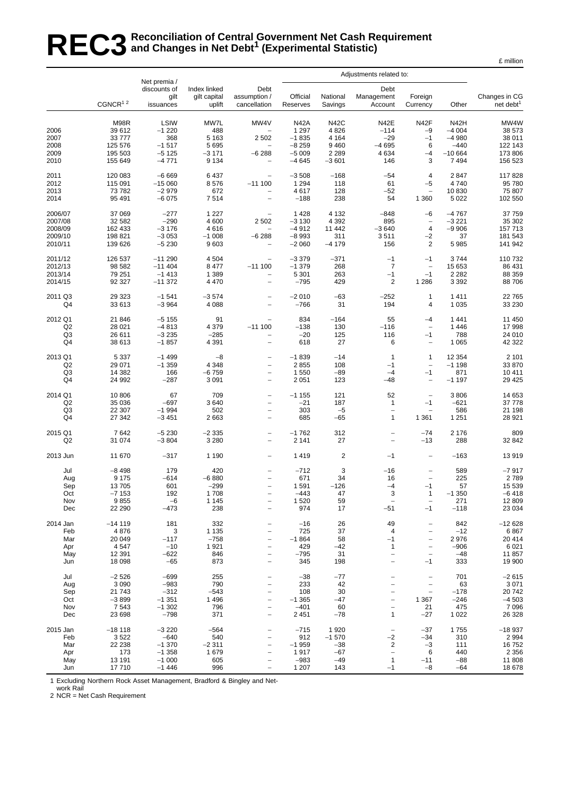# REC3<sup>Reconciliation of Central Government Net Cash Requirement<br>REC3 and Changes in Net Debt<sup>1</sup> (Experimental Statistic)</sup> **and Changes in Net Debt1 (Experimental Statistic)**

|                                                     |                                                           | Net premia /                                                  |                                                         |                                                                                                                                                                      |                                                                    |                                                          |                                                             |                                                                                              |                                                                    |                                                           |
|-----------------------------------------------------|-----------------------------------------------------------|---------------------------------------------------------------|---------------------------------------------------------|----------------------------------------------------------------------------------------------------------------------------------------------------------------------|--------------------------------------------------------------------|----------------------------------------------------------|-------------------------------------------------------------|----------------------------------------------------------------------------------------------|--------------------------------------------------------------------|-----------------------------------------------------------|
|                                                     | CGNCR <sup>12</sup>                                       | discounts of<br>gilt<br>issuances                             | Index linked<br>gilt capital<br>uplift                  | Debt<br>assumption /<br>cancellation                                                                                                                                 | Official<br>Reserves                                               | National<br>Savings                                      | Debt<br>Management<br>Account                               | Foreign<br>Currency                                                                          | Other                                                              | Changes in CG<br>net debt <sup>1</sup>                    |
| 2006<br>2007<br>2008<br>2009<br>2010                | M98R<br>39 612<br>33777<br>125 576<br>195 503<br>155 649  | LSIW<br>$-1220$<br>368<br>$-1517$<br>$-5125$<br>$-4771$       | MW7L<br>488<br>5 1 6 3<br>5 6 9 5<br>$-3171$<br>9 1 3 4 | MW4V<br>2 5 0 2<br>$\equiv$<br>$-6288$<br>$\overline{a}$                                                                                                             | <b>N42A</b><br>1 2 9 7<br>$-1835$<br>$-8259$<br>$-5009$<br>$-4645$ | N42C<br>4 8 2 6<br>4 1 6 4<br>9460<br>2 2 8 9<br>$-3601$ | N42E<br>$-114$<br>$-29$<br>$-4695$<br>4 6 3 4<br>146        | N42F<br>$-9$<br>$-1$<br>6<br>$-4$<br>3                                                       | <b>N42H</b><br>$-4004$<br>$-4980$<br>$-440$<br>$-10664$<br>7 4 9 4 | MW4W<br>38 573<br>38 011<br>122 143<br>173 806<br>156 523 |
| 2011<br>2012<br>2013<br>2014                        | 120 083<br>115 091<br>73782<br>95 491                     | $-6669$<br>$-15060$<br>$-2979$<br>$-6075$                     | 6 4 3 7<br>8576<br>672<br>7514                          | $-11100$<br>$\overline{a}$<br>$\overline{\phantom{0}}$                                                                                                               | $-3508$<br>1 2 9 4<br>4617<br>$-188$                               | $-168$<br>118<br>128<br>238                              | $-54$<br>61<br>$-52$<br>54                                  | 4<br>$-5$<br>$\qquad \qquad -$<br>1 3 6 0                                                    | 2847<br>4740<br>10830<br>5 0 2 2                                   | 117828<br>95 780<br>75 807<br>102 550                     |
| 2006/07<br>2007/08<br>2008/09<br>2009/10<br>2010/11 | 37 069<br>32 582<br>162 433<br>198 821<br>139 626         | $-277$<br>$-290$<br>$-3176$<br>$-3053$<br>$-5230$             | 1 2 2 7<br>4 600<br>4616<br>$-1008$<br>9603             | 2 5 0 2<br>$\qquad \qquad -$<br>$-6288$<br>$\overline{a}$                                                                                                            | 1428<br>$-3130$<br>$-4912$<br>$-8993$<br>$-2060$                   | 4 1 3 2<br>4 3 9 2<br>11 442<br>311<br>$-4179$           | $-848$<br>895<br>$-3640$<br>3511<br>156                     | $-6$<br>$\qquad \qquad -$<br>$\overline{4}$<br>$-2$<br>$\overline{2}$                        | $-4767$<br>$-3221$<br>$-9906$<br>37<br>5 9 8 5                     | 37 759<br>35 302<br>157713<br>181 543<br>141 942          |
| 2011/12<br>2012/13<br>2013/14<br>2014/15            | 126 537<br>98 582<br>79 251<br>92 327                     | $-11290$<br>$-11404$<br>$-1413$<br>$-11372$                   | 4 5 0 4<br>8 4 7 7<br>1 3 8 9<br>4 4 7 0                | $-11100$<br>$\overline{\phantom{a}}$<br>$\overline{\phantom{0}}$                                                                                                     | $-3379$<br>$-1379$<br>5 3 0 1<br>$-795$                            | $-371$<br>268<br>263<br>429                              | $-1$<br>$\overline{7}$<br>$-1$<br>$\overline{2}$            | $-1$<br>$\qquad \qquad -$<br>$-1$<br>1 2 8 6                                                 | 3744<br>15 653<br>2 2 8 2<br>3 3 9 2                               | 110732<br>86 431<br>88 359<br>88706                       |
| 2011 Q3<br>Q4                                       | 29 3 23<br>33 613                                         | $-1541$<br>$-3964$                                            | $-3574$<br>4 0 8 8                                      | $\qquad \qquad -$<br>$\overline{\phantom{0}}$                                                                                                                        | $-2010$<br>$-766$                                                  | $-63$<br>31                                              | $-252$<br>194                                               | 1<br>4                                                                                       | 1411<br>1 0 3 5                                                    | 22765<br>33 230                                           |
| 2012 Q1<br>Q2<br>Q <sub>3</sub><br>Q4               | 21 846<br>28 0 21<br>26 611<br>38 613                     | $-5155$<br>$-4813$<br>$-3235$<br>$-1857$                      | 91<br>4 3 7 9<br>$-285$<br>4 3 9 1                      | $\overline{\phantom{0}}$<br>$-11100$<br>-<br>$\qquad \qquad -$                                                                                                       | 834<br>$-138$<br>$-20$<br>618                                      | $-164$<br>130<br>125<br>27                               | 55<br>$-116$<br>116<br>6                                    | $-4$<br>$\qquad \qquad -$<br>$-1$<br>$\overline{\phantom{a}}$                                | 1 4 4 1<br>1 4 4 6<br>788<br>1 0 6 5                               | 11 450<br>17998<br>24 010<br>42 322                       |
| 2013 Q1<br>Q2<br>Q3<br>Q4                           | 5 3 3 7<br>29 071<br>14 382<br>24 992                     | $-1499$<br>$-1359$<br>166<br>$-287$                           | $-8$<br>4 3 4 8<br>$-6759$<br>3 0 9 1                   | $\qquad \qquad -$<br>$\overline{\phantom{a}}$<br>$\overline{\phantom{0}}$<br>$\overline{\phantom{0}}$                                                                | $-1839$<br>2855<br>1 5 5 0<br>2 0 5 1                              | $-14$<br>108<br>$-89$<br>123                             | 1<br>$-1$<br>$-4$<br>$-48$                                  | 1<br>$\overline{\phantom{a}}$<br>$-1$<br>$\qquad \qquad -$                                   | 12 3 54<br>$-1198$<br>871<br>$-1197$                               | 2 1 0 1<br>33 870<br>10411<br>29 4 25                     |
| 2014 Q1<br>Q <sub>2</sub><br>Q3<br>Q4               | 10 806<br>35 036<br>22 307<br>27 342                      | 67<br>$-697$<br>$-1994$<br>$-3451$                            | 709<br>3640<br>502<br>2 6 6 3                           | $\overline{\phantom{0}}$<br>$\overline{\phantom{a}}$<br>$\qquad \qquad -$<br>$\overline{\phantom{0}}$                                                                | $-1155$<br>$-21$<br>303<br>685                                     | 121<br>187<br>$-5$<br>$-65$                              | 52<br>$\mathbf{1}$<br>$\overline{\phantom{a}}$<br>1         | $\qquad \qquad -$<br>$-1$<br>$\overline{\phantom{a}}$<br>1 3 6 1                             | 3806<br>$-621$<br>586<br>1 2 5 1                                   | 14 653<br>37 778<br>21 198<br>28 9 21                     |
| 2015 Q1<br>Q2                                       | 7642<br>31 074                                            | $-5230$<br>$-3804$                                            | $-2335$<br>3 2 8 0                                      | $\overline{\phantom{0}}$<br>$\overline{\phantom{0}}$                                                                                                                 | $-1762$<br>2 1 4 1                                                 | 312<br>27                                                | $\overline{\phantom{0}}$<br>$\overline{\phantom{0}}$        | $-74$<br>$-13$                                                                               | 2 1 7 6<br>288                                                     | 809<br>32 842                                             |
| 2013 Jun                                            | 11 670                                                    | $-317$                                                        | 1 1 9 0                                                 | $\overline{\phantom{0}}$                                                                                                                                             | 1419                                                               | $\overline{2}$                                           | $-1$                                                        | $\overline{\phantom{0}}$                                                                     | $-163$                                                             | 13919                                                     |
| Jul<br>Aug<br>Sep<br>Oct<br>Nov<br>Dec              | $-8498$<br>9 1 7 5<br>13705<br>-7 153<br>9855<br>22 290   | 179<br>$-614$<br>601<br>192<br>$-6$<br>$-473$                 | 420<br>$-6880$<br>$-299$<br>1708<br>1 1 4 5<br>238      | $\overline{a}$<br>$\qquad \qquad -$<br>$\overline{\phantom{a}}$<br>$\overline{\phantom{0}}$<br>$\qquad \qquad -$<br>$\overline{\phantom{0}}$                         | $-712$<br>671<br>1591<br>-443<br>1 5 2 0<br>974                    | 3<br>34<br>$-126$<br>47<br>59<br>17                      | $-16$<br>16<br>$-4$<br>З<br>$\qquad \qquad -$<br>$-51$      | $\overline{a}$<br>$\overline{\phantom{m}}$<br>$-1$<br>1<br>$\overline{\phantom{a}}$<br>$-1$  | 589<br>225<br>57<br>$-1,350$<br>271<br>$-118$                      | $-7917$<br>2789<br>15 539<br>-6418<br>12 809<br>23 0 34   |
| 2014 Jan<br>Feb<br>Mar<br>Apr<br>May<br>Jun         | $-14119$<br>4876<br>20 049<br>4547<br>12 3 9 1<br>18 098  | 181<br>3<br>$-117$<br>$-10$<br>$-622$<br>$-65$                | 332<br>1 1 3 5<br>$-758$<br>1921<br>846<br>873          | -<br>$\overline{\phantom{0}}$<br>$\overline{\phantom{0}}$<br>$\overline{\phantom{0}}$<br>$\overline{\phantom{0}}$                                                    | $-16$<br>725<br>$-1864$<br>429<br>$-795$<br>345                    | 26<br>37<br>58<br>$-42$<br>31<br>198                     | 49<br>4<br>$-1$<br>1                                        | $\overline{\phantom{0}}$<br>$\qquad \qquad -$<br>$-1$                                        | 842<br>$-12$<br>2976<br>$-906$<br>$-48$<br>333                     | $-12628$<br>6867<br>20 414<br>6 0 21<br>11857<br>19 900   |
| Jul<br>Aug<br>Sep<br>Oct<br>Nov<br>Dec              | $-2526$<br>3 0 9 0<br>21 743<br>$-3899$<br>7543<br>23 698 | $-699$<br>$-983$<br>$-312$<br>$-1351$<br>$-1302$<br>$-798$    | 255<br>790<br>$-543$<br>1 4 9 6<br>796<br>371           | $\overline{\phantom{0}}$<br>$\overline{\phantom{0}}$<br>$\overline{\phantom{0}}$<br>$\overline{\phantom{0}}$<br>$\overline{a}$                                       | $-38$<br>233<br>108<br>$-1.365$<br>$-401$<br>2 4 5 1               | $-77$<br>42<br>30<br>$-47$<br>60<br>$-78$                | -<br>1                                                      | $\overline{\phantom{0}}$<br>$\qquad \qquad -$<br>$\qquad \qquad -$<br>1 3 6 7<br>21<br>$-27$ | 701<br>63<br>$-178$<br>$-246$<br>475<br>1 0 2 2                    | $-2615$<br>3071<br>20742<br>$-4503$<br>7096<br>26 3 28    |
| 2015 Jan<br>Feb<br>Mar<br>Apr<br>May<br>Jun         | -18 118<br>3522<br>22 238<br>173<br>13 191<br>17710       | $-3220$<br>$-640$<br>$-1370$<br>$-1358$<br>$-1000$<br>$-1446$ | $-564$<br>540<br>$-2311$<br>1679<br>605<br>996          | $\overline{\phantom{0}}$<br>$\overline{\phantom{0}}$<br>$\overline{\phantom{0}}$<br>$\overline{\phantom{0}}$<br>$\overline{\phantom{0}}$<br>$\overline{\phantom{0}}$ | $-715$<br>912<br>$-1959$<br>1917<br>$-983$<br>1 207                | 1920<br>$-1570$<br>$-38$<br>$-67$<br>$-49$<br>143        | $\qquad \qquad -$<br>$-2$<br>2<br>-<br>$\mathbf{1}$<br>$-1$ | $-37$<br>$-34$<br>$-3$<br>6<br>$-11$<br>$-8$                                                 | 1755<br>310<br>111<br>440<br>$-88$<br>-64                          | $-18937$<br>2994<br>16752<br>2 3 5 6<br>11 808<br>18678   |

1 Excluding Northern Rock Asset Management, Bradford & Bingley and Net-

work Rail

2 NCR = Net Cash Requirement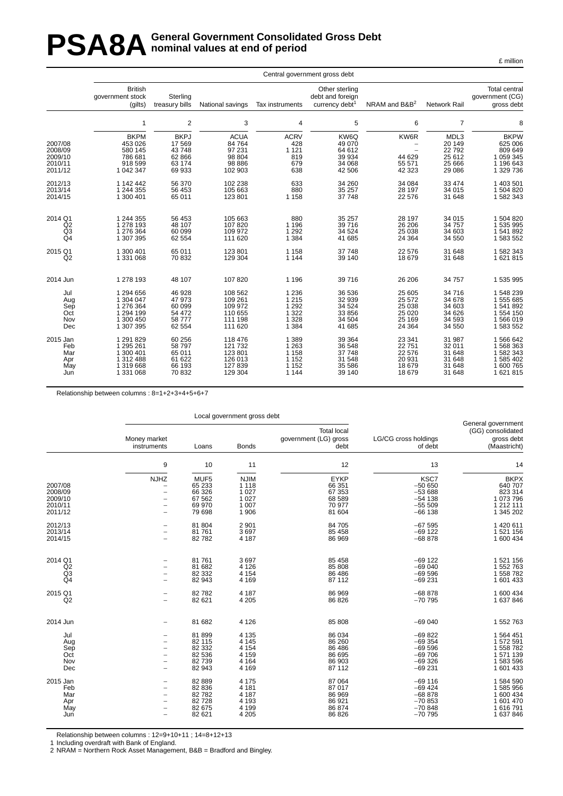### PSA8A General Government Consolidated Gross Debt<br> **PSA8A** nominal values at end of period **nominal values at end of period**

£ million

|                                                     | Central government gross debt                                        |                                                             |                                                                 |                                                    |                                                                  |                                                                                            |                                                         |                                                                          |  |  |  |  |  |
|-----------------------------------------------------|----------------------------------------------------------------------|-------------------------------------------------------------|-----------------------------------------------------------------|----------------------------------------------------|------------------------------------------------------------------|--------------------------------------------------------------------------------------------|---------------------------------------------------------|--------------------------------------------------------------------------|--|--|--|--|--|
|                                                     | <b>British</b><br>government stock<br>(gilts)                        | Sterling<br>treasury bills                                  | National savings                                                | Tax instruments                                    | Other sterling<br>debt and foreign<br>currency debt <sup>1</sup> | NRAM and B&B <sup>2</sup>                                                                  | Network Rail                                            | <b>Total central</b><br>qovernment (CG)<br>gross debt                    |  |  |  |  |  |
|                                                     | 1                                                                    | 2                                                           | 3                                                               | 4                                                  | 5                                                                | 6                                                                                          | $\overline{7}$                                          | 8                                                                        |  |  |  |  |  |
| 2007/08<br>2008/09<br>2009/10<br>2010/11<br>2011/12 | <b>BKPM</b><br>453 026<br>580 145<br>786 681<br>918 599<br>1 042 347 | <b>BKPJ</b><br>17569<br>43748<br>62 866<br>63 174<br>69 933 | <b>ACUA</b><br>84 764<br>97 231<br>98 804<br>98 8 86<br>102 903 | <b>ACRV</b><br>428<br>1 1 2 1<br>819<br>679<br>638 | KW6Q<br>49 070<br>64 612<br>39 934<br>34 068<br>42 506           | KW6R<br>$\overline{\phantom{0}}$<br>$\overline{\phantom{0}}$<br>44 629<br>55 571<br>42 323 | MDL3<br>20 149<br>22792<br>25 612<br>25 6 66<br>29 0 86 | <b>BKPW</b><br>625 006<br>809 649<br>1 059 345<br>1 196 643<br>1 329 736 |  |  |  |  |  |
| 2012/13                                             | 1 142 442                                                            | 56 370                                                      | 102 238                                                         | 633                                                | 34 260                                                           | 34 084                                                                                     | 33 474                                                  | 1 403 501                                                                |  |  |  |  |  |
| 2013/14                                             | 1 244 355                                                            | 56 453                                                      | 105 663                                                         | 880                                                | 35 257                                                           | 28 197                                                                                     | 34 015                                                  | 1 504 820                                                                |  |  |  |  |  |
| 2014/15                                             | 1 300 401                                                            | 65 011                                                      | 123 801                                                         | 1 1 5 8                                            | 37 748                                                           | 22 576                                                                                     | 31 648                                                  | 1 582 343                                                                |  |  |  |  |  |
| 2014 Q1                                             | 1 244 355                                                            | 56 453                                                      | 105 663                                                         | 880                                                | 35 257                                                           | 28 197                                                                                     | 34 015                                                  | 1 504 820                                                                |  |  |  |  |  |
| Q2                                                  | 1 278 193                                                            | 48 107                                                      | 107820                                                          | 1 1 9 6                                            | 39 716                                                           | 26 206                                                                                     | 34 757                                                  | 1 535 995                                                                |  |  |  |  |  |
| Q <sub>3</sub>                                      | 1 276 364                                                            | 60 099                                                      | 109 972                                                         | 1 2 9 2                                            | 34 524                                                           | 25 038                                                                                     | 34 603                                                  | 1 541 892                                                                |  |  |  |  |  |
| Q <sub>4</sub>                                      | 1 307 395                                                            | 62 554                                                      | 111 620                                                         | 1 3 8 4                                            | 41 685                                                           | 24 3 64                                                                                    | 34 550                                                  | 1 583 552                                                                |  |  |  |  |  |
| 2015 Q1                                             | 1 300 401                                                            | 65 011                                                      | 123 801                                                         | 1 1 5 8                                            | 37 748                                                           | 22 576                                                                                     | 31 648                                                  | 1 582 343                                                                |  |  |  |  |  |
| Q2                                                  | 1 331 068                                                            | 70 832                                                      | 129 304                                                         | 1 1 4 4                                            | 39 140                                                           | 18 679                                                                                     | 31 648                                                  | 1 621 815                                                                |  |  |  |  |  |
| 2014 Jun                                            | 1 278 193                                                            | 48 107                                                      | 107820                                                          | 1 1 9 6                                            | 39 716                                                           | 26 20 6                                                                                    | 34 757                                                  | 1 535 995                                                                |  |  |  |  |  |
| Jul                                                 | 1 294 656                                                            | 46 928                                                      | 108 562                                                         | 1 2 3 6                                            | 36 536                                                           | 25 605                                                                                     | 34716                                                   | 1548239                                                                  |  |  |  |  |  |
| Aug                                                 | 1 304 047                                                            | 47973                                                       | 109 261                                                         | 1 2 1 5                                            | 32 939                                                           | 25 572                                                                                     | 34 678                                                  | 1 555 685                                                                |  |  |  |  |  |
| Sep                                                 | 1 276 364                                                            | 60 099                                                      | 109 972                                                         | 1 2 9 2                                            | 34 5 24                                                          | 25 038                                                                                     | 34 603                                                  | 1 541 892                                                                |  |  |  |  |  |
| Oct                                                 | 1 294 199                                                            | 54 472                                                      | 110 655                                                         | 1 3 2 2                                            | 33 856                                                           | 25 0 20                                                                                    | 34 6 26                                                 | 1 554 150                                                                |  |  |  |  |  |
| Nov                                                 | 1 300 450                                                            | 58777                                                       | 111 198                                                         | 1 3 2 8                                            | 34 504                                                           | 25 169                                                                                     | 34 593                                                  | 1566019                                                                  |  |  |  |  |  |
| Dec                                                 | 1 307 395                                                            | 62 554                                                      | 111 620                                                         | 1 3 8 4                                            | 41 685                                                           | 24 3 64                                                                                    | 34 550                                                  | 1 583 552                                                                |  |  |  |  |  |
| 2015 Jan                                            | 1 291 829                                                            | 60 256                                                      | 118 476                                                         | 1 3 8 9                                            | 39 364                                                           | 23 341                                                                                     | 31 987                                                  | 1 566 642                                                                |  |  |  |  |  |
| Feb                                                 | 1 295 261                                                            | 58797                                                       | 121 732                                                         | 1 2 6 3                                            | 36 548                                                           | 22 751                                                                                     | 32 011                                                  | 1 568 363                                                                |  |  |  |  |  |
| Mar                                                 | 1 300 401                                                            | 65 011                                                      | 123 801                                                         | 1 1 5 8                                            | 37 748                                                           | 22 576                                                                                     | 31 648                                                  | 1 582 343                                                                |  |  |  |  |  |
| Apr                                                 | 1 312 488                                                            | 61 622                                                      | 126 013                                                         | 1 1 5 2                                            | 31 548                                                           | 20 931                                                                                     | 31 648                                                  | 1 585 402                                                                |  |  |  |  |  |
| May                                                 | 1 319 668                                                            | 66 193                                                      | 127 839                                                         | 1 1 5 2                                            | 35 586                                                           | 18 679                                                                                     | 31 648                                                  | 1 600 765                                                                |  |  |  |  |  |
| Jun                                                 | 1 331 068                                                            | 70832                                                       | 129 304                                                         | 1 1 4 4                                            | 39 140                                                           | 18 679                                                                                     | 31 648                                                  | 1 621 815                                                                |  |  |  |  |  |

Relationship between columns : 8=1+2+3+4+5+6+7

|                                                     |                                                                                                 |                                                        | Local government gross debt                                      |                                                               |                                                                    |                                                                          |
|-----------------------------------------------------|-------------------------------------------------------------------------------------------------|--------------------------------------------------------|------------------------------------------------------------------|---------------------------------------------------------------|--------------------------------------------------------------------|--------------------------------------------------------------------------|
|                                                     | Money market<br>instruments                                                                     | Loans                                                  | <b>Bonds</b>                                                     | <b>Total local</b><br>government (LG) gross<br>debt           | LG/CG cross holdings<br>of debt                                    | General government<br>(GG) consolidated<br>gross debt<br>(Maastricht)    |
|                                                     | 9                                                                                               | 10                                                     | 11                                                               | 12                                                            | 13                                                                 | 14                                                                       |
| 2007/08<br>2008/09<br>2009/10<br>2010/11<br>2011/12 | <b>NJHZ</b><br>$\overline{\phantom{m}}$<br>$\overline{\phantom{m}}$<br>$\overline{\phantom{a}}$ | MUF5<br>65 233<br>66 326<br>67 562<br>69 970<br>79 698 | <b>NJIM</b><br>1 1 1 8<br>1 0 2 7<br>1 0 2 7<br>1 0 0 7<br>1 906 | <b>EYKP</b><br>66 351<br>67 353<br>68 589<br>70 977<br>81 604 | KSC7<br>$-50650$<br>$-53688$<br>$-54$ 138<br>$-55509$<br>$-66$ 138 | <b>BKPX</b><br>640 707<br>823 314<br>1 073 796<br>1 212 111<br>1 345 202 |
| 2012/13                                             |                                                                                                 | 81 804                                                 | 2 9 0 1                                                          | 84 705                                                        | $-67595$                                                           | 1 420 611                                                                |
| 2013/14                                             |                                                                                                 | 81 761                                                 | 3697                                                             | 85 458                                                        | $-69$ 122                                                          | 1 521 156                                                                |
| 2014/15                                             |                                                                                                 | 82782                                                  | 4 187                                                            | 86 969                                                        | $-68878$                                                           | 1 600 434                                                                |
| 2014 Q1                                             |                                                                                                 | 81 761                                                 | 3697                                                             | 85 458                                                        | $-69$ 122                                                          | 1 521 156                                                                |
| Q2                                                  |                                                                                                 | 81 682                                                 | 4 1 2 6                                                          | 85 808                                                        | $-69040$                                                           | 1 552 763                                                                |
| Q <sub>3</sub>                                      |                                                                                                 | 82 332                                                 | 4 1 5 4                                                          | 86 486                                                        | $-69596$                                                           | 1 558 782                                                                |
| Q4                                                  |                                                                                                 | 82 943                                                 | 4 1 6 9                                                          | 87 112                                                        | $-69231$                                                           | 1 601 433                                                                |
| 2015 Q1                                             |                                                                                                 | 82782                                                  | 4 187                                                            | 86 969                                                        | $-68878$                                                           | 1 600 434                                                                |
| Q2                                                  |                                                                                                 | 82 621                                                 | 4 2 0 5                                                          | 86 826                                                        | $-70795$                                                           | 1 637 846                                                                |
| 2014 Jun                                            |                                                                                                 | 81 682                                                 | 4 1 2 6                                                          | 85 808                                                        | $-69040$                                                           | 1 552 763                                                                |
| Jul                                                 | $\overline{\phantom{a}}$                                                                        | 81 899                                                 | 4 1 3 5                                                          | 86 034                                                        | $-69822$                                                           | 1 564 451                                                                |
| Aug                                                 |                                                                                                 | 82 115                                                 | 4 1 4 5                                                          | 86 260                                                        | $-69354$                                                           | 1 572 591                                                                |
| Sep                                                 |                                                                                                 | 82 332                                                 | 4 1 5 4                                                          | 86 486                                                        | $-69596$                                                           | 1 558 782                                                                |
| Oct                                                 |                                                                                                 | 82 536                                                 | 4 1 5 9                                                          | 86 695                                                        | $-69706$                                                           | 1571139                                                                  |
| Nov                                                 |                                                                                                 | 82 739                                                 | 4 1 6 4                                                          | 86 903                                                        | $-69326$                                                           | 1 583 596                                                                |
| Dec                                                 |                                                                                                 | 82 943                                                 | 4 1 6 9                                                          | 87 112                                                        | $-69231$                                                           | 1 601 433                                                                |
| 2015 Jan                                            | $\overline{\phantom{a}}$                                                                        | 82 889                                                 | 4 1 7 5                                                          | 87 064                                                        | $-69$ 116                                                          | 1 584 590                                                                |
| Feb                                                 |                                                                                                 | 82 836                                                 | 4 181                                                            | 87 017                                                        | $-69424$                                                           | 1 585 956                                                                |
| Mar                                                 |                                                                                                 | 82782                                                  | 4 187                                                            | 86 969                                                        | $-68878$                                                           | 1 600 434                                                                |
| Apr                                                 |                                                                                                 | 82728                                                  | 4 1 9 3                                                          | 86 921                                                        | $-70853$                                                           | 1 601 470                                                                |
| May                                                 |                                                                                                 | 82 675                                                 | 4 1 9 9                                                          | 86 874                                                        | $-70.848$                                                          | 1616791                                                                  |
| Jun                                                 |                                                                                                 | 82 621                                                 | 4 2 0 5                                                          | 86 826                                                        | $-70795$                                                           | 1 637 846                                                                |

Relationship between columns : 12=9+10+11 ; 14=8+12+13

1 Including overdraft with Bank of England.

2 NRAM = Northern Rock Asset Management, B&B = Bradford and Bingley.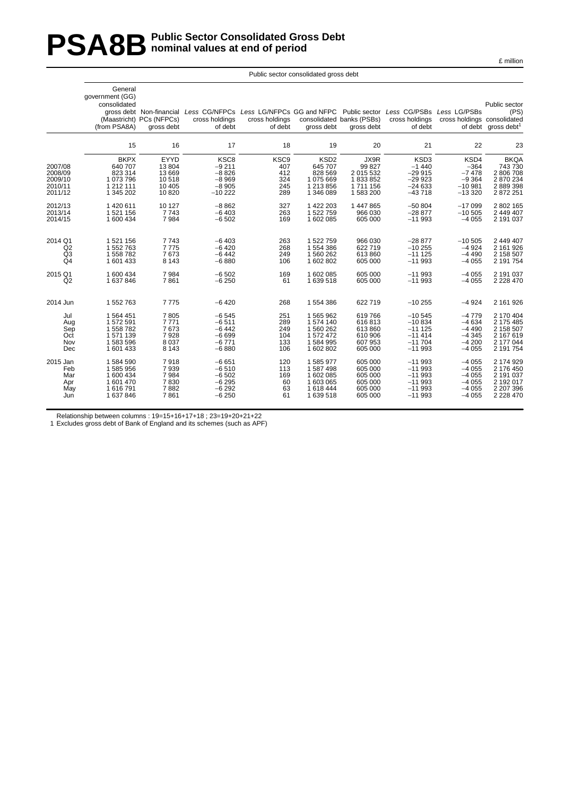### **PSA8B** Public Sector Consolidated Gross Debt<br>nominal values at end of period **nominal values at end of period**

|                                                     | General<br>qovernment (GG)<br>consolidated<br>(from PSA8A)               | gross debt Non-financial<br>(Maastricht) PCs (NFPCs)<br>gross debt | Less CG/NFPCs Less LG/NFPCs GG and NFPC Public sector Less CG/PSBs Less LG/PSBs<br>cross holdings<br>of debt | cross holdings<br>of debt                           | gross debt                                                                  | consolidated banks (PSBs)<br>gross debt                        | cross holdings<br>of debt                                             | cross holdings consolidated                                    | Public sector<br>(PS)<br>of debt gross debt <sup>1</sup>                       |
|-----------------------------------------------------|--------------------------------------------------------------------------|--------------------------------------------------------------------|--------------------------------------------------------------------------------------------------------------|-----------------------------------------------------|-----------------------------------------------------------------------------|----------------------------------------------------------------|-----------------------------------------------------------------------|----------------------------------------------------------------|--------------------------------------------------------------------------------|
|                                                     | 15                                                                       | 16                                                                 | 17                                                                                                           | 18                                                  | 19                                                                          | 20                                                             | 21                                                                    | 22                                                             | 23                                                                             |
| 2007/08<br>2008/09<br>2009/10<br>2010/11<br>2011/12 | <b>BKPX</b><br>640 707<br>823 314<br>1 073 796<br>1 212 111<br>1 345 202 | EYYD<br>13804<br>13 669<br>10518<br>10 4 05<br>10820               | KSC8<br>$-9211$<br>$-8826$<br>$-8969$<br>$-8905$<br>$-10222$                                                 | KSC <sub>9</sub><br>407<br>412<br>324<br>245<br>289 | KSD <sub>2</sub><br>645 707<br>828 569<br>1075669<br>1 213 856<br>1 346 089 | JX9R<br>99 827<br>2 015 532<br>1833852<br>1711156<br>1583200   | KSD3<br>$-1440$<br>$-29915$<br>$-29923$<br>$-24633$<br>$-43718$       | KSD4<br>$-364$<br>$-7478$<br>$-9364$<br>$-10.981$<br>$-13320$  | <b>BKQA</b><br>743 730<br>2 806 708<br>2 870 234<br>2 889 398<br>2 872 251     |
| 2012/13<br>2013/14<br>2014/15                       | 1420611<br>1 521 156<br>1 600 434                                        | 10 127<br>7743<br>7984                                             | $-8862$<br>$-6403$<br>$-6502$                                                                                | 327<br>263<br>169                                   | 1 422 203<br>1522759<br>1 602 085                                           | 1 447 865<br>966 030<br>605 000                                | $-50804$<br>$-28877$<br>$-11993$                                      | $-17099$<br>$-10505$<br>$-4055$                                | 2 802 165<br>2 449 407<br>2 191 037                                            |
| 2014 Q1<br>Q2<br>Q <sub>3</sub><br>Q <sub>4</sub>   | 1 521 156<br>1 552 763<br>1 558 782<br>1 601 433                         | 7743<br>7775<br>7673<br>8 1 4 3                                    | $-6403$<br>$-6420$<br>$-6442$<br>$-6880$                                                                     | 263<br>268<br>249<br>106                            | 1522759<br>1554386<br>1560262<br>1 602 802                                  | 966 030<br>622 719<br>613 860<br>605 000                       | $-28877$<br>$-10255$<br>$-111125$<br>$-11993$                         | $-10,505$<br>$-4924$<br>$-4490$<br>$-4055$                     | 2 449 407<br>2 161 926<br>2 158 507<br>2 191 754                               |
| 2015 Q1<br>Q2                                       | 1 600 434<br>1 637 846                                                   | 7984<br>7861                                                       | $-6502$<br>$-6250$                                                                                           | 169<br>61                                           | 1602085<br>1639518                                                          | 605 000<br>605 000                                             | $-11993$<br>$-11993$                                                  | $-4055$<br>$-4055$                                             | 2 191 037<br>2 2 2 8 4 7 0                                                     |
| 2014 Jun                                            | 1 552 763                                                                | 7775                                                               | $-6420$                                                                                                      | 268                                                 | 1554386                                                                     | 622 719                                                        | $-10255$                                                              | $-4924$                                                        | 2 161 926                                                                      |
| Jul<br>Aug<br>Sep<br>Oct<br>Nov<br>Dec              | 1 564 451<br>1 572 591<br>1 558 782<br>1571139<br>1583596<br>1 601 433   | 7805<br>7771<br>7673<br>7928<br>8 0 3 7<br>8 1 4 3                 | $-6545$<br>$-6511$<br>$-6442$<br>$-6699$<br>$-6771$<br>$-6880$                                               | 251<br>289<br>249<br>104<br>133<br>106              | 1565962<br>1574 140<br>1560262<br>1572472<br>1584995<br>1 602 802           | 619766<br>616813<br>613 860<br>610 906<br>607 953<br>605 000   | $-10545$<br>$-10834$<br>$-111125$<br>$-11414$<br>$-11704$<br>$-11993$ | $-4779$<br>$-4634$<br>$-4490$<br>$-4345$<br>$-4200$<br>$-4055$ | 2 170 404<br>2 175 485<br>2 158 507<br>2 167 619<br>2 177 044<br>2 191 754     |
| 2015 Jan<br>Feb<br>Mar<br>Apr<br>May<br>Jun         | 1584590<br>1585956<br>1 600 434<br>1 601 470<br>1 616 791<br>1 637 846   | 7918<br>7939<br>7984<br>7830<br>7882<br>7861                       | $-6651$<br>$-6510$<br>$-6502$<br>$-6295$<br>$-6292$<br>$-6250$                                               | 120<br>113<br>169<br>60<br>63<br>61                 | 1585977<br>1587498<br>1602085<br>1 603 065<br>1618444<br>1639518            | 605 000<br>605 000<br>605 000<br>605 000<br>605 000<br>605 000 | $-11993$<br>$-11993$<br>$-11993$<br>$-11993$<br>$-11993$<br>$-11993$  | $-4055$<br>$-4055$<br>$-4055$<br>$-4055$<br>$-4055$<br>$-4055$ | 2 174 929<br>2 176 450<br>2 191 037<br>2 192 017<br>2 207 396<br>2 2 2 8 4 7 0 |
|                                                     |                                                                          |                                                                    |                                                                                                              |                                                     |                                                                             |                                                                |                                                                       |                                                                |                                                                                |

Public sector consolidated gross debt

Relationship between columns : 19=15+16+17+18 ; 23=19+20+21+22

1 Excludes gross debt of Bank of England and its schemes (such as APF)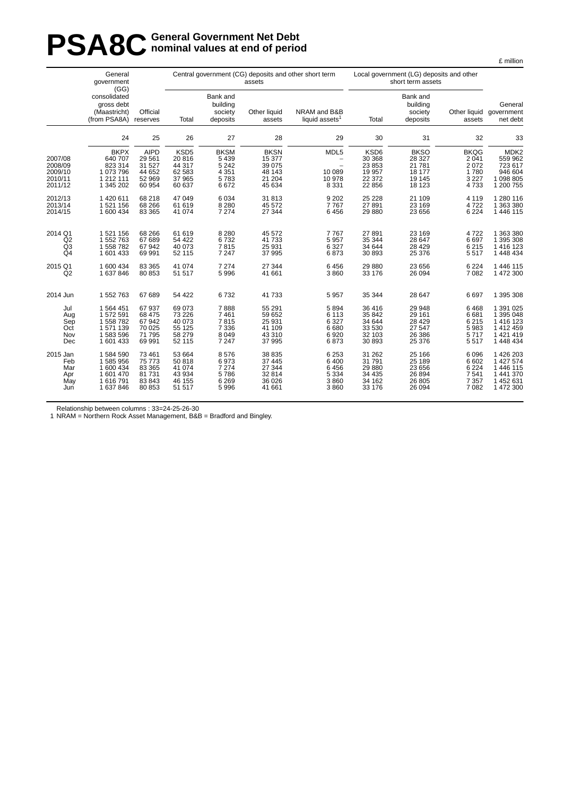# **PSA8C General Government Net Debt**<br> **PSA8C nominal values at end of perio nominal values at end of period**

|                                                     | General<br>government                                                  |                                                                | Central government (CG) deposits and other short term<br>assets<br>(GG) |                                                              |                                                               |                                                                                      | Local government (LG) deposits and other<br>short term assets |                                                                  |                                                           |                                                                             |
|-----------------------------------------------------|------------------------------------------------------------------------|----------------------------------------------------------------|-------------------------------------------------------------------------|--------------------------------------------------------------|---------------------------------------------------------------|--------------------------------------------------------------------------------------|---------------------------------------------------------------|------------------------------------------------------------------|-----------------------------------------------------------|-----------------------------------------------------------------------------|
|                                                     | consolidated<br>gross debt<br>(Maastricht)<br>(from PSA8A)             | Official<br>reserves                                           | Total                                                                   | Bank and<br>building<br>society<br>deposits                  | Other liquid<br>assets                                        | NRAM and B&B<br>liquid assets <sup>1</sup>                                           | Total                                                         | Bank and<br>building<br>society<br>deposits                      | assets                                                    | General<br>Other liquid government<br>net debt                              |
|                                                     | 24                                                                     | 25                                                             | 26                                                                      | 27                                                           | 28                                                            | 29                                                                                   | 30                                                            | 31                                                               | 32                                                        | 33                                                                          |
| 2007/08<br>2008/09<br>2009/10<br>2010/11<br>2011/12 | <b>BKPX</b><br>640 707<br>823 314<br>1073796<br>1 212 111<br>1 345 202 | <b>AIPD</b><br>29 5 61<br>31 527<br>44 652<br>52 969<br>60 954 | KSD <sub>5</sub><br>20 816<br>44 317<br>62 583<br>37 965<br>60 637      | <b>BKSM</b><br>5 4 3 9<br>5 2 4 2<br>4 3 5 1<br>5783<br>6672 | <b>BKSN</b><br>15 377<br>39 075<br>48 143<br>21 204<br>45 634 | MDL5<br>$\overline{\phantom{m}}$<br>$\qquad \qquad -$<br>10 089<br>10 978<br>8 3 3 1 | KSD6<br>30 368<br>23 853<br>19 957<br>22 372<br>22 856        | <b>BKSO</b><br>28 3 27<br>21 7 8 1<br>18 177<br>19 145<br>18 123 | <b>BKQG</b><br>2 0 4 1<br>2072<br>1780<br>3 2 2 7<br>4733 | MDK <sub>2</sub><br>559 962<br>723 617<br>946 604<br>1 098 805<br>1 200 755 |
| 2012/13                                             | 1420611                                                                | 68 218                                                         | 47 049                                                                  | 6 0 34                                                       | 31 813                                                        | 9 2 0 2                                                                              | 25 2 28                                                       | 21 109                                                           | 4 1 1 9                                                   | 1 280 116                                                                   |
| 2013/14                                             | 1521156                                                                | 68 266                                                         | 61 619                                                                  | 8 2 8 0                                                      | 45 572                                                        | 7767                                                                                 | 27 891                                                        | 23 169                                                           | 4722                                                      | 1 363 380                                                                   |
| 2014/15                                             | 1 600 434                                                              | 83 365                                                         | 41 074                                                                  | 7 2 7 4                                                      | 27 344                                                        | 6456                                                                                 | 29 880                                                        | 23 656                                                           | 6 2 2 4                                                   | 1 446 115                                                                   |
| 2014 Q1                                             | 1 521 156                                                              | 68 266                                                         | 61 619                                                                  | 8 2 8 0                                                      | 45 572                                                        | 7767                                                                                 | 27 891                                                        | 23 169                                                           | 4722                                                      | 1 363 380                                                                   |
| $\overline{Q}2$                                     | 1552763                                                                | 67 689                                                         | 54 422                                                                  | 6732                                                         | 41 733                                                        | 5 9 5 7                                                                              | 35 344                                                        | 28 647                                                           | 6697                                                      | 1 395 308                                                                   |
| Q <sub>3</sub>                                      | 1 558 782                                                              | 67 942                                                         | 40 073                                                                  | 7815                                                         | 25 931                                                        | 6 3 2 7                                                                              | 34 644                                                        | 28 4 29                                                          | 6 2 1 5                                                   | 1 416 123                                                                   |
| Q <sub>4</sub>                                      | 1601433                                                                | 69 991                                                         | 52 115                                                                  | 7 2 4 7                                                      | 37 995                                                        | 6873                                                                                 | 30 893                                                        | 25 376                                                           | 5517                                                      | 1 448 434                                                                   |
| 2015 Q1                                             | 1 600 434                                                              | 83 365                                                         | 41 074                                                                  | 7 2 7 4                                                      | 27 344                                                        | 6456                                                                                 | 29 880                                                        | 23 656                                                           | 6 2 2 4                                                   | 1 446 115                                                                   |
| Q2                                                  | 1637846                                                                | 80 853                                                         | 51 517                                                                  | 5 9 9 6                                                      | 41 661                                                        | 3860                                                                                 | 33 176                                                        | 26 094                                                           | 7 0 8 2                                                   | 1 472 300                                                                   |
| 2014 Jun                                            | 1552763                                                                | 67 689                                                         | 54 422                                                                  | 6732                                                         | 41 733                                                        | 5 9 5 7                                                                              | 35 344                                                        | 28 647                                                           | 6697                                                      | 1 395 308                                                                   |
| Jul                                                 | 1 564 451                                                              | 67 937                                                         | 69 073                                                                  | 7888                                                         | 55 291                                                        | 5894                                                                                 | 36 416                                                        | 29 948                                                           | 6468                                                      | 1 391 025                                                                   |
| Aug                                                 | 1572591                                                                | 68 475                                                         | 73 226                                                                  | 7 4 6 1                                                      | 59 652                                                        | 6 1 1 3                                                                              | 35 842                                                        | 29 161                                                           | 6681                                                      | 1 395 048                                                                   |
| Sep                                                 | 1558782                                                                | 67 942                                                         | 40 073                                                                  | 7815                                                         | 25 931                                                        | 6 3 2 7                                                                              | 34 644                                                        | 28 4 29                                                          | 6 2 1 5                                                   | 1 416 123                                                                   |
| Oct                                                 | 1571139                                                                | 70 025                                                         | 55 125                                                                  | 7 3 3 6                                                      | 41 109                                                        | 6680                                                                                 | 33 530                                                        | 27 547                                                           | 5983                                                      | 1 412 459                                                                   |
| Nov                                                 | 1583596                                                                | 71 795                                                         | 58 279                                                                  | 8 0 4 9                                                      | 43 310                                                        | 6920                                                                                 | 32 103                                                        | 26 386                                                           | 5717                                                      | 1 421 419                                                                   |
| Dec                                                 | 1601433                                                                | 69 991                                                         | 52 115                                                                  | 7 2 4 7                                                      | 37 995                                                        | 6873                                                                                 | 30 893                                                        | 25 376                                                           | 5517                                                      | 1 448 434                                                                   |
| 2015 Jan                                            | 1584590                                                                | 73 461                                                         | 53 664                                                                  | 8576                                                         | 38 835                                                        | 6 2 5 3                                                                              | 31 262                                                        | 25 166                                                           | 6 0 9 6                                                   | 1 426 203                                                                   |
| Feb                                                 | 1585956                                                                | 75 773                                                         | 50 818                                                                  | 6973                                                         | 37 445                                                        | 6 4 0 0                                                                              | 31 791                                                        | 25 189                                                           | 6 602                                                     | 1 427 574                                                                   |
| Mar                                                 | 1 600 434                                                              | 83 365                                                         | 41 074                                                                  | 7 2 7 4                                                      | 27 344                                                        | 6456                                                                                 | 29 880                                                        | 23 656                                                           | 6 2 2 4                                                   | 1 446 115                                                                   |
| Apr                                                 | 1601470                                                                | 81 731                                                         | 43 934                                                                  | 5786                                                         | 32 814                                                        | 5 3 3 4                                                                              | 34 4 35                                                       | 26 8 94                                                          | 7 5 4 1                                                   | 1 441 370                                                                   |
| May                                                 | 1616791                                                                | 83 843                                                         | 46 155                                                                  | 6 2 6 9                                                      | 36 0 26                                                       | 3860                                                                                 | 34 162                                                        | 26 805                                                           | 7 3 5 7                                                   | 1 452 631                                                                   |
| Jun                                                 | 1637846                                                                | 80 853                                                         | 51 517                                                                  | 5 9 9 6                                                      | 41 661                                                        | 3860                                                                                 | 33 176                                                        | 26 094                                                           | 7 0 8 2                                                   | 1 472 300                                                                   |

Relationship between columns : 33=24-25-26-30

1 NRAM = Northern Rock Asset Management, B&B = Bradford and Bingley.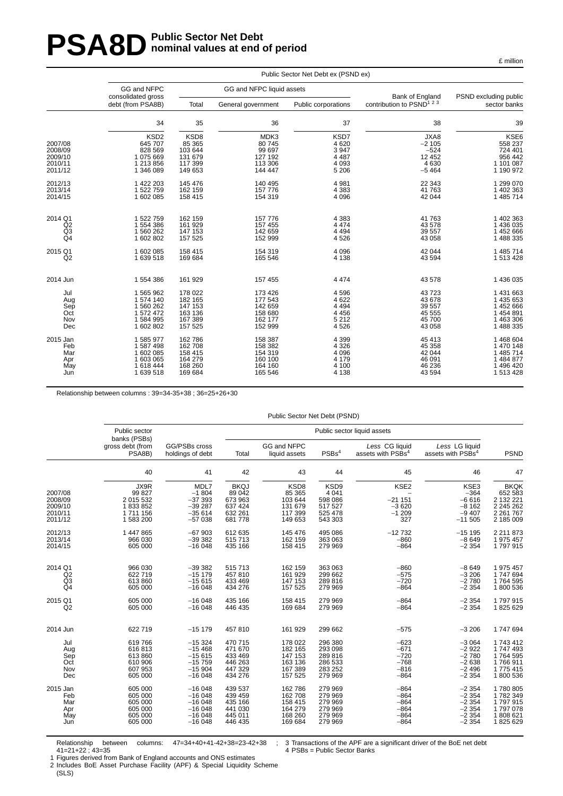# **PSA8D** Public Sector Net Debt **nominal values at end of period**

|                | Public Sector Net Debt ex (PSND ex) |                    |                           |                     |                                       |                       |  |  |  |  |
|----------------|-------------------------------------|--------------------|---------------------------|---------------------|---------------------------------------|-----------------------|--|--|--|--|
|                | GG and NFPC<br>consolidated gross   |                    | GG and NFPC liquid assets |                     | Bank of England                       | PSND excluding public |  |  |  |  |
|                | debt (from PSA8B)                   | Total              | General government        | Public corporations | contribution to PSND <sup>1 2 3</sup> | sector banks          |  |  |  |  |
|                | 34                                  | 35                 | 36                        | 37                  | 38                                    | 39                    |  |  |  |  |
|                | KSD <sub>2</sub>                    | KSD8               | MDK3                      | KSD7                | JXA8                                  | <b>KSE6</b>           |  |  |  |  |
| 2007/08        | 645 707                             | 85 365             | 80 745                    | 4620                | $-2105$                               | 558 237               |  |  |  |  |
| 2008/09        | 828 569                             | 103 644            | 99 697                    | 3 9 4 7             | $-524$                                | 724 401               |  |  |  |  |
| 2009/10        | 1075669                             | 131 679            | 127 192                   | 4 4 8 7             | 12 452                                | 956 442               |  |  |  |  |
| 2010/11        | 1 213 856                           | 117 399            | 113 306                   | 4 0 9 3             | 4630                                  | 1 101 087             |  |  |  |  |
| 2011/12        | 1 346 089                           | 149 653            | 144 447                   | 5 2 0 6             | $-5464$                               | 1 190 972             |  |  |  |  |
| 2012/13        | 1 422 203                           | 145 476            | 140 495                   | 4 9 8 1             | 22 343                                | 1 299 070             |  |  |  |  |
| 2013/14        | 1522759                             | 162 159            | 157 776                   | 4 3 8 3             | 41763                                 | 1 402 363             |  |  |  |  |
| 2014/15        | 1 602 085                           | 158 415            | 154 319                   | 4 0 9 6             | 42 044                                | 1 485 714             |  |  |  |  |
| 2014 Q1        | 1 522 759                           | 162 159            | 157 776                   | 4 3 8 3             | 41763                                 | 1 402 363             |  |  |  |  |
| Q2             | 1 554 386                           | 161 929            | 157 455                   | 4 4 7 4             | 43 578                                | 1 436 035             |  |  |  |  |
| Q <sub>3</sub> | 1 560 262                           | 147 153            | 142 659                   | 4 4 9 4             | 39 557                                | 1 452 666             |  |  |  |  |
| Q <sub>4</sub> | 1602802                             | 157 525            | 152 999                   | 4526                | 43 058                                | 1 488 335             |  |  |  |  |
| 2015 Q1        | 1 602 085                           | 158 415            | 154 319                   | 4 0 9 6             | 42 044                                | 1 485 714             |  |  |  |  |
| Q2             | 1639518                             | 169 684            | 165 546                   | 4 1 3 8             | 43 5 94                               | 1 513 428             |  |  |  |  |
| 2014 Jun       | 1554386                             | 161 929            | 157 455                   | 4 4 7 4             | 43 578                                | 1 436 035             |  |  |  |  |
| Jul            | 1565962                             | 178 022            | 173 426                   | 4596                | 43723                                 | 1 431 663             |  |  |  |  |
| Aug            | 1574 140                            | 182 165            | 177 543                   | 4 6 22              | 43 678                                | 1 435 653             |  |  |  |  |
| Sep            | 1560262                             | 147 153            | 142 659                   | 4 4 9 4             | 39 557                                | 1 452 666             |  |  |  |  |
| Oct            | 1572472                             | 163 136            | 158 680                   | 4 4 5 6             | 45 555                                | 1 454 891             |  |  |  |  |
| Nov            | 1584995                             | 167 389            | 162 177                   | 5 2 1 2             | 45 700                                | 1 463 306             |  |  |  |  |
| Dec            | 1 602 802                           | 157 525            | 152 999                   | 4526                | 43 058                                | 1 488 335             |  |  |  |  |
| 2015 Jan       | 1585977                             | 162 786            | 158 387                   | 4 3 9 9             | 45 413                                | 1 468 604             |  |  |  |  |
| Feb            | 1587498                             | 162 708            | 158 382                   | 4 3 2 6             | 45 358                                | 1 470 148             |  |  |  |  |
| Mar            | 1602085                             | 158 415            | 154 319                   | 4 0 9 6             | 42 044                                | 1485714               |  |  |  |  |
| Apr            | 1 603 065                           | 164 279            | 160 100                   | 4 1 7 9             | 46 091                                | 1 484 877             |  |  |  |  |
| May            | 1618444<br>1639518                  | 168 260<br>169 684 | 164 160<br>165 546        | 4 100<br>4 1 3 8    | 46 236<br>43 5 94                     | 1 496 420             |  |  |  |  |
| Jun            |                                     |                    |                           |                     |                                       | 1 513 428             |  |  |  |  |

Relationship between columns : 39=34-35+38 ; 36=25+26+30

Public Sector Net Debt (PSND)

|                                                     | Public sector                                                  | banks (PSBs)                                                    |                                                                   | Public sector liquid assets                                |                                                             |                                                 |                                                             |                                                                              |  |  |  |
|-----------------------------------------------------|----------------------------------------------------------------|-----------------------------------------------------------------|-------------------------------------------------------------------|------------------------------------------------------------|-------------------------------------------------------------|-------------------------------------------------|-------------------------------------------------------------|------------------------------------------------------------------------------|--|--|--|
|                                                     | gross debt (from<br>PSA8B)                                     | GG/PSBs cross<br>holdings of debt                               | Total                                                             | GG and NFPC<br>liquid assets                               | PSBs <sup>4</sup>                                           | Less CG liquid<br>assets with PSBs <sup>4</sup> | Less LG liquid<br>assets with PSBs <sup>4</sup>             | <b>PSND</b>                                                                  |  |  |  |
|                                                     | 40                                                             | 41                                                              | 42                                                                | 43                                                         | 44                                                          | 45                                              | 46                                                          | 47                                                                           |  |  |  |
| 2007/08<br>2008/09<br>2009/10<br>2010/11<br>2011/12 | JX9R<br>99 827<br>2 015 532<br>1833852<br>1711156<br>1 583 200 | MDL7<br>$-1804$<br>$-37393$<br>$-39287$<br>$-35614$<br>$-57038$ | <b>BKQJ</b><br>89 042<br>673 963<br>637 424<br>632 261<br>681 778 | KSD8<br>85 365<br>103 644<br>131 679<br>117 399<br>149 653 | KSD9<br>4 0 4 1<br>598 086<br>517 527<br>525 478<br>543 303 | KSE2<br>$-21151$<br>$-3620$<br>$-1209$<br>327   | KSE3<br>$-364$<br>$-6616$<br>$-8162$<br>$-9407$<br>$-11505$ | <b>BKQK</b><br>652 583<br>2 132 221<br>2 245 262<br>2 2 61 7 67<br>2 185 009 |  |  |  |
| 2012/13                                             | 1 447 865                                                      | $-67903$                                                        | 612 635                                                           | 145 476                                                    | 495 086                                                     | $-12732$                                        | $-15$ 195                                                   | 2 2 1 8 7 3                                                                  |  |  |  |
| 2013/14                                             | 966 030                                                        | $-39382$                                                        | 515 713                                                           | 162 159                                                    | 363 063                                                     | $-860$                                          | $-8649$                                                     | 1 975 457                                                                    |  |  |  |
| 2014/15                                             | 605 000                                                        | $-16048$                                                        | 435 166                                                           | 158 415                                                    | 279 969                                                     | $-864$                                          | $-2354$                                                     | 1797915                                                                      |  |  |  |
| 2014 Q1                                             | 966 030                                                        | $-39382$                                                        | 515 713                                                           | 162 159                                                    | 363 063                                                     | $-860$                                          | $-8649$                                                     | 1 975 457                                                                    |  |  |  |
| Q2                                                  | 622 719                                                        | $-15179$                                                        | 457 810                                                           | 161 929                                                    | 299 662                                                     | $-575$                                          | $-3206$                                                     | 1747694                                                                      |  |  |  |
| Q <sub>3</sub>                                      | 613 860                                                        | $-15615$                                                        | 433 469                                                           | 147 153                                                    | 289 816                                                     | $-720$                                          | $-2780$                                                     | 1764 595                                                                     |  |  |  |
| Q <sub>4</sub>                                      | 605 000                                                        | $-16048$                                                        | 434 276                                                           | 157 525                                                    | 279 969                                                     | $-864$                                          | $-2354$                                                     | 1800 536                                                                     |  |  |  |
| 2015 Q1                                             | 605 000                                                        | $-16048$                                                        | 435 166                                                           | 158 415                                                    | 279 969                                                     | $-864$                                          | $-2354$                                                     | 1797915                                                                      |  |  |  |
| Q2                                                  | 605 000                                                        | $-16048$                                                        | 446 435                                                           | 169 684                                                    | 279 969                                                     | $-864$                                          | $-2354$                                                     | 1825629                                                                      |  |  |  |
| 2014 Jun                                            | 622 719                                                        | $-15179$                                                        | 457810                                                            | 161 929                                                    | 299 662                                                     | $-575$                                          | $-3206$                                                     | 1747694                                                                      |  |  |  |
| Jul                                                 | 619766                                                         | $-15324$                                                        | 470 715                                                           | 178 022                                                    | 296 380                                                     | $-623$                                          | $-3064$                                                     | 1743412                                                                      |  |  |  |
| Aug                                                 | 616813                                                         | $-15468$                                                        | 471 670                                                           | 182 165                                                    | 293 098                                                     | $-671$                                          | $-2922$                                                     | 1747493                                                                      |  |  |  |
| Sep                                                 | 613 860                                                        | $-15615$                                                        | 433 469                                                           | 147 153                                                    | 289 816                                                     | $-720$                                          | $-2780$                                                     | 1764 595                                                                     |  |  |  |
| Oct                                                 | 610 906                                                        | $-15759$                                                        | 446 263                                                           | 163 136                                                    | 286 533                                                     | $-768$                                          | $-2638$                                                     | 1766911                                                                      |  |  |  |
| Nov                                                 | 607 953                                                        | $-15904$                                                        | 447 329                                                           | 167 389                                                    | 283 252                                                     | $-816$                                          | $-2496$                                                     | 1775415                                                                      |  |  |  |
| Dec                                                 | 605 000                                                        | $-16048$                                                        | 434 276                                                           | 157 525                                                    | 279 969                                                     | $-864$                                          | $-2354$                                                     | 1800 536                                                                     |  |  |  |
| 2015 Jan                                            | 605 000                                                        | $-16048$                                                        | 439 537                                                           | 162 786                                                    | 279 969                                                     | $-864$                                          | $-2354$                                                     | 1780 805                                                                     |  |  |  |
| Feb                                                 | 605 000                                                        | $-16048$                                                        | 439 459                                                           | 162 708                                                    | 279 969                                                     | $-864$                                          | $-2354$                                                     | 1782349                                                                      |  |  |  |
| Mar                                                 | 605 000                                                        | $-16048$                                                        | 435 166                                                           | 158 415                                                    | 279 969                                                     | $-864$                                          | $-2354$                                                     | 1797915                                                                      |  |  |  |
| Apr                                                 | 605 000                                                        | $-16048$                                                        | 441 030                                                           | 164 279                                                    | 279 969                                                     | $-864$                                          | $-2354$                                                     | 1797078                                                                      |  |  |  |
| May                                                 | 605 000                                                        | $-16048$                                                        | 445 011                                                           | 168 260                                                    | 279 969                                                     | $-864$                                          | $-2354$                                                     | 1808621                                                                      |  |  |  |
| Jun                                                 | 605 000                                                        | $-16048$                                                        | 446 435                                                           | 169 684                                                    | 279 969                                                     | $-864$                                          | $-2354$                                                     | 1825629                                                                      |  |  |  |

Relationship between columns: 47=34+40+41-42+38=23-42+38 ; 41=21+22 ; 43=35

3 Transactions of the APF are a significant driver of the BoE net debt 4 PSBs = Public Sector Banks

1 Figures derived from Bank of England accounts and ONS estimates

2 Includes BoE Asset Purchase Facility (APF) & Special Liquidity Scheme (SLS)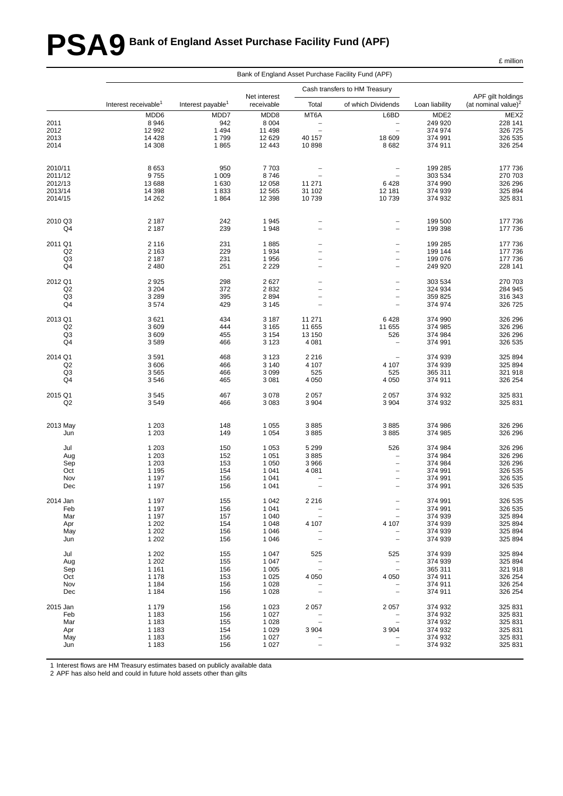# **PSA9 Bank of England Asset Purchase Facility Fund (APF)**

|                | Bank of England Asset Purchase Facility Fund (APF) |                               |                    |                                   |                                        |                    |                                 |  |  |  |  |
|----------------|----------------------------------------------------|-------------------------------|--------------------|-----------------------------------|----------------------------------------|--------------------|---------------------------------|--|--|--|--|
|                |                                                    |                               | Net interest       |                                   | Cash transfers to HM Treasury          |                    | APF gilt holdings               |  |  |  |  |
|                | Interest receivable <sup>1</sup>                   | Interest payable <sup>1</sup> | receivable         | Total                             | of which Dividends                     | Loan liability     | (at nominal value) <sup>2</sup> |  |  |  |  |
|                | MDD6                                               | MDD7                          | MDD8               | MT6A                              | L6BD                                   | MDE <sub>2</sub>   | MEX2                            |  |  |  |  |
| 2011           | 8946                                               | 942                           | 8 0 0 4            | $\qquad \qquad -$                 | $\overline{\phantom{a}}$               | 249 920            | 228 141                         |  |  |  |  |
| 2012           | 12 992                                             | 1 4 9 4                       | 11 498             | $\qquad \qquad -$                 | $\overline{\phantom{a}}$               | 374 974            | 326 725                         |  |  |  |  |
| 2013           | 14 4 28                                            | 1799                          | 12 629             | 40 157                            | 18 609                                 | 374 991            | 326 535                         |  |  |  |  |
| 2014           | 14 308                                             | 1865                          | 12 443             | 10898                             | 8682                                   | 374 911            | 326 254                         |  |  |  |  |
| 2010/11        | 8653                                               | 950                           | 7703               |                                   | $\qquad \qquad -$                      | 199 285            | 177 736                         |  |  |  |  |
| 2011/12        | 9755                                               | 1 0 0 9                       | 8746               | $\qquad \qquad -$                 |                                        | 303 534            | 270 703                         |  |  |  |  |
| 2012/13        | 13688                                              | 1 6 3 0                       | 12 058             | 11 271                            | 6428                                   | 374 990            | 326 296                         |  |  |  |  |
| 2013/14        | 14 3 98                                            | 1833                          | 12 5 65            | 31 102                            | 12 181                                 | 374 939            | 325 894                         |  |  |  |  |
| 2014/15        | 14 26 2                                            | 1864                          | 12 3 98            | 10739                             | 10739                                  | 374 932            | 325 831                         |  |  |  |  |
| 2010 Q3        | 2 187                                              | 242                           | 1945               |                                   | $\qquad \qquad -$                      | 199 500            | 177 736                         |  |  |  |  |
| Q4             | 2 1 8 7                                            | 239                           | 1948               | L                                 | $\qquad \qquad -$                      | 199 398            | 177 736                         |  |  |  |  |
| 2011 Q1<br>Q2  | 2 1 1 6<br>2 1 6 3                                 | 231<br>229                    | 1885<br>1934       | $\overline{\phantom{0}}$          | $\qquad \qquad -$<br>$\qquad \qquad -$ | 199 285<br>199 144 | 177 736<br>177 736              |  |  |  |  |
| Q <sub>3</sub> | 2 1 8 7                                            | 231                           | 1956               | $\qquad \qquad -$                 | $\qquad \qquad -$                      | 199 076            | 177 736                         |  |  |  |  |
| Q4             | 2 4 8 0                                            | 251                           | 2 2 2 9            | $\overline{\phantom{0}}$          | $\overline{\phantom{0}}$               | 249 920            | 228 141                         |  |  |  |  |
| 2012 Q1        | 2925                                               | 298                           | 2627               |                                   | $\qquad \qquad -$                      | 303 534            | 270 703                         |  |  |  |  |
| Q2             | 3 2 0 4                                            | 372                           | 2832               | $\overline{\phantom{0}}$          | $\overline{\phantom{a}}$               | 324 934            | 284 945                         |  |  |  |  |
| Q3             | 3 2 8 9                                            | 395                           | 2894               | $\qquad \qquad -$                 | $\overline{\phantom{a}}$               | 359 825            | 316 343                         |  |  |  |  |
| Q4             | 3574                                               | 429                           | 3 1 4 5            | $\overline{\phantom{0}}$          | $\overline{\phantom{a}}$               | 374 974            | 326 725                         |  |  |  |  |
| 2013 Q1        | 3621                                               | 434                           | 3 1 8 7            | 11 271                            | 6428                                   | 374 990            | 326 296                         |  |  |  |  |
| Q2             | 3609                                               | 444                           | 3 1 6 5            | 11 655                            | 11 655                                 | 374 985            | 326 296                         |  |  |  |  |
| Q3<br>Q4       | 3609<br>3589                                       | 455<br>466                    | 3 1 5 4<br>3 1 2 3 | 13 150<br>4 0 8 1                 | 526<br>$\qquad \qquad -$               | 374 984<br>374 991 | 326 296<br>326 535              |  |  |  |  |
| 2014 Q1        | 3591                                               | 468                           | 3 1 2 3            | 2 2 1 6                           | $\overline{\phantom{0}}$               | 374 939            | 325 894                         |  |  |  |  |
| Q2             | 3606                                               | 466                           | 3 1 4 0            | 4 107                             | 4 107                                  | 374 939            | 325 894                         |  |  |  |  |
| Q3             | 3565                                               | 466                           | 3 0 9 9            | 525                               | 525                                    | 365 311            | 321 918                         |  |  |  |  |
| Q4             | 3546                                               | 465                           | 3 0 8 1            | 4 0 5 0                           | 4 0 5 0                                | 374 911            | 326 254                         |  |  |  |  |
| 2015 Q1        | 3545                                               | 467                           | 3078               | 2057                              | 2 0 5 7                                | 374 932            | 325 831                         |  |  |  |  |
| Q2             | 3549                                               | 466                           | 3 0 8 3            | 3 9 0 4                           | 3 9 0 4                                | 374 932            | 325 831                         |  |  |  |  |
| 2013 May       | 1 2 0 3                                            | 148                           | 1 0 5 5            | 3885                              | 3885                                   | 374 986            | 326 296                         |  |  |  |  |
| Jun            | 1 2 0 3                                            | 149                           | 1 0 5 4            | 3885                              | 3885                                   | 374 985            | 326 296                         |  |  |  |  |
| Jul            | 1 2 0 3                                            | 150                           | 1 0 5 3            | 5 2 9 9                           | 526                                    | 374 984            | 326 296                         |  |  |  |  |
| Aug            | 1 2 0 3                                            | 152                           | 1 0 5 1            | 3885                              | $\qquad \qquad -$                      | 374 984            | 326 296                         |  |  |  |  |
| Sep            | 1 2 0 3                                            | 153                           | 1 0 5 0            | 3966                              | $\overline{\phantom{m}}$               | 374 984            | 326 296                         |  |  |  |  |
| Oct            | 1 1 9 5                                            | 154                           | 1 0 4 1            | 4 0 8 1                           | $\qquad \qquad -$                      | 374 991            | 326 535                         |  |  |  |  |
| Nov            | 1 1 9 7                                            | 156                           | 1 0 4 1            | $\overline{\phantom{0}}$          | $\overline{\phantom{0}}$               | 374 991            | 326 535                         |  |  |  |  |
| Dec            | 1 1 9 7                                            | 156                           | 1 0 4 1            | $\overline{\phantom{0}}$          | $\overline{\phantom{0}}$               | 374 991            | 326 535                         |  |  |  |  |
| 2014 Jan       | 1 1 9 7                                            | 155                           | 1 0 4 2            | 2 2 1 6                           | $\qquad \qquad -$                      | 374 991            | 326 535                         |  |  |  |  |
| Feb            | 1 1 9 7                                            | 156                           | 1 0 4 1            | $\qquad \qquad -$                 | $\overline{\phantom{a}}$               | 374 991            | 326 535                         |  |  |  |  |
| Mar            | 1 1 9 7                                            | 157                           | 1 0 4 0            | $\qquad \qquad -$                 |                                        | 374 939            | 325 894                         |  |  |  |  |
| Apr<br>May     | 1 2 0 2<br>1 2 0 2                                 | 154<br>156                    | 1 0 4 8<br>1 0 4 6 | 4 107<br>$\overline{\phantom{0}}$ | 4 107<br>$\overline{\phantom{0}}$      | 374 939<br>374 939 | 325 894<br>325 894              |  |  |  |  |
| Jun            | 1 2 0 2                                            | 156                           | 1 0 4 6            | $\overline{a}$                    | $\qquad \qquad -$                      | 374 939            | 325 894                         |  |  |  |  |
| Jul            | 1 2 0 2                                            | 155                           | 1 0 4 7            | 525                               | 525                                    | 374 939            | 325 894                         |  |  |  |  |
| Aug            | 1 2 0 2                                            | 155                           | 1 0 4 7            |                                   | $\qquad \qquad -$                      | 374 939            | 325 894                         |  |  |  |  |
| Sep            | 1 1 6 1                                            | 156                           | 1 0 0 5            | $\overline{\phantom{0}}$          | $\overline{\phantom{a}}$               | 365 311            | 321 918                         |  |  |  |  |
| Oct            | 1 1 7 8                                            | 153                           | 1 0 2 5            | 4 0 5 0                           | 4 0 5 0                                | 374 911            | 326 254                         |  |  |  |  |
| Nov<br>Dec     | 1 1 8 4<br>1 1 8 4                                 | 156<br>156                    | 1 0 2 8<br>1 0 2 8 | $\overline{\phantom{a}}$          | $\overline{\phantom{a}}$               | 374 911<br>374 911 | 326 254<br>326 254              |  |  |  |  |
| 2015 Jan       | 1 1 7 9                                            | 156                           | 1 0 2 3            | 2057                              | 2 0 5 7                                | 374 932            | 325 831                         |  |  |  |  |
| Feb            | 1 1 8 3                                            | 156                           | 1 0 2 7            |                                   |                                        | 374 932            | 325 831                         |  |  |  |  |
| Mar            | 1 1 8 3                                            | 155                           | 1 0 2 8            |                                   | $\overline{\phantom{m}}$               | 374 932            | 325 831                         |  |  |  |  |
| Apr            | 1 1 8 3                                            | 154                           | 1 0 2 9            | 3 9 0 4                           | 3 9 0 4                                | 374 932            | 325 831                         |  |  |  |  |
| May            | 1 1 8 3                                            | 156                           | 1 0 2 7            |                                   |                                        | 374 932            | 325 831                         |  |  |  |  |
| Jun            | 1 1 8 3                                            | 156                           | 1 0 2 7            | $\overline{\phantom{0}}$          | $\qquad \qquad -$                      | 374 932            | 325 831                         |  |  |  |  |
|                |                                                    |                               |                    |                                   |                                        |                    |                                 |  |  |  |  |

1 Interest flows are HM Treasury estimates based on publicly available data

2 APF has also held and could in future hold assets other than gilts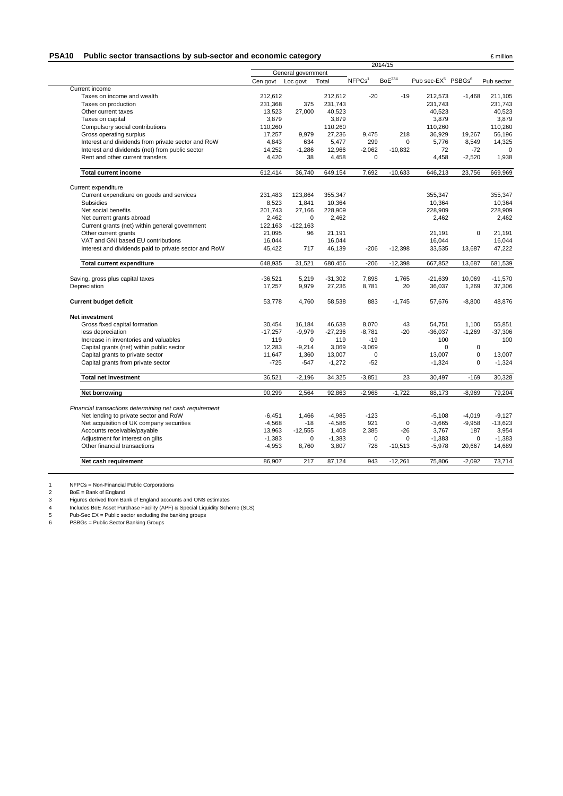#### **PSA10** Public sector transactions by sub-sector and economic category **Example 2** million

|                                                                                                  | 2014/15   |                    |           |                    |                    |                                            |             |            |
|--------------------------------------------------------------------------------------------------|-----------|--------------------|-----------|--------------------|--------------------|--------------------------------------------|-------------|------------|
|                                                                                                  |           | General government |           |                    |                    |                                            |             |            |
|                                                                                                  | Cen govt  | Loc govt           | Total     | NFPCs <sup>1</sup> | BoE <sup>234</sup> | Pub sec-EX <sup>5</sup> PSBGs <sup>6</sup> |             | Pub sector |
| Current income                                                                                   |           |                    |           |                    |                    |                                            |             |            |
| Taxes on income and wealth                                                                       | 212,612   |                    | 212,612   | $-20$              | $-19$              | 212,573                                    | $-1,468$    | 211,105    |
| Taxes on production                                                                              | 231,368   | 375                | 231,743   |                    |                    | 231,743                                    |             | 231,743    |
| Other current taxes                                                                              | 13,523    | 27,000             | 40,523    |                    |                    | 40,523                                     |             | 40,523     |
| Taxes on capital                                                                                 | 3.879     |                    | 3.879     |                    |                    | 3.879                                      |             | 3.879      |
| Compulsory social contributions                                                                  | 110,260   |                    | 110,260   |                    |                    | 110,260                                    |             | 110,260    |
| Gross operating surplus                                                                          | 17,257    | 9,979              | 27,236    | 9,475              | 218                | 36,929                                     | 19,267      | 56,196     |
| Interest and dividends from private sector and RoW                                               | 4,843     | 634                | 5,477     | 299                | $\mathbf 0$        | 5,776                                      | 8,549       | 14,325     |
| Interest and dividends (net) from public sector                                                  | 14,252    | $-1,286$           | 12,966    | $-2,062$           | $-10,832$          | 72                                         | $-72$       |            |
| Rent and other current transfers                                                                 | 4,420     | 38                 | 4,458     | $\mathbf 0$        |                    | 4,458                                      | $-2,520$    | 1,938      |
| <b>Total current income</b>                                                                      | 612,414   | 36,740             | 649,154   | 7,692              | $-10,633$          | 646,213                                    | 23,756      | 669,969    |
| Current expenditure                                                                              |           |                    |           |                    |                    |                                            |             |            |
| Current expenditure on goods and services                                                        | 231,483   | 123,864            | 355,347   |                    |                    | 355.347                                    |             | 355.347    |
| Subsidies                                                                                        | 8,523     | 1,841              | 10,364    |                    |                    | 10,364                                     |             | 10,364     |
| Net social benefits                                                                              | 201,743   | 27,166             | 228,909   |                    |                    | 228,909                                    |             | 228,909    |
| Net current grants abroad                                                                        | 2,462     | 0                  | 2,462     |                    |                    | 2,462                                      |             | 2,462      |
| Current grants (net) within general government                                                   | 122,163   | $-122,163$         |           |                    |                    |                                            |             |            |
| Other current grants                                                                             | 21,095    | 96                 | 21,191    |                    |                    | 21,191                                     | $\mathbf 0$ | 21,191     |
| VAT and GNI based EU contributions                                                               | 16,044    |                    | 16,044    |                    |                    | 16,044                                     |             | 16,044     |
| Interest and dividends paid to private sector and RoW                                            | 45,422    | 717                | 46,139    | $-206$             | $-12,398$          | 33,535                                     | 13,687      | 47,222     |
| <b>Total current expenditure</b>                                                                 | 648,935   | 31,521             | 680,456   | $-206$             | $-12,398$          | 667,852                                    | 13,687      | 681,539    |
| Saving, gross plus capital taxes                                                                 | $-36.521$ | 5,219              | $-31,302$ | 7,898              | 1,765              | $-21.639$                                  | 10.069      | $-11,570$  |
| Depreciation                                                                                     | 17,257    | 9,979              | 27,236    | 8,781              | 20                 | 36,037                                     | 1,269       | 37,306     |
| <b>Current budget deficit</b>                                                                    | 53,778    | 4,760              | 58,538    | 883                | $-1.745$           | 57,676                                     | $-8,800$    | 48,876     |
| <b>Net investment</b>                                                                            |           |                    |           |                    |                    |                                            |             |            |
| Gross fixed capital formation                                                                    | 30,454    | 16,184             | 46,638    | 8,070              | 43                 | 54,751                                     | 1,100       | 55,851     |
| less depreciation                                                                                | $-17,257$ | $-9,979$           | $-27,236$ | $-8,781$           | $-20$              | $-36,037$                                  | $-1,269$    | $-37,306$  |
| Increase in inventories and valuables                                                            | 119       | $\Omega$           | 119       | $-19$              |                    | 100                                        |             | 100        |
| Capital grants (net) within public sector                                                        | 12,283    | $-9,214$           | 3,069     | $-3,069$           |                    | $\Omega$                                   | $\pmb{0}$   |            |
| Capital grants to private sector                                                                 | 11,647    | 1,360              | 13,007    | $\mathbf 0$        |                    | 13,007                                     | $\mathbf 0$ | 13,007     |
| Capital grants from private sector                                                               | $-725$    | $-547$             | $-1,272$  | $-52$              |                    | $-1,324$                                   | $\mathbf 0$ | $-1,324$   |
| <b>Total net investment</b>                                                                      | 36,521    | $-2,196$           | 34,325    | $-3,851$           | 23                 | 30,497                                     | $-169$      | 30,328     |
| Net borrowing                                                                                    | 90,299    | 2,564              | 92,863    | $-2,968$           | $-1,722$           | 88,173                                     | $-8,969$    | 79,204     |
|                                                                                                  |           |                    |           |                    |                    |                                            |             |            |
| Financial transactions determining net cash requirement<br>Net lending to private sector and RoW | $-6,451$  | 1,466              | $-4,985$  | $-123$             |                    | $-5,108$                                   | $-4,019$    | $-9,127$   |
| Net acquisition of UK company securities                                                         | $-4,568$  | $-18$              | $-4,586$  | 921                | $\mathbf 0$        | $-3,665$                                   | $-9,958$    | $-13,623$  |
| Accounts receivable/payable                                                                      | 13,963    | $-12,555$          | 1,408     | 2,385              | $-26$              | 3,767                                      | 187         | 3,954      |
| Adjustment for interest on gilts                                                                 | $-1,383$  | 0                  | $-1,383$  | $\mathbf 0$        | $\Omega$           | $-1,383$                                   | 0           | $-1,383$   |
| Other financial transactions                                                                     | $-4,953$  | 8,760              | 3,807     | 728                | $-10,513$          | $-5,978$                                   | 20,667      | 14,689     |
| Net cash requirement                                                                             | 86,907    | 217                | 87,124    | 943                | $-12,261$          | 75,806                                     | $-2,092$    | 73,714     |
|                                                                                                  |           |                    |           |                    |                    |                                            |             |            |

1 NFPCs = Non-Financial Public Corporations

2 BoE = Bank of England

3 Figures derived from Bank of England accounts and ONS estimates

4 Includes BoE Asset Purchase Facility (APF) & Special Liquidity Scheme (SLS)

5 Pub-Sec EX = Public sector excluding the banking groups

6 PSBGs = Public Sector Banking Groups